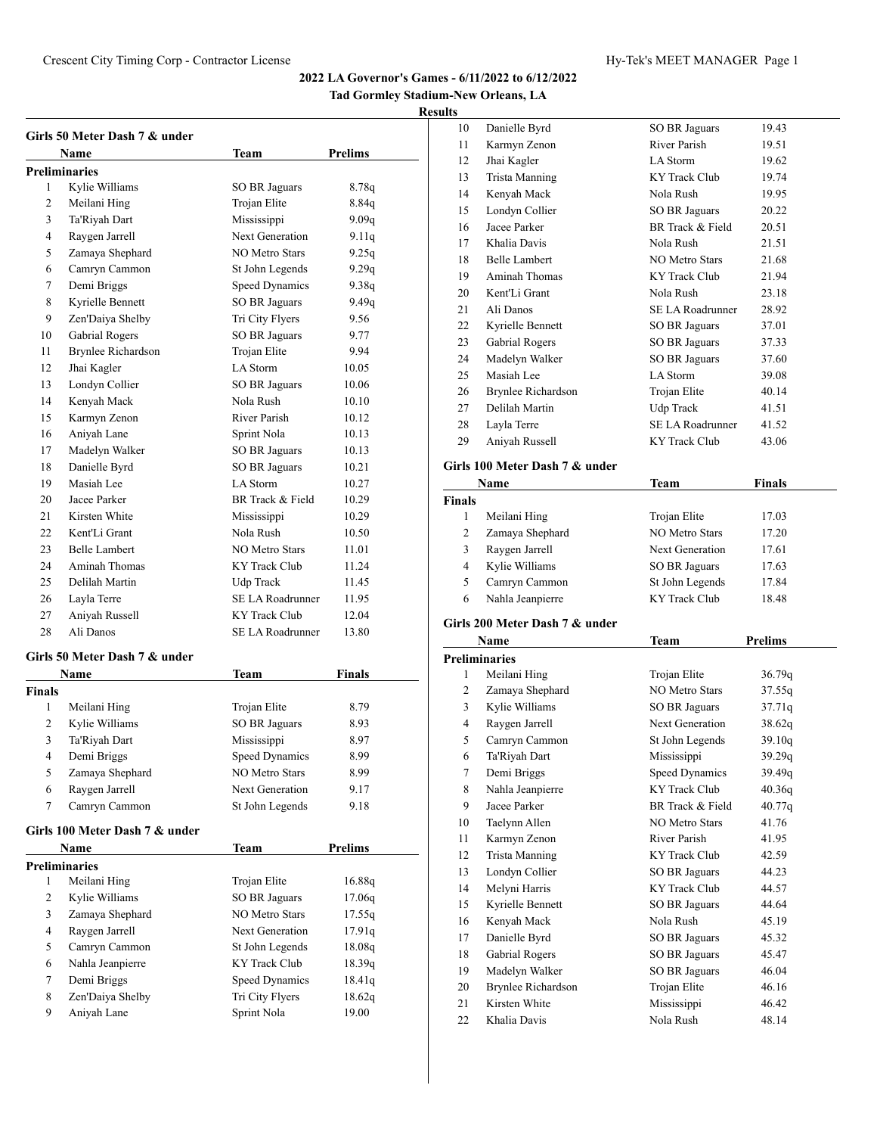# **Results**

|                      | Girls 50 Meter Dash 7 & under  |                         |                |
|----------------------|--------------------------------|-------------------------|----------------|
|                      | Name                           | Team                    | Prelims        |
| <b>Preliminaries</b> |                                |                         |                |
| 1                    | Kylie Williams                 | SO BR Jaguars           | 8.78q          |
| 2                    | Meilani Hing                   | Trojan Elite            | 8.84q          |
| 3                    | Ta'Riyah Dart                  | Mississippi             | 9.09q          |
| 4                    | Raygen Jarrell                 | <b>Next Generation</b>  | 9.11q          |
| 5                    | Zamaya Shephard                | <b>NO Metro Stars</b>   | 9.25q          |
| 6                    | Camryn Cammon                  | St John Legends         | 9.29q          |
| 7                    | Demi Briggs                    | Speed Dynamics          | 9.38q          |
| 8                    | Kyrielle Bennett               | <b>SO BR Jaguars</b>    | 9.49q          |
| 9                    | Zen'Daiya Shelby               | Tri City Flyers         | 9.56           |
| 10                   | <b>Gabrial Rogers</b>          | SO BR Jaguars           | 9.77           |
| 11                   | <b>Brynlee Richardson</b>      | Trojan Elite            | 9.94           |
| 12                   | Jhai Kagler                    | LA Storm                | 10.05          |
| 13                   | Londyn Collier                 | SO BR Jaguars           | 10.06          |
| 14                   | Kenyah Mack                    | Nola Rush               | 10.10          |
| 15                   | Karmyn Zenon                   | River Parish            | 10.12          |
| 16                   | Aniyah Lane                    | Sprint Nola             | 10.13          |
| 17                   | Madelyn Walker                 | <b>SO BR Jaguars</b>    | 10.13          |
| 18                   | Danielle Byrd                  | SO BR Jaguars           | 10.21          |
| 19                   | Masiah Lee                     | LA Storm                | 10.27          |
| 20                   | Jacee Parker                   | BR Track & Field        | 10.29          |
| 21                   | Kirsten White                  | Mississippi             | 10.29          |
| 22                   | Kent'Li Grant                  | Nola Rush               | 10.50          |
| 23                   | <b>Belle Lambert</b>           | NO Metro Stars          | 11.01          |
| 24                   | Aminah Thomas                  | KY Track Club           | 11.24          |
| 25                   | Delilah Martin                 | Udp Track               | 11.45          |
| 26                   | Layla Terre                    | <b>SE LA Roadrunner</b> | 11.95          |
| 27                   | Aniyah Russell                 | <b>KY</b> Track Club    | 12.04          |
| 28                   | Ali Danos                      | <b>SE LA Roadrunner</b> | 13.80          |
|                      |                                |                         |                |
|                      | Girls 50 Meter Dash 7 & under  |                         |                |
|                      | Name                           | Team                    | Finals         |
| Finals               |                                |                         |                |
| 1                    | Meilani Hing                   | Trojan Elite            | 8.79           |
| 2                    | Kylie Williams                 | <b>SO BR Jaguars</b>    | 8.93           |
| 3                    | Ta'Riyah Dart                  | Mississippi             | 8.97           |
| 4                    | Demi Briggs                    | Speed Dynamics          | 8.99           |
| 5                    | Zamaya Shephard                | <b>NO Metro Stars</b>   | 8.99           |
| 6                    | Raygen Jarrell                 | Next Generation         | 9.17           |
| 7                    | Camryn Cammon                  | St John Legends         | 9.18           |
|                      | Girls 100 Meter Dash 7 & under |                         |                |
|                      | Name                           | <b>Team</b>             | <b>Prelims</b> |
|                      | <b>Preliminaries</b>           |                         |                |
| 1                    | Meilani Hing                   | Trojan Elite            | 16.88q         |
| 2                    | Kylie Williams                 | SO BR Jaguars           | 17.06q         |
| 3                    | Zamaya Shephard                | NO Metro Stars          | 17.55q         |
| 4                    | Raygen Jarrell                 | Next Generation         | 17.91q         |
| 5                    | Camryn Cammon                  | St John Legends         | 18.08q         |
| 6                    | Nahla Jeanpierre               | KY Track Club           | 18.39q         |
| $\tau$               | Demi Briggs                    | <b>Speed Dynamics</b>   | 18.41q         |
| 8                    | Zen'Daiya Shelby               | Tri City Flyers         | 18.62q         |
| 9                    | Aniyah Lane                    | Sprint Nola             | 19.00          |
|                      |                                |                         |                |

| 10 | Danielle Byrd        | SO BR Jaguars    | 19.43 |
|----|----------------------|------------------|-------|
| 11 | Karmyn Zenon         | River Parish     | 19.51 |
| 12 | Jhai Kagler          | LA Storm         | 19.62 |
| 13 | Trista Manning       | KY Track Club    | 19.74 |
| 14 | Kenyah Mack          | Nola Rush        | 19.95 |
| 15 | Londyn Collier       | SO BR Jaguars    | 20.22 |
| 16 | Jacee Parker         | BR Track & Field | 20.51 |
| 17 | Khalia Davis         | Nola Rush        | 21.51 |
| 18 | <b>Belle Lambert</b> | NO Metro Stars   | 21.68 |
| 19 | Aminah Thomas        | KY Track Club    | 21.94 |
| 20 | Kent'Li Grant        | Nola Rush        | 23.18 |
| 21 | Ali Danos            | SE LA Roadrunner | 28.92 |
| 22 | Kyrielle Bennett     | SO BR Jaguars    | 37.01 |
| 23 | Gabrial Rogers       | SO BR Jaguars    | 37.33 |
| 24 | Madelyn Walker       | SO BR Jaguars    | 37.60 |
| 25 | Masiah Lee           | LA Storm         | 39.08 |
| 26 | Brynlee Richardson   | Trojan Elite     | 40.14 |
| 27 | Delilah Martin       | Udp Track        | 41.51 |
| 28 | Layla Terre          | SE LA Roadrunner | 41.52 |
| 29 | Aniyah Russell       | KY Track Club    | 43.06 |
|    |                      |                  |       |

# **Girls 100 Meter Dash 7 & under**

| Name          |                  | Team                 | <b>Finals</b> |  |
|---------------|------------------|----------------------|---------------|--|
| <b>Finals</b> |                  |                      |               |  |
|               | Meilani Hing     | Trojan Elite         | 17.03         |  |
| 2             | Zamaya Shephard  | NO Metro Stars       | 17.20         |  |
| 3             | Raygen Jarrell   | Next Generation      | 17.61         |  |
| 4             | Kylie Williams   | <b>SO BR Jaguars</b> | 17.63         |  |
| 5             | Camryn Cammon    | St John Legends      | 17.84         |  |
| 6             | Nahla Jeanpierre | KY Track Club        | 18.48         |  |

# **Girls 200 Meter Dash 7 & under**

|    | Name                 | Team                  | Prelims |  |
|----|----------------------|-----------------------|---------|--|
|    | <b>Preliminaries</b> |                       |         |  |
| 1  | Meilani Hing         | Trojan Elite          | 36.79q  |  |
| 2  | Zamaya Shephard      | <b>NO Metro Stars</b> | 37.55q  |  |
| 3  | Kylie Williams       | SO BR Jaguars         | 37.71q  |  |
| 4  | Raygen Jarrell       | Next Generation       | 38.62q  |  |
| 5  | Camryn Cammon        | St John Legends       | 39.10q  |  |
| 6  | Ta'Riyah Dart        | Mississippi           | 39.29q  |  |
| 7  | Demi Briggs          | <b>Speed Dynamics</b> | 39.49q  |  |
| 8  | Nahla Jeanpierre     | <b>KY Track Club</b>  | 40.36q  |  |
| 9  | Jacee Parker         | BR Track & Field      | 40.77q  |  |
| 10 | Taelynn Allen        | NO Metro Stars        | 41.76   |  |
| 11 | Karmyn Zenon         | River Parish          | 41.95   |  |
| 12 | Trista Manning       | KY Track Club         | 42.59   |  |
| 13 | Londyn Collier       | SO BR Jaguars         | 44.23   |  |
| 14 | Melyni Harris        | <b>KY Track Club</b>  | 44.57   |  |
| 15 | Kyrielle Bennett     | SO BR Jaguars         | 44.64   |  |
| 16 | Kenyah Mack          | Nola Rush             | 45.19   |  |
| 17 | Danielle Byrd        | SO BR Jaguars         | 45.32   |  |
| 18 | Gabrial Rogers       | SO BR Jaguars         | 45.47   |  |
| 19 | Madelyn Walker       | SO BR Jaguars         | 46.04   |  |
| 20 | Brynlee Richardson   | Trojan Elite          | 46.16   |  |
| 21 | Kirsten White        | Mississippi           | 46.42   |  |
| 22 | Khalia Davis         | Nola Rush             | 48.14   |  |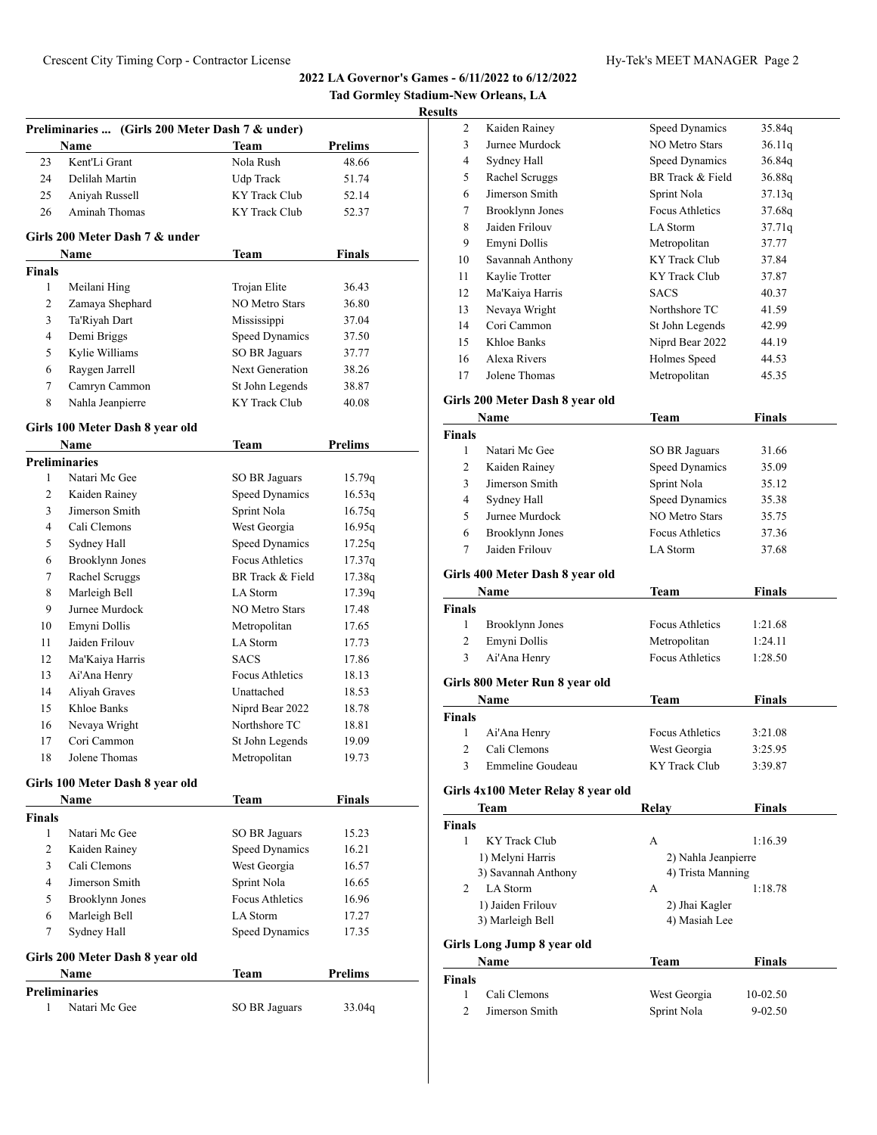| Preliminaries  (Girls 200 Meter Dash 7 & under) |                                       |                        |                |  |
|-------------------------------------------------|---------------------------------------|------------------------|----------------|--|
|                                                 | Name                                  | Team                   | <b>Prelims</b> |  |
| 23                                              | Kent'Li Grant                         | Nola Rush              | 48.66          |  |
| 24                                              | Delilah Martin                        | Udp Track              | 51.74          |  |
| 25                                              | Aniyah Russell                        | <b>KY Track Club</b>   | 52.14          |  |
| 26                                              | Aminah Thomas                         | <b>KY Track Club</b>   | 52.37          |  |
|                                                 |                                       |                        |                |  |
|                                                 | Girls 200 Meter Dash 7 & under        |                        |                |  |
|                                                 | Name                                  | Team                   | <b>Finals</b>  |  |
| <b>Finals</b>                                   |                                       |                        |                |  |
| $\mathbf{1}$                                    | Meilani Hing                          | Trojan Elite           | 36.43          |  |
| 2                                               | Zamaya Shephard                       | NO Metro Stars         | 36.80          |  |
| 3                                               | Ta'Riyah Dart                         | Mississippi            | 37.04          |  |
| 4                                               | Demi Briggs                           | <b>Speed Dynamics</b>  | 37.50          |  |
| 5                                               | Kylie Williams                        | <b>SO BR Jaguars</b>   | 37.77          |  |
| 6                                               | Raygen Jarrell                        | <b>Next Generation</b> | 38.26          |  |
| 7                                               | Camryn Cammon                         | St John Legends        | 38.87          |  |
| 8                                               | Nahla Jeanpierre                      | <b>KY Track Club</b>   | 40.08          |  |
|                                                 | Girls 100 Meter Dash 8 year old       |                        |                |  |
|                                                 | Name                                  | Team                   | <b>Prelims</b> |  |
|                                                 | <b>Preliminaries</b>                  |                        |                |  |
| 1                                               | Natari Mc Gee                         | SO BR Jaguars          | 15.79q         |  |
| 2                                               | Kaiden Rainey                         | Speed Dynamics         | 16.53q         |  |
| 3                                               | Jimerson Smith                        | Sprint Nola            | 16.75q         |  |
| 4                                               | Cali Clemons                          | West Georgia           | 16.95q         |  |
| 5                                               | Sydney Hall                           | <b>Speed Dynamics</b>  | 17.25q         |  |
| 6                                               | <b>Brooklynn Jones</b>                | <b>Focus Athletics</b> | 17.37q         |  |
| 7                                               | Rachel Scruggs                        | BR Track & Field       | 17.38q         |  |
| 8                                               | Marleigh Bell                         | LA Storm               | 17.39q         |  |
| 9                                               | Jurnee Murdock                        | <b>NO Metro Stars</b>  | 17.48          |  |
| 10                                              | Emyni Dollis                          | Metropolitan           | 17.65          |  |
| 11                                              | Jaiden Frilouv                        | LA Storm               | 17.73          |  |
| 12                                              | Ma'Kaiya Harris                       | <b>SACS</b>            | 17.86          |  |
| 13                                              | Ai'Ana Henry                          | <b>Focus Athletics</b> | 18.13          |  |
| 14                                              | Aliyah Graves                         | Unattached             | 18.53          |  |
| 15                                              | Khloe Banks                           | Niprd Bear 2022        | 18.78          |  |
|                                                 |                                       | Northshore TC          |                |  |
| 16                                              | Nevaya Wright                         |                        | 18.81          |  |
| 17                                              | Cori Cammon                           | St John Legends        | 19.09          |  |
| 18                                              | Jolene Thomas                         | Metropolitan           | 19.73          |  |
|                                                 | Girls 100 Meter Dash 8 year old       |                        |                |  |
|                                                 | Name                                  | Team                   | <b>Finals</b>  |  |
| <b>Finals</b>                                   |                                       |                        |                |  |
| 1                                               | Natari Mc Gee                         | SO BR Jaguars          | 15.23          |  |
| 2                                               | Kaiden Rainey                         | Speed Dynamics         | 16.21          |  |
| 3                                               | Cali Clemons                          | West Georgia           | 16.57          |  |
| 4                                               | Jimerson Smith                        | Sprint Nola            | 16.65          |  |
| 5                                               | Brooklynn Jones                       | Focus Athletics        | 16.96          |  |
| 6                                               | Marleigh Bell                         | LA Storm               | 17.27          |  |
| 7                                               | Sydney Hall                           | <b>Speed Dynamics</b>  | 17.35          |  |
|                                                 |                                       |                        |                |  |
|                                                 | Girls 200 Meter Dash 8 year old       |                        |                |  |
|                                                 | Name                                  | Team                   | <b>Prelims</b> |  |
| 1                                               | <b>Preliminaries</b><br>Natari Mc Gee | SO BR Jaguars          | 33.04q         |  |

| 2                       |                                    |                        |               |
|-------------------------|------------------------------------|------------------------|---------------|
|                         | Kaiden Rainey                      | <b>Speed Dynamics</b>  | 35.84q        |
| 3                       | Jurnee Murdock                     | <b>NO Metro Stars</b>  | 36.11q        |
| 4                       | Sydney Hall                        | <b>Speed Dynamics</b>  | 36.84q        |
| 5                       | Rachel Scruggs                     | BR Track & Field       | 36.88q        |
| 6                       | Jimerson Smith                     | Sprint Nola            | 37.13q        |
| 7                       | <b>Brooklynn Jones</b>             | <b>Focus Athletics</b> | 37.68q        |
| 8                       | Jaiden Frilouv                     | LA Storm               | 37.71q        |
| 9                       | Emyni Dollis                       | Metropolitan           | 37.77         |
| 10                      | Savannah Anthony                   | <b>KY</b> Track Club   | 37.84         |
| 11                      | Kaylie Trotter                     | KY Track Club          | 37.87         |
| 12                      | Ma'Kaiya Harris                    | <b>SACS</b>            | 40.37         |
| 13                      | Nevaya Wright                      | Northshore TC          | 41.59         |
| 14                      | Cori Cammon                        | St John Legends        | 42.99         |
| 15                      | Khloe Banks                        | Niprd Bear 2022        | 44.19         |
| 16                      | Alexa Rivers                       | Holmes Speed           | 44.53         |
| 17                      | Jolene Thomas                      | Metropolitan           | 45.35         |
|                         |                                    |                        |               |
|                         | Girls 200 Meter Dash 8 year old    |                        |               |
|                         | Name                               | Team                   | <b>Finals</b> |
| <b>Finals</b>           |                                    |                        |               |
| 1                       | Natari Mc Gee                      | SO BR Jaguars          | 31.66         |
| 2                       | Kaiden Rainey                      | <b>Speed Dynamics</b>  | 35.09         |
| 3                       | Jimerson Smith                     | Sprint Nola            | 35.12         |
| 4                       | Sydney Hall                        | <b>Speed Dynamics</b>  | 35.38         |
| 5                       | Jurnee Murdock                     | <b>NO Metro Stars</b>  | 35.75         |
| 6                       | <b>Brooklynn Jones</b>             | Focus Athletics        | 37.36         |
| 7                       | Jaiden Frilouv                     | LA Storm               | 37.68         |
|                         | Girls 400 Meter Dash 8 year old    |                        |               |
|                         | Name                               | <b>Team</b>            | <b>Finals</b> |
| <b>Finals</b>           |                                    |                        |               |
|                         |                                    |                        |               |
| 1                       | <b>Brooklynn Jones</b>             | <b>Focus Athletics</b> | 1:21.68       |
| 2                       | Emyni Dollis                       | Metropolitan           | 1:24.11       |
| 3                       | Ai'Ana Henry                       | <b>Focus Athletics</b> | 1:28.50       |
|                         |                                    |                        |               |
|                         | Girls 800 Meter Run 8 year old     |                        |               |
|                         | Name                               | <b>Team</b>            | <b>Finals</b> |
| <b>Finals</b>           |                                    |                        |               |
| 1                       | Ai'Ana Henry                       | <b>Focus Athletics</b> | 3:21.08       |
| $\overline{\mathbf{c}}$ | Cali Clemons                       | West Georgia           | 3:25.95       |
| 3                       | <b>Emmeline Goudeau</b>            | KY Track Club          | 3:39.87       |
|                         | Girls 4x100 Meter Relay 8 year old |                        |               |
|                         | Team                               | Relay                  | <b>Finals</b> |
| Finals                  |                                    |                        |               |
| 1                       | KY Track Club                      | A                      | 1:16.39       |
|                         | 1) Melyni Harris                   | 2) Nahla Jeanpierre    |               |
|                         | 3) Savannah Anthony                | 4) Trista Manning      |               |
| $\overline{2}$          | LA Storm                           | А                      | 1:18.78       |
|                         | 1) Jaiden Frilouv                  | 2) Jhai Kagler         |               |
|                         | 3) Marleigh Bell                   | 4) Masiah Lee          |               |
|                         | Girls Long Jump 8 year old         |                        |               |
|                         | Name                               | Team                   | Finals        |
| Finals                  |                                    |                        |               |
| 1                       | Cali Clemons                       | West Georgia           | 10-02.50      |
| $\overline{c}$          | Jimerson Smith                     | Sprint Nola            | 9-02.50       |
|                         |                                    |                        |               |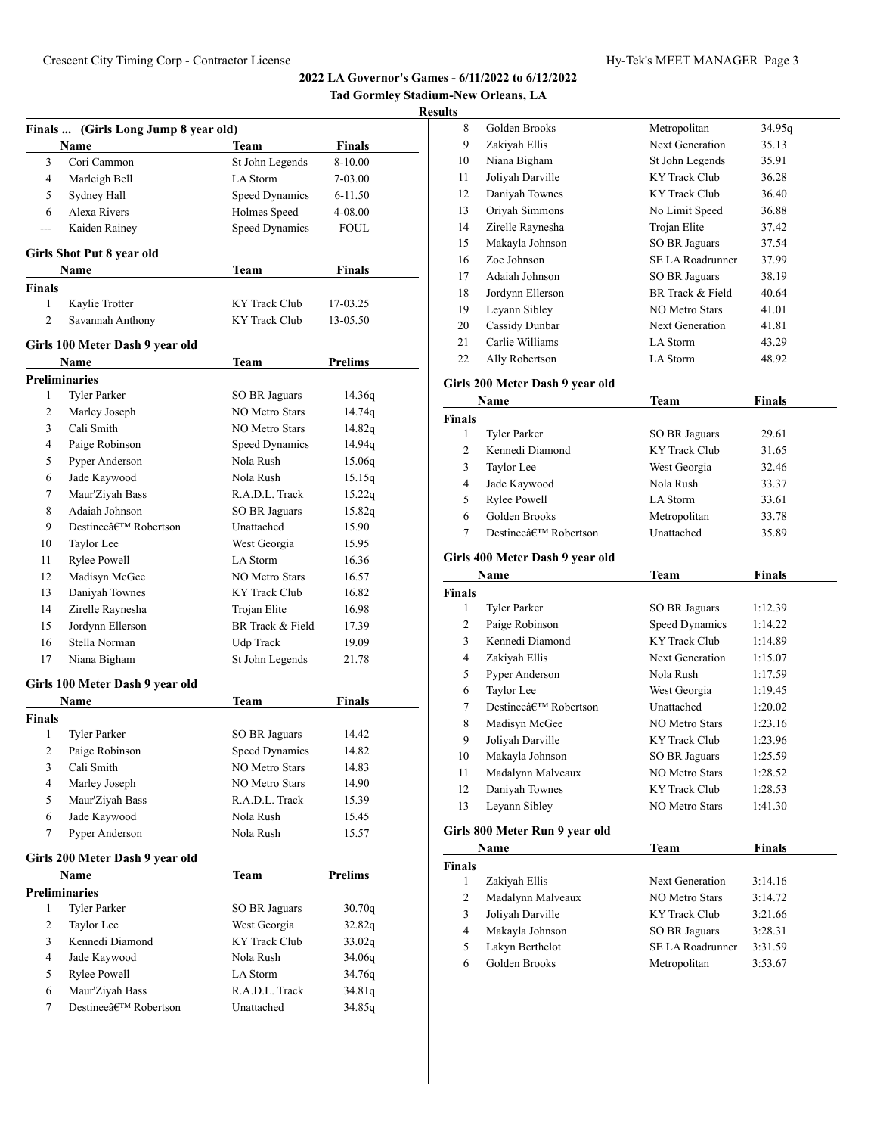| Tad Gormley Stadium-New Orleans, LA |  |
|-------------------------------------|--|
|                                     |  |

#### **Results**

|                | Finals  (Girls Long Jump 8 year old) |                       |                |
|----------------|--------------------------------------|-----------------------|----------------|
|                | Name                                 | <b>Team</b>           | <b>Finals</b>  |
| 3              | Cori Cammon                          | St John Legends       | 8-10.00        |
| $\overline{4}$ | Marleigh Bell                        | LA Storm              | 7-03.00        |
| 5              | Sydney Hall                          | <b>Speed Dynamics</b> | 6-11.50        |
| 6              | Alexa Rivers                         | Holmes Speed          | 4-08.00        |
| ---            | Kaiden Rainey                        | Speed Dynamics        | FOUL           |
|                | Girls Shot Put 8 year old            |                       |                |
|                | Name                                 | Team                  | Finals         |
| Finals         |                                      |                       |                |
| 1              | Kaylie Trotter                       | KY Track Club         | 17-03.25       |
| $\overline{c}$ | Savannah Anthony                     | KY Track Club         | 13-05.50       |
|                |                                      |                       |                |
|                | Girls 100 Meter Dash 9 year old      |                       |                |
|                | Name                                 | Team                  | <b>Prelims</b> |
|                | <b>Preliminaries</b>                 |                       |                |
| 1              | <b>Tyler Parker</b>                  | SO BR Jaguars         | 14.36q         |
| 2              | Marley Joseph                        | <b>NO Metro Stars</b> | 14.74q         |
| 3              | Cali Smith                           | <b>NO Metro Stars</b> | 14.82q         |
| 4              | Paige Robinson                       | <b>Speed Dynamics</b> | 14.94q         |
| 5              | Pyper Anderson                       | Nola Rush             | 15.06q         |
| 6              | Jade Kaywood                         | Nola Rush             | 15.15q         |
| 7              | Maur'Ziyah Bass                      | R.A.D.L. Track        | 15.22q         |
| 8              | Adaiah Johnson                       | SO BR Jaguars         | 15.82q         |
| 9              | Destineeâ€ <sup>™</sup> Robertson    | Unattached            | 15.90          |
| 10             | Taylor Lee                           | West Georgia          | 15.95          |
| 11             | <b>Rylee Powell</b>                  | LA Storm              | 16.36          |
| 12             | Madisyn McGee                        | NO Metro Stars        | 16.57          |
| 13             | Daniyah Townes                       | KY Track Club         | 16.82          |
| 14             | Zirelle Raynesha                     | Trojan Elite          | 16.98          |
| 15             | Jordynn Ellerson                     | BR Track & Field      | 17.39          |
| 16             | Stella Norman                        | <b>Udp Track</b>      | 19.09          |
| 17             | Niana Bigham                         | St John Legends       | 21.78          |
|                | Girls 100 Meter Dash 9 year old      |                       |                |
|                | Name                                 | Team                  | Finals         |
| Finals         |                                      |                       |                |
| 1              | <b>Tyler Parker</b>                  | SO BR Jaguars         | 14.42          |
| 2              | Paige Robinson                       | Speed Dynamics        | 14.82          |
| 3              | Cali Smith                           | NO Metro Stars        | 14.83          |
| 4              | Marley Joseph                        | <b>NO Metro Stars</b> | 14.90          |
| 5              | Maur'Ziyah Bass                      | R.A.D.L. Track        | 15.39          |
| 6              | Jade Kaywood                         | Nola Rush             | 15.45          |
| 7              | Pyper Anderson                       | Nola Rush             | 15.57          |
|                | Girls 200 Meter Dash 9 year old      |                       |                |
|                | Name                                 | <b>Team</b>           | <b>Prelims</b> |
|                | <b>Preliminaries</b>                 |                       |                |
| 1              | Tyler Parker                         | <b>SO BR Jaguars</b>  | 30.70q         |
| $\mathbf{2}$   | Taylor Lee                           | West Georgia          | 32.82q         |
| 3              | Kennedi Diamond                      | KY Track Club         | 33.02q         |
| 4              | Jade Kaywood                         | Nola Rush             | 34.06q         |
| 5              | <b>Rylee Powell</b>                  | LA Storm              | 34.76q         |
| 6              | Maur'Ziyah Bass                      | R.A.D.L. Track        | 34.81q         |
| 7              | Destinee' Robertson                  | Unattached            | 34.85q         |
|                |                                      |                       |                |

| 8  | Golden Brooks    | Metropolitan          | 34.95g |  |
|----|------------------|-----------------------|--------|--|
| 9  | Zakiyah Ellis    | Next Generation       | 35.13  |  |
| 10 | Niana Bigham     | St John Legends       | 35.91  |  |
| 11 | Joliyah Darville | KY Track Club         | 36.28  |  |
| 12 | Daniyah Townes   | KY Track Club         | 36.40  |  |
| 13 | Oriyah Simmons   | No Limit Speed        | 36.88  |  |
| 14 | Zirelle Raynesha | Trojan Elite          | 37.42  |  |
| 15 | Makayla Johnson  | SO BR Jaguars         | 37.54  |  |
| 16 | Zoe Johnson      | SE LA Roadrunner      | 37.99  |  |
| 17 | Adaiah Johnson   | SO BR Jaguars         | 38.19  |  |
| 18 | Jordynn Ellerson | BR Track & Field      | 40.64  |  |
| 19 | Leyann Sibley    | <b>NO Metro Stars</b> | 41.01  |  |
| 20 | Cassidy Dunbar   | Next Generation       | 41.81  |  |
| 21 | Carlie Williams  | LA Storm              | 43.29  |  |
| 22 | Ally Robertson   | <b>LA</b> Storm       | 48.92  |  |
|    |                  |                       |        |  |

# **Girls 200 Meter Dash 9 year old**

| Name           |                                    | Team                 | <b>Finals</b> |  |
|----------------|------------------------------------|----------------------|---------------|--|
| <b>Finals</b>  |                                    |                      |               |  |
|                | Tyler Parker                       | <b>SO BR Jaguars</b> | 29.61         |  |
| $\mathfrak{D}$ | Kennedi Diamond                    | KY Track Club        | 31.65         |  |
| 3              | Taylor Lee                         | West Georgia         | 32.46         |  |
| 4              | Jade Kaywood                       | Nola Rush            | 33.37         |  |
| 5              | Rylee Powell                       | LA Storm             | 33.61         |  |
| 6              | Golden Brooks                      | Metropolitan         | 33.78         |  |
|                | Destineeâ€ <sup>TM</sup> Robertson | Unattached           | 35.89         |  |
|                |                                    |                      |               |  |

# **Girls 400 Meter Dash 9 year old**

| Name          |                                    | <b>Team</b>           | <b>Finals</b> |
|---------------|------------------------------------|-----------------------|---------------|
| <b>Finals</b> |                                    |                       |               |
| 1             | <b>Tyler Parker</b>                | SO BR Jaguars         | 1:12.39       |
| 2             | Paige Robinson                     | <b>Speed Dynamics</b> | 1:14.22       |
| 3             | Kennedi Diamond                    | KY Track Club         | 1:14.89       |
| 4             | Zakiyah Ellis                      | Next Generation       | 1:15.07       |
| 5             | Pyper Anderson                     | Nola Rush             | 1:17.59       |
| 6             | Taylor Lee                         | West Georgia          | 1:19.45       |
| 7             | Destineeâ€ <sup>TM</sup> Robertson | Unattached            | 1:20.02       |
| 8             | Madisyn McGee                      | NO Metro Stars        | 1:23.16       |
| 9             | Joliyah Darville                   | KY Track Club         | 1:23.96       |
| 10            | Makayla Johnson                    | <b>SO BR Jaguars</b>  | 1:25.59       |
| 11            | Madalynn Malveaux                  | NO Metro Stars        | 1:28.52       |
| 12            | Daniyah Townes                     | KY Track Club         | 1:28.53       |
| 13            | Leyann Sibley                      | NO Metro Stars        | 1:41.30       |

# **Girls 800 Meter Run 9 year old**

| Name          |                   | Team                 | <b>Finals</b> |
|---------------|-------------------|----------------------|---------------|
| <b>Finals</b> |                   |                      |               |
|               | Zakiyah Ellis     | Next Generation      | 3:14.16       |
| 2             | Madalynn Malveaux | NO Metro Stars       | 3:14.72       |
| 3             | Joliyah Darville  | KY Track Club        | 3:21.66       |
| 4             | Makayla Johnson   | <b>SO BR Jaguars</b> | 3:28.31       |
| 5             | Lakyn Berthelot   | SE LA Roadrunner     | 3:31.59       |
| 6             | Golden Brooks     | Metropolitan         | 3:53.67       |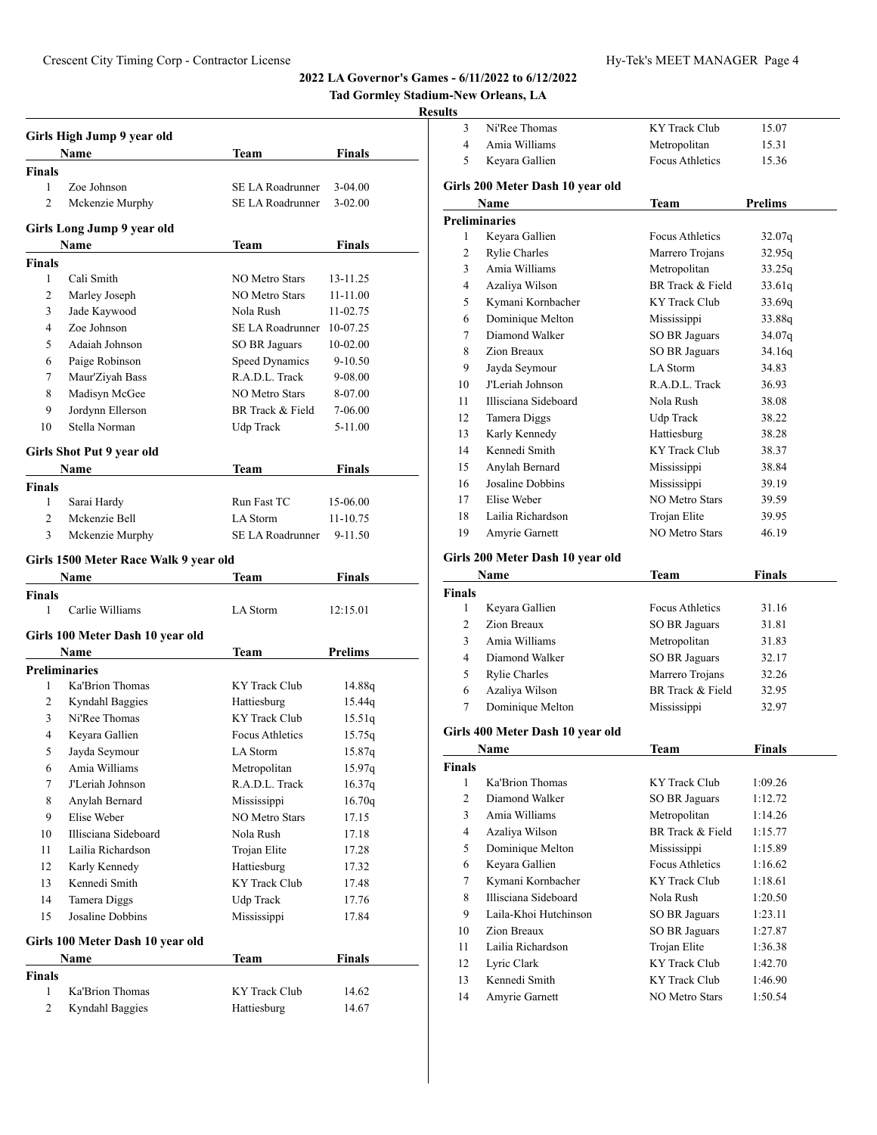**Tad Gormley Stadium-New Orleans, LA**

#### **Resul**

|               | Girls High Jump 9 year old            |                                  |                |
|---------------|---------------------------------------|----------------------------------|----------------|
|               | Name                                  | Team                             | Finals         |
| Finals        |                                       |                                  |                |
| $\mathbf{1}$  | Zoe Johnson                           | SE LA Roadrunner                 | $3-04.00$      |
| 2             | Mckenzie Murphy                       | SE LA Roadrunner                 | 3-02.00        |
|               |                                       |                                  |                |
|               | Girls Long Jump 9 year old            |                                  |                |
|               | Name                                  | Team                             | Finals         |
| Finals<br>1   | Cali Smith                            | <b>NO Metro Stars</b>            | 13-11.25       |
| 2             |                                       | <b>NO Metro Stars</b>            | 11-11.00       |
| 3             | Marley Joseph<br>Jade Kaywood         | Nola Rush                        | 11-02.75       |
| 4             | Zoe Johnson                           | <b>SE LA Roadrunner</b>          | 10-07.25       |
| 5             | Adaiah Johnson                        | SO BR Jaguars                    | 10-02.00       |
| 6             |                                       |                                  |                |
|               | Paige Robinson                        | Speed Dynamics<br>R.A.D.L. Track | 9-10.50        |
| 7             | Maur'Ziyah Bass                       |                                  | 9-08.00        |
| 8             | Madisyn McGee                         | <b>NO Metro Stars</b>            | 8-07.00        |
| 9             | Jordynn Ellerson                      | BR Track & Field                 | 7-06.00        |
| 10            | Stella Norman                         | Udp Track                        | 5-11.00        |
|               | <b>Girls Shot Put 9 year old</b>      |                                  |                |
|               | Name                                  | Team                             | <b>Finals</b>  |
| <b>Finals</b> |                                       |                                  |                |
| 1             | Sarai Hardy                           | Run Fast TC                      | 15-06.00       |
| 2             | Mckenzie Bell                         | LA Storm                         | 11-10.75       |
| 3             | Mckenzie Murphy                       | SE LA Roadrunner                 | 9-11.50        |
|               | Girls 1500 Meter Race Walk 9 year old |                                  |                |
|               | Name                                  | Team                             | Finals         |
| <b>Finals</b> |                                       |                                  |                |
| 1             | Carlie Williams                       | LA Storm                         | 12:15.01       |
|               |                                       |                                  |                |
|               | Girls 100 Meter Dash 10 year old      |                                  |                |
|               | Name                                  | Team                             | <b>Prelims</b> |
|               | <b>Preliminaries</b>                  |                                  |                |
| 1             | Ka'Brion Thomas                       | KY Track Club                    | 14.88q         |
| 2             | Kyndahl Baggies                       | Hattiesburg                      | 15.44q         |
| 3             | Ni'Ree Thomas                         | KY Track Club                    | 15.51q         |
| 4             | Keyara Gallien                        | <b>Focus Athletics</b>           | 15.75q         |
| 5             | Jayda Seymour                         | <b>LA Storm</b>                  | 15.87q         |
| 6             | Amia Williams                         | Metropolitan                     | 15.97q         |
| 7             | J'Leriah Johnson                      | R.A.D.L. Track                   | 16.37q         |
| 8             | Anylah Bernard                        | Mississippi                      | 16.70q         |
| 9             | Elise Weber                           | <b>NO Metro Stars</b>            | 17.15          |
| 10            | Illisciana Sideboard                  | Nola Rush                        | 17.18          |
| 11            | Lailia Richardson                     | Trojan Elite                     | 17.28          |
| 12            | Karly Kennedy                         | Hattiesburg                      | 17.32          |
| 13            | Kennedi Smith                         | <b>KY</b> Track Club             | 17.48          |
| 14            | Tamera Diggs                          | Udp Track                        | 17.76          |
| 15            | Josaline Dobbins                      | Mississippi                      | 17.84          |
|               | Girls 100 Meter Dash 10 year old      |                                  |                |
|               | Name                                  | Team                             | Finals         |
| <b>Finals</b> |                                       |                                  |                |
| 1             | Ka'Brion Thomas                       | KY Track Club                    | 14.62          |
| 2             | Kyndahl Baggies                       | Hattiesburg                      | 14.67          |
|               |                                       |                                  |                |

| ults           |                                  |                        |                |
|----------------|----------------------------------|------------------------|----------------|
| 3              | Ni'Ree Thomas                    | KY Track Club          | 15.07          |
| 4              | Amia Williams                    | Metropolitan           | 15.31          |
| 5              | Keyara Gallien                   | Focus Athletics        | 15.36          |
|                | Girls 200 Meter Dash 10 year old |                        |                |
|                | Name                             | <b>Team</b>            | <b>Prelims</b> |
|                | <b>Preliminaries</b>             |                        |                |
| 1              | Keyara Gallien                   | Focus Athletics        | 32.07q         |
| 2              | <b>Rylie Charles</b>             | Marrero Trojans        | 32.95q         |
| 3              | Amia Williams                    | Metropolitan           | 33.25q         |
| 4              | Azaliya Wilson                   | BR Track & Field       | 33.61q         |
| 5              | Kymani Kornbacher                | KY Track Club          | 33.69q         |
| 6              | Dominique Melton                 | Mississippi            | 33.88q         |
| 7              | Diamond Walker                   | <b>SO BR Jaguars</b>   | 34.07q         |
| 8              | Zion Breaux                      | <b>SO BR Jaguars</b>   | 34.16q         |
| 9              | Jayda Seymour                    | LA Storm               | 34.83          |
| 10             | J'Leriah Johnson                 | R.A.D.L. Track         | 36.93          |
| 11             | Illisciana Sideboard             | Nola Rush              | 38.08          |
| 12             | Tamera Diggs                     | <b>Udp Track</b>       | 38.22          |
| 13             | Karly Kennedy                    | Hattiesburg            | 38.28          |
| 14             | Kennedi Smith                    | <b>KY</b> Track Club   | 38.37          |
| 15             | Anylah Bernard                   | Mississippi            | 38.84          |
| 16             | Josaline Dobbins                 | Mississippi            | 39.19          |
| 17             | Elise Weber                      | <b>NO Metro Stars</b>  | 39.59          |
| 18             | Lailia Richardson                | Trojan Elite           | 39.95          |
| 19             | Amyrie Garnett                   | <b>NO Metro Stars</b>  | 46.19          |
|                |                                  |                        |                |
|                | Girls 200 Meter Dash 10 year old |                        |                |
|                | Name                             | <b>Team</b>            | Finals         |
| <b>Finals</b>  |                                  |                        |                |
| 1              | Keyara Gallien                   | Focus Athletics        | 31.16          |
| 2              | Zion Breaux                      | <b>SO BR Jaguars</b>   | 31.81          |
| 3              | Amia Williams                    | Metropolitan           | 31.83          |
| 4              | Diamond Walker                   | <b>SO BR Jaguars</b>   | 32.17          |
| 5              | <b>Rylie Charles</b>             | Marrero Trojans        | 32.26          |
| 6              | Azaliya Wilson                   | BR Track & Field       | 32.95          |
| 7              | Dominique Melton                 | Mississippi            | 32.97          |
|                | Girls 400 Meter Dash 10 year old |                        |                |
|                | <b>Name</b>                      | <b>Team</b>            | <b>Finals</b>  |
| <b>Finals</b>  |                                  |                        |                |
| 1              | Ka'Brion Thomas                  | KY Track Club          | 1:09.26        |
| $\overline{2}$ | Diamond Walker                   | <b>SO BR Jaguars</b>   | 1:12.72        |
| 3              | Amia Williams                    | Metropolitan           | 1:14.26        |
| 4              | Azaliya Wilson                   | BR Track & Field       | 1:15.77        |
| 5              | Dominique Melton                 | Mississippi            | 1:15.89        |
| 6              | Keyara Gallien                   | <b>Focus Athletics</b> | 1:16.62        |
| 7              | Kymani Kornbacher                | KY Track Club          | 1:18.61        |
| 8              | Illisciana Sideboard             | Nola Rush              | 1:20.50        |
| 9              | Laila-Khoi Hutchinson            | <b>SO BR Jaguars</b>   | 1:23.11        |
| 10             | Zion Breaux                      | <b>SO BR Jaguars</b>   | 1:27.87        |
| 11             | Lailia Richardson                | Trojan Elite           | 1:36.38        |
| 12             | Lyric Clark                      | KY Track Club          | 1:42.70        |
|                |                                  |                        |                |

 Kennedi Smith KY Track Club 1:46.90 Amyrie Garnett NO Metro Stars 1:50.54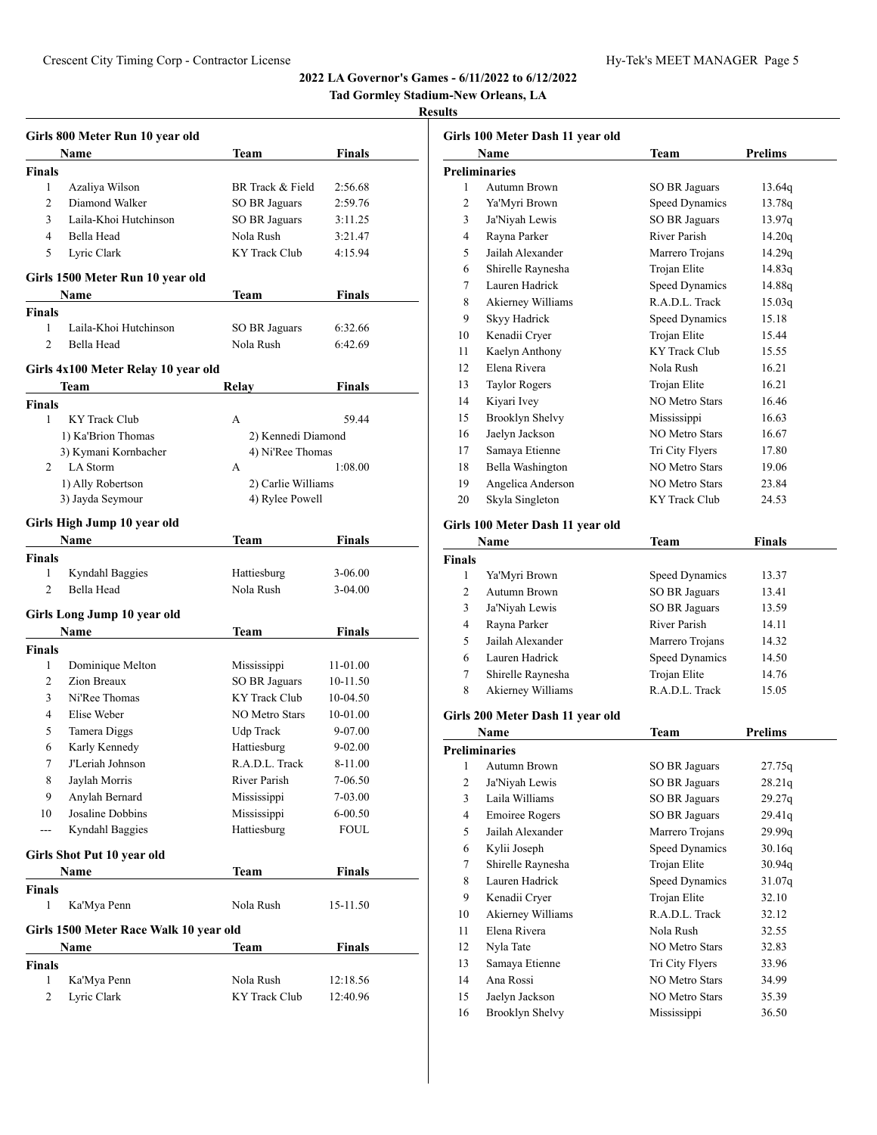# **Tad Gormley Stadium-New Orleans, LA**

# **Results**

|                | Girls 800 Meter Run 10 year old        |                                       |               |  |
|----------------|----------------------------------------|---------------------------------------|---------------|--|
|                | Name                                   | Team                                  | Finals        |  |
| Finals         |                                        |                                       |               |  |
| 1              | Azaliya Wilson                         | BR Track & Field                      | 2:56.68       |  |
| 2              | Diamond Walker                         | SO BR Jaguars                         | 2:59.76       |  |
| 3              | Laila-Khoi Hutchinson                  | SO BR Jaguars                         | 3:11.25       |  |
| 4              | Bella Head                             | Nola Rush                             | 3:21.47       |  |
| 5              | Lyric Clark                            | KY Track Club                         | 4:15.94       |  |
|                | Girls 1500 Meter Run 10 year old       |                                       |               |  |
|                | Name                                   | Team                                  | Finals        |  |
| Finals         |                                        |                                       |               |  |
| 1              | Laila-Khoi Hutchinson                  | SO BR Jaguars                         | 6:32.66       |  |
| $\overline{2}$ | Bella Head                             | Nola Rush                             | 6:42.69       |  |
|                | Girls 4x100 Meter Relay 10 year old    |                                       |               |  |
|                | Team                                   | <b>Relay</b>                          | <b>Finals</b> |  |
| <b>Finals</b>  |                                        |                                       |               |  |
| 1              | KY Track Club                          | A                                     | 59.44         |  |
|                | 1) Ka'Brion Thomas                     | 2) Kennedi Diamond                    |               |  |
|                | 3) Kymani Kornbacher                   | 4) Ni'Ree Thomas                      |               |  |
| 2              | LA Storm                               | А                                     | 1:08.00       |  |
|                | 1) Ally Robertson<br>3) Jayda Seymour  | 2) Carlie Williams<br>4) Rylee Powell |               |  |
|                |                                        |                                       |               |  |
|                | Girls High Jump 10 year old            |                                       |               |  |
|                | Name                                   | Team                                  | <b>Finals</b> |  |
| Finals         |                                        |                                       |               |  |
| 1              | Kyndahl Baggies                        | Hattiesburg                           | 3-06.00       |  |
| 2              | Bella Head                             | Nola Rush                             | $3-04.00$     |  |
|                | Girls Long Jump 10 year old            |                                       |               |  |
|                | Name                                   | Team                                  | Finals        |  |
| Finals         |                                        |                                       |               |  |
| 1              | Dominique Melton                       | Mississippi                           | 11-01.00      |  |
| 2              | Zion Breaux                            | SO BR Jaguars                         | 10-11.50      |  |
| 3              | Ni'Ree Thomas                          | <b>KY</b> Track Club                  | 10-04.50      |  |
| $\overline{4}$ | Elise Weber                            | <b>NO Metro Stars</b>                 | 10-01.00      |  |
| 5              | Tamera Diggs                           | Udp Track                             | 9-07.00       |  |
| 6              | Karly Kennedy                          | Hattiesburg                           | 9-02.00       |  |
| 7              | J'Leriah Johnson                       | R.A.D.L. Track                        | 8-11.00       |  |
| 8              | Jaylah Morris                          | River Parish                          | 7-06.50       |  |
| 9              | Anylah Bernard                         | Mississippi                           | 7-03.00       |  |
| 10             | Josaline Dobbins                       | Mississippi                           | 6-00.50       |  |
| $ -$           | Kyndahl Baggies                        | Hattiesburg                           | FOUL          |  |
|                | Girls Shot Put 10 year old             |                                       |               |  |
|                | Name                                   | Team                                  | <b>Finals</b> |  |
| Finals         |                                        |                                       |               |  |
| 1              | Ka'Mya Penn                            | Nola Rush                             | 15-11.50      |  |
|                | Girls 1500 Meter Race Walk 10 year old |                                       |               |  |
|                | Name                                   | Team                                  | <b>Finals</b> |  |
| <b>Finals</b>  |                                        |                                       |               |  |
| $\mathbf{1}$   | Ka'Mya Penn                            | Nola Rush                             | 12:18.56      |  |
| 2              | Lyric Clark                            | KY Track Club                         | 12:40.96      |  |
|                |                                        |                                       |               |  |

| Girls 100 Meter Dash 11 year old |                                  |                       |                |
|----------------------------------|----------------------------------|-----------------------|----------------|
|                                  | Name                             | Team                  | Prelims        |
|                                  | <b>Preliminaries</b>             |                       |                |
| 1                                | Autumn Brown                     | SO BR Jaguars         | 13.64q         |
| 2                                | Ya'Myri Brown                    | <b>Speed Dynamics</b> | 13.78q         |
| 3                                | Ja'Niyah Lewis                   | <b>SO BR Jaguars</b>  | 13.97q         |
| 4                                | Rayna Parker                     | <b>River Parish</b>   | 14.20q         |
| 5                                | Jailah Alexander                 | Marrero Trojans       | 14.29q         |
| 6                                | Shirelle Raynesha                | Trojan Elite          | 14.83q         |
| 7                                | Lauren Hadrick                   | <b>Speed Dynamics</b> | 14.88q         |
| 8                                | Akierney Williams                | R.A.D.L. Track        | 15.03q         |
| 9                                | Skyy Hadrick                     | <b>Speed Dynamics</b> | 15.18          |
| 10                               | Kenadii Cryer                    | Trojan Elite          | 15.44          |
| 11                               | Kaelyn Anthony                   | <b>KY</b> Track Club  | 15.55          |
| 12                               | Elena Rivera                     | Nola Rush             | 16.21          |
| 13                               | <b>Taylor Rogers</b>             | Trojan Elite          | 16.21          |
| 14                               | Kiyari Ivey                      | <b>NO Metro Stars</b> | 16.46          |
| 15                               | Brooklyn Shelvy                  | Mississippi           | 16.63          |
| 16                               | Jaelyn Jackson                   | <b>NO Metro Stars</b> | 16.67          |
| 17                               | Samaya Etienne                   | Tri City Flyers       | 17.80          |
| 18                               | Bella Washington                 | NO Metro Stars        | 19.06          |
| 19                               | Angelica Anderson                | <b>NO Metro Stars</b> | 23.84          |
| 20                               | Skyla Singleton                  | KY Track Club         | 24.53          |
|                                  |                                  |                       |                |
|                                  | Girls 100 Meter Dash 11 year old |                       |                |
|                                  | Name                             | Team                  | Finals         |
| <b>Finals</b>                    |                                  |                       |                |
| 1                                | Ya'Myri Brown                    | Speed Dynamics        | 13.37          |
| 2                                | Autumn Brown                     | SO BR Jaguars         | 13.41          |
| 3                                | Ja'Niyah Lewis                   | <b>SO BR Jaguars</b>  | 13.59          |
| 4                                | Rayna Parker                     | <b>River Parish</b>   | 14.11          |
| 5                                | Jailah Alexander                 | Marrero Trojans       | 14.32          |
| 6                                | Lauren Hadrick                   | Speed Dynamics        | 14.50          |
| 7                                | Shirelle Raynesha                | Trojan Elite          | 14.76          |
| 8                                | Akierney Williams                | R.A.D.L. Track        | 15.05          |
|                                  | Girls 200 Meter Dash 11 year old |                       |                |
|                                  | Name                             | Team                  | <b>Prelims</b> |
|                                  | <b>Preliminaries</b>             |                       |                |
|                                  | 1 Autumn Brown                   | <b>SO BR Jaguars</b>  | 27.75q         |
| 2                                | Ja'Niyah Lewis                   | SO BR Jaguars         | 28.21q         |
| 3                                | Laila Williams                   | <b>SO BR Jaguars</b>  | 29.27q         |
| 4                                | <b>Emoiree Rogers</b>            | <b>SO BR Jaguars</b>  | 29.41q         |
| 5                                | Jailah Alexander                 | Marrero Trojans       | 29.99q         |
| 6                                | Kylii Joseph                     | Speed Dynamics        | 30.16q         |
| $\tau$                           | Shirelle Raynesha                | Trojan Elite          | 30.94q         |
| 8                                | Lauren Hadrick                   | Speed Dynamics        | 31.07q         |
| 9                                | Kenadii Cryer                    | Trojan Elite          | 32.10          |
| 10                               | Akierney Williams                | R.A.D.L. Track        | 32.12          |
| 11                               | Elena Rivera                     | Nola Rush             | 32.55          |
| 12                               | Nyla Tate                        | NO Metro Stars        | 32.83          |
| 13                               | Samaya Etienne                   | Tri City Flyers       | 33.96          |
| 14                               | Ana Rossi                        | <b>NO Metro Stars</b> | 34.99          |

 Jaelyn Jackson NO Metro Stars 35.39 Brooklyn Shelvy Mississippi 36.50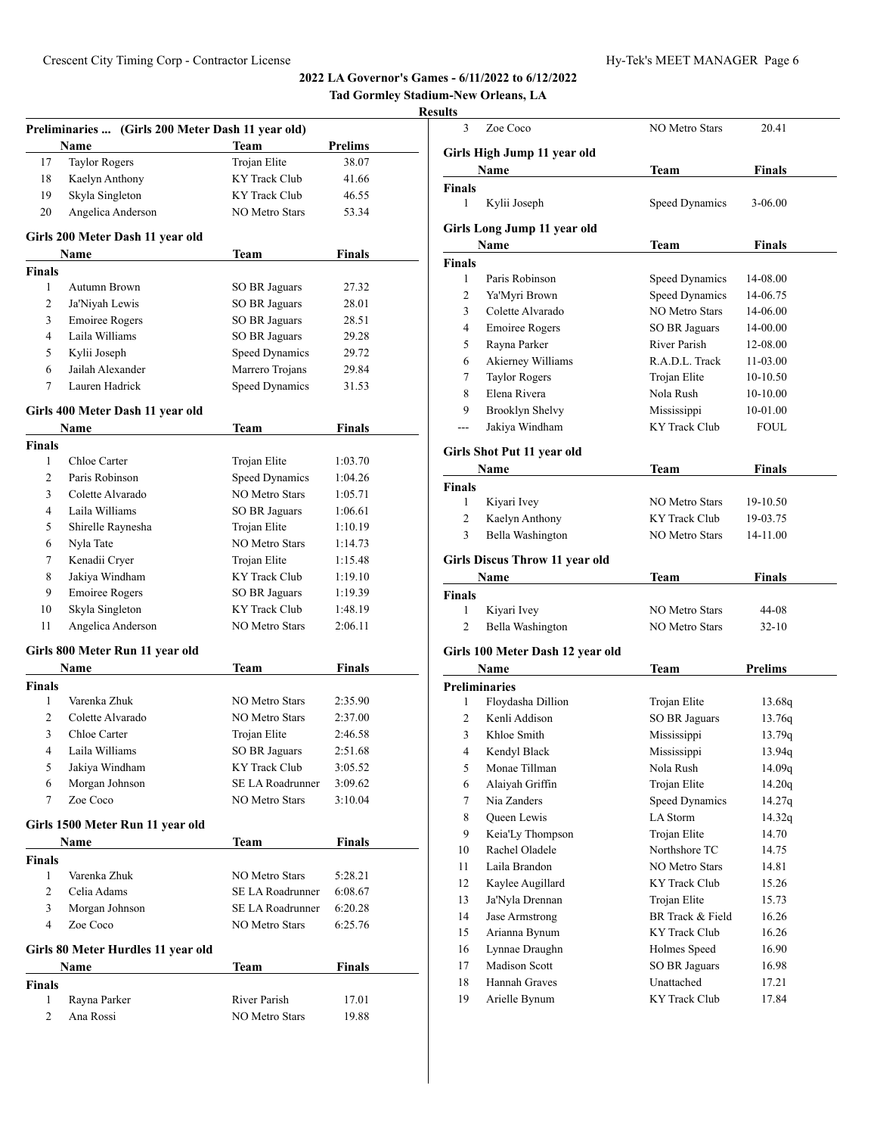**Tad Gormley Stadium-New Orleans, LA**

| Preliminaries  (Girls 200 Meter Dash 11 year old) |                                          |                         |               |  |
|---------------------------------------------------|------------------------------------------|-------------------------|---------------|--|
|                                                   | Name                                     | Team                    | Prelims       |  |
| 17                                                | <b>Taylor Rogers</b>                     | Trojan Elite            | 38.07         |  |
| 18                                                | Kaelyn Anthony                           | <b>KY Track Club</b>    | 41.66         |  |
| 19                                                | Skyla Singleton                          | KY Track Club           | 46.55         |  |
| 20                                                | Angelica Anderson                        | <b>NO Metro Stars</b>   | 53.34         |  |
|                                                   |                                          |                         |               |  |
|                                                   | Girls 200 Meter Dash 11 year old<br>Name | Team                    | Finals        |  |
| <b>Finals</b>                                     |                                          |                         |               |  |
| 1                                                 | Autumn Brown                             | SO BR Jaguars           | 27.32         |  |
| 2                                                 | Ja'Niyah Lewis                           | SO BR Jaguars           | 28.01         |  |
| 3                                                 | <b>Emoiree Rogers</b>                    | <b>SO BR Jaguars</b>    | 28.51         |  |
| 4                                                 | Laila Williams                           | SO BR Jaguars           | 29.28         |  |
| 5                                                 | Kylii Joseph                             | Speed Dynamics          | 29.72         |  |
| 6                                                 | Jailah Alexander                         | Marrero Trojans         | 29.84         |  |
| 7                                                 | Lauren Hadrick                           | Speed Dynamics          | 31.53         |  |
|                                                   |                                          |                         |               |  |
|                                                   | Girls 400 Meter Dash 11 year old         |                         |               |  |
|                                                   | Name                                     | <b>Team</b>             | <b>Finals</b> |  |
| <b>Finals</b>                                     |                                          |                         |               |  |
| 1                                                 | Chloe Carter                             | Trojan Elite            | 1:03.70       |  |
| $\overline{c}$                                    | Paris Robinson                           | Speed Dynamics          | 1:04.26       |  |
| 3                                                 | Colette Alvarado                         | <b>NO Metro Stars</b>   | 1:05.71       |  |
| 4                                                 | Laila Williams                           | <b>SO BR Jaguars</b>    | 1:06.61       |  |
| 5                                                 | Shirelle Raynesha                        | Trojan Elite            | 1:10.19       |  |
| 6                                                 | Nyla Tate                                | <b>NO Metro Stars</b>   | 1:14.73       |  |
| 7                                                 | Kenadii Cryer                            | Trojan Elite            | 1:15.48       |  |
| 8                                                 | Jakiya Windham                           | <b>KY</b> Track Club    | 1:19.10       |  |
| 9                                                 | <b>Emoiree Rogers</b>                    | SO BR Jaguars           | 1:19.39       |  |
| 10                                                | Skyla Singleton                          | <b>KY Track Club</b>    | 1:48.19       |  |
| 11                                                | Angelica Anderson                        | <b>NO Metro Stars</b>   | 2:06.11       |  |
|                                                   | Girls 800 Meter Run 11 year old          |                         |               |  |
|                                                   | <b>Name</b>                              | <b>Team</b>             | <b>Finals</b> |  |
| <b>Finals</b>                                     |                                          |                         |               |  |
| 1                                                 | Varenka Zhuk                             | <b>NO Metro Stars</b>   | 2:35.90       |  |
| 2                                                 | Colette Alvarado                         | <b>NO Metro Stars</b>   | 2:37.00       |  |
| 3                                                 | Chloe Carter                             | Trojan Elite            | 2:46.58       |  |
| 4                                                 | Laila Williams                           | <b>SO BR Jaguars</b>    | 2:51.68       |  |
| 5                                                 | Jakiya Windham                           | KY Track Club           | 3:05.52       |  |
| 6                                                 | Morgan Johnson                           | SE LA Roadrunner        | 3:09.62       |  |
| 7                                                 | Zoe Coco                                 | <b>NO Metro Stars</b>   | 3:10.04       |  |
|                                                   |                                          |                         |               |  |
|                                                   | Girls 1500 Meter Run 11 year old         |                         |               |  |
|                                                   | Name                                     | Team                    | <b>Finals</b> |  |
| <b>Finals</b>                                     |                                          |                         |               |  |
| 1                                                 | Varenka Zhuk                             | <b>NO Metro Stars</b>   | 5:28.21       |  |
| 2                                                 | Celia Adams                              | <b>SE LA Roadrunner</b> | 6:08.67       |  |
| 3                                                 | Morgan Johnson                           | SE LA Roadrunner        | 6:20.28       |  |
| 4                                                 | Zoe Coco                                 | <b>NO Metro Stars</b>   | 6:25.76       |  |
|                                                   | Girls 80 Meter Hurdles 11 year old       |                         |               |  |
|                                                   | Name                                     | Team                    | Finals        |  |
| <b>Finals</b>                                     |                                          |                         |               |  |
| 1                                                 | Rayna Parker                             | River Parish            | 17.01         |  |
| 2                                                 | Ana Rossi                                | <b>NO Metro Stars</b>   | 19.88         |  |

| 3             | Zoe Coco                         | <b>NO Metro Stars</b>       | 20.41          |  |  |  |  |
|---------------|----------------------------------|-----------------------------|----------------|--|--|--|--|
|               | Girls High Jump 11 year old      |                             |                |  |  |  |  |
|               | Name                             | Team                        | Finals         |  |  |  |  |
| <b>Finals</b> |                                  |                             |                |  |  |  |  |
| 1             | Kylii Joseph                     | Speed Dynamics              | 3-06.00        |  |  |  |  |
|               | Girls Long Jump 11 year old      |                             |                |  |  |  |  |
|               | Name                             | Team                        | Finals         |  |  |  |  |
| <b>Finals</b> |                                  |                             |                |  |  |  |  |
| 1             | Paris Robinson                   | Speed Dynamics              | 14-08.00       |  |  |  |  |
| 2             | Ya'Myri Brown                    | Speed Dynamics              | 14-06.75       |  |  |  |  |
| 3             | Colette Alvarado                 | <b>NO Metro Stars</b>       | 14-06.00       |  |  |  |  |
| 4             | <b>Emoiree Rogers</b>            | <b>SO BR Jaguars</b>        | 14-00.00       |  |  |  |  |
| 5             | Rayna Parker                     | River Parish                | 12-08.00       |  |  |  |  |
| 6             | Akierney Williams                | R.A.D.L. Track              | 11-03.00       |  |  |  |  |
| 7             | <b>Taylor Rogers</b>             | Trojan Elite                | 10-10.50       |  |  |  |  |
| 8             | Elena Rivera                     | Nola Rush                   | 10-10.00       |  |  |  |  |
| 9             | Brooklyn Shelvy                  | Mississippi                 | 10-01.00       |  |  |  |  |
| ---           | Jakiya Windham                   | KY Track Club               | FOUL           |  |  |  |  |
|               | Girls Shot Put 11 year old       |                             |                |  |  |  |  |
|               | Name                             | Team                        | Finals         |  |  |  |  |
| <b>Finals</b> |                                  |                             |                |  |  |  |  |
| 1             | Kiyari Ivey                      | <b>NO Metro Stars</b>       | 19-10.50       |  |  |  |  |
| 2             | Kaelyn Anthony                   | KY Track Club               | 19-03.75       |  |  |  |  |
| 3             | Bella Washington                 | <b>NO Metro Stars</b>       | 14-11.00       |  |  |  |  |
|               | Girls Discus Throw 11 year old   |                             |                |  |  |  |  |
|               | Name                             | Team                        | Finals         |  |  |  |  |
|               |                                  |                             |                |  |  |  |  |
| <b>Finals</b> |                                  |                             |                |  |  |  |  |
| 1             | Kiyari Ivey                      | <b>NO Metro Stars</b>       | 44-08          |  |  |  |  |
| 2             | Bella Washington                 | <b>NO Metro Stars</b>       | $32-10$        |  |  |  |  |
|               | Girls 100 Meter Dash 12 year old |                             |                |  |  |  |  |
|               | Name                             | Team                        | <b>Prelims</b> |  |  |  |  |
|               | <b>Preliminaries</b>             |                             |                |  |  |  |  |
| 1             | Floydasha Dillion                | Trojan Elite                | 13.68q         |  |  |  |  |
| 2             | Kenli Addison                    | <b>SO BR Jaguars</b>        | 13.76q         |  |  |  |  |
| 3             | Khloe Smith                      | Mississippi                 | 13.79q         |  |  |  |  |
| 4             | Kendyl Black                     | Mississippi                 | 13.94q         |  |  |  |  |
| 5             | Monae Tillman                    | Nola Rush                   | 14.09q         |  |  |  |  |
| 6             | Alaiyah Griffin                  | Trojan Elite                | 14.20q         |  |  |  |  |
| 7             | Nia Zanders                      | <b>Speed Dynamics</b>       | 14.27q         |  |  |  |  |
| 8             | Queen Lewis                      | LA Storm                    | 14.32q         |  |  |  |  |
| 9             | Keia'Ly Thompson                 | Trojan Elite                | 14.70          |  |  |  |  |
| 10            | Rachel Oladele                   | Northshore TC               | 14.75          |  |  |  |  |
| 11            | Laila Brandon                    | NO Metro Stars              | 14.81          |  |  |  |  |
| 12            | Kaylee Augillard                 | KY Track Club               | 15.26          |  |  |  |  |
| 13            | Ja'Nyla Drennan                  | Trojan Elite                | 15.73          |  |  |  |  |
| 14            | Jase Armstrong                   | BR Track & Field            | 16.26          |  |  |  |  |
| 15            | Arianna Bynum                    | KY Track Club               | 16.26          |  |  |  |  |
| 16            | Lynnae Draughn                   | Holmes Speed                | 16.90          |  |  |  |  |
| 17            | Madison Scott                    | <b>SO BR Jaguars</b>        | 16.98          |  |  |  |  |
| 18<br>19      | Hannah Graves<br>Arielle Bynum   | Unattached<br>KY Track Club | 17.21<br>17.84 |  |  |  |  |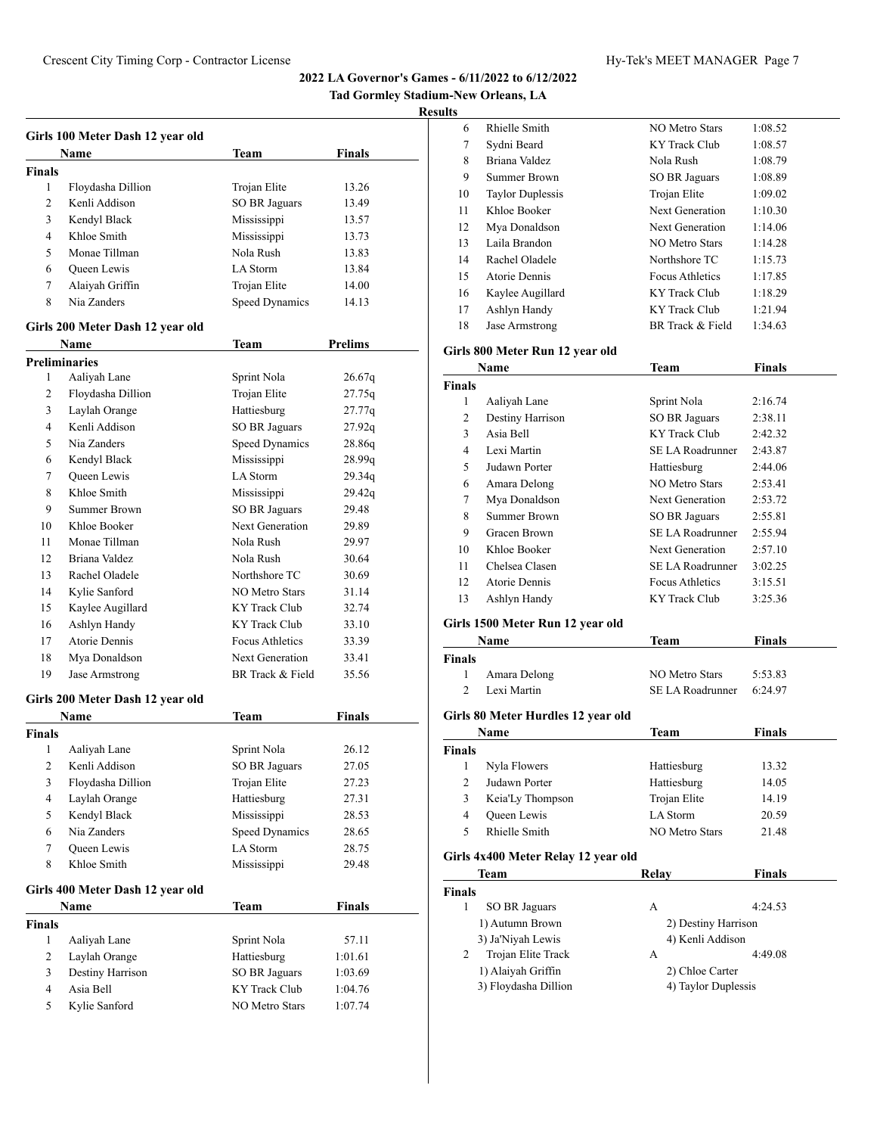**Tad Gormley Stadium-New Orleans, LA**

# **Results**

|                | Girls 100 Meter Dash 12 year old |                        |               |
|----------------|----------------------------------|------------------------|---------------|
|                | Name                             | Team                   | Finals        |
| <b>Finals</b>  |                                  |                        |               |
| 1              | Floydasha Dillion                | Trojan Elite           | 13.26         |
| 2              | Kenli Addison                    | <b>SO BR Jaguars</b>   | 13.49         |
| 3              | Kendyl Black                     | Mississippi            | 13.57         |
| 4              | Khloe Smith                      | Mississippi            | 13.73         |
| 5              | Monae Tillman                    | Nola Rush              | 13.83         |
| 6              | Queen Lewis                      | LA Storm               | 13.84         |
| 7              | Alaiyah Griffin                  | Trojan Elite           | 14.00         |
| 8              | Nia Zanders                      | Speed Dynamics         | 14.13         |
|                | Girls 200 Meter Dash 12 year old |                        |               |
|                | Name                             | Team                   | Prelims       |
|                | <b>Preliminaries</b>             |                        |               |
| 1              | Aaliyah Lane                     | Sprint Nola            | 26.67q        |
| 2              | Floydasha Dillion                | Trojan Elite           | 27.75q        |
| 3              | Laylah Orange                    | Hattiesburg            | 27.77q        |
| 4              | Kenli Addison                    | <b>SO BR Jaguars</b>   | 27.92q        |
| 5              | Nia Zanders                      | Speed Dynamics         | 28.86q        |
| 6              | Kendyl Black                     | Mississippi            | 28.99q        |
| 7              | <b>Oueen</b> Lewis               | LA Storm               | 29.34q        |
| 8              | Khloe Smith                      | Mississippi            | 29.42q        |
| 9              | Summer Brown                     | SO BR Jaguars          | 29.48         |
| 10             | Khloe Booker                     | <b>Next Generation</b> | 29.89         |
| 11             | Monae Tillman                    | Nola Rush              | 29.97         |
| 12             | Briana Valdez                    | Nola Rush              | 30.64         |
| 13             | Rachel Oladele                   | Northshore TC          | 30.69         |
| 14             | Kylie Sanford                    | NO Metro Stars         | 31.14         |
| 15             | Kaylee Augillard                 | <b>KY</b> Track Club   | 32.74         |
| 16             | Ashlyn Handy                     | <b>KY Track Club</b>   | 33.10         |
| 17             | Atorie Dennis                    | <b>Focus Athletics</b> | 33.39         |
| 18             | Mya Donaldson                    | Next Generation        | 33.41         |
| 19             | Jase Armstrong                   | BR Track & Field       | 35.56         |
|                |                                  |                        |               |
|                | Girls 200 Meter Dash 12 year old |                        |               |
|                | Name                             | Team                   | Finals        |
| <b>Finals</b>  |                                  |                        |               |
| 1              | Aaliyah Lane                     | Sprint Nola            | 26.12         |
| 2              | Kenli Addison                    | SO BR Jaguars          | 27.05         |
| 3              | Floydasha Dillion                | Trojan Elite           | 27.23         |
| 4              | Laylah Orange                    | Hattiesburg            | 27.31         |
| 5              | Kendyl Black                     | Mississippi            | 28.53         |
| 6              | Nia Zanders                      | Speed Dynamics         | 28.65         |
| 7              | Queen Lewis                      | LA Storm               | 28.75         |
| 8              | Khloe Smith                      | Mississippi            | 29.48         |
|                |                                  |                        |               |
|                | Girls 400 Meter Dash 12 year old |                        |               |
|                | Name                             | <b>Team</b>            | <b>Finals</b> |
| <b>Finals</b>  |                                  |                        |               |
| 1              | Aaliyah Lane                     | Sprint Nola            | 57.11         |
| 2              | Laylah Orange                    | Hattiesburg            | 1:01.61       |
| 3              | Destiny Harrison                 | <b>SO BR Jaguars</b>   | 1:03.69       |
| $\overline{4}$ | Asia Bell                        | KY Track Club          | 1:04.76       |
| 5              | Kylie Sanford                    | <b>NO Metro Stars</b>  | 1:07.74       |

| 6              | Rhielle Smith                       | <b>NO Metro Stars</b>   | 1:08.52       |
|----------------|-------------------------------------|-------------------------|---------------|
| 7              | Sydni Beard                         | <b>KY Track Club</b>    | 1:08.57       |
| 8              | Briana Valdez                       | Nola Rush               | 1:08.79       |
| 9              | Summer Brown                        | SO BR Jaguars           | 1:08.89       |
| 10             | <b>Taylor Duplessis</b>             | Trojan Elite            | 1:09.02       |
| 11             | Khloe Booker                        | <b>Next Generation</b>  | 1:10.30       |
| 12             | Mya Donaldson                       | <b>Next Generation</b>  | 1:14.06       |
| 13             | Laila Brandon                       | <b>NO Metro Stars</b>   | 1:14.28       |
| 14             | Rachel Oladele                      | Northshore TC           | 1:15.73       |
| 15             | Atorie Dennis                       | <b>Focus Athletics</b>  | 1:17.85       |
| 16             | Kaylee Augillard                    | KY Track Club           | 1:18.29       |
| 17             | Ashlyn Handy                        | KY Track Club           | 1:21.94       |
| 18             | Jase Armstrong                      | BR Track & Field        | 1:34.63       |
|                |                                     |                         |               |
|                | Girls 800 Meter Run 12 year old     |                         |               |
|                | Name                                | Team                    | <b>Finals</b> |
| <b>Finals</b>  |                                     |                         |               |
| 1              | Aaliyah Lane                        | Sprint Nola             | 2:16.74       |
| 2              | Destiny Harrison                    | SO BR Jaguars           | 2:38.11       |
| 3              | Asia Bell                           | <b>KY</b> Track Club    | 2:42.32       |
| 4              | Lexi Martin                         | SE LA Roadrunner        | 2:43.87       |
| 5              | Judawn Porter                       | Hattiesburg             | 2:44.06       |
| 6              | Amara Delong                        | <b>NO Metro Stars</b>   | 2:53.41       |
| 7              | Mya Donaldson                       | <b>Next Generation</b>  | 2:53.72       |
| 8              | Summer Brown                        | SO BR Jaguars           | 2:55.81       |
| 9              | Gracen Brown                        | <b>SE LA Roadrunner</b> | 2:55.94       |
| 10             | Khloe Booker                        | <b>Next Generation</b>  | 2:57.10       |
| 11             | Chelsea Clasen                      | SE LA Roadrunner        | 3:02.25       |
| 12             | Atorie Dennis                       | Focus Athletics         | 3:15.51       |
| 13             | Ashlyn Handy                        | KY Track Club           | 3:25.36       |
|                |                                     |                         |               |
|                | Girls 1500 Meter Run 12 year old    |                         |               |
|                | Name                                | <b>Team</b>             | <b>Finals</b> |
| <b>Finals</b>  |                                     |                         |               |
| 1              | Amara Delong                        | <b>NO Metro Stars</b>   | 5:53.83       |
| $\overline{2}$ | Lexi Martin                         | SE LA Roadrunner        | 6:24.97       |
|                | Girls 80 Meter Hurdles 12 year old  |                         |               |
|                | Name                                | Team                    | Finals        |
| <b>Finals</b>  |                                     |                         |               |
| 1              | Nyla Flowers                        | Hattiesburg             | 13.32         |
| 2              | Judawn Porter                       | Hattiesburg             | 14.05         |
| 3              | Keia'Ly Thompson                    | Trojan Elite            | 14.19         |
| 4              | <b>Oueen</b> Lewis                  | LA Storm                | 20.59         |
| 5              | Rhielle Smith                       | NO Metro Stars          | 21.48         |
|                |                                     |                         |               |
|                | Girls 4x400 Meter Relay 12 year old |                         |               |
|                | Team                                | Relay                   | <b>Finals</b> |
| Finals         |                                     |                         |               |
| $\mathbf{1}$   | SO BR Jaguars                       | А                       | 4:24.53       |
|                | 1) Autumn Brown                     | 2) Destiny Harrison     |               |
|                | 3) Ja'Niyah Lewis                   | 4) Kenli Addison        |               |
| 2              | Trojan Elite Track                  | А                       | 4:49.08       |
|                | 1) Alaiyah Griffin                  | 2) Chloe Carter         |               |

3) Floydasha Dillion 4) Taylor Duplessis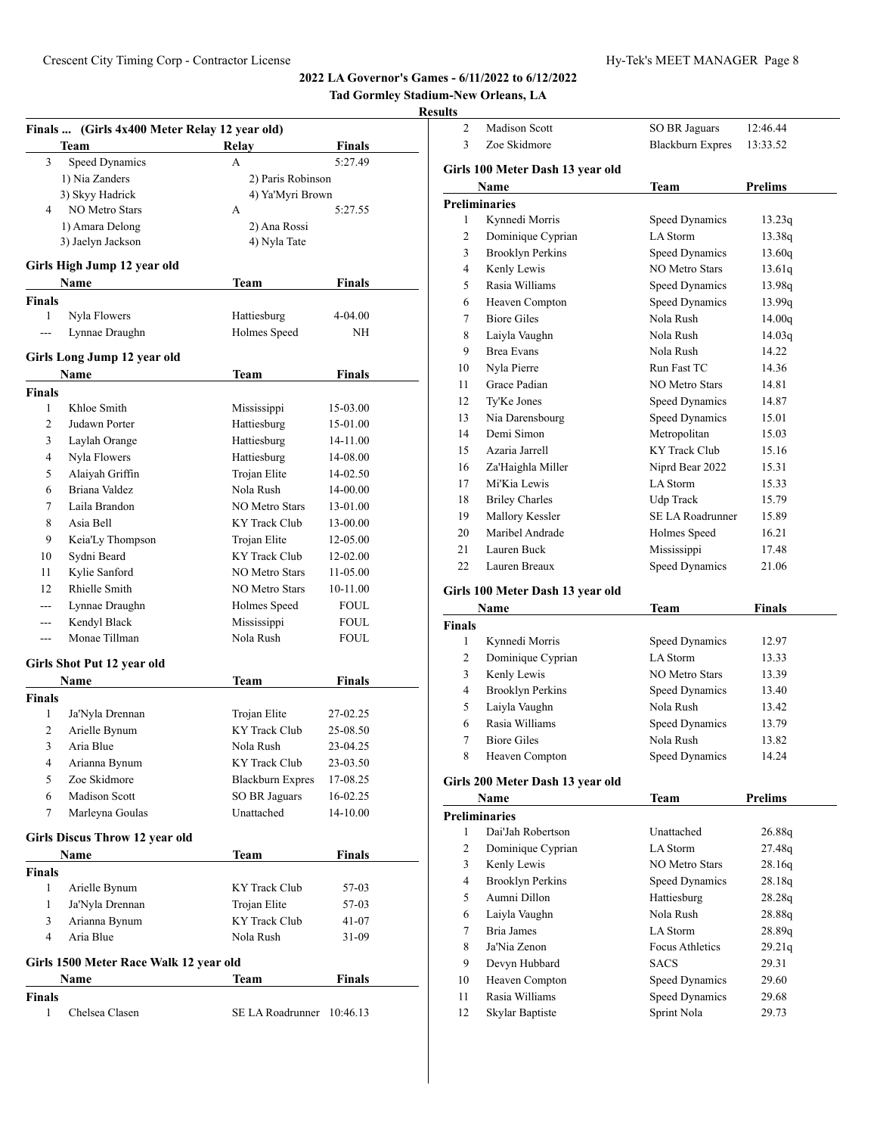**Tad Gormley Stadium-New Orleans, LA**

# **Results**

|                | Finals  (Girls 4x400 Meter Relay 12 year old) |                             |               |  |
|----------------|-----------------------------------------------|-----------------------------|---------------|--|
|                | Team                                          | Relay                       | Finals        |  |
| 3              | Speed Dynamics                                | A                           | 5:27.49       |  |
|                | 1) Nia Zanders                                | 2) Paris Robinson           |               |  |
|                | 3) Skyy Hadrick                               | 4) Ya'Myri Brown            |               |  |
| 4              | <b>NO Metro Stars</b>                         | А                           | 5:27.55       |  |
|                | 1) Amara Delong                               | 2) Ana Rossi                |               |  |
|                | 3) Jaelyn Jackson                             | 4) Nyla Tate                |               |  |
|                | Girls High Jump 12 year old                   |                             |               |  |
|                | Name                                          | <b>Team</b>                 | <b>Finals</b> |  |
| Finals         |                                               |                             |               |  |
| 1              | Nyla Flowers                                  | Hattiesburg                 | 4-04.00       |  |
| ---            | Lynnae Draughn                                | Holmes Speed                | NH            |  |
|                |                                               |                             |               |  |
|                | Girls Long Jump 12 year old                   |                             |               |  |
|                | Name                                          | Team                        | <b>Finals</b> |  |
| Finals         |                                               |                             |               |  |
| 1              | Khloe Smith                                   | Mississippi                 | 15-03.00      |  |
| 2              | Judawn Porter                                 | Hattiesburg                 | 15-01.00      |  |
| 3              | Laylah Orange                                 | Hattiesburg                 | 14-11.00      |  |
| $\overline{4}$ | Nyla Flowers                                  | Hattiesburg                 | 14-08.00      |  |
| 5              | Alaiyah Griffin                               | Trojan Elite                | 14-02.50      |  |
| 6              | Briana Valdez                                 | Nola Rush                   | 14-00.00      |  |
| 7              | Laila Brandon                                 | NO Metro Stars              | 13-01.00      |  |
| 8              | Asia Bell                                     | <b>KY</b> Track Club        | 13-00.00      |  |
| 9              | Keia'Ly Thompson                              | Trojan Elite                | 12-05.00      |  |
| 10             | Sydni Beard                                   | KY Track Club               | 12-02.00      |  |
| 11             | Kylie Sanford                                 | NO Metro Stars              | 11-05.00      |  |
| 12             | Rhielle Smith                                 | <b>NO Metro Stars</b>       | 10-11.00      |  |
| $---$          | Lynnae Draughn                                | Holmes Speed                | FOUL          |  |
| ---            | Kendyl Black                                  | Mississippi                 | FOUL          |  |
| ---            | Monae Tillman                                 | Nola Rush                   | FOUL          |  |
|                |                                               |                             |               |  |
|                | Girls Shot Put 12 year old                    |                             |               |  |
|                | Name                                          | Team                        | <b>Finals</b> |  |
| Finals         |                                               |                             |               |  |
| 1              | Ja'Nyla Drennan                               | Trojan Elite                | 27-02.25      |  |
| 2              | Arielle Bynum                                 | <b>KY</b> Track Club        | 25-08.50      |  |
| 3              | Aria Blue                                     | Nola Rush<br>KY Track Club  | 23-04.25      |  |
| 4              | Arianna Bynum                                 |                             | 23-03.50      |  |
| 5              | Zoe Skidmore                                  | <b>Blackburn Expres</b>     | 17-08.25      |  |
| 6              | Madison Scott                                 | SO BR Jaguars<br>Unattached | 16-02.25      |  |
| 7              | Marleyna Goulas                               |                             | 14-10.00      |  |
|                | <b>Girls Discus Throw 12 year old</b>         |                             |               |  |
|                | Name                                          | Team                        | <b>Finals</b> |  |
| Finals         |                                               |                             |               |  |
| 1              | Arielle Bynum                                 | KY Track Club               | 57-03         |  |
| 1              | Ja'Nyla Drennan                               | Trojan Elite                | 57-03         |  |
| 3              | Arianna Bynum                                 | <b>KY</b> Track Club        | 41-07         |  |
| $\overline{4}$ | Aria Blue                                     | Nola Rush                   | 31-09         |  |
|                |                                               |                             |               |  |
|                | Girls 1500 Meter Race Walk 12 year old        |                             |               |  |
|                | Name                                          | Team                        | <b>Finals</b> |  |
| Finals         |                                               |                             |               |  |
| 1              | Chelsea Clasen                                | SE LA Roadrunner            | 10:46.13      |  |

| Einele         |                                                 |                         |                |
|----------------|-------------------------------------------------|-------------------------|----------------|
|                | Girls 100 Meter Dash 13 year old<br><b>Name</b> | Team                    | <b>Finals</b>  |
|                |                                                 |                         |                |
| 22             | Lauren Breaux                                   | <b>Speed Dynamics</b>   | 21.06          |
| 21             | Lauren Buck                                     | Mississippi             | 17.48          |
| 20             | Maribel Andrade                                 | Holmes Speed            | 16.21          |
| 19             | Mallory Kessler                                 | <b>SE LA Roadrunner</b> | 15.89          |
| 18             | <b>Briley Charles</b>                           | Udp Track               | 15.79          |
| 17             | Mi'Kia Lewis                                    | LA Storm                | 15.33          |
| 16             | Za'Haighla Miller                               | Niprd Bear 2022         | 15.31          |
| 15             | Azaria Jarrell                                  | <b>KY</b> Track Club    | 15.16          |
| 14             | Demi Simon                                      | Metropolitan            | 15.03          |
| 13             | Nia Darensbourg                                 | <b>Speed Dynamics</b>   | 15.01          |
| 12             | Ty'Ke Jones                                     | <b>Speed Dynamics</b>   | 14.87          |
| 11             | Grace Padian                                    | <b>NO Metro Stars</b>   | 14.81          |
| 10             | Nyla Pierre                                     | Run Fast TC             | 14.36          |
| 9              | <b>Brea Evans</b>                               | Nola Rush               | 14.22          |
| 8              | Laiyla Vaughn                                   | Nola Rush               | 14.03q         |
| 7              | <b>Biore Giles</b>                              | Nola Rush               | 14.00q         |
| 6              | Heaven Compton                                  | <b>Speed Dynamics</b>   | 13.99q         |
| 5              | Rasia Williams                                  | <b>Speed Dynamics</b>   | 13.98q         |
| $\overline{4}$ | Kenly Lewis                                     | <b>NO Metro Stars</b>   | 13.61q         |
| 3              | <b>Brooklyn Perkins</b>                         | <b>Speed Dynamics</b>   | 13.60q         |
| $\overline{c}$ | Dominique Cyprian                               | LA Storm                | 13.38q         |
| 1              | Kynnedi Morris                                  | Speed Dynamics          | 13.23q         |
|                | <b>Preliminaries</b>                            |                         |                |
|                | Name                                            | Team                    | <b>Prelims</b> |
|                | Girls 100 Meter Dash 13 year old                |                         |                |
| 3              | Zoe Skidmore                                    | <b>Blackburn Expres</b> | 13:33.52       |
| $\overline{2}$ | <b>Madison Scott</b>                            | <b>SO BR Jaguars</b>    | 12:46.44       |

| <b>Name</b>   |                         | Team                  | Finals |  |
|---------------|-------------------------|-----------------------|--------|--|
| <b>Finals</b> |                         |                       |        |  |
|               | Kynnedi Morris          | Speed Dynamics        | 12.97  |  |
| 2             | Dominique Cyprian       | LA Storm              | 13.33  |  |
| 3             | Kenly Lewis             | NO Metro Stars        | 13.39  |  |
| 4             | <b>Brooklyn Perkins</b> | Speed Dynamics        | 13.40  |  |
| 5             | Laiyla Vaughn           | Nola Rush             | 13.42  |  |
| 6             | Rasia Williams          | Speed Dynamics        | 13.79  |  |
|               | <b>Biore Giles</b>      | Nola Rush             | 13.82  |  |
| 8             | Heaven Compton          | <b>Speed Dynamics</b> | 14.24  |  |
|               |                         |                       |        |  |

# **Girls 200 Meter Dash 13 year old**

|    | Name                    | Team                   | <b>Prelims</b> |  |
|----|-------------------------|------------------------|----------------|--|
|    | <b>Preliminaries</b>    |                        |                |  |
| 1  | Dai'Jah Robertson       | Unattached             | 26.88q         |  |
| 2  | Dominique Cyprian       | LA Storm               | 27.48q         |  |
| 3  | Kenly Lewis             | <b>NO Metro Stars</b>  | 28.16q         |  |
| 4  | <b>Brooklyn Perkins</b> | Speed Dynamics         | 28.18q         |  |
| 5  | Aumni Dillon            | Hattiesburg            | 28.28q         |  |
| 6  | Laiyla Vaughn           | Nola Rush              | 28.88q         |  |
| 7  | Bria James              | LA Storm               | 28.89q         |  |
| 8  | Ja'Nia Zenon            | <b>Focus Athletics</b> | 29.21q         |  |
| 9  | Devyn Hubbard           | <b>SACS</b>            | 29.31          |  |
| 10 | Heaven Compton          | Speed Dynamics         | 29.60          |  |
| 11 | Rasia Williams          | <b>Speed Dynamics</b>  | 29.68          |  |
| 12 | Skylar Baptiste         | Sprint Nola            | 29.73          |  |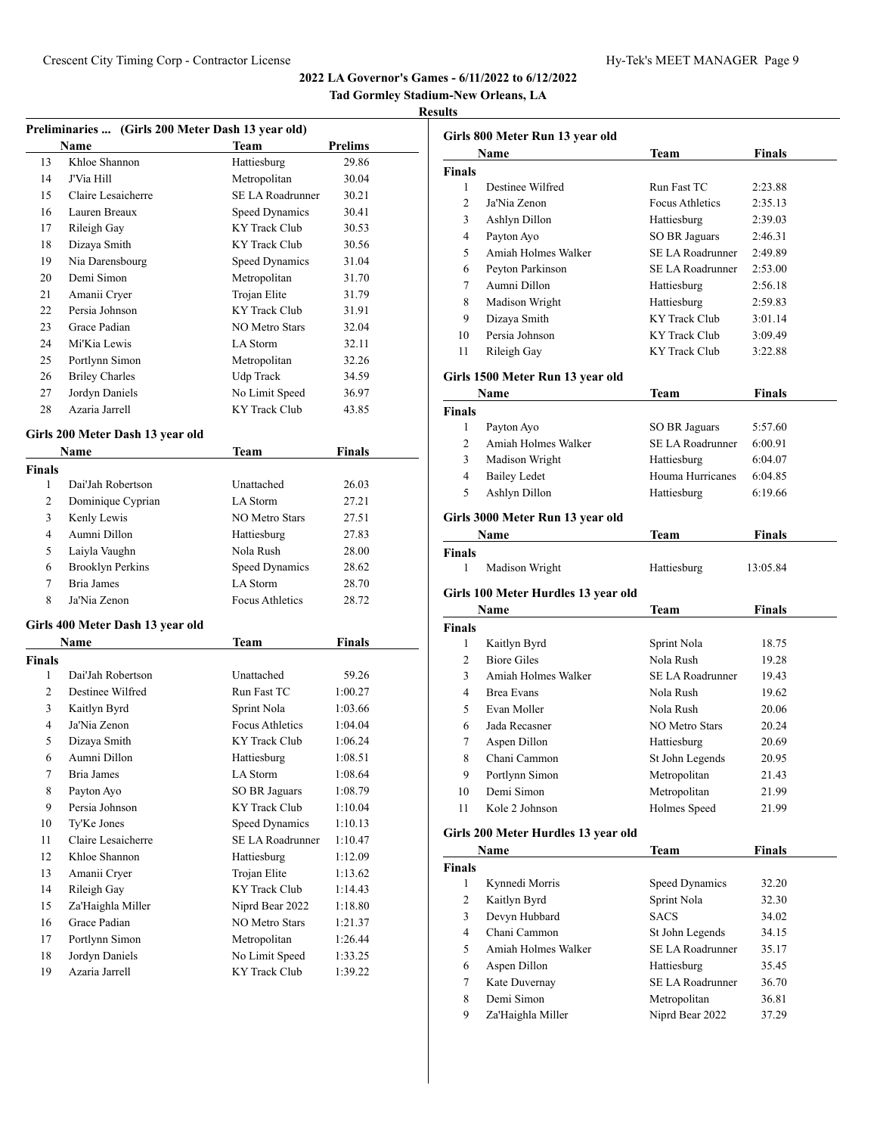**Tad Gormley Stadium-New Orleans, LA**

# **Results**

| Preliminaries  (Girls 200 Meter Dash 13 year old) |                                  |                         |                |
|---------------------------------------------------|----------------------------------|-------------------------|----------------|
|                                                   | <b>Name</b>                      | <b>Team</b>             | <b>Prelims</b> |
| 13                                                | Khloe Shannon                    | Hattiesburg             | 29.86          |
| 14                                                | J'Via Hill                       | Metropolitan            | 30.04          |
| 15                                                | Claire Lesaicherre               | <b>SE LA Roadrunner</b> | 30.21          |
| 16                                                | Lauren Breaux                    | <b>Speed Dynamics</b>   | 30.41          |
| 17                                                | Rileigh Gay                      | <b>KY</b> Track Club    | 30.53          |
| 18                                                | Dizaya Smith                     | <b>KY</b> Track Club    | 30.56          |
| 19                                                | Nia Darensbourg                  | Speed Dynamics          | 31.04          |
| 20                                                | Demi Simon                       | Metropolitan            | 31.70          |
| 21                                                | Amanii Cryer                     | Trojan Elite            | 31.79          |
| 22                                                | Persia Johnson                   | <b>KY Track Club</b>    | 31.91          |
| 23                                                | Grace Padian                     | <b>NO Metro Stars</b>   | 32.04          |
| 24                                                | Mi'Kia Lewis                     | LA Storm                | 32.11          |
| 25                                                | Portlynn Simon                   | Metropolitan            | 32.26          |
| 26                                                | <b>Briley Charles</b>            | Udp Track               | 34.59          |
| 27                                                | Jordyn Daniels                   | No Limit Speed          | 36.97          |
| 28                                                | Azaria Jarrell                   | <b>KY Track Club</b>    | 43.85          |
|                                                   | Girls 200 Meter Dash 13 year old |                         |                |
|                                                   | Name                             | Team                    | <b>Finals</b>  |
| <b>Finals</b>                                     |                                  |                         |                |
| 1                                                 | Dai'Jah Robertson                | Unattached              | 26.03          |
| 2                                                 | Dominique Cyprian                | LA Storm                | 27.21          |
| 3                                                 | Kenly Lewis                      | <b>NO Metro Stars</b>   | 27.51          |
| 4                                                 | Aumni Dillon                     | Hattiesburg             | 27.83          |
| 5                                                 | Laiyla Vaughn                    | Nola Rush               | 28.00          |
| 6                                                 | <b>Brooklyn Perkins</b>          | Speed Dynamics          | 28.62          |
| 7                                                 | Bria James                       | LA Storm                | 28.70          |
| 8                                                 | Ja'Nia Zenon                     | <b>Focus Athletics</b>  | 28.72          |
|                                                   | Girls 400 Meter Dash 13 year old |                         |                |
|                                                   | Name                             | <b>Team</b>             | <b>Finals</b>  |
| <b>Finals</b>                                     |                                  |                         |                |
| 1                                                 | Dai'Jah Robertson                | Unattached              | 59.26          |
| $\overline{c}$                                    | Destinee Wilfred                 | Run Fast TC             | 1:00.27        |
| 3                                                 | Kaitlyn Byrd                     | Sprint Nola             | 1:03.66        |
| $\overline{4}$                                    | Ja'Nia Zenon                     | <b>Focus Athletics</b>  | 1:04.04        |
| 5                                                 | Dizaya Smith                     | <b>KY</b> Track Club    | 1:06.24        |
| 6                                                 | Aumni Dillon                     | Hattiesburg             | 1:08.51        |
| 7                                                 | Bria James                       | LA Storm                | 1:08.64        |
| 8                                                 | Payton Ayo                       | <b>SO BR Jaguars</b>    | 1:08.79        |
| 9                                                 | Persia Johnson                   | <b>KY Track Club</b>    | 1:10.04        |
| 10                                                | Ty'Ke Jones                      | <b>Speed Dynamics</b>   | 1:10.13        |
| 11                                                | Claire Lesaicherre               | <b>SE LA Roadrunner</b> | 1:10.47        |
| 12                                                | Khloe Shannon                    | Hattiesburg             | 1:12.09        |
| 13                                                | Amanii Cryer                     | Trojan Elite            | 1:13.62        |
| 14                                                | Rileigh Gay                      | <b>KY</b> Track Club    | 1:14.43        |
| 15                                                | Za'Haighla Miller                | Niprd Bear 2022         | 1:18.80        |
| 16                                                | Grace Padian                     | <b>NO Metro Stars</b>   | 1:21.37        |
| 17                                                | Portlynn Simon                   | Metropolitan            | 1:26.44        |
| 18                                                | Jordyn Daniels                   | No Limit Speed          | 1:33.25        |
| 19                                                | Azaria Jarrell                   | KY Track Club           | 1:39.22        |

|                               | Girls 800 Meter Run 13 year old     |                                     |                |  |  |
|-------------------------------|-------------------------------------|-------------------------------------|----------------|--|--|
|                               | Name                                | Team                                | Finals         |  |  |
| <b>Finals</b>                 |                                     |                                     |                |  |  |
| 1                             | Destinee Wilfred                    | Run Fast TC                         | 2:23.88        |  |  |
| 2                             | Ja'Nia Zenon                        | <b>Focus Athletics</b>              | 2:35.13        |  |  |
| 3                             | Ashlyn Dillon                       | Hattiesburg                         | 2:39.03        |  |  |
| 4                             | Payton Ayo                          | <b>SO BR Jaguars</b>                | 2:46.31        |  |  |
| 5                             | Amiah Holmes Walker                 | <b>SE LA Roadrunner</b>             | 2:49.89        |  |  |
| 6                             | Peyton Parkinson                    | <b>SE LA Roadrunner</b>             | 2:53.00        |  |  |
| 7                             | Aumni Dillon                        | Hattiesburg                         | 2:56.18        |  |  |
| 8                             | Madison Wright                      | Hattiesburg                         | 2:59.83        |  |  |
| 9                             | Dizaya Smith                        | <b>KY Track Club</b>                | 3:01.14        |  |  |
| 10                            | Persia Johnson                      | KY Track Club                       | 3:09.49        |  |  |
| 11                            | Rileigh Gay                         | KY Track Club                       | 3:22.88        |  |  |
|                               | Girls 1500 Meter Run 13 year old    |                                     |                |  |  |
|                               | Name                                | Team                                | Finals         |  |  |
| <b>Finals</b>                 |                                     |                                     |                |  |  |
| 1                             | Payton Ayo                          | <b>SO BR Jaguars</b>                | 5:57.60        |  |  |
| $\overline{c}$                | Amiah Holmes Walker                 | <b>SE LA Roadrunner</b>             | 6:00.91        |  |  |
| 3                             | Madison Wright                      | Hattiesburg                         | 6:04.07        |  |  |
| 4                             | <b>Bailey Ledet</b>                 | Houma Hurricanes                    | 6:04.85        |  |  |
| 5                             | Ashlyn Dillon                       | Hattiesburg                         | 6:19.66        |  |  |
|                               | Girls 3000 Meter Run 13 year old    |                                     |                |  |  |
|                               | Name                                | Team                                | <b>Finals</b>  |  |  |
| <b>Finals</b>                 |                                     |                                     |                |  |  |
| 1                             | Madison Wright                      | Hattiesburg                         | 13:05.84       |  |  |
|                               | Girls 100 Meter Hurdles 13 year old |                                     |                |  |  |
|                               | Name                                | Team                                | Finals         |  |  |
| <b>Finals</b>                 |                                     |                                     |                |  |  |
| 1                             | Kaitlyn Byrd                        | Sprint Nola                         | 18.75          |  |  |
| 2                             | <b>Biore Giles</b>                  | Nola Rush                           | 19.28          |  |  |
| 3                             | Amiah Holmes Walker                 | <b>SE LA Roadrunner</b>             | 19.43          |  |  |
| 4                             | <b>Brea Evans</b>                   | Nola Rush                           | 19.62          |  |  |
| 5                             | Evan Moller                         | Nola Rush                           | 20.06          |  |  |
| 6                             | Jada Recasner                       | <b>NO Metro Stars</b>               | 20.24          |  |  |
| 7                             | Aspen Dillon                        | Hattiesburg                         | 20.69          |  |  |
| 8                             | Chani Cammon                        | St John Legends                     | 20.95          |  |  |
| 9                             | Portlynn Simon                      | Metropolitan                        | 21.43          |  |  |
| 10                            | Demi Simon                          | Metropolitan                        | 21.99          |  |  |
| 11                            | Kole 2 Johnson                      | Holmes Speed                        | 21.99          |  |  |
|                               |                                     |                                     |                |  |  |
|                               | Girls 200 Meter Hurdles 13 year old |                                     |                |  |  |
|                               | Name                                | Team                                | <b>Finals</b>  |  |  |
| <b>Finals</b><br>$\mathbf{1}$ |                                     |                                     |                |  |  |
| 2                             | Kynnedi Morris<br>Kaitlyn Byrd      | Speed Dynamics                      | 32.20          |  |  |
| 3                             | Devyn Hubbard                       | Sprint Nola<br><b>SACS</b>          | 32.30          |  |  |
| 4                             | Chani Cammon                        |                                     | 34.02          |  |  |
|                               | Amiah Holmes Walker                 | St John Legends<br>SE LA Roadrunner | 34.15          |  |  |
| 5                             |                                     |                                     | 35.17          |  |  |
| 6                             | Aspen Dillon                        | Hattiesburg<br>SE LA Roadrunner     | 35.45          |  |  |
| 7<br>8                        | Kate Duvernay<br>Demi Simon         | Metropolitan                        | 36.70<br>36.81 |  |  |
|                               |                                     |                                     |                |  |  |

Za'Haighla Miller Niprd Bear 2022 37.29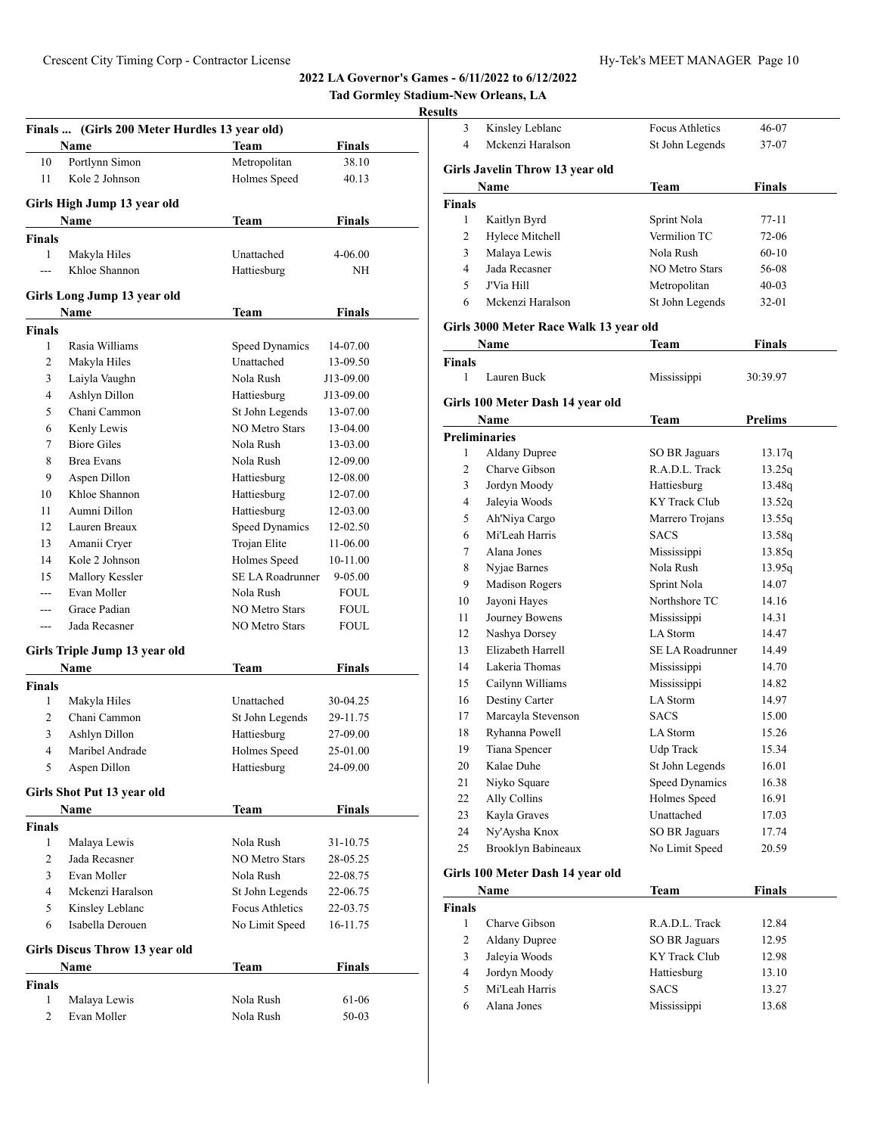**Tad Gormley Stadium-New Orleans, LA**

|               | Finals  (Girls 200 Meter Hurdles 13 year old) |                         |               |  |
|---------------|-----------------------------------------------|-------------------------|---------------|--|
|               | Name                                          | Team                    | Finals        |  |
| 10            | Portlynn Simon                                | Metropolitan            | 38.10         |  |
| 11            | Kole 2 Johnson                                | Holmes Speed            | 40.13         |  |
|               | Girls High Jump 13 year old                   |                         |               |  |
|               | Name                                          | Team                    | Finals        |  |
| <b>Finals</b> |                                               |                         |               |  |
| 1             | Makyla Hiles                                  | Unattached              | 4-06.00       |  |
| ---           | Khloe Shannon                                 | Hattiesburg             | NΗ            |  |
|               | Girls Long Jump 13 year old                   |                         |               |  |
|               | Name                                          | <b>Team</b>             | Finals        |  |
| <b>Finals</b> |                                               |                         |               |  |
| 1             | Rasia Williams                                | Speed Dynamics          | 14-07.00      |  |
| 2             | Makyla Hiles                                  | Unattached              | 13-09.50      |  |
| 3             | Laiyla Vaughn                                 | Nola Rush               | J13-09.00     |  |
| 4             | Ashlyn Dillon                                 | Hattiesburg             | J13-09.00     |  |
| 5             | Chani Cammon                                  | St John Legends         | 13-07.00      |  |
| 6             | Kenly Lewis                                   | <b>NO Metro Stars</b>   | 13-04.00      |  |
| 7             | <b>Biore Giles</b>                            | Nola Rush               | 13-03.00      |  |
| 8             | <b>Brea Evans</b>                             | Nola Rush               | 12-09.00      |  |
| 9             | Aspen Dillon                                  | Hattiesburg             | 12-08.00      |  |
| 10            | Khloe Shannon                                 | Hattiesburg             | 12-07.00      |  |
| 11            | Aumni Dillon                                  | Hattiesburg             | 12-03.00      |  |
| 12            | Lauren Breaux                                 | <b>Speed Dynamics</b>   | 12-02.50      |  |
| 13            | Amanii Cryer                                  | Trojan Elite            | 11-06.00      |  |
| 14            | Kole 2 Johnson                                | Holmes Speed            | 10-11.00      |  |
| 15            | Mallory Kessler                               | <b>SE LA Roadrunner</b> | 9-05.00       |  |
| ---           | Evan Moller                                   | Nola Rush               | FOUL          |  |
| $---$         | Grace Padian                                  | <b>NO Metro Stars</b>   | FOUL          |  |
| ---           | Jada Recasner                                 | <b>NO Metro Stars</b>   | <b>FOUL</b>   |  |
|               | Girls Triple Jump 13 year old                 |                         |               |  |
|               | Name                                          | <b>Team</b>             | <b>Finals</b> |  |
| <b>Finals</b> |                                               |                         |               |  |
| 1             | Makyla Hiles                                  | Unattached              | 30-04.25      |  |
| 2             | Chani Cammon                                  | St John Legends         | 29-11.75      |  |
| 3             | Ashlyn Dillon                                 | Hattiesburg             | 27-09.00      |  |
| 4             | Maribel Andrade                               | Holmes Speed            | 25-01.00      |  |
| 5             | Aspen Dillon                                  | Hattiesburg             | 24-09.00      |  |
|               |                                               |                         |               |  |
|               | Girls Shot Put 13 year old<br>Name            | Team                    | Finals        |  |
| Finals        |                                               |                         |               |  |
| 1             | Malaya Lewis                                  | Nola Rush               | 31-10.75      |  |
| 2             | Jada Recasner                                 | <b>NO Metro Stars</b>   | 28-05.25      |  |
| 3             | Evan Moller                                   | Nola Rush               | 22-08.75      |  |
| 4             | Mckenzi Haralson                              | St John Legends         | 22-06.75      |  |
| 5             | Kinsley Leblanc                               | <b>Focus Athletics</b>  | 22-03.75      |  |
| 6             | Isabella Derouen                              | No Limit Speed          | 16-11.75      |  |
|               |                                               |                         |               |  |
|               | Girls Discus Throw 13 year old<br>Name        | Team                    | <b>Finals</b> |  |
| Finals        |                                               |                         |               |  |
| 1             | Malaya Lewis                                  | Nola Rush               | 61-06         |  |
| 2             | Evan Moller                                   | Nola Rush               | 50-03         |  |
|               |                                               |                         |               |  |

| 3                    | Kinsley Leblanc                        | Focus Athletics             | 46-07          |
|----------------------|----------------------------------------|-----------------------------|----------------|
| $\overline{4}$       | Mckenzi Haralson                       | St John Legends             | 37-07          |
|                      |                                        |                             |                |
|                      | Girls Javelin Throw 13 year old        |                             |                |
|                      | Name                                   | Team                        | Finals         |
| <b>Finals</b><br>1   |                                        |                             |                |
| 2                    | Kaitlyn Byrd<br>Hylece Mitchell        | Sprint Nola<br>Vermilion TC | 77-11          |
|                      |                                        | Nola Rush                   | 72-06          |
| 3                    | Malaya Lewis<br>Jada Recasner          | <b>NO Metro Stars</b>       | $60 - 10$      |
| 4                    |                                        |                             | 56-08          |
| 5                    | J'Via Hill<br>Mckenzi Haralson         | Metropolitan                | 40-03          |
| 6                    |                                        | St John Legends             | 32-01          |
|                      | Girls 3000 Meter Race Walk 13 year old |                             |                |
|                      | Name                                   | Team                        | <b>Finals</b>  |
| <b>Finals</b>        |                                        |                             |                |
| 1                    | Lauren Buck                            | Mississippi                 | 30:39.97       |
|                      | Girls 100 Meter Dash 14 year old       |                             |                |
|                      | Name                                   | Team                        | <b>Prelims</b> |
| <b>Preliminaries</b> |                                        |                             |                |
| 1                    | <b>Aldany Dupree</b>                   | <b>SO BR Jaguars</b>        | 13.17q         |
| 2                    | Charve Gibson                          | R.A.D.L. Track              | 13.25q         |
| 3                    | Jordyn Moody                           | Hattiesburg                 | 13.48q         |
| 4                    | Jaleyia Woods                          | KY Track Club               | 13.52q         |
| 5                    | Ah'Niya Cargo                          | Marrero Trojans             | 13.55q         |
| 6                    | Mi'Leah Harris                         | <b>SACS</b>                 | 13.58q         |
| 7                    | Alana Jones                            | Mississippi                 | 13.85q         |
| 8                    | Nyjae Barnes                           | Nola Rush                   | 13.95q         |
| 9                    | <b>Madison Rogers</b>                  | Sprint Nola                 | 14.07          |
| 10                   | Jayoni Hayes                           | Northshore TC               | 14.16          |
| 11                   | Journey Bowens                         | Mississippi                 | 14.31          |
| 12                   | Nashya Dorsey                          | LA Storm                    | 14.47          |
| 13                   | Elizabeth Harrell                      | <b>SE LA Roadrunner</b>     | 14.49          |
| 14                   | Lakeria Thomas                         | Mississippi                 | 14.70          |
| 15                   | Cailynn Williams                       | Mississippi                 | 14.82          |
| 16                   | Destiny Carter                         | LA Storm                    | 14.97          |
| 17                   | Marcayla Stevenson                     | <b>SACS</b>                 | 15.00          |
| 18                   | Ryhanna Powell                         | LA Storm                    | 15.26          |
| 19                   | Tiana Spencer                          | Udp Track                   | 15.34          |
| 20                   | Kalae Duhe                             | St John Legends             | 16.01          |
| 21                   | Niyko Square                           | <b>Speed Dynamics</b>       | 16.38          |
| 22                   | Ally Collins                           | Holmes Speed                | 16.91          |
| 23                   | Kayla Graves                           | Unattached                  | 17.03          |
| 24                   | Ny'Aysha Knox                          | SO BR Jaguars               | 17.74          |
| 25                   | Brooklyn Babineaux                     | No Limit Speed              | 20.59          |
|                      |                                        |                             |                |
|                      | Girls 100 Meter Dash 14 year old       |                             |                |
|                      | Name                                   | Team                        | <b>Finals</b>  |
| <b>Finals</b>        |                                        |                             |                |
| 1                    | Charve Gibson                          | R.A.D.L. Track              | 12.84          |
| 2                    | <b>Aldany Dupree</b>                   | SO BR Jaguars               | 12.95          |
| 3                    | Jaleyia Woods                          | KY Track Club               | 12.98          |
| 4                    | Jordyn Moody                           | Hattiesburg                 | 13.10          |
| 5                    | Mi'Leah Harris                         | <b>SACS</b>                 | 13.27          |
| 6                    | Alana Jones                            | Mississippi                 | 13.68          |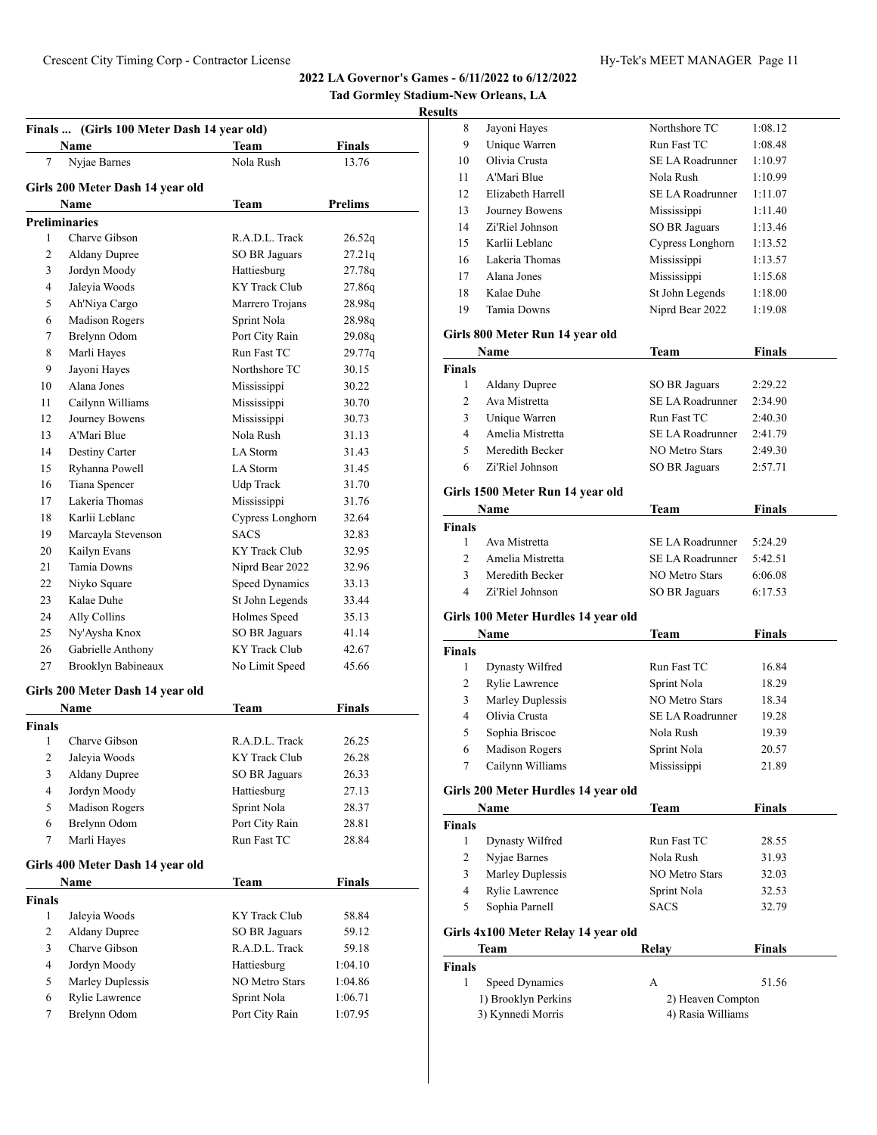**Tad Gormley Stadium-New Orleans, LA**

# **Results**

| Finals  (Girls 100 Meter Dash 14 year old) |                                  |                       |                |  |
|--------------------------------------------|----------------------------------|-----------------------|----------------|--|
|                                            | Name                             | Team                  | <b>Finals</b>  |  |
| 7                                          | Nyjae Barnes                     | Nola Rush             | 13.76          |  |
|                                            | Girls 200 Meter Dash 14 year old |                       |                |  |
|                                            | Name                             | Team                  | <b>Prelims</b> |  |
|                                            | <b>Preliminaries</b>             |                       |                |  |
| 1                                          | Charve Gibson                    | R.A.D.L. Track        | 26.52q         |  |
| 2                                          | <b>Aldany Dupree</b>             | SO BR Jaguars         | 27.21q         |  |
| 3                                          | Jordyn Moody                     | Hattiesburg           | 27.78q         |  |
| 4                                          | Jaleyia Woods                    | <b>KY</b> Track Club  | 27.86q         |  |
| 5                                          | Ah'Niya Cargo                    | Marrero Trojans       | 28.98q         |  |
| 6                                          | Madison Rogers                   | Sprint Nola           | 28.98q         |  |
| 7                                          | Brelynn Odom                     | Port City Rain        | 29.08q         |  |
| 8                                          | Marli Hayes                      | Run Fast TC           | 29.77q         |  |
| 9                                          | Jayoni Hayes                     | Northshore TC         | 30.15          |  |
| 10                                         | Alana Jones                      | Mississippi           | 30.22          |  |
| 11                                         | Cailynn Williams                 | Mississippi           | 30.70          |  |
| 12                                         | Journey Bowens                   | Mississippi           | 30.73          |  |
| 13                                         | A'Mari Blue                      | Nola Rush             | 31.13          |  |
| 14                                         | Destiny Carter                   | LA Storm              | 31.43          |  |
| 15                                         | Ryhanna Powell                   | LA Storm              | 31.45          |  |
| 16                                         | Tiana Spencer                    | Udp Track             | 31.70          |  |
| 17                                         | Lakeria Thomas                   | Mississippi           | 31.76          |  |
| 18                                         | Karlii Leblanc                   | Cypress Longhorn      | 32.64          |  |
| 19                                         | Marcayla Stevenson               | <b>SACS</b>           | 32.83          |  |
| 20                                         | Kailyn Evans                     | KY Track Club         | 32.95          |  |
| 21                                         | Tamia Downs                      | Niprd Bear 2022       | 32.96          |  |
| 22                                         | Niyko Square                     | Speed Dynamics        | 33.13          |  |
| 23                                         | Kalae Duhe                       | St John Legends       | 33.44          |  |
| 24                                         | Ally Collins                     | Holmes Speed          | 35.13          |  |
| 25                                         | Ny'Aysha Knox                    | SO BR Jaguars         | 41.14          |  |
| 26                                         | Gabrielle Anthony                | KY Track Club         | 42.67          |  |
| 27                                         | Brooklyn Babineaux               | No Limit Speed        | 45.66          |  |
|                                            | Girls 200 Meter Dash 14 year old |                       |                |  |
|                                            | Name                             | Team                  | <b>Finals</b>  |  |
| Finals                                     |                                  |                       |                |  |
| $\mathbf{1}$                               | Charve Gibson                    | R.A.D.L. Track        | 26.25          |  |
| 2                                          | Jaleyia Woods                    | KY Track Club         | 26.28          |  |
| 3                                          | Aldany Dupree                    | <b>SO BR Jaguars</b>  | 26.33          |  |
| 4                                          | Jordyn Moody                     | Hattiesburg           | 27.13          |  |
| 5                                          | Madison Rogers                   | Sprint Nola           | 28.37          |  |
| 6                                          | Brelynn Odom                     | Port City Rain        | 28.81          |  |
| 7                                          | Marli Hayes                      | Run Fast TC           | 28.84          |  |
|                                            | Girls 400 Meter Dash 14 year old |                       |                |  |
|                                            | <b>Name</b>                      | Team                  | <b>Finals</b>  |  |
| <b>Finals</b>                              |                                  |                       |                |  |
| 1                                          | Jaleyia Woods                    | KY Track Club         | 58.84          |  |
| $\mathbf{2}$                               | <b>Aldany Dupree</b>             | SO BR Jaguars         | 59.12          |  |
| 3                                          | Charve Gibson                    | R.A.D.L. Track        | 59.18          |  |
| 4                                          | Jordyn Moody                     | Hattiesburg           | 1:04.10        |  |
| 5                                          | Marley Duplessis                 | <b>NO Metro Stars</b> | 1:04.86        |  |
| 6                                          | Rylie Lawrence                   | Sprint Nola           | 1:06.71        |  |
| 7                                          | Brelynn Odom                     | Port City Rain        | 1:07.95        |  |

| uw             |                                     |                         |               |
|----------------|-------------------------------------|-------------------------|---------------|
| 8              | Jayoni Hayes                        | Northshore TC           | 1:08.12       |
| 9              | Unique Warren                       | Run Fast TC             | 1:08.48       |
| 10             | Olivia Crusta                       | <b>SE LA Roadrunner</b> | 1:10.97       |
| 11             | A'Mari Blue                         | Nola Rush               | 1:10.99       |
| 12             | Elizabeth Harrell                   | <b>SE LA Roadrunner</b> | 1:11.07       |
| 13             | Journey Bowens                      | Mississippi             | 1:11.40       |
| 14             | Zi'Riel Johnson                     | <b>SO BR Jaguars</b>    | 1:13.46       |
| 15             | Karlii Leblanc                      | Cypress Longhorn        | 1:13.52       |
| 16             | Lakeria Thomas                      | Mississippi             | 1:13.57       |
| 17             | Alana Jones                         | Mississippi             | 1:15.68       |
| 18             | Kalae Duhe                          | St John Legends         | 1:18.00       |
| 19             | Tamia Downs                         | Niprd Bear 2022         | 1:19.08       |
|                | Girls 800 Meter Run 14 year old     |                         |               |
|                | Name                                | Team                    | Finals        |
| <b>Finals</b>  |                                     |                         |               |
| $\mathbf{1}$   | <b>Aldany Dupree</b>                | <b>SO BR Jaguars</b>    | 2:29.22       |
| $\overline{2}$ | Ava Mistretta                       | <b>SE LA Roadrunner</b> | 2:34.90       |
| 3              | Unique Warren                       | Run Fast TC             | 2:40.30       |
| 4              | Amelia Mistretta                    | SE LA Roadrunner        | 2:41.79       |
| 5              | Meredith Becker                     | <b>NO Metro Stars</b>   | 2:49.30       |
| 6              | Zi'Riel Johnson                     | SO BR Jaguars           | 2:57.71       |
|                | Girls 1500 Meter Run 14 year old    |                         |               |
|                | Name                                | Team                    | <b>Finals</b> |
| <b>Finals</b>  |                                     |                         |               |
| 1              | Ava Mistretta                       | SE LA Roadrunner        | 5:24.29       |
| $\overline{c}$ | Amelia Mistretta                    | <b>SE LA Roadrunner</b> | 5:42.51       |
| 3              | Meredith Becker                     | <b>NO Metro Stars</b>   | 6:06.08       |
| 4              | Zi'Riel Johnson                     | <b>SO BR Jaguars</b>    | 6:17.53       |
|                | Girls 100 Meter Hurdles 14 year old |                         |               |
|                | Name                                | Team                    | <b>Finals</b> |
| <b>Finals</b>  |                                     |                         |               |
| 1              | Dynasty Wilfred                     | Run Fast TC             | 16.84         |
| 2              | Rylie Lawrence                      | Sprint Nola             | 18.29         |
| 3              | Marley Duplessis                    | <b>NO Metro Stars</b>   | 18.34         |
| $\overline{4}$ | Olivia Crusta                       | <b>SE LA Roadrunner</b> | 19.28         |
| 5              | Sophia Briscoe                      | Nola Rush               | 19.39         |
| 6              | <b>Madison Rogers</b>               | Sprint Nola             | 20.57         |

# **Girls 200 Meter Hurdles 14 year old**

|               | Name                                | Team           | <b>Finals</b> |  |
|---------------|-------------------------------------|----------------|---------------|--|
| <b>Finals</b> |                                     |                |               |  |
|               | Dynasty Wilfred                     | Run Fast TC    | 28.55         |  |
| 2             | Nyjae Barnes                        | Nola Rush      | 31.93         |  |
| 3             | Marley Duplessis                    | NO Metro Stars | 32.03         |  |
| 4             | Rylie Lawrence                      | Sprint Nola    | 32.53         |  |
| 5             | Sophia Parnell                      | <b>SACS</b>    | 32.79         |  |
|               | Girls 4x100 Meter Relay 14 year old |                |               |  |
|               | Team                                | Relav          | <b>Finals</b> |  |

Cailynn Williams Mississippi 21.89

| <b>Finals</b>       |                   |                   |
|---------------------|-------------------|-------------------|
| Speed Dynamics      | А                 | 51.56             |
| 1) Brooklyn Perkins |                   | 2) Heaven Compton |
| 3) Kynnedi Morris   | 4) Rasia Williams |                   |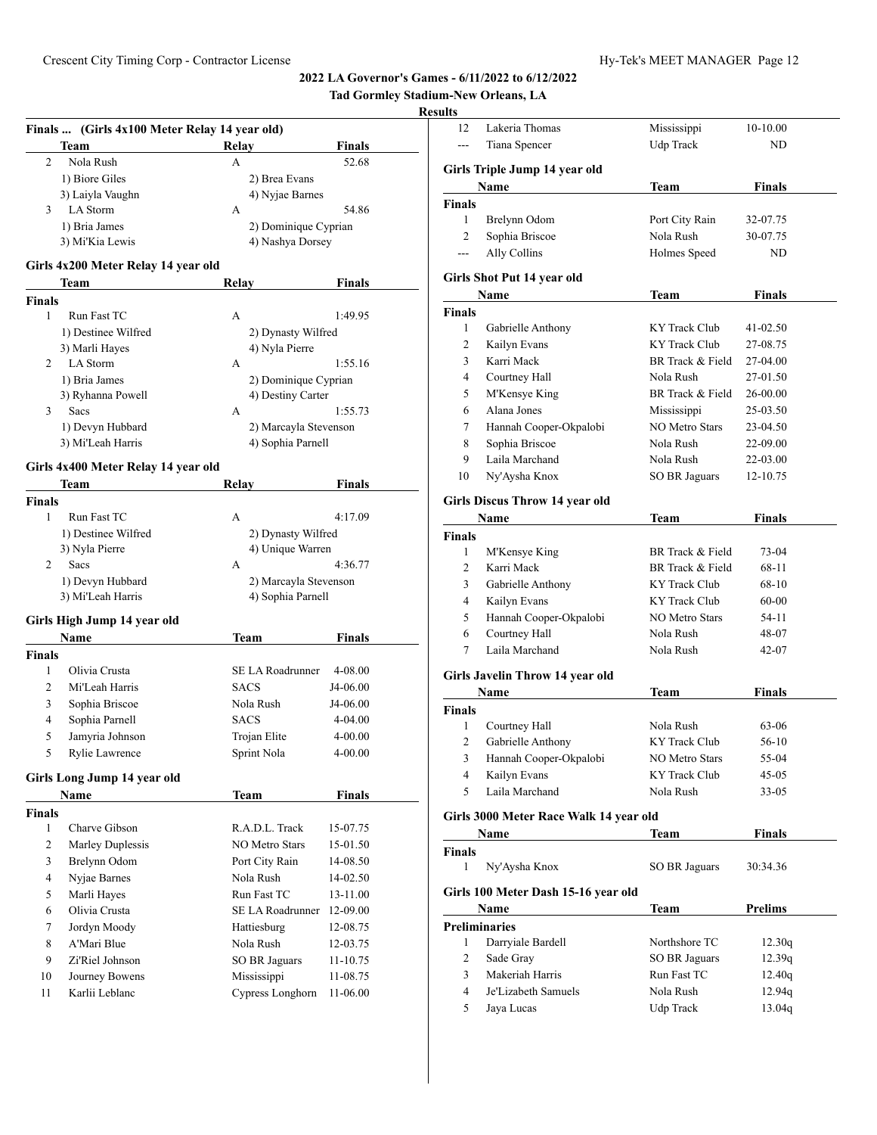**Tad Gormley Stadium-New Orleans, LA**

|                | Finals  (Girls 4x100 Meter Relay 14 year old) |                         |               |
|----------------|-----------------------------------------------|-------------------------|---------------|
|                | Team                                          | Relay                   | Finals        |
| $\overline{2}$ | Nola Rush                                     | A                       | 52.68         |
|                | 1) Biore Giles                                | 2) Brea Evans           |               |
|                | 3) Laiyla Vaughn                              | 4) Nyjae Barnes         |               |
| 3              | LA Storm                                      | А                       | 54.86         |
|                | 1) Bria James                                 | 2) Dominique Cyprian    |               |
|                | 3) Mi'Kia Lewis                               | 4) Nashya Dorsey        |               |
|                | Girls 4x200 Meter Relay 14 year old           |                         |               |
|                | Team                                          | Relay                   | Finals        |
| <b>Finals</b>  |                                               |                         |               |
| 1              | Run Fast TC                                   | A                       | 1:49.95       |
|                | 1) Destinee Wilfred                           | 2) Dynasty Wilfred      |               |
|                | 3) Marli Hayes                                | 4) Nyla Pierre          |               |
| 2              | LA Storm                                      | A                       | 1:55.16       |
|                | 1) Bria James                                 | 2) Dominique Cyprian    |               |
|                | 3) Ryhanna Powell                             | 4) Destiny Carter       |               |
| 3              | Sacs                                          | A                       | 1:55.73       |
|                | 1) Devyn Hubbard                              | 2) Marcayla Stevenson   |               |
|                | 3) Mi'Leah Harris                             | 4) Sophia Parnell       |               |
|                | Girls 4x400 Meter Relay 14 year old           |                         |               |
|                | Team                                          | Relay                   | Finals        |
| Finals         |                                               |                         |               |
| 1              | Run Fast TC                                   | A                       | 4:17.09       |
|                | 1) Destinee Wilfred                           | 2) Dynasty Wilfred      |               |
|                | 3) Nyla Pierre                                | 4) Unique Warren        |               |
| 2              | Sacs                                          | A                       | 4:36.77       |
|                | 1) Devyn Hubbard                              | 2) Marcayla Stevenson   |               |
|                | 3) Mi'Leah Harris                             | 4) Sophia Parnell       |               |
|                | Girls High Jump 14 year old                   |                         |               |
|                | Name                                          | Team                    | Finals        |
| Finals         |                                               |                         |               |
| 1              | Olivia Crusta                                 | SE LA Roadrunner        | 4-08.00       |
| 2              | Mi'Leah Harris                                | <b>SACS</b>             | J4-06.00      |
| 3              | Sophia Briscoe                                | Nola Rush               | J4-06.00      |
| 4              | Sophia Parnell                                | <b>SACS</b>             | 4-04.00       |
| 5              | Jamyria Johnson                               | Trojan Elite            | $4 - 00.00$   |
| 5              | Rylie Lawrence                                | Sprint Nola             | 4-00.00       |
|                | Girls Long Jump 14 year old                   |                         |               |
|                | Name                                          | <b>Team</b>             | <b>Finals</b> |
| <b>Finals</b>  |                                               |                         |               |
| 1              | Charve Gibson                                 | R.A.D.L. Track          | 15-07.75      |
| 2              | Marley Duplessis                              | <b>NO Metro Stars</b>   | 15-01.50      |
| 3              | Brelynn Odom                                  | Port City Rain          | 14-08.50      |
| $\overline{4}$ | Nyjae Barnes                                  | Nola Rush               | 14-02.50      |
| 5              | Marli Hayes                                   | Run Fast TC             | 13-11.00      |
| 6              | Olivia Crusta                                 | <b>SE LA Roadrunner</b> | 12-09.00      |
| 7              | Jordyn Moody                                  |                         |               |
|                |                                               | Hattiesburg             | 12-08.75      |
| 8              | A'Mari Blue                                   | Nola Rush               | 12-03.75      |
| 9              | Zi'Riel Johnson                               | SO BR Jaguars           | 11-10.75      |
| 10             | Journey Bowens                                | Mississippi             | 11-08.75      |
| 11             | Karlii Leblanc                                | Cypress Longhorn        | 11-06.00      |

| шэ                 |                                        |                            |                    |
|--------------------|----------------------------------------|----------------------------|--------------------|
| 12                 | Lakeria Thomas                         | Mississippi                | 10-10.00           |
| $---$              | Tiana Spencer                          | Udp Track                  | ND                 |
|                    |                                        |                            |                    |
|                    | Girls Triple Jump 14 year old<br>Name  | Team                       | <b>Finals</b>      |
| <b>Finals</b>      |                                        |                            |                    |
| 1                  | Brelynn Odom                           | Port City Rain             | 32-07.75           |
| $\overline{2}$     | Sophia Briscoe                         | Nola Rush                  | 30-07.75           |
| $---$              | Ally Collins                           | Holmes Speed               | ND                 |
|                    |                                        |                            |                    |
|                    | Girls Shot Put 14 year old             |                            |                    |
|                    | Name                                   | Team                       | Finals             |
| Finals<br>1        |                                        | KY Track Club              | 41-02.50           |
| $\overline{2}$     | Gabrielle Anthony<br>Kailyn Evans      | KY Track Club              | 27-08.75           |
|                    |                                        | BR Track & Field           |                    |
| 3                  | Karri Mack                             |                            | 27-04.00           |
| 4                  | Courtney Hall                          | Nola Rush                  | 27-01.50           |
| 5                  | M'Kensye King                          | BR Track & Field           | 26-00.00           |
| 6                  | Alana Jones                            | Mississippi                | 25-03.50           |
| 7                  | Hannah Cooper-Okpalobi                 | NO Metro Stars             | 23-04.50           |
| 8                  | Sophia Briscoe                         | Nola Rush                  | 22-09.00           |
| 9                  | Laila Marchand                         | Nola Rush                  | 22-03.00           |
| 10                 | Ny'Aysha Knox                          | <b>SO BR Jaguars</b>       | 12-10.75           |
|                    | Girls Discus Throw 14 year old         |                            |                    |
|                    | Name                                   | Team                       | Finals             |
| Finals             |                                        |                            |                    |
| 1                  | M'Kensye King                          | BR Track & Field           | 73-04              |
| $\overline{2}$     | Karri Mack                             | BR Track & Field           | 68-11              |
| 3                  | Gabrielle Anthony                      | KY Track Club              | 68-10              |
| 4                  | Kailyn Evans                           | KY Track Club              | 60-00              |
| 5                  | Hannah Cooper-Okpalobi                 | <b>NO Metro Stars</b>      | 54-11              |
| 6                  | Courtney Hall                          | Nola Rush                  | 48-07              |
| 7                  | Laila Marchand                         | Nola Rush                  | 42-07              |
|                    |                                        |                            |                    |
|                    | Girls Javelin Throw 14 year old        |                            |                    |
| <b>Finals</b>      | <b>Name</b>                            | Team                       | Finals             |
| 1                  |                                        | Nola Rush                  | 63-06              |
| 2                  | Courtney Hall<br>Gabrielle Anthony     | KY Track Club              | 56-10              |
|                    |                                        |                            | 55-04              |
| 3                  | Hannah Cooper-Okpalobi                 | <b>NO Metro Stars</b>      |                    |
| 4<br>5             | Kailyn Evans<br>Laila Marchand         | KY Track Club<br>Nola Rush | 45-05<br>$33 - 05$ |
|                    |                                        |                            |                    |
|                    |                                        |                            |                    |
|                    | Girls 3000 Meter Race Walk 14 year old |                            |                    |
|                    | Name                                   | Team                       | <b>Finals</b>      |
|                    |                                        |                            |                    |
| 1                  | Ny'Aysha Knox                          | SO BR Jaguars              | 30:34.36           |
|                    | Girls 100 Meter Dash 15-16 year old    |                            |                    |
|                    | Name                                   | Team                       | <b>Prelims</b>     |
|                    | <b>Preliminaries</b>                   |                            |                    |
| 1                  | Darryiale Bardell                      | Northshore TC              | 12.30q             |
| 2                  | Sade Gray                              | SO BR Jaguars              | 12.39q             |
| <b>Finals</b><br>3 | Makeriah Harris                        | Run Fast TC                | 12.40q             |
| 4                  | Je'Lizabeth Samuels                    | Nola Rush                  | 12.94q             |
| 5                  | Jaya Lucas                             | Udp Track                  | 13.04q             |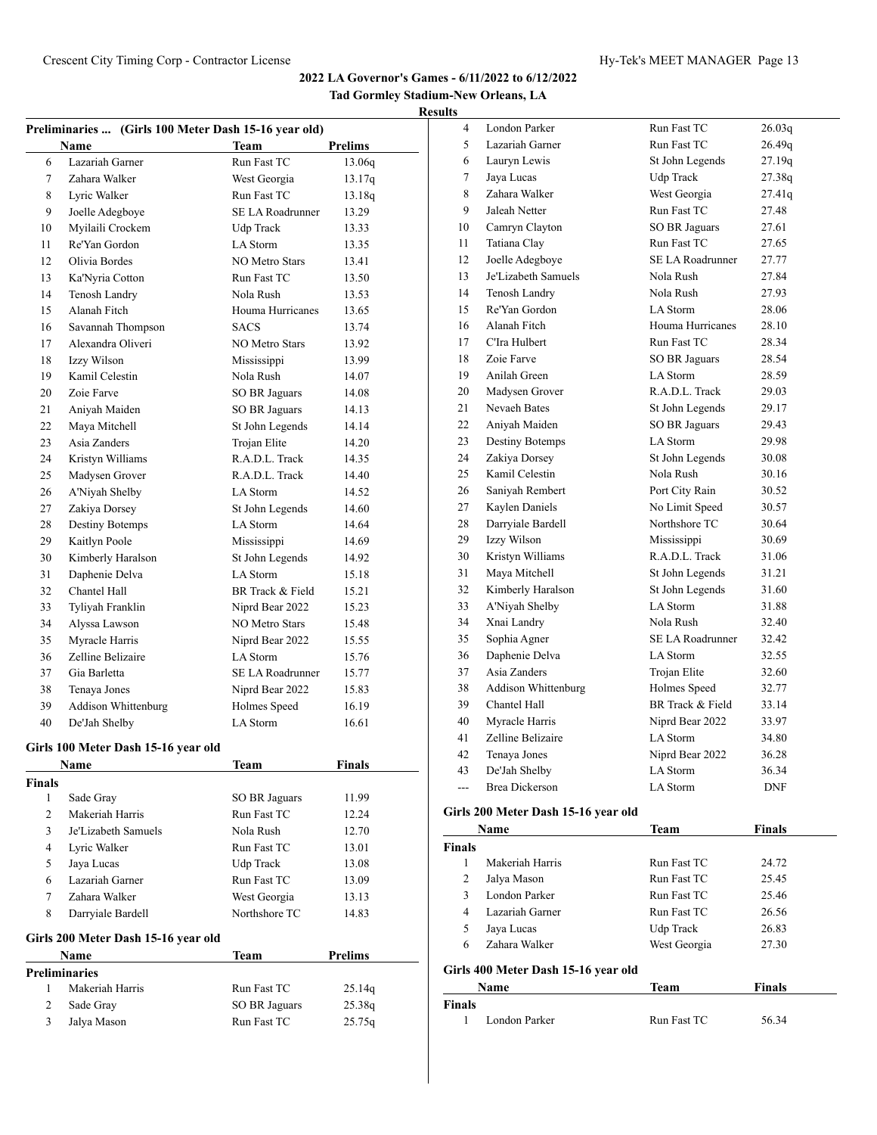**Tad Gormley Stadium-New Orleans, LA Results**

|              | Preliminaries  (Girls 100 Meter Dash 15-16 year old) |                         |                |
|--------------|------------------------------------------------------|-------------------------|----------------|
|              | Name                                                 | Team                    | <b>Prelims</b> |
| 6            | Lazariah Garner                                      | Run Fast TC             | 13.06q         |
| 7            | Zahara Walker                                        | West Georgia            | 13.17q         |
| 8            | Lyric Walker                                         | Run Fast TC             | 13.18q         |
| 9            | Joelle Adegboye                                      | <b>SE LA Roadrunner</b> | 13.29          |
| 10           | Myilaili Crockem                                     | Udp Track               | 13.33          |
| 11           | Re'Yan Gordon                                        | LA Storm                | 13.35          |
| 12           | Olivia Bordes                                        | <b>NO Metro Stars</b>   | 13.41          |
| 13           | Ka'Nyria Cotton                                      | Run Fast TC             | 13.50          |
| 14           | Tenosh Landry                                        | Nola Rush               | 13.53          |
| 15           | Alanah Fitch                                         | Houma Hurricanes        | 13.65          |
| 16           | Savannah Thompson                                    | <b>SACS</b>             | 13.74          |
| 17           | Alexandra Oliveri                                    | <b>NO Metro Stars</b>   | 13.92          |
| 18           | Izzy Wilson                                          | Mississippi             | 13.99          |
| 19           | Kamil Celestin                                       | Nola Rush               | 14.07          |
| 20           | Zoie Farve                                           | <b>SO BR Jaguars</b>    | 14.08          |
| 21           | Aniyah Maiden                                        | SO BR Jaguars           | 14.13          |
| 22           | Maya Mitchell                                        | St John Legends         | 14.14          |
| 23           | Asia Zanders                                         | Trojan Elite            | 14.20          |
| 24           | Kristyn Williams                                     | R.A.D.L. Track          | 14.35          |
| 25           | Madysen Grover                                       | R.A.D.L. Track          | 14.40          |
| 26           | A'Niyah Shelby                                       | LA Storm                | 14.52          |
| 27           | Zakiya Dorsey                                        | St John Legends         | 14.60          |
| 28           | <b>Destiny Botemps</b>                               | LA Storm                | 14.64          |
| 29           | Kaitlyn Poole                                        | Mississippi             | 14.69          |
| 30           | Kimberly Haralson                                    | St John Legends         | 14.92          |
| 31           | Daphenie Delva                                       | LA Storm                | 15.18          |
| 32           | Chantel Hall                                         | BR Track & Field        | 15.21          |
| 33           | Tyliyah Franklin                                     | Niprd Bear 2022         | 15.23          |
| 34           | Alyssa Lawson                                        | <b>NO Metro Stars</b>   | 15.48          |
| 35           | Myracle Harris                                       | Niprd Bear 2022         | 15.55          |
| 36           | Zelline Belizaire                                    | LA Storm                | 15.76          |
| 37           | Gia Barletta                                         | SE LA Roadrunner        | 15.77          |
| 38           | Tenaya Jones                                         | Niprd Bear 2022         | 15.83          |
| 39           | Addison Whittenburg                                  | Holmes Speed            | 16.19          |
| 40           | De'Jah Shelby                                        | LA Storm                | 16.61          |
|              |                                                      |                         |                |
|              | Girls 100 Meter Dash 15-16 year old                  |                         |                |
|              | <b>Name</b>                                          | <b>Team</b>             | <b>Finals</b>  |
| Finals       |                                                      |                         |                |
| 1            | Sade Gray                                            | SO BR Jaguars           | 11.99          |
| $\mathbf{2}$ | Makeriah Harris                                      | Run Fast TC             | 12.24          |
| 3            | Je'Lizabeth Samuels                                  | Nola Rush               | 12.70          |
| 4            | Lyric Walker                                         | Run Fast TC             | 13.01          |
| 5            | Jaya Lucas                                           | Udp Track               | 13.08          |
| 6            | Lazariah Garner                                      | Run Fast TC             | 13.09          |
| 7            | Zahara Walker                                        | West Georgia            | 13.13          |
| 8            | Darryiale Bardell                                    | Northshore TC           | 14.83          |
|              | Girls 200 Meter Dash 15-16 year old                  |                         |                |
|              | Name                                                 | Team                    | <b>Prelims</b> |
|              | <b>Preliminaries</b>                                 |                         |                |
| 1            | Makeriah Harris                                      | Run Fast TC             | 25.14q         |
| 2            | Sade Gray                                            | SO BR Jaguars           | 25.38q         |
| 3            | Jalya Mason                                          | Run Fast TC             | 25.75q         |

| 4     | London Parker         | Run Fast TC             | 26.03q     |
|-------|-----------------------|-------------------------|------------|
| 5     | Lazariah Garner       | Run Fast TC             | 26.49q     |
| 6     | Lauryn Lewis          | St John Legends         | 27.19q     |
| 7     | Jaya Lucas            | Udp Track               | 27.38q     |
| 8     | Zahara Walker         | West Georgia            | 27.41q     |
| 9     | Jaleah Netter         | Run Fast TC             | 27.48      |
| 10    | Camryn Clayton        | <b>SO BR Jaguars</b>    | 27.61      |
| 11    | Tatiana Clay          | Run Fast TC             | 27.65      |
| 12    | Joelle Adegboye       | <b>SE LA Roadrunner</b> | 27.77      |
| 13    | Je'Lizabeth Samuels   | Nola Rush               | 27.84      |
| 14    | Tenosh Landry         | Nola Rush               | 27.93      |
| 15    | Re'Yan Gordon         | LA Storm                | 28.06      |
| 16    | Alanah Fitch          | Houma Hurricanes        | 28.10      |
| 17    | C'Ira Hulbert         | Run Fast TC             | 28.34      |
| 18    | Zoie Farve            | <b>SO BR Jaguars</b>    | 28.54      |
| 19    | Anilah Green          | LA Storm                | 28.59      |
| 20    | Madysen Grover        | R.A.D.L. Track          | 29.03      |
| 21    | Nevaeh Bates          | St John Legends         | 29.17      |
| 22    | Aniyah Maiden         | <b>SO BR Jaguars</b>    | 29.43      |
| 23    | Destiny Botemps       | <b>LA</b> Storm         | 29.98      |
| 24    | Zakiya Dorsey         | St John Legends         | 30.08      |
| 25    | Kamil Celestin        | Nola Rush               | 30.16      |
| 26    | Saniyah Rembert       | Port City Rain          | 30.52      |
| 27    | Kaylen Daniels        | No Limit Speed          | 30.57      |
| 28    | Darryiale Bardell     | Northshore TC           | 30.64      |
| 29    | Izzy Wilson           | Mississippi             | 30.69      |
| 30    | Kristyn Williams      | R.A.D.L. Track          | 31.06      |
| 31    | Maya Mitchell         | St John Legends         | 31.21      |
| 32    | Kimberly Haralson     | St John Legends         | 31.60      |
| 33    | A'Niyah Shelby        | LA Storm                | 31.88      |
| 34    | Xnai Landry           | Nola Rush               | 32.40      |
| 35    | Sophia Agner          | <b>SE LA Roadrunner</b> | 32.42      |
| 36    | Daphenie Delva        | LA Storm                | 32.55      |
| 37    | Asia Zanders          | Trojan Elite            | 32.60      |
| 38    | Addison Whittenburg   | Holmes Speed            | 32.77      |
| 39    | Chantel Hall          | BR Track & Field        | 33.14      |
| 40    | Myracle Harris        | Niprd Bear 2022         | 33.97      |
| 41    | Zelline Belizaire     | <b>LA</b> Storm         | 34.80      |
| 42    | Tenaya Jones          | Niprd Bear 2022         | 36.28      |
| 43    | De'Jah Shelby         | <b>LA</b> Storm         | 36.34      |
| $---$ | <b>Brea Dickerson</b> | LA Storm                | <b>DNF</b> |

# **Girls 200 Meter Dash 15-16 year old**

|               | Name                                | Team         | Finals |  |
|---------------|-------------------------------------|--------------|--------|--|
| <b>Finals</b> |                                     |              |        |  |
|               | Makeriah Harris                     | Run Fast TC  | 24.72  |  |
| 2             | Jalya Mason                         | Run Fast TC  | 25.45  |  |
| 3             | London Parker                       | Run Fast TC  | 25.46  |  |
| 4             | Lazariah Garner                     | Run Fast TC  | 26.56  |  |
| 5             | Jaya Lucas                          | Udp Track    | 26.83  |  |
| 6             | Zahara Walker                       | West Georgia | 27.30  |  |
|               | Girls 400 Meter Dash 15-16 year old |              |        |  |
|               | Name                                | Team         | Finals |  |
| <b>Finals</b> |                                     |              |        |  |
|               | London Parker                       | Run Fast TC  | 56.34  |  |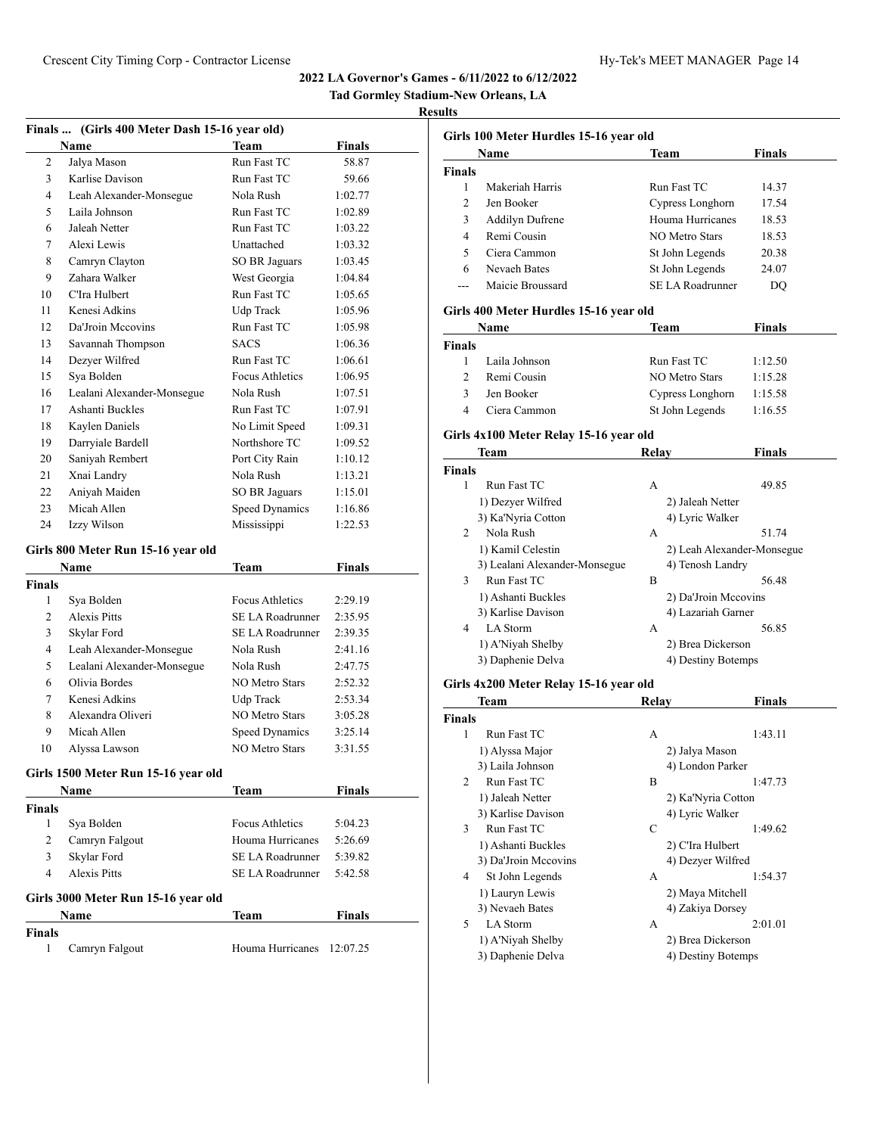**Tad Gormley Stadium-New Orleans, LA**

# **Results**

|               | Finals  (Girls 400 Meter Dash 15-16 year old) |                         |               |
|---------------|-----------------------------------------------|-------------------------|---------------|
|               | Name                                          | Team                    | Finals        |
| 2             | Jalya Mason                                   | Run Fast TC             | 58.87         |
| 3             | Karlise Davison                               | Run Fast TC             | 59.66         |
| 4             | Leah Alexander-Monsegue                       | Nola Rush               | 1:02.77       |
| 5             | Laila Johnson                                 | Run Fast TC             | 1:02.89       |
| 6             | Jaleah Netter                                 | Run Fast TC             | 1:03.22       |
| 7             | Alexi Lewis                                   | Unattached              | 1:03.32       |
| 8             | Camryn Clayton                                | <b>SO BR Jaguars</b>    | 1:03.45       |
| 9             | Zahara Walker                                 | West Georgia            | 1:04.84       |
| 10            | C'Ira Hulbert                                 | Run Fast TC             | 1:05.65       |
| 11            | Kenesi Adkins                                 | Udp Track               | 1:05.96       |
| 12            | Da'Jroin Mccovins                             | Run Fast TC             | 1:05.98       |
| 13            | Savannah Thompson                             | <b>SACS</b>             | 1:06.36       |
| 14            | Dezyer Wilfred                                | Run Fast TC             | 1:06.61       |
| 15            | Sya Bolden                                    | <b>Focus Athletics</b>  | 1:06.95       |
| 16            | Lealani Alexander-Monsegue                    | Nola Rush               | 1:07.51       |
| 17            | Ashanti Buckles                               | Run Fast TC             | 1:07.91       |
| 18            | Kaylen Daniels                                | No Limit Speed          | 1:09.31       |
| 19            | Darryiale Bardell                             | Northshore TC           | 1:09.52       |
| 20            | Saniyah Rembert                               | Port City Rain          | 1:10.12       |
| 21            | Xnai Landry                                   | Nola Rush               | 1:13.21       |
| 22            | Anivah Maiden                                 | <b>SO BR Jaguars</b>    | 1:15.01       |
| 23            | Micah Allen                                   | Speed Dynamics          | 1:16.86       |
| 24            | Izzy Wilson                                   | Mississippi             | 1:22.53       |
|               | Girls 800 Meter Run 15-16 year old            |                         |               |
|               | Name                                          | Team                    | Finals        |
| <b>Finals</b> |                                               |                         |               |
| 1             | Sya Bolden                                    | <b>Focus Athletics</b>  | 2:29.19       |
| 2             | <b>Alexis Pitts</b>                           | SE LA Roadrunner        | 2:35.95       |
| 3             | Skylar Ford                                   | SE LA Roadrunner        | 2:39.35       |
| 4             | Leah Alexander-Monsegue                       | Nola Rush               | 2:41.16       |
| 5             | Lealani Alexander-Monsegue                    | Nola Rush               | 2:47.75       |
| 6             | Olivia Bordes                                 | NO Metro Stars          | 2:52.32       |
| 7             | Kenesi Adkins                                 | Udp Track               | 2:53.34       |
| 8             | Alexandra Oliveri                             | <b>NO Metro Stars</b>   | 3:05.28       |
| 9             | Micah Allen                                   | Speed Dynamics          | 3:25.14       |
| 10            | Alyssa Lawson                                 | <b>NO Metro Stars</b>   | 3:31.55       |
|               |                                               |                         |               |
|               | Girls 1500 Meter Run 15-16 year old           |                         |               |
|               | Name                                          | Team                    | <b>Finals</b> |
| <b>Finals</b> |                                               |                         |               |
| 1             | Sya Bolden                                    | <b>Focus Athletics</b>  | 5:04.23       |
| 2             | Camryn Falgout                                | Houma Hurricanes        | 5:26.69       |
| 3             | Skylar Ford                                   | <b>SE LA Roadrunner</b> | 5:39.82       |
| 4             | <b>Alexis Pitts</b>                           | SE LA Roadrunner        | 5:42.58       |
|               | Girls 3000 Meter Run 15-16 year old           |                         |               |
|               | Name                                          | Team                    | Finals        |
| <b>Finals</b> |                                               |                         |               |
| $\mathbf{1}$  | Camryn Falgout                                | Houma Hurricanes        | 12:07.25      |

|                    | Girls 100 Meter Hurdles 15-16 year old |                                            |                |
|--------------------|----------------------------------------|--------------------------------------------|----------------|
| <b>Finals</b>      | Name                                   | Team                                       | <b>Finals</b>  |
| 1                  | Makeriah Harris                        | Run Fast TC                                | 14.37          |
| $\overline{c}$     | Jen Booker                             |                                            | 17.54          |
| 3                  | Addilyn Dufrene                        | Cypress Longhorn<br>Houma Hurricanes       | 18.53          |
| 4                  | Remi Cousin                            | <b>NO Metro Stars</b>                      |                |
| 5                  | Ciera Cammon                           |                                            | 18.53          |
| 6                  | Nevaeh Bates                           | St John Legends                            | 20.38<br>24.07 |
|                    | Maicie Broussard                       | St John Legends<br><b>SE LA Roadrunner</b> |                |
| ---                |                                        |                                            | DO             |
|                    | Girls 400 Meter Hurdles 15-16 year old |                                            |                |
|                    | <b>Name</b>                            | Team                                       | Finals         |
| <b>Finals</b><br>1 | Laila Johnson                          | Run Fast TC                                |                |
|                    |                                        |                                            | 1:12.50        |
| $\overline{c}$     | Remi Cousin                            | <b>NO Metro Stars</b>                      | 1:15.28        |
| 3                  | Jen Booker                             | Cypress Longhorn                           | 1:15.58        |
| 4                  | Ciera Cammon                           | St John Legends                            | 1:16.55        |
|                    | Girls 4x100 Meter Relay 15-16 year old |                                            |                |
|                    | Team                                   | <b>Relay</b>                               | Finals         |
| <b>Finals</b>      |                                        |                                            |                |
| 1                  | Run Fast TC                            | А                                          | 49.85          |
|                    | 1) Dezyer Wilfred                      | 2) Jaleah Netter                           |                |
|                    | 3) Ka'Nyria Cotton                     | 4) Lyric Walker                            |                |
| $\overline{2}$     | Nola Rush                              | А                                          | 51.74          |
|                    | 1) Kamil Celestin                      | 2) Leah Alexander-Monsegue                 |                |
|                    | 3) Lealani Alexander-Monsegue          | 4) Tenosh Landry                           |                |
| 3                  | Run Fast TC                            | B.                                         | 56.48          |
|                    | 1) Ashanti Buckles                     | 2) Da'Jroin Mccovins                       |                |
|                    | 3) Karlise Davison                     | 4) Lazariah Garner                         |                |
| 4                  | LA Storm                               | А                                          | 56.85          |
|                    | 1) A'Niyah Shelby                      | 2) Brea Dickerson                          |                |
|                    | 3) Daphenie Delva                      | 4) Destiny Botemps                         |                |
|                    | Girls 4x200 Meter Relay 15-16 year old |                                            |                |
|                    | Team                                   | Relay                                      | Finals         |
|                    |                                        |                                            |                |
|                    |                                        |                                            |                |
| 1                  | Run Fast TC                            | А                                          | 1:43.11        |
|                    | 1) Alyssa Major                        | 2) Jalya Mason                             |                |
|                    | 3) Laila Johnson                       | 4) London Parker                           |                |
| 2                  | Run Fast TC                            | B                                          | 1:47.73        |
|                    | 1) Jaleah Netter                       | 2) Ka'Nyria Cotton                         |                |
|                    | 3) Karlise Davison                     | 4) Lyric Walker                            |                |
| 3                  | Run Fast TC                            | C                                          | 1:49.62        |
|                    | 1) Ashanti Buckles                     | 2) C'Ira Hulbert                           |                |
|                    | 3) Da'Jroin Mccovins                   | 4) Dezyer Wilfred                          |                |
| 4                  | St John Legends                        | А                                          | 1:54.37        |
|                    | 1) Lauryn Lewis                        | 2) Maya Mitchell                           |                |
|                    | 3) Nevaeh Bates                        | 4) Zakiya Dorsey                           |                |
| 5                  | LA Storm                               | А                                          | 2:01.01        |
| <b>Finals</b>      | 1) A'Niyah Shelby<br>3) Daphenie Delva | 2) Brea Dickerson<br>4) Destiny Botemps    |                |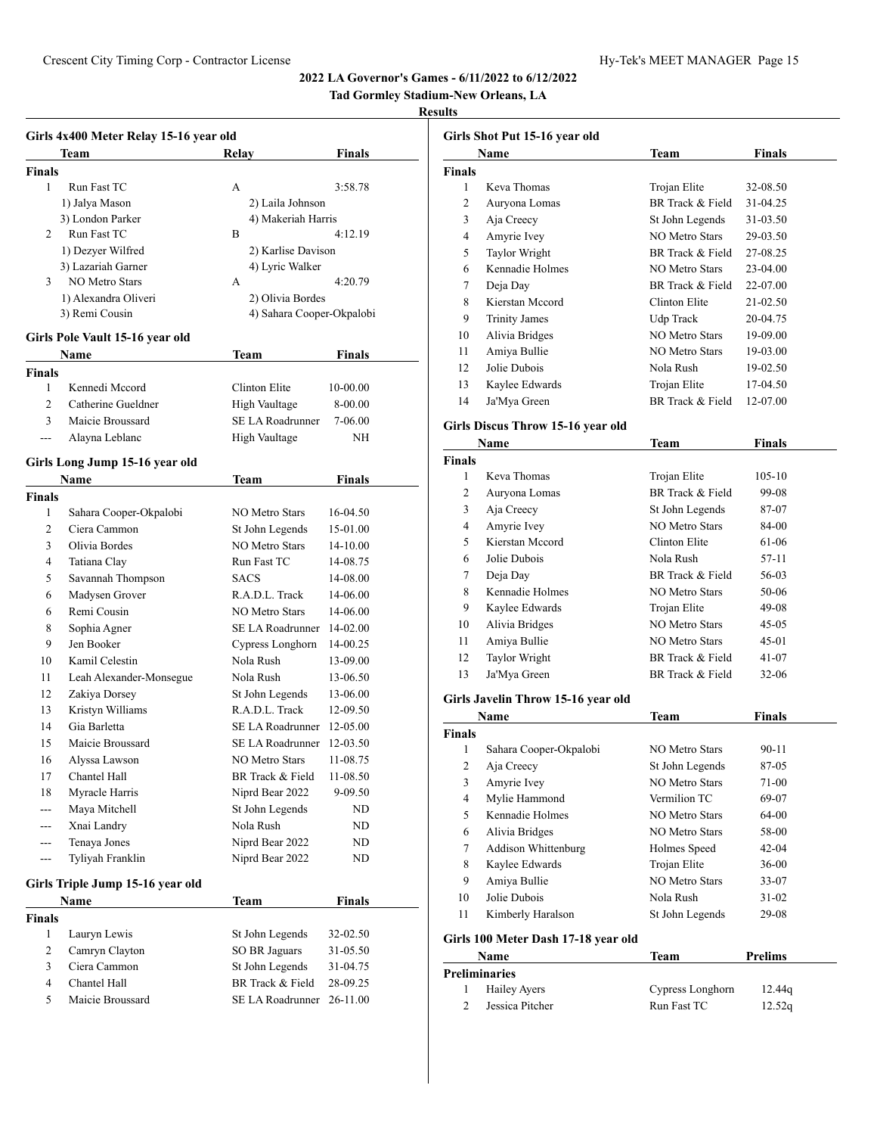# **Tad Gormley Stadium-New Orleans, LA**

|                | Girls 4x400 Meter Relay 15-16 year old |                                          |               |
|----------------|----------------------------------------|------------------------------------------|---------------|
|                | Team                                   | Relay                                    | Finals        |
| <b>Finals</b>  |                                        |                                          |               |
| $\mathbf{1}$   | Run Fast TC                            | А                                        | 3:58.78       |
|                | 1) Jalya Mason                         | 2) Laila Johnson                         |               |
|                | 3) London Parker                       | 4) Makeriah Harris                       |               |
| 2              | Run Fast TC                            | B                                        | 4:12.19       |
|                | 1) Dezyer Wilfred                      | 2) Karlise Davison                       |               |
|                | 3) Lazariah Garner                     | 4) Lyric Walker                          |               |
| 3              | <b>NO Metro Stars</b>                  | А                                        | 4:20.79       |
|                | 1) Alexandra Oliveri                   | 2) Olivia Bordes                         |               |
|                | 3) Remi Cousin                         | 4) Sahara Cooper-Okpalobi                |               |
|                |                                        |                                          |               |
|                | Girls Pole Vault 15-16 year old        |                                          |               |
|                | Name                                   | Team                                     | Finals        |
| Finals         |                                        |                                          |               |
| 1              | Kennedi Mccord                         | Clinton Elite                            | 10-00.00      |
| $\overline{c}$ | Catherine Gueldner                     | High Vaultage                            | 8-00.00       |
| 3              | Maicie Broussard                       | SE LA Roadrunner                         | 7-06.00       |
| $---$          | Alayna Leblanc                         | High Vaultage                            | NH            |
|                | Girls Long Jump 15-16 year old         |                                          |               |
|                | Name                                   | Team                                     | Finals        |
| <b>Finals</b>  |                                        |                                          |               |
| 1              |                                        | <b>NO Metro Stars</b>                    | 16-04.50      |
| $\overline{c}$ | Sahara Cooper-Okpalobi<br>Ciera Cammon |                                          |               |
|                | Olivia Bordes                          | St John Legends<br><b>NO Metro Stars</b> | 15-01.00      |
| 3              |                                        |                                          | 14-10.00      |
| 4              | Tatiana Clay                           | Run Fast TC                              | 14-08.75      |
| 5              | Savannah Thompson                      | <b>SACS</b>                              | 14-08.00      |
| 6              | Madysen Grover                         | R.A.D.L. Track                           | 14-06.00      |
| 6              | Remi Cousin                            | <b>NO Metro Stars</b>                    | 14-06.00      |
| 8              | Sophia Agner                           | SE LA Roadrunner                         | 14-02.00      |
| 9              | Jen Booker                             | Cypress Longhorn                         | 14-00.25      |
| 10             | Kamil Celestin                         | Nola Rush                                | 13-09.00      |
| 11             | Leah Alexander-Monsegue                | Nola Rush                                | 13-06.50      |
| 12             | Zakiya Dorsey                          | St John Legends                          | 13-06.00      |
| 13             | Kristyn Williams                       | R.A.D.L. Track                           | 12-09.50      |
| 14             | Gia Barletta                           | SE LA Roadrunner                         | 12-05.00      |
| 15             | Maicie Broussard                       | SE LA Roadrunner                         | 12-03.50      |
| 16             | Alyssa Lawson                          | <b>NO Metro Stars</b>                    | 11-08.75      |
| 17             | Chantel Hall                           | BR Track & Field                         | 11-08.50      |
| 18             | Myracle Harris                         | Niprd Bear 2022                          | 9-09.50       |
| ---            | Maya Mitchell                          | St John Legends                          | ND            |
| ---            | Xnai Landry                            | Nola Rush                                | ND            |
| ---            | Tenaya Jones                           | Niprd Bear 2022                          | ND            |
| ---            | Tyliyah Franklin                       | Niprd Bear 2022                          | ND            |
|                |                                        |                                          |               |
|                | Girls Triple Jump 15-16 year old       |                                          |               |
|                | <b>Name</b>                            | <b>Team</b>                              | <b>Finals</b> |
| <b>Finals</b>  |                                        |                                          |               |
| $\mathbf{1}$   | Lauryn Lewis                           | St John Legends                          | 32-02.50      |
| 2              | Camryn Clayton                         | SO BR Jaguars                            | 31-05.50      |
| 3              | Ciera Cammon                           | St John Legends                          | 31-04.75      |
|                |                                        |                                          |               |
| $\overline{4}$ | Chantel Hall                           | BR Track & Field                         | 28-09.25      |

|               | Girls Shot Put 15-16 year old       |                       |                |
|---------------|-------------------------------------|-----------------------|----------------|
|               | Name                                | Team                  | Finals         |
| Finals        |                                     |                       |                |
| 1             | Keva Thomas                         | Trojan Elite          | 32-08.50       |
| 2             | Auryona Lomas                       | BR Track & Field      | 31-04.25       |
| 3             | Aja Creecy                          | St John Legends       | 31-03.50       |
| 4             | Amyrie Ivey                         | <b>NO Metro Stars</b> | 29-03.50       |
| 5             | Taylor Wright                       | BR Track & Field      | 27-08.25       |
| 6             | Kennadie Holmes                     | <b>NO Metro Stars</b> | 23-04.00       |
| 7             | Deja Day                            | BR Track & Field      | 22-07.00       |
| 8             | Kierstan Mccord                     | Clinton Elite         | 21-02.50       |
| 9             | <b>Trinity James</b>                | Udp Track             | 20-04.75       |
| 10            | Alivia Bridges                      | NO Metro Stars        | 19-09.00       |
| 11            | Amiya Bullie                        | <b>NO Metro Stars</b> | 19-03.00       |
| 12            | Jolie Dubois                        | Nola Rush             | 19-02.50       |
| 13            | Kaylee Edwards                      | Trojan Elite          | 17-04.50       |
| 14            | Ja'Mya Green                        | BR Track & Field      | 12-07.00       |
|               | Girls Discus Throw 15-16 year old   |                       |                |
|               | Name                                | Team                  | Finals         |
| <b>Finals</b> |                                     |                       |                |
| 1             | Keva Thomas                         | Trojan Elite          | 105-10         |
| 2             | Auryona Lomas                       | BR Track & Field      | 99-08          |
| 3             | Aja Creecy                          | St John Legends       | 87-07          |
| 4             | Amyrie Ivey                         | <b>NO Metro Stars</b> | 84-00          |
| 5             | Kierstan Mccord                     | Clinton Elite         | 61-06          |
| 6             | Jolie Dubois                        | Nola Rush             | 57-11          |
| 7             | Deja Day                            | BR Track & Field      | 56-03          |
| 8             | Kennadie Holmes                     | NO Metro Stars        | 50-06          |
| 9             | Kaylee Edwards                      | Trojan Elite          | 49-08          |
| 10            | Alivia Bridges                      | <b>NO Metro Stars</b> | 45-05          |
| 11            | Amiya Bullie                        | <b>NO Metro Stars</b> | 45-01          |
| 12            | Taylor Wright                       | BR Track & Field      | 41-07          |
| 13            | Ja'Mya Green                        | BR Track & Field      | 32-06          |
|               | Girls Javelin Throw 15-16 year old  |                       |                |
|               | Name                                | Team                  | Finals         |
| <b>Finals</b> |                                     |                       |                |
| 1             | Sahara Cooper-Okpalobi              | <b>NO Metro Stars</b> | 90-11          |
| $\mathbf{2}$  | Aja Creecy                          | St John Legends       | 87-05          |
| 3             | Amyrie Ivey                         | <b>NO Metro Stars</b> | 71-00          |
| 4             | Mylie Hammond                       | Vermilion TC          | 69-07          |
| 5             | Kennadie Holmes                     | <b>NO Metro Stars</b> | 64-00          |
| 6             | Alivia Bridges                      | <b>NO Metro Stars</b> | 58-00          |
| 7             | Addison Whittenburg                 | Holmes Speed          | 42-04          |
| 8             | Kaylee Edwards                      | Trojan Elite          | 36-00          |
| 9             | Amiya Bullie                        | NO Metro Stars        | 33-07          |
| 10            | Jolie Dubois                        | Nola Rush             | 31-02          |
| 11            | Kimberly Haralson                   | St John Legends       | 29-08          |
|               |                                     |                       |                |
|               | Girls 100 Meter Dash 17-18 year old |                       |                |
|               | Name                                | Team                  | <b>Prelims</b> |
|               | <b>Preliminaries</b>                |                       |                |
| 1             | Hailey Ayers                        | Cypress Longhorn      | 12.44q         |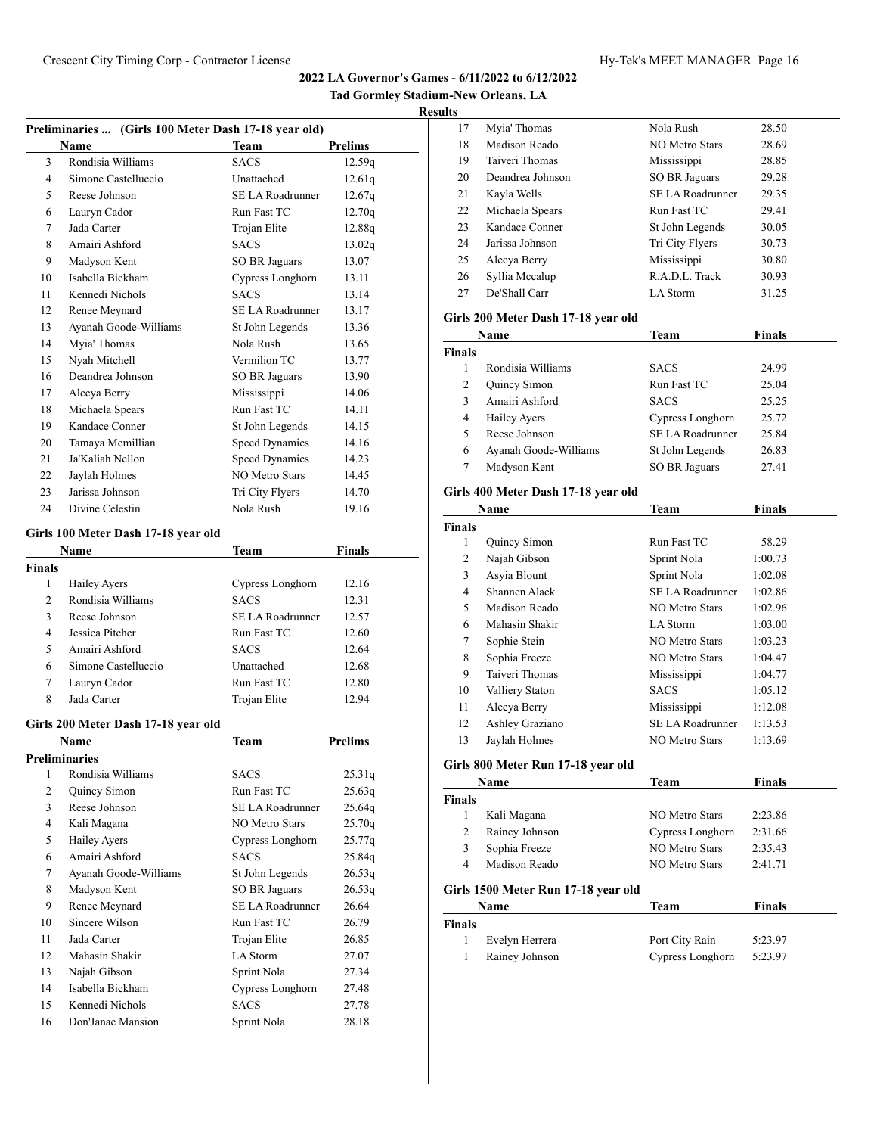|  |  | Tad Gormley Stadium-New Orleans, LA |  |
|--|--|-------------------------------------|--|
|  |  |                                     |  |

#### **Results**

| Preliminaries  (Girls 100 Meter Dash 17-18 year old) |                       |                         |                |
|------------------------------------------------------|-----------------------|-------------------------|----------------|
|                                                      | <b>Name</b>           | Team                    | <b>Prelims</b> |
| 3                                                    | Rondisia Williams     | <b>SACS</b>             | 12.59q         |
| 4                                                    | Simone Castelluccio   | Unattached              | 12.61q         |
| 5                                                    | Reese Johnson         | <b>SE LA Roadrunner</b> | 12.67q         |
| 6                                                    | Lauryn Cador          | Run Fast TC             | 12.70q         |
| 7                                                    | Jada Carter           | Trojan Elite            | 12.88q         |
| 8                                                    | Amairi Ashford        | <b>SACS</b>             | 13.02q         |
| 9                                                    | Madyson Kent          | SO BR Jaguars           | 13.07          |
| 10                                                   | Isabella Bickham      | Cypress Longhorn        | 13.11          |
| 11                                                   | Kennedi Nichols       | <b>SACS</b>             | 13.14          |
| 12                                                   | Renee Meynard         | <b>SE LA Roadrunner</b> | 13.17          |
| 13                                                   | Ayanah Goode-Williams | St John Legends         | 13.36          |
| 14                                                   | Myia' Thomas          | Nola Rush               | 13.65          |
| 15                                                   | Nyah Mitchell         | Vermilion TC            | 13.77          |
| 16                                                   | Deandrea Johnson      | SO BR Jaguars           | 13.90          |
| 17                                                   | Alecya Berry          | Mississippi             | 14.06          |
| 18                                                   | Michaela Spears       | Run Fast TC             | 14.11          |
| 19                                                   | Kandace Conner        | St John Legends         | 14.15          |
| 20                                                   | Tamaya Mcmillian      | <b>Speed Dynamics</b>   | 14.16          |
| 21                                                   | Ja'Kaliah Nellon      | Speed Dynamics          | 14.23          |
| 22                                                   | Jaylah Holmes         | <b>NO Metro Stars</b>   | 14.45          |
| 23                                                   | Jarissa Johnson       | Tri City Flyers         | 14.70          |
| 24                                                   | Divine Celestin       | Nola Rush               | 19.16          |
|                                                      |                       |                         |                |

#### **Girls 100 Meter Dash 17-18 year old**

|        | Name                | Team             | Finals |  |
|--------|---------------------|------------------|--------|--|
| Finals |                     |                  |        |  |
| 1      | Hailey Ayers        | Cypress Longhorn | 12.16  |  |
| 2      | Rondisia Williams   | <b>SACS</b>      | 12.31  |  |
| 3      | Reese Johnson       | SE LA Roadrunner | 12.57  |  |
| 4      | Jessica Pitcher     | Run Fast TC      | 12.60  |  |
| 5      | Amairi Ashford      | <b>SACS</b>      | 12.64  |  |
| 6      | Simone Castelluccio | Unattached       | 12.68  |  |
| 7      | Lauryn Cador        | Run Fast TC      | 12.80  |  |
| 8      | Jada Carter         | Trojan Elite     | 12.94  |  |

# **Girls 200 Meter Dash 17-18 year old**

|    | Name                  | Team                  | <b>Prelims</b> |
|----|-----------------------|-----------------------|----------------|
|    | Preliminaries         |                       |                |
| 1  | Rondisia Williams     | <b>SACS</b>           | 25.31q         |
| 2  | Quincy Simon          | Run Fast TC           | 25.63q         |
| 3  | Reese Johnson         | SE LA Roadrunner      | 25.64q         |
| 4  | Kali Magana           | <b>NO Metro Stars</b> | 25.70q         |
| 5  | Hailey Ayers          | Cypress Longhorn      | 25.77q         |
| 6  | Amairi Ashford        | <b>SACS</b>           | 25.84q         |
| 7  | Ayanah Goode-Williams | St John Legends       | 26.53q         |
| 8  | Madyson Kent          | SO BR Jaguars         | 26.53q         |
| 9  | Renee Meynard         | SE LA Roadrunner      | 26.64          |
| 10 | Sincere Wilson        | Run Fast TC           | 26.79          |
| 11 | Jada Carter           | Trojan Elite          | 26.85          |
| 12 | Mahasin Shakir        | LA Storm              | 27.07          |
| 13 | Najah Gibson          | Sprint Nola           | 27.34          |
| 14 | Isabella Bickham      | Cypress Longhorn      | 27.48          |
| 15 | Kennedi Nichols       | <b>SACS</b>           | 27.78          |
| 16 | Don'Janae Mansion     | Sprint Nola           | 28.18          |

| 17 | Myia' Thomas     | Nola Rush               | 28.50 |
|----|------------------|-------------------------|-------|
| 18 | Madison Reado    | <b>NO Metro Stars</b>   | 28.69 |
| 19 | Taiveri Thomas   | Mississippi             | 28.85 |
| 20 | Deandrea Johnson | <b>SO BR Jaguars</b>    | 29.28 |
| 21 | Kayla Wells      | <b>SE LA Roadrunner</b> | 29.35 |
| 22 | Michaela Spears  | Run Fast TC             | 29.41 |
| 23 | Kandace Conner   | St John Legends         | 30.05 |
| 24 | Jarissa Johnson  | Tri City Flyers         | 30.73 |
| 25 | Alecya Berry     | Mississippi             | 30.80 |
| 26 | Syllia Mccalup   | R.A.D.L. Track          | 30.93 |
| 27 | De'Shall Carr    | LA Storm                | 31.25 |
|    |                  |                         |       |

# **Girls 200 Meter Dash 17-18 year old**

|               | Name                  | Team                 | <b>Finals</b> |  |
|---------------|-----------------------|----------------------|---------------|--|
| <b>Finals</b> |                       |                      |               |  |
|               | Rondisia Williams     | <b>SACS</b>          | 24.99         |  |
| 2             | Quincy Simon          | Run Fast TC          | 25.04         |  |
| 3             | Amairi Ashford        | <b>SACS</b>          | 25.25         |  |
| 4             | <b>Hailey Avers</b>   | Cypress Longhorn     | 25.72         |  |
| 5             | Reese Johnson         | SE LA Roadrunner     | 25.84         |  |
| 6             | Ayanah Goode-Williams | St John Legends      | 26.83         |  |
|               | Madyson Kent          | <b>SO BR Jaguars</b> | 27.41         |  |
|               |                       |                      |               |  |

# **Girls 400 Meter Dash 17-18 year old**

| Name          |                 | Team                  | <b>Finals</b> |  |
|---------------|-----------------|-----------------------|---------------|--|
| <b>Finals</b> |                 |                       |               |  |
| 1             | Quincy Simon    | Run Fast TC           | 58.29         |  |
| 2             | Najah Gibson    | Sprint Nola           | 1:00.73       |  |
| 3             | Asyia Blount    | Sprint Nola           | 1:02.08       |  |
| 4             | Shannen Alack   | SE LA Roadrunner      | 1:02.86       |  |
| 5             | Madison Reado   | <b>NO Metro Stars</b> | 1:02.96       |  |
| 6             | Mahasin Shakir  | LA Storm              | 1:03.00       |  |
| 7             | Sophie Stein    | NO Metro Stars        | 1:03.23       |  |
| 8             | Sophia Freeze   | NO Metro Stars        | 1:04.47       |  |
| 9             | Taiveri Thomas  | Mississippi           | 1:04.77       |  |
| 10            | Valliery Staton | <b>SACS</b>           | 1:05.12       |  |
| 11            | Alecya Berry    | Mississippi           | 1:12.08       |  |
| 12            | Ashley Graziano | SE LA Roadrunner      | 1:13.53       |  |
| 13            | Javlah Holmes   | NO Metro Stars        | 1:13.69       |  |

# **Girls 800 Meter Run 17-18 year old**

| Name          |                                     | Team             | <b>Finals</b> |  |
|---------------|-------------------------------------|------------------|---------------|--|
| <b>Finals</b> |                                     |                  |               |  |
|               | Kali Magana                         | NO Metro Stars   | 2:23.86       |  |
| 2             | Rainey Johnson                      | Cypress Longhorn | 2:31.66       |  |
| 3             | Sophia Freeze                       | NO Metro Stars   | 2:35.43       |  |
| 4             | Madison Reado                       | NO Metro Stars   | 2:41.71       |  |
|               | Girls 1500 Meter Run 17-18 year old |                  |               |  |

# **Name Team Finals Finals**

| iais |                  |                  |         |
|------|------------------|------------------|---------|
|      | 1 Evelyn Herrera | Port City Rain   | 5:23.97 |
|      | Rainey Johnson   | Cypress Longhorn | 5:23.97 |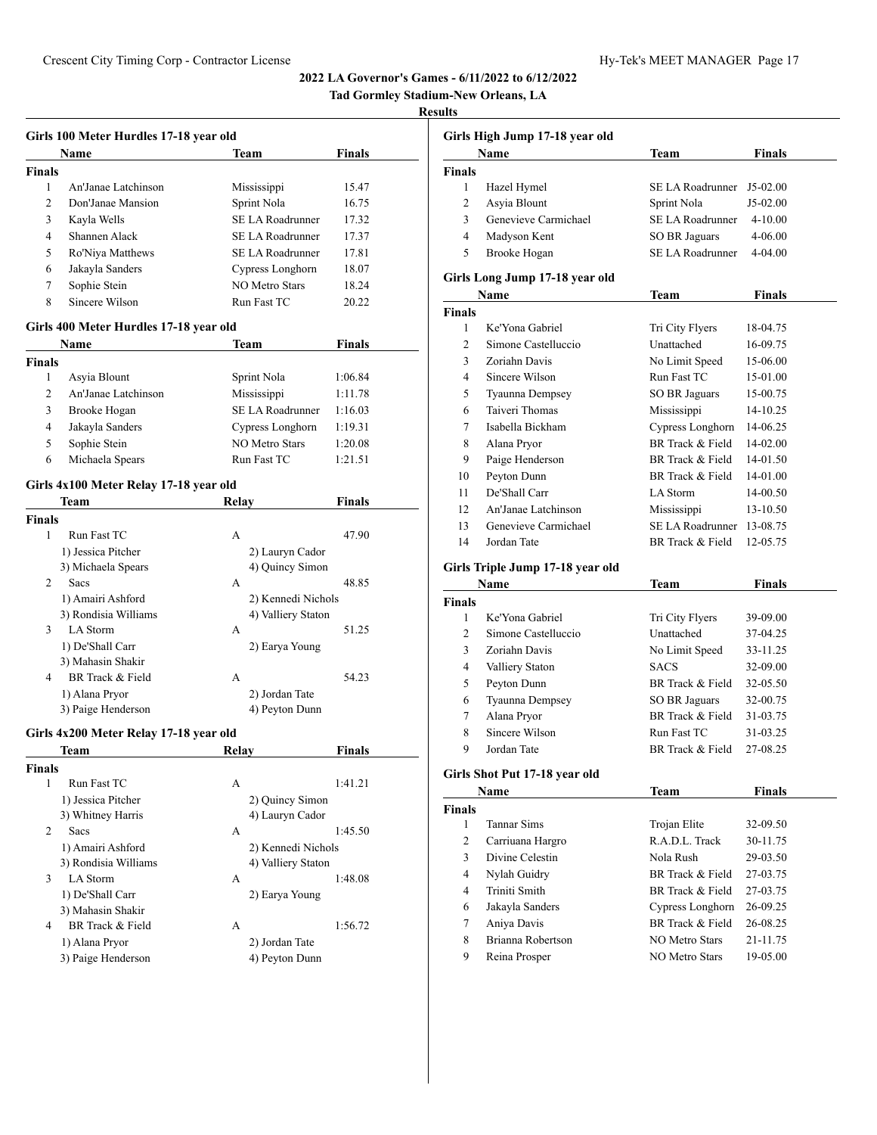# **Tad Gormley Stadium-New Orleans, LA**

#### **Results**

| Girls 100 Meter Hurdles 17-18 year old |                                        |                         |               |
|----------------------------------------|----------------------------------------|-------------------------|---------------|
|                                        | Name                                   | Team                    | <b>Finals</b> |
| <b>Finals</b>                          |                                        |                         |               |
| 1                                      | An'Janae Latchinson                    | Mississippi             | 15.47         |
| $\overline{c}$                         | Don'Janae Mansion                      | Sprint Nola             | 16.75         |
| 3                                      | Kayla Wells                            | <b>SE LA Roadrunner</b> | 17.32         |
| 4                                      | Shannen Alack                          | <b>SE LA Roadrunner</b> | 17.37         |
| 5                                      | Ro'Niya Matthews                       | SE LA Roadrunner        | 17.81         |
| 6                                      | Jakayla Sanders                        | Cypress Longhorn        | 18.07         |
| 7                                      | Sophie Stein                           | <b>NO Metro Stars</b>   | 18.24         |
| 8                                      | Sincere Wilson                         | Run Fast TC             | 20.22         |
|                                        | Girls 400 Meter Hurdles 17-18 year old |                         |               |
|                                        | Name                                   | Team                    | <b>Finals</b> |
| <b>Finals</b>                          |                                        |                         |               |
| 1                                      | Asyia Blount                           | Sprint Nola             | 1:06.84       |
| $\overline{2}$                         | An'Janae Latchinson                    | Mississippi             | 1:11.78       |
| 3                                      | Brooke Hogan                           | <b>SE LA Roadrunner</b> | 1:16.03       |
| 4                                      | Jakayla Sanders                        | Cypress Longhorn        | 1:19.31       |
| 5                                      | Sophie Stein                           | <b>NO Metro Stars</b>   | 1:20.08       |
| 6                                      | Michaela Spears                        | Run Fast TC             | 1:21.51       |
|                                        | Girls 4x100 Meter Relay 17-18 year old |                         |               |
|                                        | Team                                   | Relay                   | <b>Finals</b> |
| <b>Finals</b>                          |                                        |                         |               |
| 1                                      | Run Fast TC                            | A                       | 47.90         |
|                                        | 1) Jessica Pitcher                     | 2) Lauryn Cador         |               |
|                                        | 3) Michaela Spears                     | 4) Quincy Simon         |               |
| 2                                      | Sacs                                   | A                       | 48.85         |
|                                        | 1) Amairi Ashford                      | 2) Kennedi Nichols      |               |
|                                        | 3) Rondisia Williams                   | 4) Valliery Staton      |               |
| 3                                      | LA Storm                               | A                       | 51.25         |
|                                        | 1) De'Shall Carr                       | 2) Earya Young          |               |
|                                        | 3) Mahasin Shakir                      |                         |               |
| 4                                      | BR Track & Field                       | A                       | 54.23         |
|                                        | 1) Alana Pryor                         | 2) Jordan Tate          |               |
|                                        | 3) Paige Henderson                     | 4) Peyton Dunn          |               |

# **Girls 4x200 Meter Relay 17-18 year old**

|        | Team                 | Relav              | <b>Finals</b>      |  |
|--------|----------------------|--------------------|--------------------|--|
| Finals |                      |                    |                    |  |
| 1      | Run Fast TC          | А                  | 1:41.21            |  |
|        | 1) Jessica Pitcher   | 2) Quincy Simon    |                    |  |
|        | 3) Whitney Harris    | 4) Lauryn Cador    |                    |  |
| 2      | Sacs                 | A                  | 1:45.50            |  |
|        | 1) Amairi Ashford    |                    | 2) Kennedi Nichols |  |
|        | 3) Rondisia Williams | 4) Valliery Staton |                    |  |
| 3      | LA Storm             | A                  | 1:48.08            |  |
|        | 1) De'Shall Carr     | 2) Earya Young     |                    |  |
|        | 3) Mahasin Shakir    |                    |                    |  |
| 4      | BR Track & Field     | A                  | 1:56.72            |  |
|        | 1) Alana Pryor       | 2) Jordan Tate     |                    |  |
|        | 3) Paige Henderson   | 4) Peyton Dunn     |                    |  |
|        |                      |                    |                    |  |

|               | Girls High Jump 17-18 year old   |                         |               |  |  |
|---------------|----------------------------------|-------------------------|---------------|--|--|
|               | <b>Name</b>                      | Team                    | <b>Finals</b> |  |  |
| <b>Finals</b> |                                  |                         |               |  |  |
| 1             | Hazel Hymel                      | SE LA Roadrunner        | $J5-02.00$    |  |  |
| 2             | Asyia Blount                     | Sprint Nola             | J5-02.00      |  |  |
| 3             | Genevieve Carmichael             | SE LA Roadrunner        | $4 - 10.00$   |  |  |
| 4             | Madyson Kent                     | SO BR Jaguars           | 4-06.00       |  |  |
| 5             | Brooke Hogan                     | SE LA Roadrunner        | 4-04.00       |  |  |
|               | Girls Long Jump 17-18 year old   |                         |               |  |  |
|               | Name                             | Team                    | Finals        |  |  |
| <b>Finals</b> |                                  |                         |               |  |  |
| 1             | Ke'Yona Gabriel                  | Tri City Flyers         | 18-04.75      |  |  |
| 2             | Simone Castelluccio              | Unattached              | 16-09.75      |  |  |
| 3             | Zoriahn Davis                    | No Limit Speed          | 15-06.00      |  |  |
| 4             | Sincere Wilson                   | Run Fast TC             | 15-01.00      |  |  |
| 5             | Tyaunna Dempsey                  | <b>SO BR Jaguars</b>    | 15-00.75      |  |  |
| 6             | Taiveri Thomas                   | Mississippi             | 14-10.25      |  |  |
| 7             | Isabella Bickham                 | Cypress Longhorn        | 14-06.25      |  |  |
| 8             | Alana Pryor                      | BR Track & Field        | 14-02.00      |  |  |
| 9             | Paige Henderson                  | BR Track & Field        | $14-01.50$    |  |  |
| 10            | Peyton Dunn                      | BR Track & Field        | 14-01.00      |  |  |
| 11            | De'Shall Carr                    | LA Storm                | 14-00.50      |  |  |
| 12            | An'Janae Latchinson              | Mississippi             | 13-10.50      |  |  |
| 13            | Genevieve Carmichael             | <b>SE LA Roadrunner</b> | 13-08.75      |  |  |
| 14            | Jordan Tate                      | BR Track & Field        | 12-05.75      |  |  |
|               |                                  |                         |               |  |  |
|               | Girls Triple Jump 17-18 year old |                         |               |  |  |
|               | Name                             | Team                    | Finals        |  |  |
| Finals        |                                  |                         |               |  |  |
| 1             | Ke'Yona Gabriel                  | Tri City Flyers         | 39-09.00      |  |  |
| 2             | Simone Castelluccio              | Unattached              | 37-04.25      |  |  |
| 3             | Zoriahn Davis                    | No Limit Speed          | 33-11.25      |  |  |
| 4             | Valliery Staton                  | SACS                    | 32-09.00      |  |  |
| 5             | Peyton Dunn                      | BR Track & Field        | 32-05.50      |  |  |
| 6             | Tyaunna Dempsey                  | <b>SO BR Jaguars</b>    | 32-00.75      |  |  |
| 7             | Alana Pryor                      | BR Track & Field        | 31-03.75      |  |  |
| 8             | Sincere Wilson                   | Run Fast TC             | 31-03.25      |  |  |
| 9             | Jordan Tate                      | BR Track & Field        | 27-08.25      |  |  |
|               | Girls Shot Put 17-18 year old    |                         |               |  |  |
|               | Name                             | Team                    | <b>Finals</b> |  |  |
| <b>Finals</b> |                                  |                         |               |  |  |
| $\mathbf{1}$  | Tannar Sims                      | Trojan Elite            | 32-09.50      |  |  |
| 2             | Carriuana Hargro                 | R.A.D.L. Track          | 30-11.75      |  |  |
| 3             | Divine Celestin                  | Nola Rush               |               |  |  |
|               |                                  |                         | 29-03.50      |  |  |
| 4             | Nylah Guidry                     | BR Track & Field        | 27-03.75      |  |  |
| 4             | Triniti Smith                    | BR Track & Field        | 27-03.75      |  |  |
| 6             | Jakayla Sanders                  | Cypress Longhorn        | 26-09.25      |  |  |
| $\tau$        | Aniya Davis                      | BR Track & Field        | 26-08.25      |  |  |

8 Brianna Robertson NO Metro Stars 21-11.75 9 Reina Prosper NO Metro Stars 19-05.00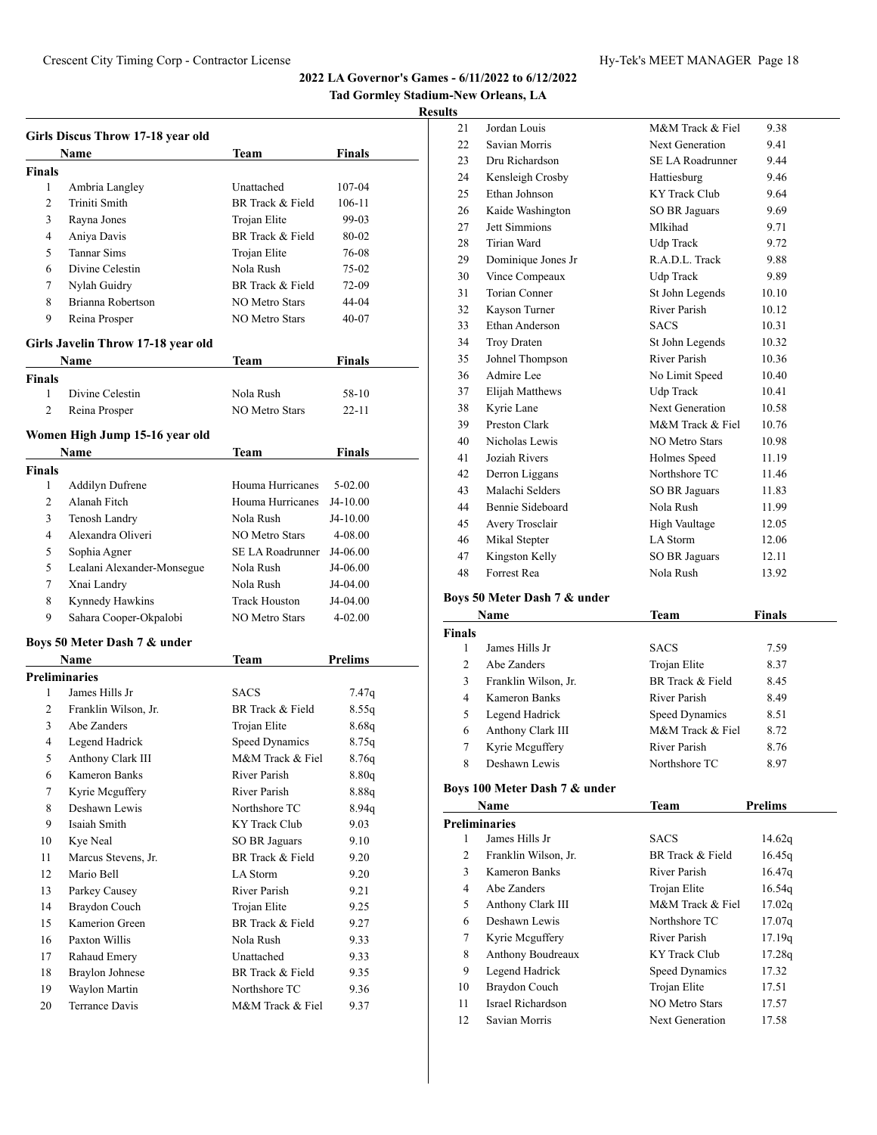**Tad Gormley Stadium-New Orleans, LA**

# **Results**

|                | Girls Discus Throw 17-18 year old  |                       |                |
|----------------|------------------------------------|-----------------------|----------------|
|                | Name                               | Team                  | Finals         |
| Finals         |                                    |                       |                |
| 1              | Ambria Langley                     | Unattached            | 107-04         |
| 2              | Triniti Smith                      | BR Track & Field      | 106-11         |
| 3              | Rayna Jones                        | Trojan Elite          | 99-03          |
| 4              | Aniya Davis                        | BR Track & Field      | 80-02          |
| 5              | <b>Tannar Sims</b>                 | Trojan Elite          | 76-08          |
| 6              | Divine Celestin                    | Nola Rush             | 75-02          |
| 7              | Nylah Guidry                       | BR Track & Field      | 72-09          |
| 8              | Brianna Robertson                  | <b>NO Metro Stars</b> | 44-04          |
| 9              | Reina Prosper                      | NO Metro Stars        | 40-07          |
|                | Girls Javelin Throw 17-18 year old |                       |                |
|                | Name                               | Team                  | Finals         |
| Finals         |                                    |                       |                |
| 1              | Divine Celestin                    | Nola Rush             | 58-10          |
| $\overline{2}$ | Reina Prosper                      | <b>NO Metro Stars</b> | 22-11          |
|                | Women High Jump 15-16 year old     |                       |                |
|                | Name                               | Team                  | Finals         |
| <b>Finals</b>  |                                    |                       |                |
| 1              | <b>Addilyn Dufrene</b>             | Houma Hurricanes      | $5 - 02.00$    |
| 2              | Alanah Fitch                       | Houma Hurricanes      | J4-10.00       |
| 3              | Tenosh Landry                      | Nola Rush             | J4-10.00       |
| 4              | Alexandra Oliveri                  | <b>NO Metro Stars</b> | 4-08.00        |
| 5              | Sophia Agner                       | SE LA Roadrunner      | J4-06.00       |
| 5              | Lealani Alexander-Monsegue         | Nola Rush             | J4-06.00       |
| 7              | Xnai Landry                        | Nola Rush             | J4-04.00       |
| 8              | Kynnedy Hawkins                    | <b>Track Houston</b>  | J4-04.00       |
| 9              | Sahara Cooper-Okpalobi             | <b>NO Metro Stars</b> | $4 - 02.00$    |
|                |                                    |                       |                |
|                | Boys 50 Meter Dash 7 & under       |                       |                |
|                | Name                               | Team                  | <b>Prelims</b> |
|                | Preliminaries                      |                       |                |
| 1              | James Hills Jr                     | <b>SACS</b>           | 7.47q          |
| 2              | Franklin Wilson, Jr.               | BR Track & Field      | 8.55q          |
| 3              | Abe Zanders                        | Trojan Elite          | 8.68q          |
| 4              | Legend Hadrick                     | Speed Dynamics        | 8.75q          |
| 5              | Anthony Clark III                  | M&M Track & Fiel      | 8.76q          |
| 6              | Kameron Banks                      | River Parish          | 8.80q          |
| $\tau$         | Kyrie Mcguffery                    | River Parish          | 8.88q          |
| 8              | Deshawn Lewis                      | Northshore TC         | 8.94q          |
| 9              | Isaiah Smith                       | <b>KY Track Club</b>  | 9.03           |
| 10             | Kye Neal                           | SO BR Jaguars         | 9.10           |
| 11             | Marcus Stevens, Jr.                | BR Track & Field      | 9.20           |
| 12             | Mario Bell                         | LA Storm              | 9.20           |
| 13             | Parkey Causey                      | River Parish          | 9.21           |
| 14             | Braydon Couch                      | Trojan Elite          | 9.25           |
| 15             | Kamerion Green                     | BR Track & Field      | 9.27           |
| 16             | Paxton Willis                      | Nola Rush             | 9.33           |
| 17             | Rahaud Emery                       | Unattached            | 9.33           |
| 18             | <b>Braylon Johnese</b>             | BR Track & Field      | 9.35           |
| 19             | Waylon Martin                      | Northshore TC         | 9.36           |
| 20             | Terrance Davis                     | M&M Track & Fiel      | 9.37           |
|                |                                    |                       |                |

| 21 | Jordan Louis       | M&M Track & Fiel       | 9.38  |
|----|--------------------|------------------------|-------|
| 22 | Savian Morris      | <b>Next Generation</b> | 9.41  |
| 23 | Dru Richardson     | SE LA Roadrunner       | 9.44  |
| 24 | Kensleigh Crosby   | Hattiesburg            | 9.46  |
| 25 | Ethan Johnson      | KY Track Club          | 9.64  |
| 26 | Kaide Washington   | SO BR Jaguars          | 9.69  |
| 27 | Jett Simmions      | Mlkihad                | 9.71  |
| 28 | Tirian Ward        | Udp Track              | 9.72  |
| 29 | Dominique Jones Jr | R.A.D.L. Track         | 9.88  |
| 30 | Vince Compeaux     | Udp Track              | 9.89  |
| 31 | Torian Conner      | St John Legends        | 10.10 |
| 32 | Kayson Turner      | <b>River Parish</b>    | 10.12 |
| 33 | Ethan Anderson     | <b>SACS</b>            | 10.31 |
| 34 | <b>Troy Draten</b> | St John Legends        | 10.32 |
| 35 | Johnel Thompson    | River Parish           | 10.36 |
| 36 | Admire Lee         | No Limit Speed         | 10.40 |
| 37 | Elijah Matthews    | Udp Track              | 10.41 |
| 38 | Kyrie Lane         | Next Generation        | 10.58 |
| 39 | Preston Clark      | M&M Track & Fiel       | 10.76 |
| 40 | Nicholas Lewis     | NO Metro Stars         | 10.98 |
| 41 | Joziah Rivers      | Holmes Speed           | 11.19 |
| 42 | Derron Liggans     | Northshore TC          | 11.46 |
| 43 | Malachi Selders    | SO BR Jaguars          | 11.83 |
| 44 | Bennie Sideboard   | Nola Rush              | 11.99 |
| 45 | Avery Trosclair    | High Vaultage          | 12.05 |
| 46 | Mikal Stepter      | LA Storm               | 12.06 |
| 47 | Kingston Kelly     | <b>SO BR Jaguars</b>   | 12.11 |
| 48 | <b>Forrest Rea</b> | Nola Rush              | 13.92 |

# **Boys 50 Meter Dash 7 & under**

| Name          |                      | Team             | Finals |
|---------------|----------------------|------------------|--------|
| <b>Finals</b> |                      |                  |        |
|               | James Hills Jr       | <b>SACS</b>      | 7.59   |
| 2             | Abe Zanders          | Trojan Elite     | 8.37   |
| 3             | Franklin Wilson, Jr. | BR Track & Field | 8.45   |
| 4             | Kameron Banks        | River Parish     | 8.49   |
| 5             | Legend Hadrick       | Speed Dynamics   | 8.51   |
| 6             | Anthony Clark III    | M&M Track & Fiel | 8.72   |
| 7             | Kyrie Mcguffery      | River Parish     | 8.76   |
| 8             | Deshawn Lewis        | Northshore TC    | 8.97   |

# **Boys 100 Meter Dash 7 & under**

|    | Name                 | <b>Team</b>      | <b>Prelims</b> |
|----|----------------------|------------------|----------------|
|    | <b>Preliminaries</b> |                  |                |
| 1  | James Hills Jr       | <b>SACS</b>      | 14.62q         |
| 2  | Franklin Wilson, Jr. | BR Track & Field | 16.45q         |
| 3  | Kameron Banks        | River Parish     | 16.47q         |
| 4  | Abe Zanders          | Trojan Elite     | 16.54q         |
| 5  | Anthony Clark III    | M&M Track & Fiel | 17.02q         |
| 6  | Deshawn Lewis        | Northshore TC    | 17.07q         |
| 7  | Kyrie Mcguffery      | River Parish     | 17.19q         |
| 8  | Anthony Boudreaux    | KY Track Club    | 17.28q         |
| 9  | Legend Hadrick       | Speed Dynamics   | 17.32          |
| 10 | Braydon Couch        | Trojan Elite     | 17.51          |
| 11 | Israel Richardson    | NO Metro Stars   | 17.57          |
| 12 | Savian Morris        | Next Generation  | 17.58          |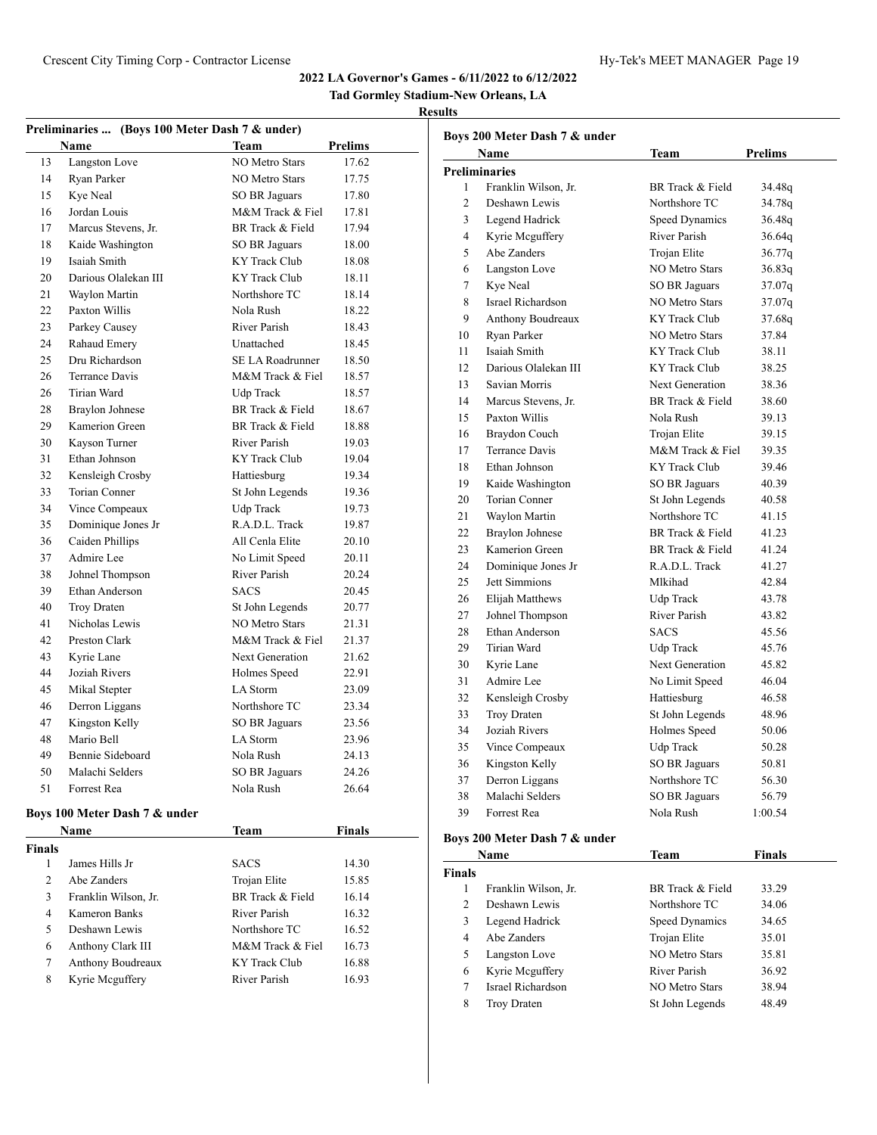**Preliminaries ... (Boys 100 Meter Dash 7 & under)**

# **2022 LA Governor's Games - 6/11/2022 to 6/12/2022**

**Tad Gormley Stadium-New Orleans, LA**

#### **Results**

|                | Name                          | Team                  | <b>Prelims</b> |
|----------------|-------------------------------|-----------------------|----------------|
| 13             | Langston Love                 | <b>NO Metro Stars</b> | 17.62          |
| 14             | Ryan Parker                   | <b>NO Metro Stars</b> | 17.75          |
| 15             | Kye Neal                      | SO BR Jaguars         | 17.80          |
| 16             | Jordan Louis                  | M&M Track & Fiel      | 17.81          |
| 17             | Marcus Stevens, Jr.           | BR Track & Field      | 17.94          |
| 18             | Kaide Washington              | SO BR Jaguars         | 18.00          |
| 19             | Isaiah Smith                  | <b>KY Track Club</b>  | 18.08          |
| 20             | Darious Olalekan III          | <b>KY Track Club</b>  | 18.11          |
| 21             | Waylon Martin                 | Northshore TC         | 18.14          |
| 22             | Paxton Willis                 | Nola Rush             | 18.22          |
| 23             | Parkey Causey                 | River Parish          | 18.43          |
| 24             | Rahaud Emery                  | Unattached            | 18.45          |
| 25             | Dru Richardson                | SE LA Roadrunner      | 18.50          |
| 26             | <b>Terrance Davis</b>         | M&M Track & Fiel      | 18.57          |
| 26             | Tirian Ward                   | <b>Udp Track</b>      | 18.57          |
| 28             | <b>Braylon Johnese</b>        | BR Track & Field      | 18.67          |
| 29             | Kamerion Green                | BR Track & Field      | 18.88          |
| 30             | Kayson Turner                 | River Parish          | 19.03          |
| 31             | Ethan Johnson                 | KY Track Club         | 19.04          |
| 32             | Kensleigh Crosby              | Hattiesburg           | 19.34          |
| 33             | Torian Conner                 | St John Legends       | 19.36          |
| 34             | Vince Compeaux                | Udp Track             | 19.73          |
| 35             | Dominique Jones Jr            | R.A.D.L. Track        | 19.87          |
| 36             | Caiden Phillips               | All Cenla Elite       | 20.10          |
| 37             | Admire Lee                    | No Limit Speed        | 20.11          |
| 38             | Johnel Thompson               | River Parish          | 20.24          |
| 39             | Ethan Anderson                | <b>SACS</b>           | 20.45          |
| 40             | <b>Troy Draten</b>            | St John Legends       | 20.77          |
| 41             | Nicholas Lewis                | <b>NO Metro Stars</b> | 21.31          |
| 42             | Preston Clark                 | M&M Track & Fiel      | 21.37          |
| 43             | Kyrie Lane                    | Next Generation       | 21.62          |
| 44             | Joziah Rivers                 | Holmes Speed          | 22.91          |
| 45             | Mikal Stepter                 | LA Storm              | 23.09          |
| 46             | Derron Liggans                | Northshore TC         | 23.34          |
| 47             | Kingston Kelly                | SO BR Jaguars         | 23.56          |
| 48             | Mario Bell                    | LA Storm              | 23.96          |
| 49             | Bennie Sideboard              | Nola Rush             | 24.13          |
| 50             | Malachi Selders               | <b>SO BR Jaguars</b>  | 24.26          |
| 51             | Forrest Rea                   | Nola Rush             | 26.64          |
|                | Boys 100 Meter Dash 7 & under |                       |                |
|                | Name                          | Team                  | <b>Finals</b>  |
| Finals         |                               |                       |                |
| $\mathbf{1}$   | James Hills Jr                | <b>SACS</b>           | 14.30          |
| $\overline{c}$ | Abe Zanders                   | Trojan Elite          | 15.85          |
| 3              | Franklin Wilson, Jr.          | BR Track & Field      | 16.14          |
| 4              | Kameron Banks                 | River Parish          | 16.32          |
| 5              | Deshawn Lewis                 | Northshore TC         | 16.52          |
| 6              | Anthony Clark III             | M&M Track & Fiel      | 16.73          |
| 7              | Anthony Boudreaux             | <b>KY Track Club</b>  | 16.88          |
| 8              | Kyrie Mcguffery               | River Parish          | 16.93          |
|                |                               |                       |                |

|                | Boys 200 Meter Dash 7 & under |                        |                |
|----------------|-------------------------------|------------------------|----------------|
|                | <b>Name</b>                   | Team                   | <b>Prelims</b> |
|                | <b>Preliminaries</b>          |                        |                |
| 1              | Franklin Wilson, Jr.          | BR Track & Field       | 34.48q         |
| $\overline{c}$ | Deshawn Lewis                 | Northshore TC          | 34.78g         |
| 3              | Legend Hadrick                | <b>Speed Dynamics</b>  | 36.48q         |
| $\overline{4}$ | Kyrie Mcguffery               | River Parish           | 36.64q         |
| 5              | Abe Zanders                   | Trojan Elite           | 36.77q         |
| 6              | Langston Love                 | NO Metro Stars         | 36.83q         |
| 7              | Kye Neal                      | <b>SO BR Jaguars</b>   | 37.07q         |
| 8              | Israel Richardson             | <b>NO Metro Stars</b>  | 37.07q         |
| 9              | Anthony Boudreaux             | <b>KY Track Club</b>   | 37.68q         |
| 10             | Ryan Parker                   | <b>NO Metro Stars</b>  | 37.84          |
| 11             | Isaiah Smith                  | <b>KY Track Club</b>   | 38.11          |
| 12             | Darious Olalekan III          | KY Track Club          | 38.25          |
| 13             | Savian Morris                 | <b>Next Generation</b> | 38.36          |
| 14             | Marcus Stevens, Jr.           | BR Track & Field       | 38.60          |
| 15             | Paxton Willis                 | Nola Rush              | 39.13          |
| 16             | Braydon Couch                 | Trojan Elite           | 39.15          |
| 17             | <b>Terrance Davis</b>         | M&M Track & Fiel       | 39.35          |
| 18             | Ethan Johnson                 | <b>KY</b> Track Club   | 39.46          |
| 19             | Kaide Washington              | <b>SO BR Jaguars</b>   | 40.39          |
| 20             | Torian Conner                 | St John Legends        | 40.58          |
| 21             | Waylon Martin                 | Northshore TC          | 41.15          |
| 22             | <b>Braylon Johnese</b>        | BR Track & Field       | 41.23          |
| 23             | Kamerion Green                | BR Track & Field       | 41.24          |
| 24             | Dominique Jones Jr            | R.A.D.L. Track         | 41.27          |
| 25             | Jett Simmions                 | Mlkihad                | 42.84          |
| 26             | Elijah Matthews               | Udp Track              | 43.78          |
| 27             | Johnel Thompson               | <b>River Parish</b>    | 43.82          |
| 28             | Ethan Anderson                | <b>SACS</b>            | 45.56          |
| 29             | Tirian Ward                   | Udp Track              | 45.76          |
| 30             | Kyrie Lane                    | Next Generation        | 45.82          |
| 31             | Admire Lee                    | No Limit Speed         | 46.04          |
| 32             | Kensleigh Crosby              | Hattiesburg            | 46.58          |
| 33             | <b>Troy Draten</b>            | St John Legends        | 48.96          |
| 34             | Joziah Rivers                 | Holmes Speed           | 50.06          |
| 35             | Vince Compeaux                | <b>Udp Track</b>       | 50.28          |
| 36             | Kingston Kelly                | <b>SO BR Jaguars</b>   | 50.81          |
| 37             | Derron Liggans                | Northshore TC          | 56.30          |
| 38             | Malachi Selders               | <b>SO BR Jaguars</b>   | 56.79          |
| 39             | Forrest Rea                   | Nola Rush              | 1:00.54        |
|                | Boys 200 Meter Dash 7 & under |                        |                |

# **Name Team Finals Finals** Franklin Wilson, Jr. BR Track & Field 33.29 2 Deshawn Lewis Northshore TC 34.06 Legend Hadrick Speed Dynamics 34.65 Abe Zanders Trojan Elite 35.01 5 Langston Love NO Metro Stars 35.81 Kyrie Mcguffery River Parish 36.92 Israel Richardson NO Metro Stars 38.94 8 Troy Draten St John Legends 48.49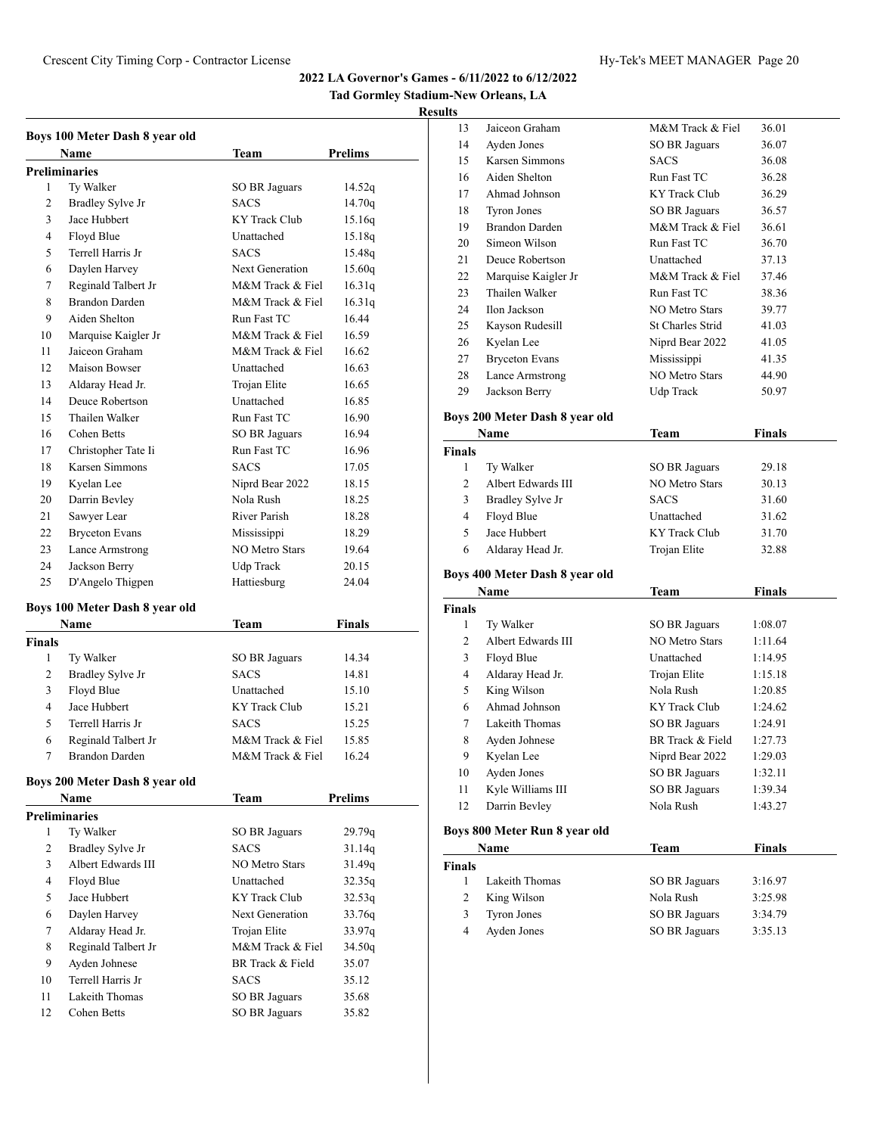# **Results**

|                | Boys 100 Meter Dash 8 year old |                        |                |
|----------------|--------------------------------|------------------------|----------------|
|                | Name                           | Team                   | Prelims        |
|                | <b>Preliminaries</b>           |                        |                |
| 1              | Ty Walker                      | <b>SO BR Jaguars</b>   | 14.52q         |
| 2              | Bradley Sylve Jr               | <b>SACS</b>            | 14.70q         |
| 3              | Jace Hubbert                   | KY Track Club          | 15.16q         |
| 4              | Floyd Blue                     | Unattached             | 15.18q         |
| 5              | Terrell Harris Jr              | <b>SACS</b>            | 15.48q         |
| 6              | Daylen Harvey                  | <b>Next Generation</b> | 15.60q         |
| 7              | Reginald Talbert Jr            | M&M Track & Fiel       | 16.31q         |
| 8              | <b>Brandon Darden</b>          | M&M Track & Fiel       | 16.31q         |
| 9              | Aiden Shelton                  | Run Fast TC            | 16.44          |
| 10             | Marquise Kaigler Jr            | M&M Track & Fiel       | 16.59          |
| 11             | Jaiceon Graham                 | M&M Track & Fiel       | 16.62          |
| 12             | Maison Bowser                  | Unattached             | 16.63          |
| 13             | Aldaray Head Jr.               | Trojan Elite           | 16.65          |
| 14             | Deuce Robertson                | Unattached             | 16.85          |
| 15             | Thailen Walker                 | Run Fast TC            | 16.90          |
| 16             | Cohen Betts                    | SO BR Jaguars          | 16.94          |
| 17             | Christopher Tate Ii            | Run Fast TC            | 16.96          |
| 18             | Karsen Simmons                 | <b>SACS</b>            | 17.05          |
| 19             | Kyelan Lee                     | Niprd Bear 2022        | 18.15          |
| 20             | Darrin Bevley                  | Nola Rush              | 18.25          |
| 21             | Sawyer Lear                    | <b>River Parish</b>    | 18.28          |
| 22             | <b>Bryceton Evans</b>          | Mississippi            | 18.29          |
| 23             | Lance Armstrong                | NO Metro Stars         | 19.64          |
| 24             | Jackson Berry                  | Udp Track              | 20.15          |
| 25             | D'Angelo Thigpen               | Hattiesburg            | 24.04          |
|                | Boys 100 Meter Dash 8 year old |                        |                |
|                | Name                           | Team                   | Finals         |
| <b>Finals</b>  |                                |                        |                |
| 1              | Ty Walker                      | SO BR Jaguars          | 14.34          |
| 2              | Bradley Sylve Jr               | <b>SACS</b>            | 14.81          |
| 3              | Floyd Blue                     | Unattached             | 15.10          |
| $\overline{4}$ | Jace Hubbert                   | KY Track Club          | 15.21          |
| 5              | Terrell Harris Jr              | <b>SACS</b>            | 15.25          |
| 6              | Reginald Talbert Jr            | M&M Track & Fiel       | 15.85          |
| 7              | <b>Brandon Darden</b>          | M&M Track & Fiel       | 16.24          |
|                | Boys 200 Meter Dash 8 year old |                        |                |
|                | Name                           | Team                   | <b>Prelims</b> |

|    | rvame               | ream                 | r renms |  |  |  |
|----|---------------------|----------------------|---------|--|--|--|
|    | Preliminaries       |                      |         |  |  |  |
| 1  | Ty Walker           | <b>SO BR Jaguars</b> | 29.79q  |  |  |  |
| 2  | Bradley Sylve Jr    | <b>SACS</b>          | 31.14q  |  |  |  |
| 3  | Albert Edwards III  | NO Metro Stars       | 31.49q  |  |  |  |
| 4  | Floyd Blue          | Unattached           | 32.35q  |  |  |  |
| 5  | Jace Hubbert        | KY Track Club        | 32.53q  |  |  |  |
| 6  | Daylen Harvey       | Next Generation      | 33.76g  |  |  |  |
| 7  | Aldaray Head Jr.    | Trojan Elite         | 33.97q  |  |  |  |
| 8  | Reginald Talbert Jr | M&M Track & Fiel     | 34.50q  |  |  |  |
| 9  | Ayden Johnese       | BR Track & Field     | 35.07   |  |  |  |
| 10 | Terrell Harris Jr   | <b>SACS</b>          | 35.12   |  |  |  |
| 11 | Lakeith Thomas      | SO BR Jaguars        | 35.68   |  |  |  |
| 12 | Cohen Betts         | SO BR Jaguars        | 35.82   |  |  |  |
|    |                     |                      |         |  |  |  |

| 13 | Jaiceon Graham        | M&M Track & Fiel      | 36.01 |
|----|-----------------------|-----------------------|-------|
| 14 | Ayden Jones           | SO BR Jaguars         | 36.07 |
| 15 | Karsen Simmons        | <b>SACS</b>           | 36.08 |
| 16 | Aiden Shelton         | Run Fast TC           | 36.28 |
| 17 | Ahmad Johnson         | KY Track Club         | 36.29 |
| 18 | <b>Tyron Jones</b>    | SO BR Jaguars         | 36.57 |
| 19 | Brandon Darden        | M&M Track & Fiel      | 36.61 |
| 20 | Simeon Wilson         | Run Fast TC           | 36.70 |
| 21 | Deuce Robertson       | Unattached            | 37.13 |
| 22 | Marquise Kaigler Jr   | M&M Track & Fiel      | 37.46 |
| 23 | Thailen Walker        | Run Fast TC           | 38.36 |
| 24 | Ilon Jackson          | NO Metro Stars        | 39.77 |
| 25 | Kayson Rudesill       | St Charles Strid      | 41.03 |
| 26 | Kyelan Lee            | Niprd Bear 2022       | 41.05 |
| 27 | <b>Bryceton Evans</b> | Mississippi           | 41.35 |
| 28 | Lance Armstrong       | <b>NO Metro Stars</b> | 44.90 |
| 29 | Jackson Berry         | Udp Track             | 50.97 |

# **Boys 200 Meter Dash 8 year old**

|               | Name               | Team                 | <b>Finals</b> |  |
|---------------|--------------------|----------------------|---------------|--|
| <b>Finals</b> |                    |                      |               |  |
|               | Ty Walker          | <b>SO BR Jaguars</b> | 29.18         |  |
| $\mathcal{D}$ | Albert Edwards III | NO Metro Stars       | 30.13         |  |
| 3             | Bradley Sylve Jr   | <b>SACS</b>          | 31.60         |  |
| 4             | Floyd Blue         | Unattached           | 31.62         |  |
| 5             | Jace Hubbert       | KY Track Club        | 31.70         |  |
| 6             | Aldaray Head Jr.   | Trojan Elite         | 32.88         |  |

# **Boys 400 Meter Dash 8 year old**

|               | Name               | Team                 | <b>Finals</b> |
|---------------|--------------------|----------------------|---------------|
| <b>Finals</b> |                    |                      |               |
| 1             | Ty Walker          | <b>SO BR Jaguars</b> | 1:08.07       |
| 2             | Albert Edwards III | NO Metro Stars       | 1:11.64       |
| 3             | Floyd Blue         | Unattached           | 1:14.95       |
| 4             | Aldaray Head Jr.   | Trojan Elite         | 1:15.18       |
| 5             | King Wilson        | Nola Rush            | 1:20.85       |
| 6             | Ahmad Johnson      | KY Track Club        | 1:24.62       |
| 7             | Lakeith Thomas     | SO BR Jaguars        | 1:24.91       |
| 8             | Ayden Johnese      | BR Track & Field     | 1:27.73       |
| 9             | Kyelan Lee         | Niprd Bear 2022      | 1:29.03       |
| 10            | Ayden Jones        | <b>SO BR Jaguars</b> | 1:32.11       |
| 11            | Kyle Williams III  | <b>SO BR Jaguars</b> | 1:39.34       |
| 12            | Darrin Bevley      | Nola Rush            | 1:43.27       |
|               |                    |                      |               |

# **Boys 800 Meter Run 8 year old**

|               | <b>Name</b>        | Team                 | <b>Finals</b> |  |
|---------------|--------------------|----------------------|---------------|--|
| <b>Finals</b> |                    |                      |               |  |
|               | Lakeith Thomas     | SO BR Jaguars        | 3:16.97       |  |
| 2             | King Wilson        | Nola Rush            | 3:25.98       |  |
| 3             | <b>Tyron Jones</b> | <b>SO BR Jaguars</b> | 3:34.79       |  |
| 4             | Ayden Jones        | <b>SO BR Jaguars</b> | 3:35.13       |  |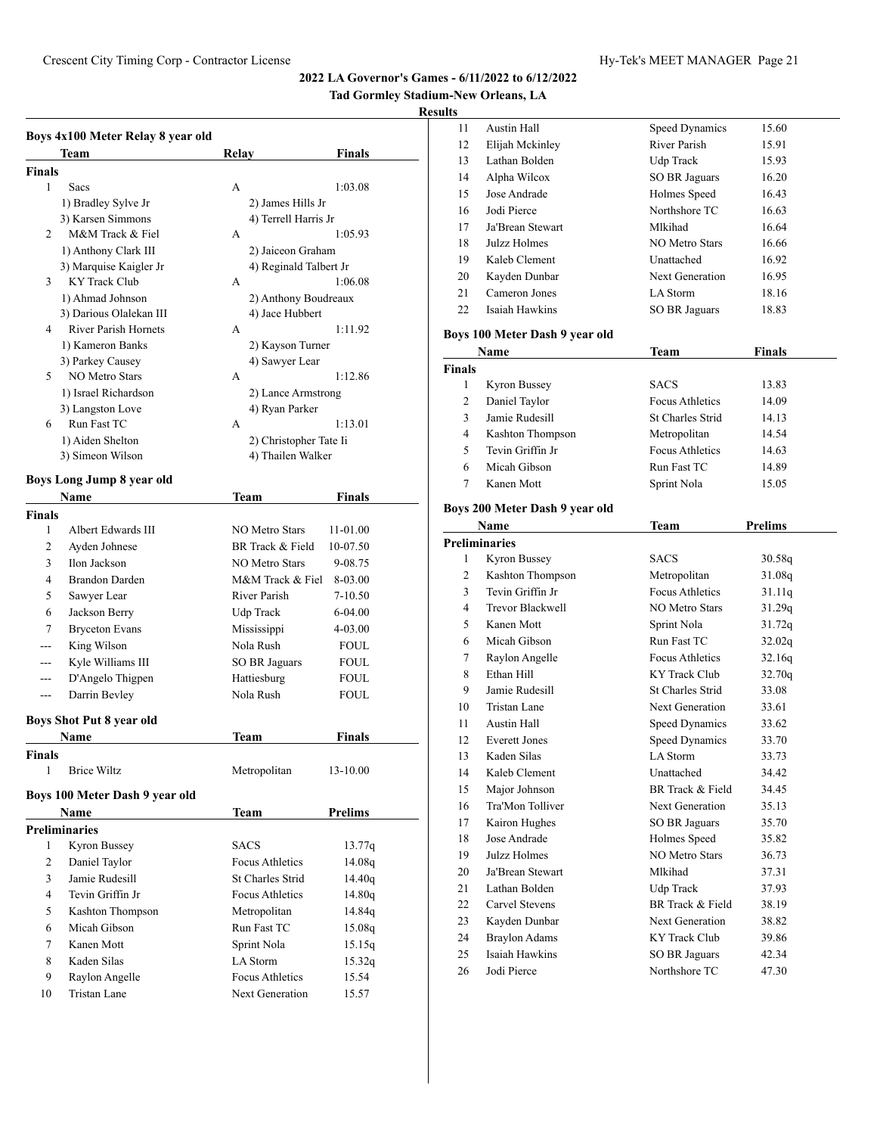# **Tad Gormley Stadium-New Orleans, LA**

|               | Boys 4x100 Meter Relay 8 year old |                        |                |
|---------------|-----------------------------------|------------------------|----------------|
|               | Team                              | Relay                  | <b>Finals</b>  |
| <b>Finals</b> |                                   |                        |                |
| 1             | Sacs                              | A                      | 1:03.08        |
|               | 1) Bradley Sylve Jr               | 2) James Hills Jr      |                |
|               | 3) Karsen Simmons                 | 4) Terrell Harris Jr   |                |
| 2             | M&M Track & Fiel                  | А                      | 1:05.93        |
|               | 1) Anthony Clark III              | 2) Jaiceon Graham      |                |
|               | 3) Marquise Kaigler Jr            | 4) Reginald Talbert Jr |                |
| 3             | <b>KY</b> Track Club              | А                      | 1:06.08        |
|               | 1) Ahmad Johnson                  | 2) Anthony Boudreaux   |                |
|               | 3) Darious Olalekan III           | 4) Jace Hubbert        |                |
| 4             | <b>River Parish Hornets</b>       | А                      | 1:11.92        |
|               | 1) Kameron Banks                  | 2) Kayson Turner       |                |
|               | 3) Parkey Causey                  | 4) Sawyer Lear         |                |
| 5             | NO Metro Stars                    | А                      | 1:12.86        |
|               | 1) Israel Richardson              | 2) Lance Armstrong     |                |
|               | 3) Langston Love                  | 4) Ryan Parker         |                |
| 6             | Run Fast TC                       | A                      | 1:13.01        |
|               | 1) Aiden Shelton                  | 2) Christopher Tate Ii |                |
|               | 3) Simeon Wilson                  | 4) Thailen Walker      |                |
|               | Boys Long Jump 8 year old         |                        |                |
|               | Name                              | Team                   | Finals         |
| <b>Finals</b> |                                   |                        |                |
| 1             | Albert Edwards III                | <b>NO Metro Stars</b>  | 11-01.00       |
| 2             | Ayden Johnese                     | BR Track & Field       | 10-07.50       |
| 3             | Ilon Jackson                      | <b>NO Metro Stars</b>  | 9-08.75        |
| 4             | <b>Brandon Darden</b>             | M&M Track & Fiel       | 8-03.00        |
| 5             | Sawyer Lear                       | River Parish           | $7 - 10.50$    |
| 6             | Jackson Berry                     | Udp Track              | 6-04.00        |
| 7             | <b>Bryceton Evans</b>             | Mississippi            | 4-03.00        |
| $- - -$       | King Wilson                       | Nola Rush              | FOUL           |
| $---$         | Kyle Williams III                 | SO BR Jaguars          | FOUL           |
| ---           | D'Angelo Thigpen                  | Hattiesburg            | FOUL           |
| $- - -$       | Darrin Bevley                     | Nola Rush              | <b>FOUL</b>    |
|               | <b>Boys Shot Put 8 year old</b>   |                        |                |
|               | Name                              | Team                   | Finals         |
| <b>Finals</b> |                                   |                        |                |
|               | 1 Brice Wiltz                     | Metropolitan           | 13-10.00       |
|               |                                   |                        |                |
|               | Boys 100 Meter Dash 9 year old    |                        |                |
|               | Name                              | <b>Team</b>            | <b>Prelims</b> |
|               | <b>Preliminaries</b>              |                        |                |
| 1             | Kyron Bussey                      | SACS                   | 13.77q         |
| 2             | Daniel Taylor                     | Focus Athletics        | 14.08q         |
| 3             | Jamie Rudesill                    | St Charles Strid       | 14.40q         |
| 4             | Tevin Griffin Jr                  | Focus Athletics        | 14.80q         |
| 5             | Kashton Thompson                  | Metropolitan           | 14.84q         |
| 6             | Micah Gibson                      | Run Fast TC            | 15.08q         |
| 7             | Kanen Mott                        | Sprint Nola            | 15.15q         |
| 8             | Kaden Silas                       | LA Storm               | 15.32q         |
| 9             | Raylon Angelle                    | <b>Focus Athletics</b> | 15.54          |
| 10            | Tristan Lane                      | Next Generation        | 15.57          |
|               |                                   |                        |                |

| 11            | Austin Hall                       | <b>Speed Dynamics</b>                   | 15.60          |
|---------------|-----------------------------------|-----------------------------------------|----------------|
| 12            | Elijah Mckinley                   | <b>River Parish</b>                     | 15.91          |
| 13            | Lathan Bolden                     | <b>Udp Track</b>                        | 15.93          |
| 14            | Alpha Wilcox                      | <b>SO BR Jaguars</b>                    | 16.20          |
| 15            | Jose Andrade                      | Holmes Speed                            | 16.43          |
| 16            | Jodi Pierce                       | Northshore TC                           | 16.63          |
| 17            | Ja'Brean Stewart                  | Mlkihad                                 | 16.64          |
| 18            | Julzz Holmes                      | <b>NO Metro Stars</b>                   | 16.66          |
| 19            | Kaleb Clement                     | Unattached                              | 16.92          |
| 20            | Kayden Dunbar                     | <b>Next Generation</b>                  | 16.95          |
| 21            | Cameron Jones                     | LA Storm                                | 18.16          |
| 22            | Isaiah Hawkins                    | <b>SO BR Jaguars</b>                    | 18.83          |
|               |                                   |                                         |                |
|               | Boys 100 Meter Dash 9 year old    |                                         |                |
|               | Name                              | <b>Team</b>                             | <b>Finals</b>  |
| <b>Finals</b> |                                   |                                         |                |
| 1             | Kyron Bussey                      | <b>SACS</b>                             | 13.83          |
| 2             | Daniel Taylor                     | <b>Focus Athletics</b>                  | 14.09          |
| 3             | Jamie Rudesill                    | St Charles Strid                        | 14.13          |
| 4             | Kashton Thompson                  | Metropolitan                            | 14.54          |
| 5             | Tevin Griffin Jr                  | <b>Focus Athletics</b>                  | 14.63          |
| 6             | Micah Gibson                      | Run Fast TC                             | 14.89          |
| 7             | Kanen Mott                        | Sprint Nola                             | 15.05          |
|               | Boys 200 Meter Dash 9 year old    |                                         |                |
|               | Name                              | Team                                    | <b>Prelims</b> |
|               | <b>Preliminaries</b>              |                                         |                |
| 1             | Kyron Bussey                      | <b>SACS</b>                             | 30.58q         |
| 2             | Kashton Thompson                  | Metropolitan                            | 31.08q         |
| 3             | Tevin Griffin Jr                  | <b>Focus Athletics</b>                  | 31.11q         |
| 4             | Trevor Blackwell                  | NO Metro Stars                          | 31.29q         |
| 5             | Kanen Mott                        | Sprint Nola                             | 31.72q         |
| 6             | Micah Gibson                      | Run Fast TC                             | 32.02q         |
| 7             | Raylon Angelle                    | <b>Focus Athletics</b>                  | 32.16q         |
| 8             | Ethan Hill                        | KY Track Club                           | 32.70q         |
| 9             | Jamie Rudesill                    | St Charles Strid                        | 33.08          |
| 10            | Tristan Lane                      | Next Generation                         | 33.61          |
| 11            | <b>Austin Hall</b>                |                                         | 33.62          |
| 12            | <b>Everett Jones</b>              | Speed Dynamics<br><b>Speed Dynamics</b> |                |
| 13            | Kaden Silas                       |                                         | 33.70          |
|               |                                   | LA Storm                                | 33.73          |
| 14            | Kaleb Clement                     | Unattached                              | 34.42          |
| 15            | Major Johnson<br>Tra'Mon Tolliver | BR Track & Field                        | 34.45          |
| 16            |                                   | <b>Next Generation</b>                  | 35.13          |
| 17            | Kairon Hughes                     | <b>SO BR Jaguars</b>                    | 35.70          |
| 18            | Jose Andrade                      | Holmes Speed                            | 35.82          |
| 19            | Julzz Holmes                      | <b>NO Metro Stars</b>                   | 36.73          |
| 20            | Ja'Brean Stewart                  | Mlkihad                                 | 37.31          |
| 21            | Lathan Bolden                     | Udp Track                               | 37.93          |
| 22            | Carvel Stevens                    | BR Track & Field                        | 38.19          |
| 23            | Kayden Dunbar                     | Next Generation                         | 38.82          |
| 24            | <b>Braylon Adams</b>              | KY Track Club                           | 39.86          |
| 25            | Isaiah Hawkins                    | <b>SO BR Jaguars</b>                    | 42.34          |
| 26            | Jodi Pierce                       | Northshore TC                           | 47.30          |
|               |                                   |                                         |                |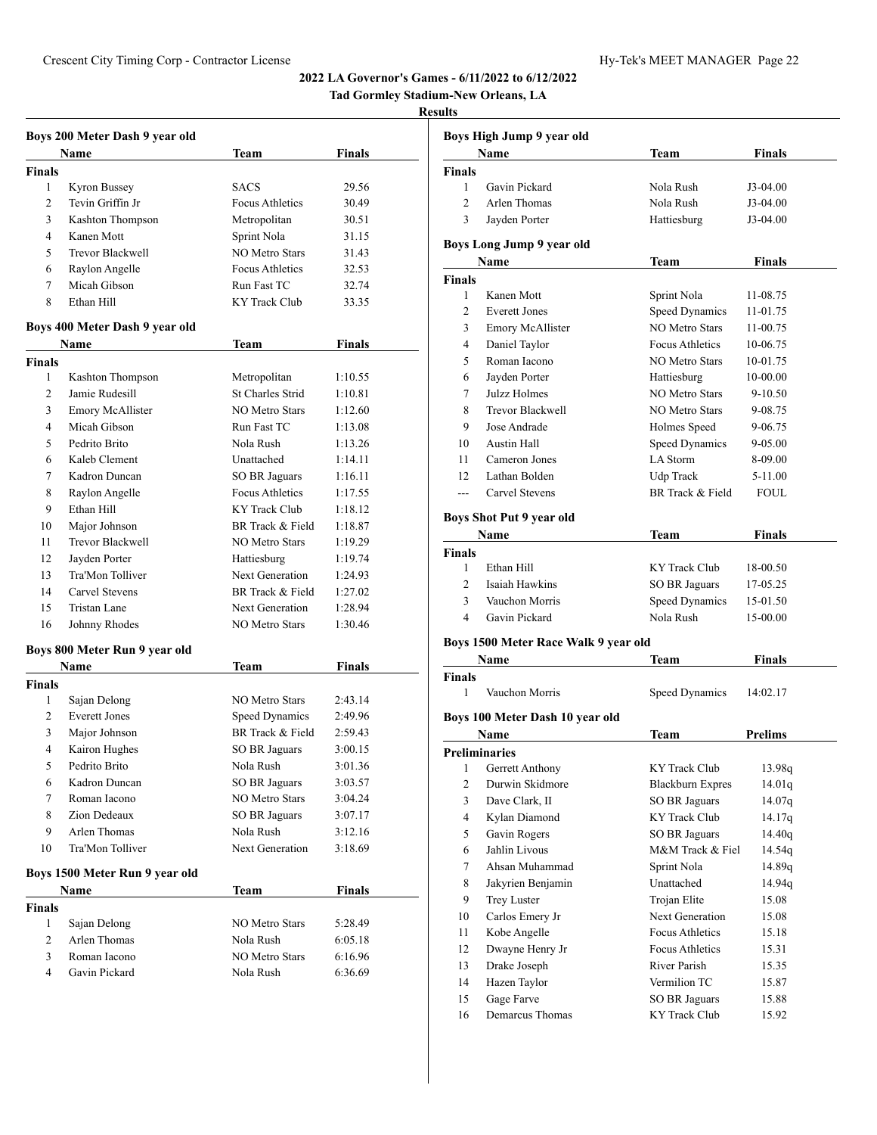# **Tad Gormley Stadium-New Orleans, LA**

|               | Boys 200 Meter Dash 9 year old |                         |               |
|---------------|--------------------------------|-------------------------|---------------|
|               | Name                           | Team                    | Finals        |
| <b>Finals</b> |                                |                         |               |
| 1             | Kyron Bussey                   | SACS                    | 29.56         |
| 2             | Tevin Griffin Jr               | <b>Focus Athletics</b>  | 30.49         |
| 3             | Kashton Thompson               | Metropolitan            | 30.51         |
| 4             | Kanen Mott                     | Sprint Nola             | 31.15         |
| 5             | Trevor Blackwell               | <b>NO Metro Stars</b>   | 31.43         |
| 6             | Raylon Angelle                 | <b>Focus Athletics</b>  | 32.53         |
| 7             | Micah Gibson                   | Run Fast TC             | 32.74         |
| 8             | Ethan Hill                     | <b>KY Track Club</b>    | 33.35         |
|               |                                |                         |               |
|               | Boys 400 Meter Dash 9 year old |                         |               |
|               | Name                           | Team                    | <b>Finals</b> |
| <b>Finals</b> |                                |                         |               |
| 1             | Kashton Thompson               | Metropolitan            | 1:10.55       |
| 2             | Jamie Rudesill                 | <b>St Charles Strid</b> | 1:10.81       |
| 3             | Emory McAllister               | <b>NO Metro Stars</b>   | 1:12.60       |
| 4             | Micah Gibson                   | Run Fast TC             | 1:13.08       |
| 5             | Pedrito Brito                  | Nola Rush               | 1:13.26       |
| 6             | Kaleb Clement                  | Unattached              | 1:14.11       |
| 7             | Kadron Duncan                  | SO BR Jaguars           | 1:16.11       |
| 8             | Raylon Angelle                 | Focus Athletics         | 1:17.55       |
| 9             | Ethan Hill                     | KY Track Club           | 1:18.12       |
| 10            | Major Johnson                  | BR Track & Field        | 1:18.87       |
| 11            | Trevor Blackwell               | <b>NO Metro Stars</b>   | 1:19.29       |
| 12            | Jayden Porter                  | Hattiesburg             | 1:19.74       |
| 13            | Tra'Mon Tolliver               | <b>Next Generation</b>  | 1:24.93       |
| 14            | Carvel Stevens                 | BR Track & Field        | 1:27.02       |
| 15            | Tristan Lane                   | Next Generation         | 1:28.94       |
| 16            | Johnny Rhodes                  | <b>NO Metro Stars</b>   | 1:30.46       |
|               |                                |                         |               |
|               | Boys 800 Meter Run 9 year old  |                         |               |
|               | Name                           | Team                    | <b>Finals</b> |
| <b>Finals</b> |                                |                         |               |
| 1             | Sajan Delong                   | <b>NO Metro Stars</b>   | 2:43.14       |
| 2             | <b>Everett Jones</b>           | Speed Dynamics          | 2:49.96       |
| 3             | Major Johnson                  | BR Track & Field        | 2:59.43       |
| 4             | Kairon Hughes                  | SO BR Jaguars           | 3:00.15       |
| 5             | Pedrito Brito                  | Nola Rush               | 3:01.36       |
| 6             | Kadron Duncan                  | SO BR Jaguars           | 3:03.57       |
| 7             | Roman Iacono                   | <b>NO Metro Stars</b>   | 3:04.24       |
| 8             | Zion Dedeaux                   | SO BR Jaguars           | 3:07.17       |
| 9             | Arlen Thomas                   | Nola Rush               | 3:12.16       |
| 10            | Tra'Mon Tolliver               | <b>Next Generation</b>  | 3:18.69       |
|               | Boys 1500 Meter Run 9 year old |                         |               |
|               | <b>Name</b>                    | <b>Team</b>             | <b>Finals</b> |
| <b>Finals</b> |                                |                         |               |
| $\mathbf{1}$  | Sajan Delong                   | <b>NO Metro Stars</b>   | 5:28.49       |
| 2             | <b>Arlen Thomas</b>            | Nola Rush               | 6:05.18       |
| 3             | Roman Iacono                   | <b>NO Metro Stars</b>   | 6:16.96       |
| 4             | Gavin Pickard                  | Nola Rush               | 6:36.69       |
|               |                                |                         |               |

|                    | Boys High Jump 9 year old            |                         |             |
|--------------------|--------------------------------------|-------------------------|-------------|
|                    | Name                                 | Team                    | Finals      |
| <b>Finals</b>      |                                      |                         |             |
| 1                  | Gavin Pickard                        | Nola Rush               | J3-04.00    |
| 2                  | Arlen Thomas                         | Nola Rush               | J3-04.00    |
| 3                  | Jayden Porter                        | Hattiesburg             | J3-04.00    |
|                    | Boys Long Jump 9 year old            |                         |             |
|                    | Name                                 | Team                    | Finals      |
| Finals             |                                      |                         |             |
| 1                  | Kanen Mott                           | Sprint Nola             | 11-08.75    |
| 2                  | <b>Everett Jones</b>                 | Speed Dynamics          | 11-01.75    |
| 3                  | <b>Emory McAllister</b>              | <b>NO Metro Stars</b>   | 11-00.75    |
| 4                  | Daniel Taylor                        | Focus Athletics         | 10-06.75    |
| 5                  | Roman Iacono                         | <b>NO Metro Stars</b>   | 10-01.75    |
| 6                  | Jayden Porter                        | Hattiesburg             | 10-00.00    |
| 7                  | Julzz Holmes                         | <b>NO Metro Stars</b>   | 9-10.50     |
| 8                  | Trevor Blackwell                     | <b>NO Metro Stars</b>   | 9-08.75     |
| 9                  | Jose Andrade                         | Holmes Speed            | 9-06.75     |
| 10                 | Austin Hall                          | <b>Speed Dynamics</b>   | 9-05.00     |
| 11                 | Cameron Jones                        | LA Storm                | 8-09.00     |
| 12                 | Lathan Bolden                        | Udp Track               | 5-11.00     |
| $---$              | Carvel Stevens                       | BR Track & Field        | <b>FOUL</b> |
|                    | <b>Boys Shot Put 9 year old</b>      |                         |             |
|                    | Name                                 | Team                    | Finals      |
| Finals             |                                      |                         |             |
| 1                  | Ethan Hill                           | KY Track Club           | 18-00.50    |
| 2                  | Isaiah Hawkins                       | SO BR Jaguars           | 17-05.25    |
| 3                  | Vauchon Morris                       | Speed Dynamics          | 15-01.50    |
| 4                  | Gavin Pickard                        | Nola Rush               | 15-00.00    |
|                    | Boys 1500 Meter Race Walk 9 year old |                         |             |
|                    | Name                                 |                         |             |
|                    |                                      | Team                    | Finals      |
| <b>Finals</b><br>1 | Vauchon Morris                       |                         | 14:02.17    |
|                    |                                      | Speed Dynamics          |             |
|                    | Boys 100 Meter Dash 10 year old      |                         |             |
|                    | Name                                 | Team                    | Prelims     |
|                    | <b>Preliminaries</b>                 |                         |             |
|                    | 1 Gerrett Anthony                    | KY Track Club           | 13.98q      |
| 2                  | Durwin Skidmore                      | <b>Blackburn Expres</b> | 14.01q      |
| 3                  | Dave Clark, II                       | <b>SO BR Jaguars</b>    | 14.07q      |
| 4                  | Kylan Diamond                        | KY Track Club           | 14.17q      |
| 5                  | Gavin Rogers                         | <b>SO BR Jaguars</b>    | 14.40q      |
| 6                  | Jahlin Livous                        | M&M Track & Fiel        | 14.54q      |
| 7                  | Ahsan Muhammad                       | Sprint Nola             | 14.89q      |
| 8                  | Jakyrien Benjamin                    | Unattached              | 14.94q      |
| 9                  | <b>Trey Luster</b>                   | Trojan Elite            | 15.08       |
| 10                 | Carlos Emery Jr                      | Next Generation         | 15.08       |
| 11                 | Kobe Angelle                         | <b>Focus Athletics</b>  | 15.18       |
| 12                 | Dwayne Henry Jr                      | <b>Focus Athletics</b>  | 15.31       |
| 13                 | Drake Joseph                         | River Parish            | 15.35       |
| 14                 | Hazen Taylor                         | Vermilion TC            | 15.87       |
| 15                 | Gage Farve                           | <b>SO BR Jaguars</b>    | 15.88       |
| 16                 | Demarcus Thomas                      | KY Track Club           | 15.92       |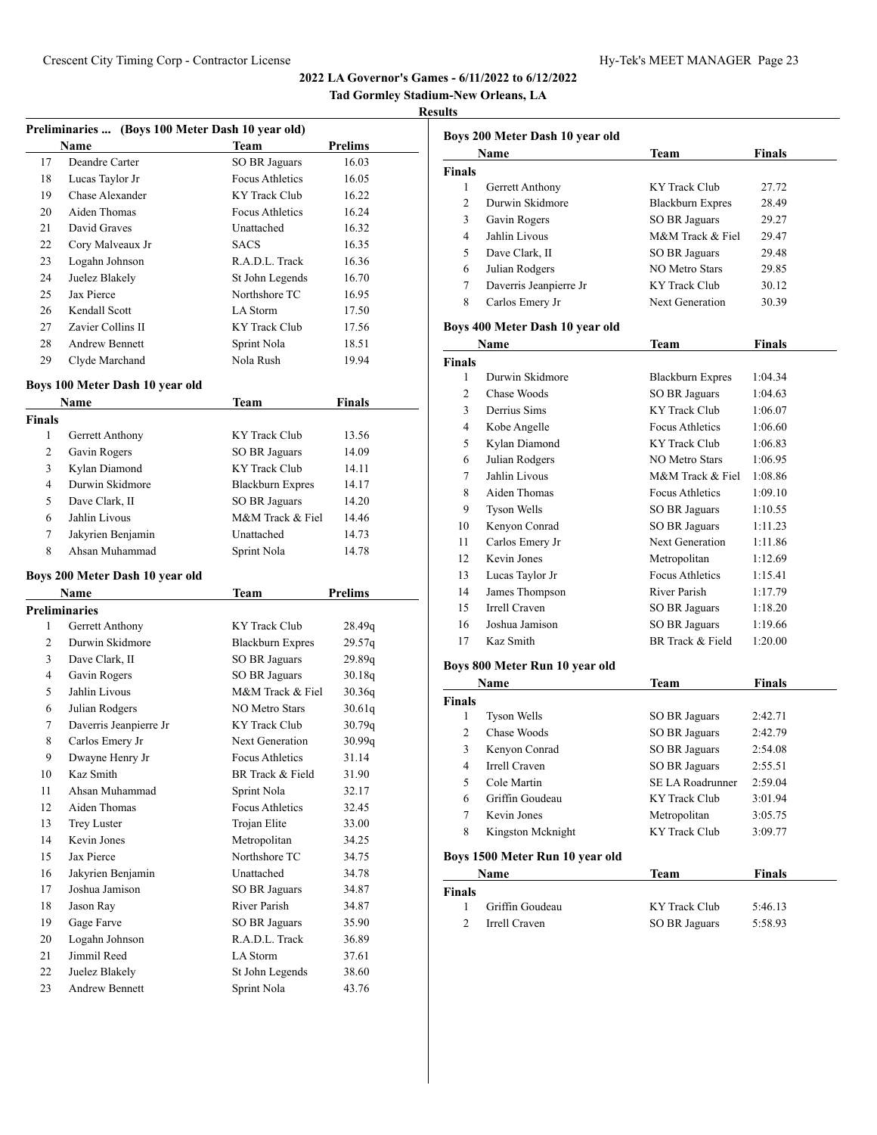**Tad Gormley Stadium-New Orleans, LA**

# **Results**

| Preliminaries  (Boys 100 Meter Dash 10 year old) |                       |                 |                |  |
|--------------------------------------------------|-----------------------|-----------------|----------------|--|
|                                                  | Name                  | <b>Team</b>     | <b>Prelims</b> |  |
| 17                                               | Deandre Carter        | SO BR Jaguars   | 16.03          |  |
| 18                                               | Lucas Taylor Jr       | Focus Athletics | 16.05          |  |
| 19                                               | Chase Alexander       | KY Track Club   | 16.22          |  |
| 20                                               | Aiden Thomas          | Focus Athletics | 16.24          |  |
| 21                                               | David Graves          | Unattached      | 16.32          |  |
| 22                                               | Cory Malveaux Jr      | <b>SACS</b>     | 16.35          |  |
| 23                                               | Logahn Johnson        | R.A.D.L. Track  | 16.36          |  |
| 24                                               | Juelez Blakely        | St John Legends | 16.70          |  |
| 25                                               | Jax Pierce            | Northshore TC   | 16.95          |  |
| 26                                               | Kendall Scott         | LA Storm        | 17.50          |  |
| 27                                               | Zavier Collins II     | KY Track Club   | 17.56          |  |
| 28                                               | <b>Andrew Bennett</b> | Sprint Nola     | 18.51          |  |
| 29                                               | Clyde Marchand        | Nola Rush       | 19.94          |  |
|                                                  |                       |                 |                |  |

# **Boys 100 Meter Dash 10 year old**

|               | Name              | Team                 | Finals |  |
|---------------|-------------------|----------------------|--------|--|
| <b>Finals</b> |                   |                      |        |  |
| 1             | Gerrett Anthony   | KY Track Club        | 13.56  |  |
| 2             | Gavin Rogers      | SO BR Jaguars        | 14.09  |  |
| 3             | Kylan Diamond     | KY Track Club        | 14.11  |  |
| 4             | Durwin Skidmore   | Blackburn Expres     | 14.17  |  |
| 5             | Dave Clark, II    | <b>SO BR Jaguars</b> | 14.20  |  |
| 6             | Jahlin Livous     | M&M Track & Fiel     | 14.46  |  |
| 7             | Jakyrien Benjamin | Unattached           | 14.73  |  |
| 8             | Ahsan Muhammad    | Sprint Nola          | 14.78  |  |

# **Boys 200 Meter Dash 10 year old**

|                | Name                   | Team                    | <b>Prelims</b> |
|----------------|------------------------|-------------------------|----------------|
|                | <b>Preliminaries</b>   |                         |                |
| 1              | Gerrett Anthony        | KY Track Club           | 28.49q         |
| $\overline{c}$ | Durwin Skidmore        | <b>Blackburn Expres</b> | 29.57q         |
| 3              | Dave Clark, II         | SO BR Jaguars           | 29.89q         |
| 4              | Gavin Rogers           | SO BR Jaguars           | 30.18q         |
| 5              | Jahlin Livous          | M&M Track & Fiel        | 30.36q         |
| 6              | Julian Rodgers         | <b>NO Metro Stars</b>   | 30.61q         |
| 7              | Daverris Jeanpierre Jr | KY Track Club           | 30.79q         |
| 8              | Carlos Emery Jr        | Next Generation         | 30.99q         |
| 9              | Dwayne Henry Jr        | Focus Athletics         | 31.14          |
| 10             | Kaz Smith              | BR Track & Field        | 31.90          |
| 11             | Ahsan Muhammad         | Sprint Nola             | 32.17          |
| 12             | Aiden Thomas           | <b>Focus Athletics</b>  | 32.45          |
| 13             | <b>Trey Luster</b>     | Trojan Elite            | 33.00          |
| 14             | Kevin Jones            | Metropolitan            | 34.25          |
| 15             | Jax Pierce             | Northshore TC           | 34.75          |
| 16             | Jakyrien Benjamin      | Unattached              | 34.78          |
| 17             | Joshua Jamison         | <b>SO BR Jaguars</b>    | 34.87          |
| 18             | Jason Ray              | River Parish            | 34.87          |
| 19             | Gage Farve             | SO BR Jaguars           | 35.90          |
| 20             | Logahn Johnson         | R.A.D.L. Track          | 36.89          |
| 21             | Jimmil Reed            | LA Storm                | 37.61          |
| 22             | Juelez Blakely         | St John Legends         | 38.60          |
| 23             | <b>Andrew Bennett</b>  | Sprint Nola             | 43.76          |

|               | Name                   | Team                    | <b>Finals</b> |
|---------------|------------------------|-------------------------|---------------|
| <b>Finals</b> |                        |                         |               |
| 1             | Gerrett Anthony        | KY Track Club           | 27.72         |
| 2             | Durwin Skidmore        | <b>Blackburn Expres</b> | 28.49         |
| 3             | Gavin Rogers           | <b>SO BR Jaguars</b>    | 29.27         |
| 4             | Jahlin Livous          | M&M Track & Fiel        | 29.47         |
| 5             | Dave Clark. II         | <b>SO BR Jaguars</b>    | 29.48         |
| 6             | Julian Rodgers         | NO Metro Stars          | 29.85         |
| $\tau$        | Daverris Jeanpierre Jr | KY Track Club           | 30.12         |
| 8             | Carlos Emery Jr        | Next Generation         | 30.39         |

#### **Boys 400 Meter Dash 10 year old**

| Name          |                    | Team                    | <b>Finals</b> |  |
|---------------|--------------------|-------------------------|---------------|--|
| <b>Finals</b> |                    |                         |               |  |
| 1             | Durwin Skidmore    | <b>Blackburn Expres</b> | 1:04.34       |  |
| 2             | Chase Woods        | SO BR Jaguars           | 1:04.63       |  |
| 3             | Derrius Sims       | KY Track Club           | 1:06.07       |  |
| 4             | Kobe Angelle       | <b>Focus Athletics</b>  | 1:06.60       |  |
| 5             | Kylan Diamond      | KY Track Club           | 1:06.83       |  |
| 6             | Julian Rodgers     | NO Metro Stars          | 1:06.95       |  |
| 7             | Jahlin Livous      | M&M Track & Fiel        | 1:08.86       |  |
| 8             | Aiden Thomas       | <b>Focus Athletics</b>  | 1:09.10       |  |
| 9             | <b>Tyson Wells</b> | SO BR Jaguars           | 1:10.55       |  |
| 10            | Kenyon Conrad      | SO BR Jaguars           | 1:11.23       |  |
| 11            | Carlos Emery Jr    | Next Generation         | 1:11.86       |  |
| 12            | Kevin Jones        | Metropolitan            | 1:12.69       |  |
| 13            | Lucas Taylor Jr    | <b>Focus Athletics</b>  | 1:15.41       |  |
| 14            | James Thompson     | River Parish            | 1:17.79       |  |
| 15            | Irrell Craven      | SO BR Jaguars           | 1:18.20       |  |
| 16            | Joshua Jamison     | SO BR Jaguars           | 1:19.66       |  |
| 17            | Kaz Smith          | BR Track & Field        | 1:20.00       |  |

# **Boys 800 Meter Run 10 year old**

| Name          |                    | Team                    | <b>Finals</b> |  |
|---------------|--------------------|-------------------------|---------------|--|
| <b>Finals</b> |                    |                         |               |  |
| 1             | <b>Tyson Wells</b> | SO BR Jaguars           | 2:42.71       |  |
| $\mathcal{P}$ | Chase Woods        | SO BR Jaguars           | 2:42.79       |  |
| 3             | Kenyon Conrad      | SO BR Jaguars           | 2:54.08       |  |
| 4             | Irrell Craven      | SO BR Jaguars           | 2:55.51       |  |
| 5             | Cole Martin        | <b>SE LA Roadrunner</b> | 2:59.04       |  |
| 6             | Griffin Goudeau    | KY Track Club           | 3:01.94       |  |
| 7             | Kevin Jones        | Metropolitan            | 3:05.75       |  |
| 8             | Kingston Mcknight  | KY Track Club           | 3:09.77       |  |

# **Boys 1500 Meter Run 10 year old**

| Name          |                 | Team          | Finals  |  |
|---------------|-----------------|---------------|---------|--|
| <b>Finals</b> |                 |               |         |  |
|               | Griffin Goudeau | KY Track Club | 5:46.13 |  |
| $\mathcal{D}$ | Irrell Craven   | SO BR Jaguars | 5:58.93 |  |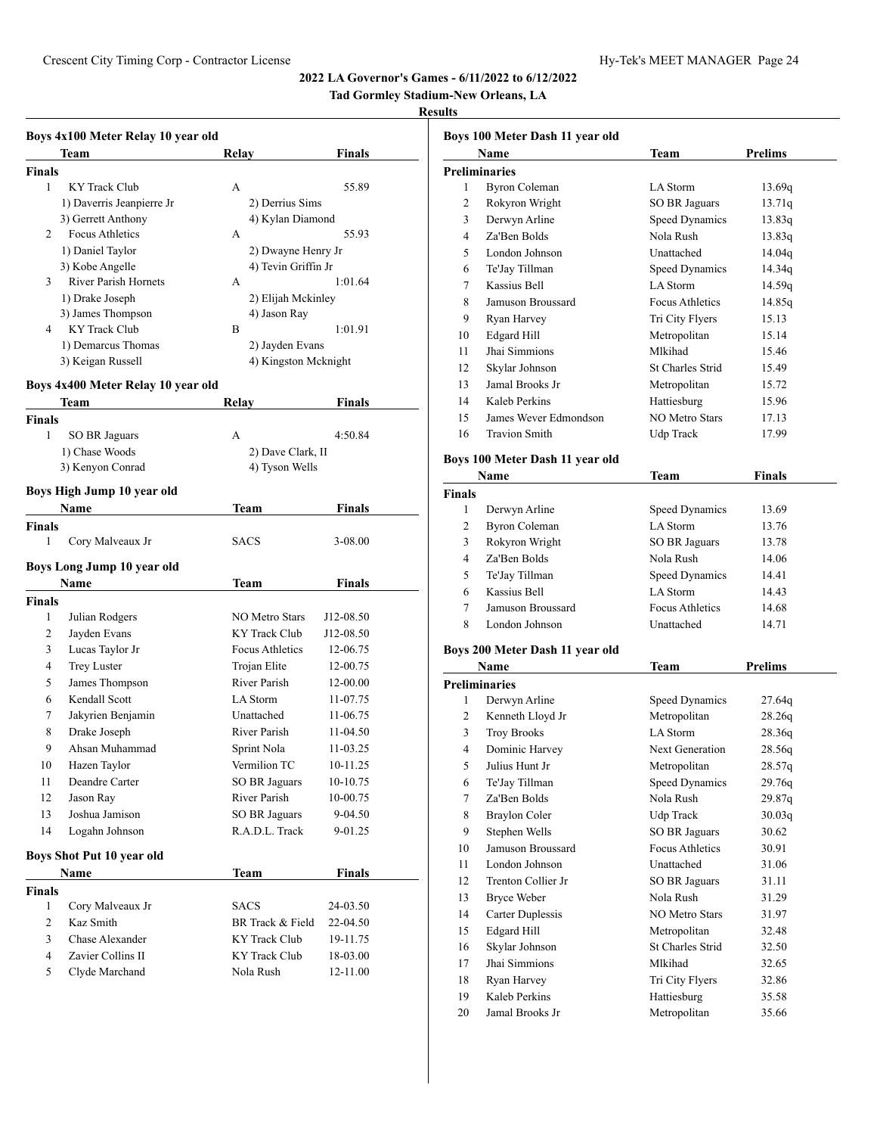**Tad Gormley Stadium-New Orleans, LA**

#### **Results**

|               | Boys 4x100 Meter Relay 10 year old      |                                         |               |
|---------------|-----------------------------------------|-----------------------------------------|---------------|
|               | Team                                    | Relay                                   | <b>Finals</b> |
| <b>Finals</b> |                                         |                                         |               |
| 1             | <b>KY</b> Track Club                    | A                                       | 55.89         |
|               | 1) Daverris Jeanpierre Jr               | 2) Derrius Sims                         |               |
|               | 3) Gerrett Anthony                      | 4) Kylan Diamond                        |               |
| 2             | <b>Focus Athletics</b>                  | А                                       | 55.93         |
|               | 1) Daniel Taylor                        | 2) Dwayne Henry Jr                      |               |
|               | 3) Kobe Angelle                         | 4) Tevin Griffin Jr                     |               |
| 3             | <b>River Parish Hornets</b>             | А                                       | 1:01.64       |
|               | 1) Drake Joseph                         | 2) Elijah Mckinley                      |               |
|               | 3) James Thompson                       | 4) Jason Ray                            |               |
| 4             | KY Track Club                           | B                                       | 1:01.91       |
|               | 1) Demarcus Thomas<br>3) Keigan Russell | 2) Jayden Evans<br>4) Kingston Mcknight |               |
|               |                                         |                                         |               |
|               | Boys 4x400 Meter Relay 10 year old      |                                         |               |
|               | Team                                    | Relay                                   | Finals        |
| <b>Finals</b> |                                         |                                         |               |
| 1             | SO BR Jaguars                           | A                                       | 4:50.84       |
|               | 1) Chase Woods                          | 2) Dave Clark, II                       |               |
|               | 3) Kenyon Conrad                        | 4) Tyson Wells                          |               |
|               | Boys High Jump 10 year old              |                                         |               |
|               | Name                                    | Team                                    | Finals        |
| <b>Finals</b> |                                         |                                         |               |
| 1             | Cory Malveaux Jr                        | <b>SACS</b>                             | 3-08.00       |
|               | Boys Long Jump 10 year old              |                                         |               |
|               | <b>Name</b>                             | Team                                    | Finals        |
| <b>Finals</b> |                                         |                                         |               |
| 1             | Julian Rodgers                          | <b>NO Metro Stars</b>                   | J12-08.50     |
| 2             | Jayden Evans                            | KY Track Club                           | J12-08.50     |
| 3             | Lucas Taylor Jr                         | Focus Athletics                         | 12-06.75      |
| 4             | Trey Luster                             | Trojan Elite                            | 12-00.75      |
| 5             | James Thompson                          | River Parish                            | 12-00.00      |
| 6             | Kendall Scott                           | LA Storm                                | 11-07.75      |
| 7             | Jakyrien Benjamin                       | Unattached                              | 11-06.75      |
| 8             | Drake Joseph                            | River Parish                            | 11-04.50      |
| 9             | Ahsan Muhammad                          | Sprint Nola                             | 11-03.25      |
| 10            | Hazen Taylor                            | Vermilion TC                            | 10-11.25      |
| 11            | Deandre Carter                          | <b>SO BR Jaguars</b>                    | 10-10.75      |
| 12            | Jason Ray                               | River Parish                            | 10-00.75      |
| 13            | Joshua Jamison                          | <b>SO BR Jaguars</b>                    | 9-04.50       |
| 14            | Logahn Johnson                          | R.A.D.L. Track                          | 9-01.25       |
|               | Boys Shot Put 10 year old               |                                         |               |
|               | Name                                    | Team                                    | <b>Finals</b> |
| <b>Finals</b> |                                         |                                         |               |
| 1             | Cory Malveaux Jr                        | <b>SACS</b>                             | 24-03.50      |
| 2             | Kaz Smith                               | BR Track & Field                        | 22-04.50      |
| 3             | Chase Alexander                         | KY Track Club                           | 19-11.75      |
| 4             | Zavier Collins II                       | KY Track Club                           | 18-03.00      |
| 5             | Clyde Marchand                          | Nola Rush                               | 12-11.00      |
|               |                                         |                                         |               |

| Boys 100 Meter Dash 11 year old |                       |                         |                |  |
|---------------------------------|-----------------------|-------------------------|----------------|--|
|                                 | Name                  | Team                    | <b>Prelims</b> |  |
|                                 | <b>Preliminaries</b>  |                         |                |  |
| 1                               | Byron Coleman         | LA Storm                | 13.69q         |  |
| 2                               | Rokyron Wright        | SO BR Jaguars           | 13.71q         |  |
| 3                               | Derwyn Arline         | Speed Dynamics          | 13.83q         |  |
| 4                               | Za'Ben Bolds          | Nola Rush               | 13.83q         |  |
| 5                               | London Johnson        | Unattached              | 14.04q         |  |
| 6                               | Te'Jay Tillman        | Speed Dynamics          | 14.34q         |  |
| 7                               | Kassius Bell          | LA Storm                | 14.59q         |  |
| 8                               | Jamuson Broussard     | <b>Focus Athletics</b>  | 14.85g         |  |
| 9                               | Ryan Harvey           | Tri City Flyers         | 15.13          |  |
| 10                              | Edgard Hill           | Metropolitan            | 15.14          |  |
| 11                              | Jhai Simmions         | Mlkihad                 | 15.46          |  |
| 12                              | Skylar Johnson        | <b>St Charles Strid</b> | 15.49          |  |
| 13                              | Jamal Brooks Jr       | Metropolitan            | 15.72          |  |
| 14                              | Kaleb Perkins         | Hattiesburg             | 15.96          |  |
| 15                              | James Wever Edmondson | NO Metro Stars          | 17.13          |  |
| 16                              | <b>Travion Smith</b>  | Udp Track               | 17.99          |  |
|                                 |                       |                         |                |  |

# **Boys 100 Meter Dash 11 year old**

| Name          |                      | Team                   | <b>Finals</b> |  |
|---------------|----------------------|------------------------|---------------|--|
| <b>Finals</b> |                      |                        |               |  |
|               | Derwyn Arline        | Speed Dynamics         | 13.69         |  |
| 2             | <b>Byron Coleman</b> | LA Storm               | 13.76         |  |
| 3             | Rokyron Wright       | SO BR Jaguars          | 13.78         |  |
| 4             | Za'Ben Bolds         | Nola Rush              | 14.06         |  |
| 5             | Te'Jay Tillman       | Speed Dynamics         | 14.41         |  |
| 6             | Kassius Bell         | <b>LA</b> Storm        | 14.43         |  |
|               | Jamuson Broussard    | <b>Focus Athletics</b> | 14.68         |  |
| 8             | London Johnson       | Unattached             | 14.71         |  |

# **Boys 200 Meter Dash 11 year old**

| Name |                      | Team                    | Prelims |  |  |
|------|----------------------|-------------------------|---------|--|--|
|      | <b>Preliminaries</b> |                         |         |  |  |
| 1    | Derwyn Arline        | Speed Dynamics          | 27.64q  |  |  |
| 2    | Kenneth Lloyd Jr     | Metropolitan            | 28.26q  |  |  |
| 3    | <b>Troy Brooks</b>   | LA Storm                | 28.36q  |  |  |
| 4    | Dominic Harvey       | Next Generation         | 28.56q  |  |  |
| 5    | Julius Hunt Jr       | Metropolitan            | 28.57q  |  |  |
| 6    | Te'Jay Tillman       | Speed Dynamics          | 29.76q  |  |  |
| 7    | Za'Ben Bolds         | Nola Rush               | 29.87q  |  |  |
| 8    | <b>Braylon Coler</b> | Udp Track               | 30.03q  |  |  |
| 9    | Stephen Wells        | <b>SO BR Jaguars</b>    | 30.62   |  |  |
| 10   | Jamuson Broussard    | <b>Focus Athletics</b>  | 30.91   |  |  |
| 11   | London Johnson       | Unattached              | 31.06   |  |  |
| 12   | Trenton Collier Jr   | SO BR Jaguars           | 31.11   |  |  |
| 13   | Bryce Weber          | Nola Rush               | 31.29   |  |  |
| 14   | Carter Duplessis     | NO Metro Stars          | 31.97   |  |  |
| 15   | <b>Edgard Hill</b>   | Metropolitan            | 32.48   |  |  |
| 16   | Skylar Johnson       | <b>St Charles Strid</b> | 32.50   |  |  |
| 17   | Jhai Simmions        | Mlkihad                 | 32.65   |  |  |
| 18   | Ryan Harvey          | Tri City Flyers         | 32.86   |  |  |
| 19   | Kaleb Perkins        | Hattiesburg             | 35.58   |  |  |
| 20   | Jamal Brooks Jr      | Metropolitan            | 35.66   |  |  |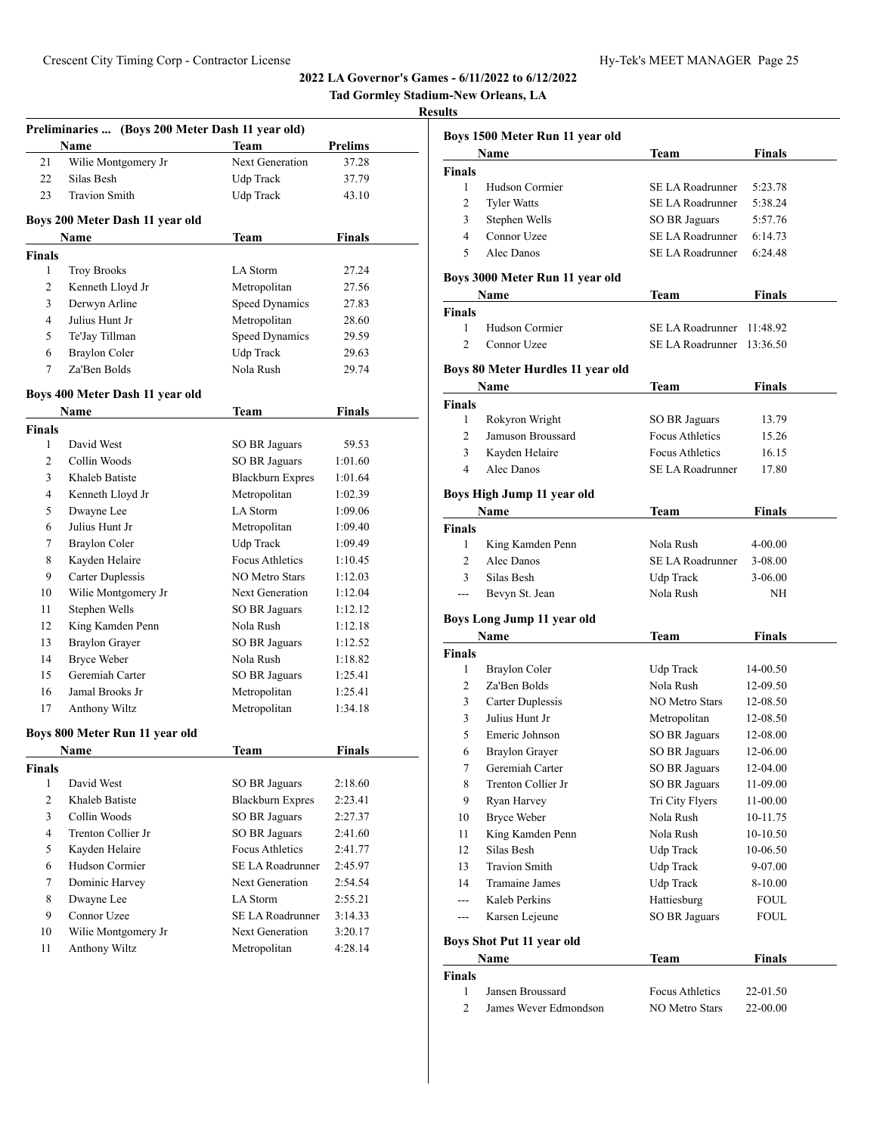|                |                                                  |                           |                | 2022 LA GOVETHOT'S GAMES - 0/11/2022 to 0/12<br><b>Tad Gormley Stadium-New Orleans, LA</b><br><b>Results</b> |                            |
|----------------|--------------------------------------------------|---------------------------|----------------|--------------------------------------------------------------------------------------------------------------|----------------------------|
|                | Preliminaries  (Boys 200 Meter Dash 11 year old) |                           |                |                                                                                                              |                            |
|                | Name                                             | Team                      | <b>Prelims</b> |                                                                                                              | Boys 1500 Meter Ru         |
| 21             | Wilie Montgomery Jr                              | Next Generation           | 37.28          |                                                                                                              | Name                       |
| 22             | Silas Besh                                       | Udp Track                 | 37.79          | <b>Finals</b>                                                                                                |                            |
| 23             | <b>Travion Smith</b>                             | Udp Track                 | 43.10          | $\mathbf{1}$                                                                                                 | Hudson Corm                |
|                |                                                  |                           |                | 2                                                                                                            | Tyler Watts                |
|                | Boys 200 Meter Dash 11 year old                  |                           |                | 3                                                                                                            | Stephen Wells              |
|                | Name                                             | <b>Team</b>               | Finals         | $\overline{4}$                                                                                               | Connor Uzee                |
| <b>Finals</b>  |                                                  |                           |                | 5                                                                                                            | Alec Danos                 |
| 1              | <b>Troy Brooks</b>                               | <b>LA Storm</b>           | 27.24          |                                                                                                              | <b>Boys 3000 Meter Ru</b>  |
| $\overline{c}$ | Kenneth Lloyd Jr                                 | Metropolitan              | 27.56          |                                                                                                              | Name                       |
| $\mathfrak{Z}$ | Derwyn Arline                                    | Speed Dynamics            | 27.83          | <b>Finals</b>                                                                                                |                            |
| $\overline{4}$ | Julius Hunt Jr                                   | Metropolitan              | 28.60          | 1                                                                                                            | Hudson Corm                |
| 5              | Te'Jay Tillman                                   | Speed Dynamics            | 29.59          | $\overline{c}$                                                                                               | Connor Uzee                |
| 6              | <b>Braylon Coler</b>                             | Udp Track                 | 29.63          |                                                                                                              |                            |
| $\tau$         | Za'Ben Bolds                                     | Nola Rush                 | 29.74          |                                                                                                              | <b>Boys 80 Meter Huro</b>  |
|                | Boys 400 Meter Dash 11 year old                  |                           |                |                                                                                                              | Name                       |
|                | Name                                             | Team                      | <b>Finals</b>  | <b>Finals</b>                                                                                                |                            |
| <b>Finals</b>  |                                                  |                           |                | $\mathbf{1}$                                                                                                 | Rokyron Wrig               |
| $\mathbf{1}$   | David West                                       | <b>SO BR Jaguars</b>      | 59.53          | $\overline{2}$                                                                                               | Jamuson Brou               |
| $\overline{2}$ | Collin Woods                                     | SO BR Jaguars             | 1:01.60        | 3                                                                                                            | Kayden Helai               |
| 3              | Khaleb Batiste                                   | <b>Blackburn Expres</b>   | 1:01.64        | 4                                                                                                            | Alec Danos                 |
| 4              | Kenneth Lloyd Jr                                 | Metropolitan              | 1:02.39        |                                                                                                              | <b>Boys High Jump 11</b>   |
| 5              | Dwayne Lee                                       | LA Storm                  | 1:09.06        |                                                                                                              |                            |
| 6              | Julius Hunt Jr                                   |                           |                |                                                                                                              | Name                       |
| 7              | <b>Braylon Coler</b>                             | Metropolitan<br>Udp Track | 1:09.40        | <b>Finals</b>                                                                                                |                            |
| 8              |                                                  | Focus Athletics           | 1:09.49        | 1                                                                                                            | King Kamden                |
| 9              | Kayden Helaire                                   |                           | 1:10.45        | $\overline{2}$                                                                                               | Alec Danos                 |
|                | Carter Duplessis                                 | NO Metro Stars            | 1:12.03        | 3                                                                                                            | Silas Besh                 |
| 10             | Wilie Montgomery Jr                              | Next Generation           | 1:12.04        | ---                                                                                                          | Bevyn St. Jea              |
| 11             | Stephen Wells                                    | SO BR Jaguars             | 1:12.12        |                                                                                                              | <b>Boys Long Jump 11</b>   |
| 12             | King Kamden Penn                                 | Nola Rush                 | 1:12.18        |                                                                                                              | Name                       |
| 13             | <b>Braylon Grayer</b>                            | <b>SO BR Jaguars</b>      | 1:12.52        | <b>Finals</b>                                                                                                |                            |
| 14             | <b>Bryce Weber</b>                               | Nola Rush                 | 1:18.82        | $\mathbf{1}$                                                                                                 | <b>Braylon Coler</b>       |
| 15             | Geremiah Carter                                  | <b>SO BR Jaguars</b>      | 1:25.41        | $\overline{2}$                                                                                               | Za'Ben Bolds               |
| 16             | Jamal Brooks Jr                                  | Metropolitan              | 1:25.41        | 3                                                                                                            | <b>Carter Duples</b>       |
| 17             | Anthony Wiltz                                    | Metropolitan              | 1:34.18        | $\mathfrak{Z}$                                                                                               | Julius Hunt Jr             |
|                | Boys 800 Meter Run 11 year old                   |                           |                | 5                                                                                                            | Emeric Johns               |
|                | Name                                             | <b>Team</b>               | Finals         | 6                                                                                                            | <b>Braylon</b> Gray        |
| <b>Finals</b>  |                                                  |                           |                | 7                                                                                                            | Geremiah Car               |
| 1              | David West                                       | SO BR Jaguars             | 2:18.60        | 8                                                                                                            | Trenton Collio             |
| $\overline{2}$ | Khaleb Batiste                                   | <b>Blackburn Expres</b>   | 2:23.41        | 9                                                                                                            | Ryan Harvey                |
| $\mathfrak{Z}$ | Collin Woods                                     | <b>SO BR Jaguars</b>      | 2:27.37        | 10                                                                                                           | Bryce Weber                |
| 4              | Trenton Collier Jr                               | SO BR Jaguars             | 2:41.60        | 11                                                                                                           | King Kamden                |
| 5              | Kayden Helaire                                   | Focus Athletics           | 2:41.77        | 12                                                                                                           | Silas Besh                 |
| 6              | Hudson Cormier                                   | SE LA Roadrunner          | 2:45.97        | 13                                                                                                           | <b>Travion Smith</b>       |
| $\tau$         | Dominic Harvey                                   | Next Generation           | 2:54.54        | 14                                                                                                           | Tramaine Jam               |
| 8              | Dwayne Lee                                       | LA Storm                  | 2:55.21        | ---                                                                                                          | Kaleb Perkins              |
| 9              | Connor Uzee                                      | SE LA Roadrunner          | 3:14.33        | ---                                                                                                          | Karsen Lejeur              |
| 10             | Wilie Montgomery Jr                              | Next Generation           | 3:20.17        |                                                                                                              |                            |
| 11             | Anthony Wiltz                                    | Metropolitan              | 4:28.14        |                                                                                                              | <b>Boys Shot Put 11 ye</b> |
|                |                                                  |                           |                |                                                                                                              |                            |

| Boys 1500 Meter Run 11 year old |                                           |                         |               |
|---------------------------------|-------------------------------------------|-------------------------|---------------|
|                                 | Name                                      | Team                    | <b>Finals</b> |
| Finals                          |                                           |                         |               |
| 1                               | Hudson Cormier                            | SE LA Roadrunner        | 5:23.78       |
| 2                               | <b>Tyler Watts</b>                        | SE LA Roadrunner        | 5:38.24       |
| 3                               | Stephen Wells                             | <b>SO BR Jaguars</b>    | 5:57.76       |
| 4                               | Connor Uzee                               | <b>SE LA Roadrunner</b> | 6:14.73       |
| 5                               | Alec Danos                                | SE LA Roadrunner        | 6:24.48       |
|                                 | Boys 3000 Meter Run 11 year old           |                         |               |
|                                 | Name                                      | Team                    | <b>Finals</b> |
| <b>Finals</b>                   |                                           |                         |               |
| 1                               | Hudson Cormier                            | SE LA Roadrunner        | 11:48.92      |
| $\overline{2}$                  | Connor Uzee                               | SE LA Roadrunner        | 13:36.50      |
|                                 |                                           |                         |               |
|                                 | Boys 80 Meter Hurdles 11 year old<br>Name |                         | Finals        |
|                                 |                                           | Team                    |               |
| <b>Finals</b><br>1              | Rokyron Wright                            | SO BR Jaguars           | 13.79         |
| 2                               | Jamuson Broussard                         | <b>Focus Athletics</b>  | 15.26         |
| 3                               | Kayden Helaire                            | <b>Focus Athletics</b>  | 16.15         |
| 4                               | Alec Danos                                | SE LA Roadrunner        | 17.80         |
|                                 |                                           |                         |               |
|                                 | Boys High Jump 11 year old                |                         |               |
|                                 | Name                                      | Team                    | Finals        |
| <b>Finals</b>                   |                                           |                         |               |
| 1                               | King Kamden Penn                          | Nola Rush               | 4-00.00       |
| $\overline{2}$                  | Alec Danos                                | SE LA Roadrunner        | 3-08.00       |
| 3                               | Silas Besh                                | Udp Track               | 3-06.00       |
| ---                             | Bevyn St. Jean                            | Nola Rush               | ΝH            |
|                                 | Boys Long Jump 11 year old                |                         |               |
|                                 | Name                                      | Team                    | Finals        |
| <b>Finals</b>                   |                                           |                         |               |
| 1                               | Braylon Coler                             | Udp Track               | 14-00.50      |
| 2                               | Za'Ben Bolds                              | Nola Rush               | 12-09.50      |
| 3                               | <b>Carter Duplessis</b>                   | <b>NO Metro Stars</b>   | 12-08.50      |
| 3                               | Julius Hunt Jr                            | Metropolitan            | 12-08.50      |
| 5                               | Emeric Johnson                            | <b>SO BR Jaguars</b>    | 12-08.00      |
| 6                               | <b>Braylon Grayer</b>                     | SO BR Jaguars           | 12-06.00      |
| 7                               | Geremiah Carter                           | SO BR Jaguars           | 12-04.00      |
| 8                               | Trenton Collier Jr                        | <b>SO BR Jaguars</b>    | 11-09.00      |
| 9                               | Ryan Harvey                               | Tri City Flyers         | 11-00.00      |
| 10                              | <b>Bryce Weber</b>                        | Nola Rush               | 10-11.75      |
| 11                              | King Kamden Penn                          | Nola Rush               | 10-10.50      |
| 12                              | Silas Besh                                | Udp Track               | 10-06.50      |
| 13                              | <b>Travion Smith</b>                      | Udp Track               | 9-07.00       |
| 14                              | Tramaine James                            | Udp Track               | 8-10.00       |
| ---                             | Kaleb Perkins                             | Hattiesburg             | FOUL          |
| ---                             | Karsen Lejeune                            | <b>SO BR Jaguars</b>    | FOUL          |
|                                 |                                           |                         |               |
|                                 | Boys Shot Put 11 year old<br>Name         |                         |               |
| <b>Finals</b>                   |                                           | Team                    | Finals        |
| $\mathbf{1}$                    | Jansen Broussard                          | Focus Athletics         | 22-01.50      |
| 2                               | James Wever Edmondson                     | <b>NO Metro Stars</b>   | 22-00.00      |
|                                 |                                           |                         |               |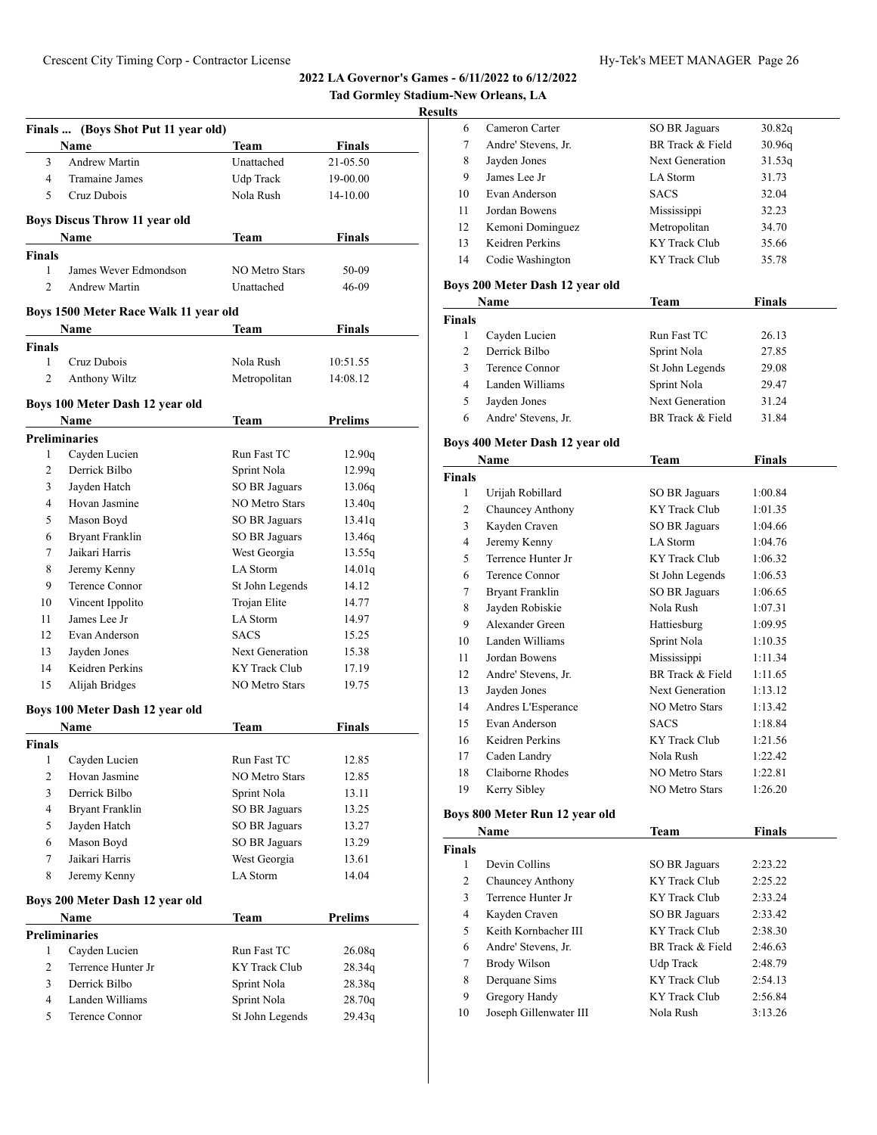# **Results**

|                | Finals  (Boys Shot Put 11 year old)     |                       |                  |
|----------------|-----------------------------------------|-----------------------|------------------|
|                | Name                                    | Team                  | <b>Finals</b>    |
| 3              | <b>Andrew Martin</b>                    | Unattached            | 21-05.50         |
| 4              | Tramaine James                          | Udp Track             | 19-00.00         |
| 5              | Cruz Dubois                             | Nola Rush             | 14-10.00         |
|                | <b>Boys Discus Throw 11 year old</b>    |                       |                  |
|                | <b>Name</b>                             | Team                  | Finals           |
| <b>Finals</b>  |                                         |                       |                  |
| 1              | James Wever Edmondson                   | <b>NO Metro Stars</b> | 50-09            |
| $\overline{c}$ | <b>Andrew Martin</b>                    | Unattached            | 46-09            |
|                | Boys 1500 Meter Race Walk 11 year old   |                       |                  |
|                | Name                                    | Team                  | Finals           |
| <b>Finals</b>  |                                         |                       |                  |
| 1              | Cruz Dubois                             | Nola Rush             | 10:51.55         |
| $\overline{2}$ | Anthony Wiltz                           | Metropolitan          | 14:08.12         |
|                | Boys 100 Meter Dash 12 year old         |                       |                  |
|                | Name                                    | Team                  | <b>Prelims</b>   |
|                | <b>Preliminaries</b>                    |                       |                  |
| 1              | Cayden Lucien                           | Run Fast TC           | 12.90q           |
| $\overline{c}$ | Derrick Bilbo                           | Sprint Nola           | 12.99q           |
| 3              | Jayden Hatch                            | <b>SO BR Jaguars</b>  | 13.06q           |
| 4              | Hovan Jasmine                           | <b>NO Metro Stars</b> | 13.40q           |
| 5              | Mason Boyd                              | <b>SO BR Jaguars</b>  | 13.41q           |
| 6              | Bryant Franklin                         | SO BR Jaguars         | 13.46q           |
| 7              | Jaikari Harris                          | West Georgia          | 13.55q           |
| 8              | Jeremy Kenny                            | LA Storm              | 14.01q           |
| 9              | Terence Connor                          | St John Legends       | 14.12            |
| 10             | Vincent Ippolito                        | Trojan Elite          | 14.77            |
| 11             | James Lee Jr                            | LA Storm              | 14.97            |
| 12             | Evan Anderson                           | <b>SACS</b>           | 15.25            |
| 13             | Jayden Jones                            | Next Generation       | 15.38            |
| 14             | Keidren Perkins                         | <b>KY</b> Track Club  | 17.19            |
| 15             | Alijah Bridges                          | <b>NO Metro Stars</b> | 19.75            |
|                |                                         |                       |                  |
|                | Boys 100 Meter Dash 12 year old<br>Name | Team                  | Finals           |
| <b>Finals</b>  |                                         |                       |                  |
| 1              | Cayden Lucien                           | Run Fast TC           | 12.85            |
| $\mathbf{2}$   | Hovan Jasmine                           | <b>NO Metro Stars</b> | 12.85            |
| 3              | Derrick Bilbo                           | Sprint Nola           | 13.11            |
| 4              | <b>Bryant Franklin</b>                  | SO BR Jaguars         | 13.25            |
| 5              | Jayden Hatch                            | SO BR Jaguars         | 13.27            |
| 6              | Mason Boyd                              | SO BR Jaguars         | 13.29            |
| 7              | Jaikari Harris                          | West Georgia          | 13.61            |
| 8              | Jeremy Kenny                            | LA Storm              | 14.04            |
|                |                                         |                       |                  |
|                | Boys 200 Meter Dash 12 year old         |                       |                  |
|                | Name                                    | <b>Team</b>           | <b>Prelims</b>   |
| 1              | <b>Preliminaries</b><br>Cayden Lucien   | Run Fast TC           | 26.08q           |
| $\overline{2}$ | Terrence Hunter Jr                      | KY Track Club         | 28.34q           |
| 3              | Derrick Bilbo                           | Sprint Nola           | 28.38q           |
| $\overline{4}$ | Landen Williams                         | Sprint Nola           |                  |
| 5              | Terence Connor                          | St John Legends       | 28.70q<br>29.43q |
|                |                                         |                       |                  |

| 6  | Cameron Carter      | <b>SO BR Jaguars</b> | 30.82q |
|----|---------------------|----------------------|--------|
| 7  | Andre' Stevens, Jr. | BR Track & Field     | 30.96q |
| 8  | Jayden Jones        | Next Generation      | 31.53q |
| 9  | James Lee Jr        | LA Storm             | 31.73  |
| 10 | Evan Anderson       | <b>SACS</b>          | 32.04  |
| 11 | Jordan Bowens       | Mississippi          | 32.23  |
| 12 | Kemoni Dominguez    | Metropolitan         | 34.70  |
| 13 | Keidren Perkins     | KY Track Club        | 35.66  |
| 14 | Codie Washington    | KY Track Club        | 35.78  |
|    |                     |                      |        |

# **Boys 200 Meter Dash 12 year old**

|                | Name                | Team                   | Finals |  |
|----------------|---------------------|------------------------|--------|--|
| <b>Finals</b>  |                     |                        |        |  |
|                | Cayden Lucien       | Run Fast TC            | 26.13  |  |
| $\mathfrak{D}$ | Derrick Bilbo       | Sprint Nola            | 27.85  |  |
| 3              | Terence Connor      | St John Legends        | 29.08  |  |
| 4              | Landen Williams     | Sprint Nola            | 29.47  |  |
| 5              | Jayden Jones        | <b>Next Generation</b> | 31.24  |  |
| 6              | Andre' Stevens, Jr. | BR Track & Field       | 31.84  |  |

# **Boys 400 Meter Dash 12 year old**

| Name                | Team                  | <b>Finals</b> |  |
|---------------------|-----------------------|---------------|--|
|                     |                       |               |  |
| Urijah Robillard    | SO BR Jaguars         | 1:00.84       |  |
| Chauncey Anthony    | <b>KY</b> Track Club  | 1:01.35       |  |
| Kayden Craven       | SO BR Jaguars         | 1:04.66       |  |
| Jeremy Kenny        | LA Storm              | 1:04.76       |  |
| Terrence Hunter Jr  | KY Track Club         | 1:06.32       |  |
| Terence Connor      | St John Legends       | 1:06.53       |  |
| Bryant Franklin     | SO BR Jaguars         | 1:06.65       |  |
| Jayden Robiskie     | Nola Rush             | 1:07.31       |  |
| Alexander Green     | Hattiesburg           | 1:09.95       |  |
| Landen Williams     | Sprint Nola           | 1:10.35       |  |
| Jordan Bowens       | Mississippi           | 1:11.34       |  |
| Andre' Stevens, Jr. | BR Track & Field      | 1:11.65       |  |
| Jayden Jones        | Next Generation       | 1:13.12       |  |
| Andres L'Esperance  | NO Metro Stars        | 1:13.42       |  |
| Evan Anderson       | <b>SACS</b>           | 1:18.84       |  |
| Keidren Perkins     | KY Track Club         | 1:21.56       |  |
| Caden Landry        | Nola Rush             | 1:22.42       |  |
| Claiborne Rhodes    | NO Metro Stars        | 1:22.81       |  |
| Kerry Sibley        | <b>NO Metro Stars</b> | 1:26.20       |  |
|                     |                       |               |  |

# **Boys 800 Meter Run 12 year old**

|               | Name                   | Team                 | <b>Finals</b> |  |
|---------------|------------------------|----------------------|---------------|--|
| <b>Finals</b> |                        |                      |               |  |
| 1             | Devin Collins          | <b>SO BR Jaguars</b> | 2:23.22       |  |
| 2             | Chauncey Anthony       | KY Track Club        | 2:25.22       |  |
| 3             | Terrence Hunter Jr     | KY Track Club        | 2:33.24       |  |
| 4             | Kayden Craven          | <b>SO BR Jaguars</b> | 2:33.42       |  |
| 5             | Keith Kornbacher III   | KY Track Club        | 2:38.30       |  |
| 6             | Andre' Stevens, Jr.    | BR Track & Field     | 2:46.63       |  |
| 7             | Brody Wilson           | Udp Track            | 2:48.79       |  |
| 8             | Derquane Sims          | KY Track Club        | 2:54.13       |  |
| 9             | Gregory Handy          | KY Track Club        | 2:56.84       |  |
| 10            | Joseph Gillenwater III | Nola Rush            | 3:13.26       |  |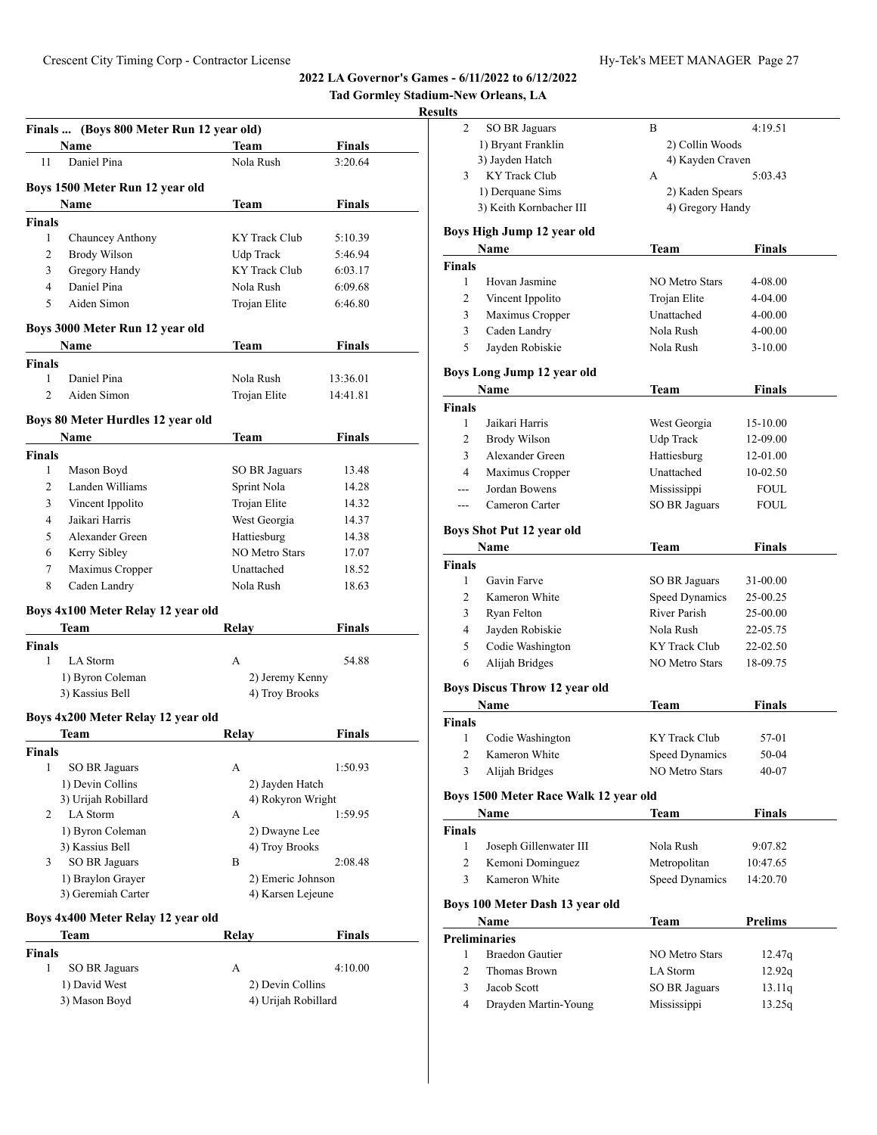**Tad Gormley Stadium-New Orleans, LA**

|                    | Finals  (Boys 800 Meter Run 12 year old) |                                         |                |
|--------------------|------------------------------------------|-----------------------------------------|----------------|
|                    | Name                                     | Team                                    | Finals         |
| 11                 | Daniel Pina                              | Nola Rush                               | 3:20.64        |
|                    | Boys 1500 Meter Run 12 year old          |                                         |                |
|                    | Name                                     | Team                                    | Finals         |
| <b>Finals</b>      |                                          |                                         |                |
| 1                  | Chauncey Anthony                         | KY Track Club                           | 5:10.39        |
| $\overline{c}$     | Brody Wilson                             | Udp Track                               | 5:46.94        |
| 3                  | Gregory Handy                            | <b>KY Track Club</b>                    | 6:03.17        |
| 4                  | Daniel Pina                              | Nola Rush                               | 6:09.68        |
| 5                  | Aiden Simon                              | Trojan Elite                            | 6:46.80        |
|                    |                                          |                                         |                |
|                    | Boys 3000 Meter Run 12 year old          |                                         |                |
|                    | <b>Name</b>                              | Team                                    | Finals         |
| <b>Finals</b><br>1 | Daniel Pina                              | Nola Rush                               | 13:36.01       |
| $\overline{c}$     | Aiden Simon                              | Trojan Elite                            | 14:41.81       |
|                    |                                          |                                         |                |
|                    | Boys 80 Meter Hurdles 12 year old        |                                         |                |
|                    | Name                                     | Team                                    | Finals         |
| <b>Finals</b>      |                                          |                                         |                |
| 1                  | Mason Boyd                               | SO BR Jaguars                           | 13.48          |
| 2                  | Landen Williams                          | Sprint Nola                             | 14.28          |
| 3                  | Vincent Ippolito                         | Trojan Elite                            | 14.32          |
| 4                  | Jaikari Harris                           | West Georgia                            | 14.37          |
| 5                  | Alexander Green                          | Hattiesburg                             | 14.38          |
| 6                  | Kerry Sibley                             | <b>NO Metro Stars</b>                   | 17.07          |
| 7<br>8             | Maximus Cropper<br>Caden Landry          | Unattached<br>Nola Rush                 | 18.52<br>18.63 |
|                    |                                          |                                         |                |
|                    | Boys 4x100 Meter Relay 12 year old       |                                         |                |
|                    | Team                                     | Relay                                   | Finals         |
| <b>Finals</b>      |                                          |                                         |                |
| 1                  | LA Storm                                 | A                                       | 54.88          |
|                    | 1) Byron Coleman                         | 2) Jeremy Kenny                         |                |
|                    | 3) Kassius Bell                          | 4) Troy Brooks                          |                |
|                    | Boys 4x200 Meter Relay 12 year old       |                                         |                |
|                    | Team                                     | Relay                                   | Finals         |
| Finals             |                                          |                                         |                |
| 1                  | SO BR Jaguars                            | А                                       | 1:50.93        |
|                    | 1) Devin Collins                         | 2) Jayden Hatch                         |                |
|                    | 3) Urijah Robillard                      | 4) Rokyron Wright                       |                |
| 2                  | LA Storm                                 | А                                       | 1:59.95        |
|                    | 1) Byron Coleman                         | 2) Dwayne Lee                           |                |
| 3                  | 3) Kassius Bell<br>SO BR Jaguars         | 4) Troy Brooks<br>В                     | 2:08.48        |
|                    | 1) Braylon Grayer                        | 2) Emeric Johnson                       |                |
|                    | 3) Geremiah Carter                       | 4) Karsen Lejeune                       |                |
|                    |                                          |                                         |                |
|                    | Boys 4x400 Meter Relay 12 year old       |                                         |                |
|                    | Team                                     | Relay                                   | Finals         |
| Finals             |                                          |                                         |                |
| 1                  | SO BR Jaguars                            | А                                       | 4:10.00        |
|                    | 1) David West<br>3) Mason Boyd           | 2) Devin Collins<br>4) Urijah Robillard |                |
|                    |                                          |                                         |                |
|                    |                                          |                                         |                |

| sults          |                                       |                       |                |
|----------------|---------------------------------------|-----------------------|----------------|
| 2              | SO BR Jaguars                         | B                     | 4:19.51        |
|                | 1) Bryant Franklin                    | 2) Collin Woods       |                |
|                | 3) Jayden Hatch                       | 4) Kayden Craven      |                |
| 3              | KY Track Club                         | А                     | 5:03.43        |
|                | 1) Derquane Sims                      | 2) Kaden Spears       |                |
|                | 3) Keith Kornbacher III               | 4) Gregory Handy      |                |
|                | Boys High Jump 12 year old            |                       |                |
|                | Name                                  | Team                  | Finals         |
| Finals         |                                       |                       |                |
| 1              | Hovan Jasmine                         | <b>NO Metro Stars</b> | 4-08.00        |
| 2              | Vincent Ippolito                      | Trojan Elite          | 4-04.00        |
| 3              | Maximus Cropper                       | Unattached            | 4-00.00        |
| 3              | Caden Landry                          | Nola Rush             | 4-00.00        |
| 5              | Jayden Robiskie                       | Nola Rush             | $3-10.00$      |
|                | Boys Long Jump 12 year old            |                       |                |
|                | Name                                  | <b>Team</b>           | <b>Finals</b>  |
| <b>Finals</b>  |                                       |                       |                |
| 1              | Jaikari Harris                        | West Georgia          | 15-10.00       |
| 2              | Brody Wilson                          | <b>Udp Track</b>      | 12-09.00       |
| 3              | Alexander Green                       | Hattiesburg           | 12-01.00       |
| 4              | Maximus Cropper                       | Unattached            | 10-02.50       |
| $\overline{a}$ | Jordan Bowens                         | Mississippi           | FOUL           |
| $---$          | Cameron Carter                        | SO BR Jaguars         | FOUL           |
|                | Boys Shot Put 12 year old             |                       |                |
|                | Name                                  | Team                  | <b>Finals</b>  |
| <b>Finals</b>  |                                       |                       |                |
| 1              | Gavin Farve                           | SO BR Jaguars         | 31-00.00       |
| 2              | Kameron White                         | Speed Dynamics        | 25-00.25       |
| 3              | Ryan Felton                           | <b>River Parish</b>   | 25-00.00       |
| 4              | Jayden Robiskie                       | Nola Rush             | 22-05.75       |
| 5              | Codie Washington                      | KY Track Club         | 22-02.50       |
| 6              | Alijah Bridges                        | NO Metro Stars        | 18-09.75       |
|                | <b>Boys Discus Throw 12 year old</b>  |                       |                |
|                | Name                                  | Team                  | Finals         |
| Finals         |                                       |                       |                |
| 1              | Codie Washington                      | <b>KY</b> Track Club  | 57-01          |
| 2              | Kameron White                         | Speed Dynamics        | 50-04          |
| 3              | Alijah Bridges                        | <b>NO Metro Stars</b> | 40-07          |
|                | Boys 1500 Meter Race Walk 12 year old |                       |                |
|                | Name                                  | Team                  | <b>Finals</b>  |
| <b>Finals</b>  |                                       |                       |                |
| 1              | Joseph Gillenwater III                | Nola Rush             | 9:07.82        |
| $\overline{2}$ | Kemoni Dominguez                      | Metropolitan          | 10:47.65       |
|                | Kameron White                         | Speed Dynamics        | 14:20.70       |
| 3              |                                       |                       |                |
|                | Boys 100 Meter Dash 13 year old       |                       |                |
|                | Name                                  | Team                  | <b>Prelims</b> |
|                | <b>Preliminaries</b>                  |                       |                |
| 1              | <b>Braedon Gautier</b>                | <b>NO Metro Stars</b> | 12.47q         |
| $\overline{2}$ | Thomas Brown                          | LA Storm              | 12.92q         |
| 3              | Jacob Scott                           | <b>SO BR Jaguars</b>  | 13.11q         |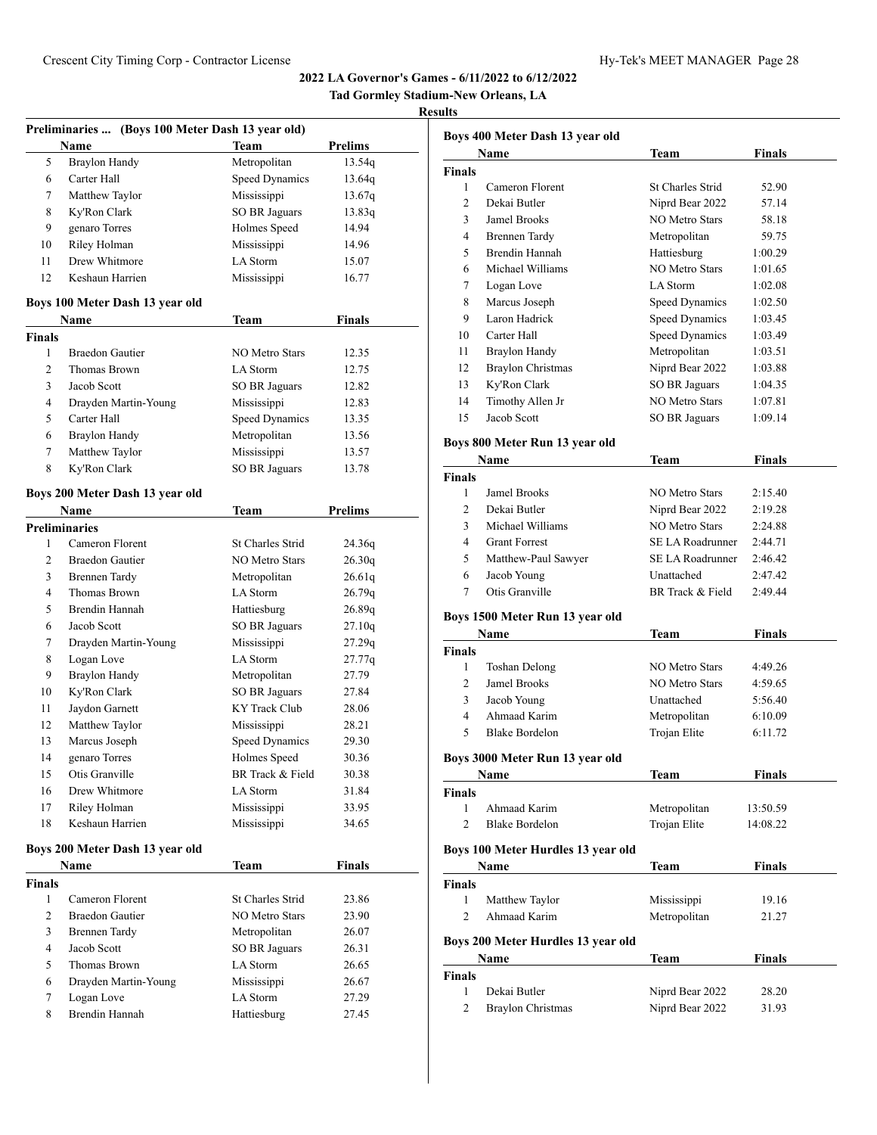**Tad Gormley Stadium-New Orleans, LA**

|               | Preliminaries  (Boys 100 Meter Dash 13 year old) |                          |                |
|---------------|--------------------------------------------------|--------------------------|----------------|
|               | <b>Name</b>                                      | <b>Team</b>              | <b>Prelims</b> |
| 5             | <b>Braylon Handy</b>                             | Metropolitan             | 13.54q         |
| 6             | Carter Hall                                      | Speed Dynamics           | 13.64q         |
| 7             | Matthew Taylor                                   | Mississippi              | 13.67q         |
| 8             | Ky'Ron Clark                                     | SO BR Jaguars            | 13.83q         |
| 9             | genaro Torres                                    | Holmes Speed             | 14.94          |
| 10            | Riley Holman                                     | Mississippi              | 14.96          |
| 11            | Drew Whitmore                                    | LA Storm                 | 15.07          |
| 12            | Keshaun Harrien                                  | Mississippi              | 16.77          |
|               | Boys 100 Meter Dash 13 year old                  |                          |                |
|               | Name                                             | Team                     | Finals         |
| <b>Finals</b> |                                                  |                          |                |
| 1             | <b>Braedon Gautier</b>                           | <b>NO Metro Stars</b>    | 12.35          |
| 2             | Thomas Brown                                     | LA Storm                 | 12.75          |
| 3             | Jacob Scott                                      | SO BR Jaguars            | 12.82          |
| 4             | Drayden Martin-Young                             | Mississippi              | 12.83          |
| 5             | Carter Hall                                      | Speed Dynamics           | 13.35          |
| 6             | <b>Braylon Handy</b>                             | Metropolitan             | 13.56          |
| 7             | Matthew Taylor                                   | Mississippi              | 13.57          |
| 8             | Ky'Ron Clark                                     | <b>SO BR Jaguars</b>     | 13.78          |
|               |                                                  |                          |                |
|               | Boys 200 Meter Dash 13 year old                  |                          | <b>Prelims</b> |
|               | Name                                             | Team                     |                |
| 1             | <b>Preliminaries</b><br>Cameron Florent          | <b>St Charles Strid</b>  |                |
| 2             | <b>Braedon Gautier</b>                           | <b>NO Metro Stars</b>    | 24.36q         |
|               |                                                  |                          | 26.30q         |
| 3             | <b>Brennen Tardy</b>                             | Metropolitan<br>LA Storm | 26.61q         |
| 4<br>5        | Thomas Brown<br>Brendin Hannah                   |                          | 26.79q         |
|               |                                                  | Hattiesburg              | 26.89q         |
| 6             | Jacob Scott                                      | SO BR Jaguars            | 27.10q         |
| 7             | Drayden Martin-Young                             | Mississippi              | 27.29q         |
| 8             | Logan Love                                       | LA Storm                 | 27.77q         |
| 9             | <b>Braylon Handy</b>                             | Metropolitan             | 27.79          |
| 10            | Ky'Ron Clark                                     | <b>SO BR Jaguars</b>     | 27.84          |
| 11            | Jaydon Garnett                                   | KY Track Club            | 28.06          |
| 12            | Matthew Taylor                                   | Mississippi              | 28.21          |
| 13            | Marcus Joseph                                    | Speed Dynamics           | 29.30          |
| 14            | genaro Torres                                    | Holmes Speed             | 30.36          |
| 15            | Otis Granville                                   | BR Track & Field         | 30.38          |
| 16            | Drew Whitmore                                    | LA Storm                 | 31.84          |
| 17            | Riley Holman                                     | Mississippi              | 33.95          |
| 18            | Keshaun Harrien                                  | Mississippi              | 34.65          |
|               | Boys 200 Meter Dash 13 year old                  |                          |                |
|               | Name                                             | Team                     | Finals         |
| Finals        |                                                  |                          |                |
| 1             | Cameron Florent                                  | St Charles Strid         | 23.86          |
| 2             | Braedon Gautier                                  | <b>NO Metro Stars</b>    | 23.90          |
| 3             | <b>Brennen Tardy</b>                             | Metropolitan             | 26.07          |
| 4             | Jacob Scott                                      | SO BR Jaguars            | 26.31          |
| 5             | Thomas Brown                                     | LA Storm                 | 26.65          |
| 6             | Drayden Martin-Young                             | Mississippi              | 26.67          |
| 7             | Logan Love                                       | LA Storm                 | 27.29          |
| 8             | Brendin Hannah                                   | Hattiesburg              | 27.45          |

|                | Boys 400 Meter Dash 13 year old         |                         |               |
|----------------|-----------------------------------------|-------------------------|---------------|
|                | Name                                    | Team                    | Finals        |
| <b>Finals</b>  |                                         |                         |               |
| 1              | Cameron Florent                         | <b>St Charles Strid</b> | 52.90         |
| 2              | Dekai Butler                            | Niprd Bear 2022         | 57.14         |
| 3              | Jamel Brooks                            | NO Metro Stars          | 58.18         |
| 4              | <b>Brennen Tardy</b>                    | Metropolitan            | 59.75         |
| 5              | Brendin Hannah                          | Hattiesburg             | 1:00.29       |
| 6              | Michael Williams                        | <b>NO Metro Stars</b>   | 1:01.65       |
| 7              | Logan Love                              | LA Storm                | 1:02.08       |
| 8              | Marcus Joseph                           | <b>Speed Dynamics</b>   | 1:02.50       |
| 9              | Laron Hadrick                           | Speed Dynamics          | 1:03.45       |
| 10             | Carter Hall                             | Speed Dynamics          | 1:03.49       |
| 11             | <b>Braylon Handy</b>                    | Metropolitan            | 1:03.51       |
| 12             | <b>Braylon Christmas</b>                | Niprd Bear 2022         | 1:03.88       |
| 13             | Ky'Ron Clark                            | <b>SO BR Jaguars</b>    | 1:04.35       |
| 14             | Timothy Allen Jr                        | <b>NO Metro Stars</b>   | 1:07.81       |
| 15             | Jacob Scott                             | <b>SO BR Jaguars</b>    | 1:09.14       |
|                | Boys 800 Meter Run 13 year old          |                         |               |
|                | Name                                    | Team                    | Finals        |
| <b>Finals</b>  |                                         |                         |               |
| 1              | Jamel Brooks                            | <b>NO Metro Stars</b>   | 2:15.40       |
| 2              | Dekai Butler                            | Niprd Bear 2022         | 2:19.28       |
| 3              | Michael Williams                        | <b>NO Metro Stars</b>   | 2:24.88       |
| 4              | <b>Grant Forrest</b>                    | SE LA Roadrunner        | 2:44.71       |
| 5              | Matthew-Paul Sawyer                     | SE LA Roadrunner        | 2:46.42       |
| 6              | Jacob Young                             | Unattached              | 2:47.42       |
| 7              | Otis Granville                          | BR Track & Field        | 2:49.44       |
|                |                                         |                         |               |
|                | Boys 1500 Meter Run 13 year old<br>Name | Team                    | Finals        |
| <b>Finals</b>  |                                         |                         |               |
| 1              | <b>Toshan Delong</b>                    | <b>NO Metro Stars</b>   | 4:49.26       |
| 2              | Jamel Brooks                            | <b>NO Metro Stars</b>   | 4:59.65       |
| 3              | Jacob Young                             | Unattached              | 5:56.40       |
| 4              | Ahmaad Karim                            | Metropolitan            | 6:10.09       |
| 5              | <b>Blake Bordelon</b>                   | Trojan Elite            | 6:11.72       |
|                |                                         |                         |               |
|                | Boys 3000 Meter Run 13 year old         |                         |               |
|                | Name                                    | <b>Team</b>             | <b>Finals</b> |
| <b>Finals</b>  |                                         |                         |               |
| 1              | Ahmaad Karim                            | Metropolitan            | 13:50.59      |
| 2              | Blake Bordelon                          | Trojan Elite            | 14:08.22      |
|                | Boys 100 Meter Hurdles 13 year old      |                         |               |
|                | Name                                    | Team                    | <b>Finals</b> |
| Finals         |                                         |                         |               |
| 1              | Matthew Taylor                          | Mississippi             | 19.16         |
| $\overline{c}$ | Ahmaad Karim                            | Metropolitan            | 21.27         |
|                | Boys 200 Meter Hurdles 13 year old      |                         |               |
|                | Name                                    | Team                    | Finals        |
| Finals         |                                         |                         |               |
| 1              | Dekai Butler                            | Niprd Bear 2022         | 28.20         |
| 2              | <b>Braylon Christmas</b>                | Niprd Bear 2022         | 31.93         |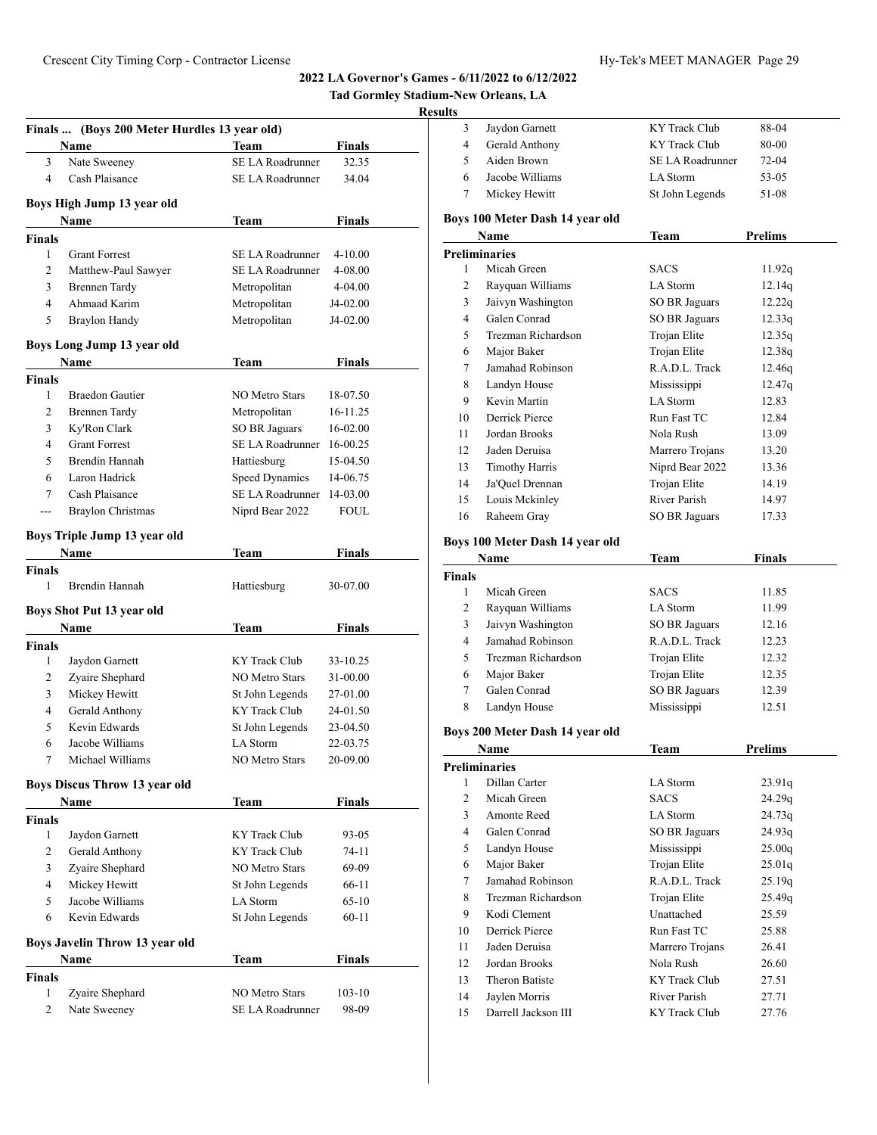|                | Finals  (Boys 200 Meter Hurdles 13 year old) |                         |               |
|----------------|----------------------------------------------|-------------------------|---------------|
|                | Name                                         | Team                    | <b>Finals</b> |
| 3              | Nate Sweeney                                 | <b>SE LA Roadrunner</b> | 32.35         |
| $\overline{4}$ | Cash Plaisance                               | <b>SE LA Roadrunner</b> | 34.04         |
|                | Boys High Jump 13 year old                   |                         |               |
|                | Name                                         | Team                    | Finals        |
| Finals         |                                              |                         |               |
| 1              | <b>Grant Forrest</b>                         | SE LA Roadrunner        | 4-10.00       |
| 2              | Matthew-Paul Sawyer                          | SE LA Roadrunner        | 4-08.00       |
| 3              | <b>Brennen Tardy</b>                         | Metropolitan            | 4-04.00       |
| 4              | Ahmaad Karim                                 | Metropolitan            | J4-02.00      |
| 5              | <b>Braylon Handy</b>                         | Metropolitan            | J4-02.00      |
|                | Boys Long Jump 13 year old                   |                         |               |
|                | Name                                         | Team                    | <b>Finals</b> |
| Finals         |                                              |                         |               |
| 1              | <b>Braedon Gautier</b>                       | <b>NO Metro Stars</b>   | 18-07.50      |
| 2              | <b>Brennen Tardy</b>                         | Metropolitan            | 16-11.25      |
| 3              | Ky'Ron Clark                                 | SO BR Jaguars           | 16-02.00      |
| $\overline{4}$ | <b>Grant Forrest</b>                         | <b>SE LA Roadrunner</b> | 16-00.25      |
| 5              | Brendin Hannah                               | Hattiesburg             | 15-04.50      |
| 6              | Laron Hadrick                                | Speed Dynamics          | 14-06.75      |
| 7              | Cash Plaisance                               | SE LA Roadrunner        | 14-03.00      |
| ---            | <b>Braylon Christmas</b>                     | Niprd Bear 2022         | FOUL          |
|                | Boys Triple Jump 13 year old                 |                         |               |
|                | Name                                         | Team                    | <b>Finals</b> |
| <b>Finals</b>  |                                              |                         |               |
| 1              | Brendin Hannah                               | Hattiesburg             | 30-07.00      |
|                | Boys Shot Put 13 year old                    |                         |               |
|                | Name                                         | Team                    | Finals        |
| Finals         |                                              |                         |               |
| 1              | Jaydon Garnett                               | KY Track Club           | 33-10.25      |
| 2              | Zyaire Shephard                              | <b>NO Metro Stars</b>   | 31-00.00      |
| 3              | Mickey Hewitt                                | St John Legends         | 27-01.00      |
| 4              | Gerald Anthony                               | <b>KY Track Club</b>    | 24-01.50      |
| 5              | Kevin Edwards                                | St John Legends         | 23-04.50      |
| 6              | Jacobe Williams                              | LA Storm                | 22-03.75      |
| 7              | Michael Williams                             | <b>NO Metro Stars</b>   | 20-09.00      |
|                | <b>Boys Discus Throw 13 year old</b>         |                         |               |
|                | Name                                         | Team                    | Finals        |
| <b>Finals</b>  |                                              |                         |               |
| 1              | Jaydon Garnett                               | KY Track Club           | 93-05         |
| 2              | Gerald Anthony                               | <b>KY</b> Track Club    | 74-11         |
| 3              | Zyaire Shephard                              | <b>NO Metro Stars</b>   | 69-09         |
| $\overline{4}$ | Mickey Hewitt                                | St John Legends         | 66-11         |
| 5              | Jacobe Williams                              | LA Storm                | $65-10$       |
| 6              | Kevin Edwards                                | St John Legends         | $60 - 11$     |
|                | Boys Javelin Throw 13 year old               |                         |               |
|                | Name                                         | Team                    | <b>Finals</b> |
| Finals         |                                              |                         |               |
| 1              | Zyaire Shephard                              | NO Metro Stars          | $103 - 10$    |
| 2              | Nate Sweeney                                 | SE LA Roadrunner        | 98-09         |
|                |                                              |                         |               |

| 3             | Jaydon Garnett                  | KY Track Club           | 88-04          |
|---------------|---------------------------------|-------------------------|----------------|
| 4             | Gerald Anthony                  | KY Track Club           | 80-00          |
| 5             | Aiden Brown                     | <b>SE LA Roadrunner</b> | 72-04          |
| 6             | Jacobe Williams                 | LA Storm                | 53-05          |
| 7             | Mickey Hewitt                   | St John Legends         | 51-08          |
|               |                                 |                         |                |
|               | Boys 100 Meter Dash 14 year old |                         |                |
|               | Name                            | Team                    | <b>Prelims</b> |
|               | <b>Preliminaries</b>            |                         |                |
| 1             | Micah Green                     | SACS                    | 11.92q         |
| 2             | Rayquan Williams                | LA Storm                | 12.14q         |
| 3             | Jaivyn Washington               | <b>SO BR Jaguars</b>    | 12.22q         |
| 4             | Galen Conrad                    | SO BR Jaguars           | 12.33q         |
| 5             | Trezman Richardson              | Trojan Elite            | 12.35q         |
| 6             | Major Baker                     | Trojan Elite            | 12.38q         |
| 7             | Jamahad Robinson                | R.A.D.L. Track          | 12.46q         |
| 8             | Landyn House                    | Mississippi             | 12.47q         |
| 9             | Kevin Martin                    | LA Storm                | 12.83          |
| 10            | Derrick Pierce                  | Run Fast TC             | 12.84          |
| 11            | Jordan Brooks                   | Nola Rush               | 13.09          |
| 12            | Jaden Deruisa                   | Marrero Trojans         | 13.20          |
| 13            | <b>Timothy Harris</b>           | Niprd Bear 2022         | 13.36          |
| 14            | Ja'Quel Drennan                 | Trojan Elite            | 14.19          |
| 15            | Louis Mckinley                  | River Parish            | 14.97          |
| 16            | Raheem Gray                     | <b>SO BR Jaguars</b>    | 17.33          |
|               | Boys 100 Meter Dash 14 year old |                         |                |
|               | Name                            | Team                    | Finals         |
| <b>Finals</b> |                                 |                         |                |
| 1             | Micah Green                     | SACS                    | 11.85          |
| 2             | Rayquan Williams                | LA Storm                | 11.99          |
| 3             | Jaivyn Washington               | SO BR Jaguars           | 12.16          |
| 4             | Jamahad Robinson                | R.A.D.L. Track          | 12.23          |
| 5             | Trezman Richardson              | Trojan Elite            | 12.32          |
| 6             | Major Baker                     | Trojan Elite            | 12.35          |
| 7             | Galen Conrad                    | <b>SO BR Jaguars</b>    | 12.39          |
| 8             | Landyn House                    | Mississippi             | 12.51          |
|               |                                 |                         |                |
|               |                                 |                         |                |
|               | Boys 200 Meter Dash 14 year old |                         |                |
|               | Name                            | Team                    | Prelims        |
|               | <b>Preliminaries</b>            |                         |                |
| 1             | Dillan Carter                   | LA Storm                | 23.91q         |
| 2             | Micah Green                     | <b>SACS</b>             | 24.29q         |
| 3             | Amonte Reed                     | LA Storm                | 24.73q         |
| 4             | Galen Conrad                    | SO BR Jaguars           | 24.93g         |
| 5             | Landyn House                    | Mississippi             | 25.00q         |
| 6             | Major Baker                     | Trojan Elite            | 25.01q         |
| 7             | Jamahad Robinson                | R.A.D.L. Track          | 25.19q         |
| 8             | Trezman Richardson              | Trojan Elite            | 25.49q         |
| 9             | Kodi Clement                    | Unattached              | 25.59          |
| 10            | Derrick Pierce                  | Run Fast TC             | 25.88          |
| 11            | Jaden Deruisa                   | Marrero Trojans         | 26.41          |
| 12            | Jordan Brooks                   | Nola Rush               | 26.60          |
| 13            | <b>Theron Batiste</b>           | KY Track Club           | 27.51          |
| 14            | Jaylen Morris                   | River Parish            | 27.71          |
| 15            | Darrell Jackson III             | KY Track Club           | 27.76          |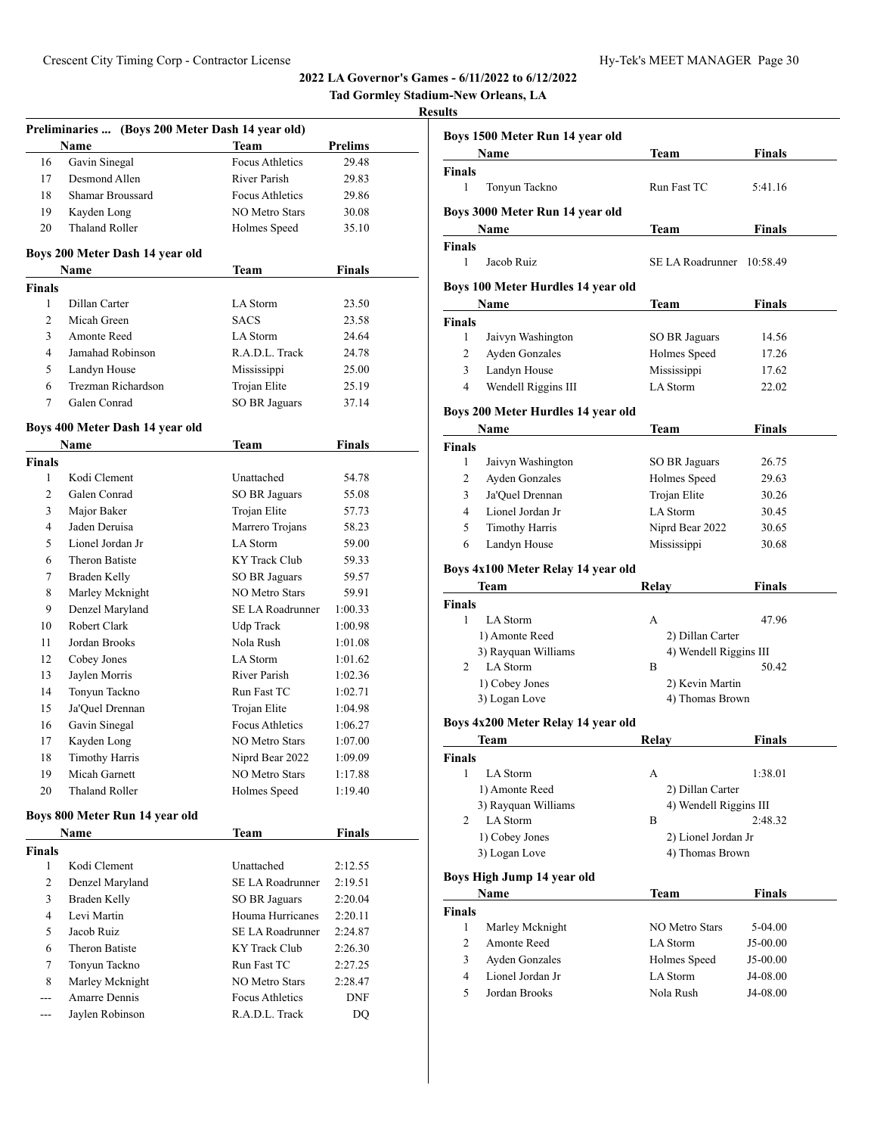**Tad Gormley Stadium-New Orleans, LA**

|                | Preliminaries  (Boys 200 Meter Dash 14 year old) |                         |                |
|----------------|--------------------------------------------------|-------------------------|----------------|
|                | Name                                             | Team                    | <b>Prelims</b> |
| 16             | Gavin Sinegal                                    | <b>Focus Athletics</b>  | 29.48          |
| 17             | Desmond Allen                                    | River Parish            | 29.83          |
| 18             | Shamar Broussard                                 | <b>Focus Athletics</b>  | 29.86          |
| 19             | Kayden Long                                      | <b>NO Metro Stars</b>   | 30.08          |
| 20             | <b>Thaland Roller</b>                            | Holmes Speed            | 35.10          |
|                | Boys 200 Meter Dash 14 year old                  |                         |                |
|                | Name                                             | Team                    | Finals         |
| Finals         |                                                  |                         |                |
| 1              | Dillan Carter                                    | LA Storm                | 23.50          |
| $\overline{c}$ | Micah Green                                      | <b>SACS</b>             | 23.58          |
| 3              | Amonte Reed                                      | LA Storm                | 24.64          |
| 4              | Jamahad Robinson                                 | R.A.D.L. Track          | 24.78          |
| 5              | Landyn House                                     | Mississippi             | 25.00          |
| 6              | Trezman Richardson                               | Trojan Elite            | 25.19          |
| 7              | Galen Conrad                                     | <b>SO BR Jaguars</b>    | 37.14          |
|                | Boys 400 Meter Dash 14 year old                  |                         |                |
|                | Name                                             | Team                    | Finals         |
| <b>Finals</b>  |                                                  |                         |                |
| 1              | Kodi Clement                                     | Unattached              | 54.78          |
| 2              | Galen Conrad                                     | <b>SO BR Jaguars</b>    | 55.08          |
| 3              | Major Baker                                      | Trojan Elite            | 57.73          |
| 4              | Jaden Deruisa                                    | Marrero Trojans         | 58.23          |
| 5              | Lionel Jordan Jr                                 | LA Storm                | 59.00          |
| 6              | <b>Theron Batiste</b>                            | KY Track Club           | 59.33          |
| 7              | Braden Kelly                                     | SO BR Jaguars           | 59.57          |
| 8              | Marley Mcknight                                  | <b>NO Metro Stars</b>   | 59.91          |
| 9              | Denzel Maryland                                  | SE LA Roadrunner        | 1:00.33        |
| 10             | Robert Clark                                     | Udp Track               | 1:00.98        |
| 11             | Jordan Brooks                                    | Nola Rush               | 1:01.08        |
| 12             | Cobey Jones                                      | LA Storm                | 1:01.62        |
| 13             | Jaylen Morris                                    | River Parish            | 1:02.36        |
| 14             | Tonyun Tackno                                    | Run Fast TC             | 1:02.71        |
| 15             | Ja'Quel Drennan                                  | Trojan Elite            | 1:04.98        |
| 16             | Gavin Sinegal                                    | <b>Focus Athletics</b>  | 1:06.27        |
| 17             | Kayden Long                                      | <b>NO Metro Stars</b>   | 1:07.00        |
| 18             | <b>Timothy Harris</b>                            | Niprd Bear 2022         | 1:09.09        |
| 19             | Micah Garnett                                    | NO Metro Stars          | 1:17.88        |
| 20             | <b>Thaland Roller</b>                            | Holmes Speed            | 1:19.40        |
|                | Boys 800 Meter Run 14 year old                   |                         |                |
|                | Name                                             | Team                    | Finals         |
| Finals         |                                                  |                         |                |
| 1              | Kodi Clement                                     | Unattached              | 2:12.55        |
| 2              | Denzel Maryland                                  | <b>SE LA Roadrunner</b> | 2:19.51        |
| 3              | <b>Braden Kelly</b>                              | SO BR Jaguars           | 2:20.04        |
| 4              | Levi Martin                                      | Houma Hurricanes        | 2:20.11        |
| 5              | Jacob Ruiz                                       | <b>SE LA Roadrunner</b> | 2:24.87        |
| 6              | <b>Theron Batiste</b>                            | KY Track Club           | 2:26.30        |
| 7              | Tonyun Tackno                                    | Run Fast TC             | 2:27.25        |
| 8              | Marley Mcknight                                  | <b>NO Metro Stars</b>   | 2:28.47        |
|                | Amarre Dennis                                    | Focus Athletics         | DNF            |
| .              | Jaylen Robinson                                  | R.A.D.L. Track          | DQ             |
|                |                                                  |                         |                |

|                | Boys 1500 Meter Run 14 year old    |                           |                      |
|----------------|------------------------------------|---------------------------|----------------------|
|                | Name                               | Team                      | Finals               |
| Finals<br>1    |                                    | Run Fast TC               | 5:41.16              |
|                | Tonyun Tackno                      |                           |                      |
|                | Boys 3000 Meter Run 14 year old    |                           |                      |
|                | Name                               | Team                      | Finals               |
| Finals         |                                    |                           |                      |
| 1              | Jacob Ruiz                         | SE LA Roadrunner 10:58.49 |                      |
|                | Boys 100 Meter Hurdles 14 year old |                           |                      |
|                | Name                               | Team                      | Finals               |
| Finals         |                                    |                           |                      |
| 1              | Jaivyn Washington                  | SO BR Jaguars             | 14.56                |
| $\overline{2}$ | <b>Ayden Gonzales</b>              | Holmes Speed              | 17.26                |
| 3              | Landyn House                       | Mississippi               | 17.62                |
| 4              | Wendell Riggins III                | LA Storm                  | 22.02                |
|                |                                    |                           |                      |
|                | Boys 200 Meter Hurdles 14 year old |                           |                      |
|                | Name                               | Team                      | Finals               |
| Finals         |                                    |                           |                      |
| 1              | Jaivyn Washington                  | SO BR Jaguars             | 26.75                |
| 2              | <b>Ayden Gonzales</b>              | Holmes Speed              | 29.63                |
| 3              | Ja'Quel Drennan                    | Trojan Elite              | 30.26                |
| 4              | Lionel Jordan Jr                   | LA Storm                  | 30.45                |
| 5              | <b>Timothy Harris</b>              | Niprd Bear 2022           | 30.65                |
| 6              | Landyn House                       | Mississippi               | 30.68                |
|                | Boys 4x100 Meter Relay 14 year old |                           |                      |
|                | Team                               | <b>Relay</b>              | <b>Finals</b>        |
| Finals         |                                    |                           |                      |
| 1              | <b>LA</b> Storm                    | А                         | 47.96                |
|                | 1) Amonte Reed                     | 2) Dillan Carter          |                      |
|                | 3) Rayquan Williams                | 4) Wendell Riggins III    |                      |
| 2              | LA Storm                           | B                         | 50.42                |
|                | 1) Cobey Jones                     | 2) Kevin Martin           |                      |
|                | 3) Logan Love                      | 4) Thomas Brown           |                      |
|                | Boys 4x200 Meter Relay 14 year old |                           |                      |
|                | Team                               |                           | Finals               |
|                |                                    | Relay                     |                      |
| Finals<br>1    | LA Storm                           | А                         | 1:38.01              |
|                | 1) Amonte Reed                     | 2) Dillan Carter          |                      |
|                | 3) Rayquan Williams                | 4) Wendell Riggins III    |                      |
|                |                                    |                           | 2:48.32              |
|                |                                    |                           |                      |
| 2              | LA Storm                           | B                         |                      |
|                | 1) Cobey Jones                     | 2) Lionel Jordan Jr       |                      |
|                | 3) Logan Love                      | 4) Thomas Brown           |                      |
|                | Boys High Jump 14 year old         |                           |                      |
|                | <b>Name</b>                        | Team                      | <b>Finals</b>        |
| Finals         |                                    |                           |                      |
| 1              | Marley Mcknight                    | <b>NO Metro Stars</b>     | 5-04.00              |
| 2              | Amonte Reed                        | LA Storm                  | J5-00.00             |
| 3              | <b>Ayden Gonzales</b>              | Holmes Speed              | J5-00.00             |
| 4<br>5         | Lionel Jordan Jr<br>Jordan Brooks  | LA Storm<br>Nola Rush     | J4-08.00<br>J4-08.00 |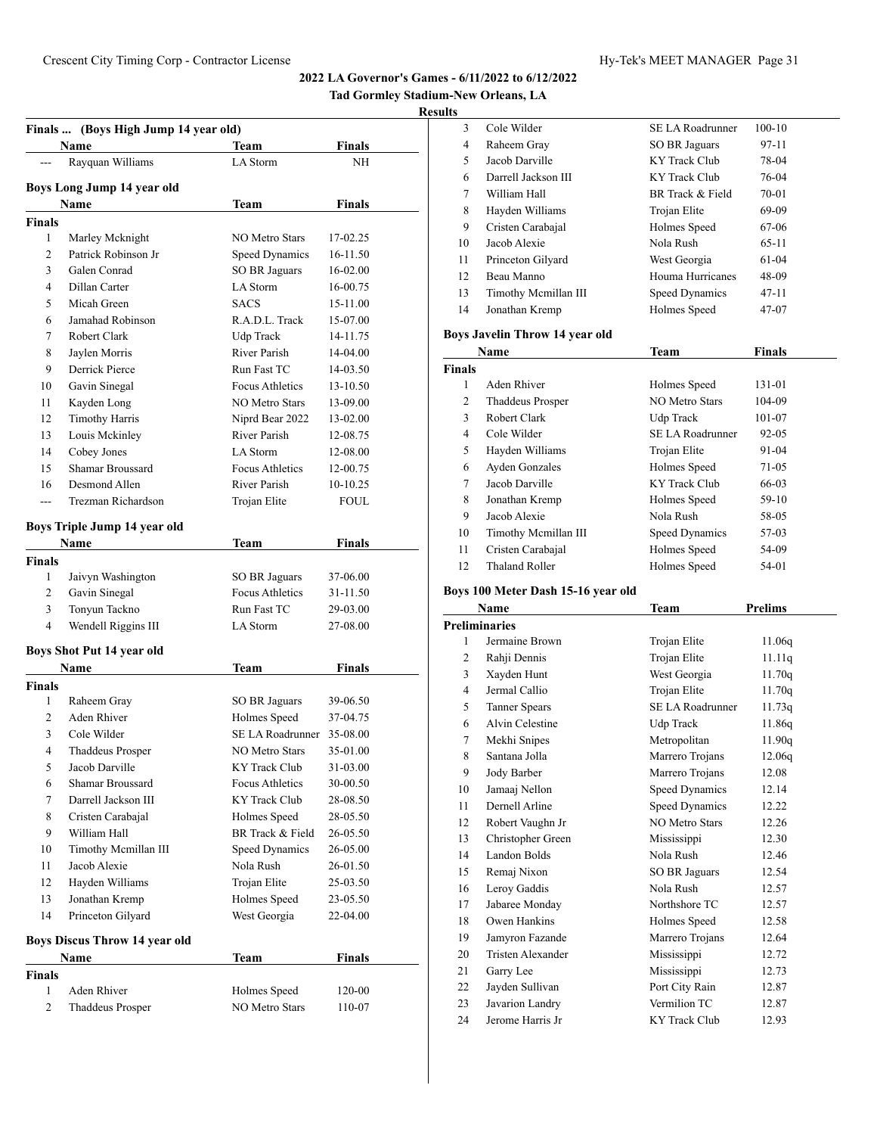**Tad Gormley Stadium-New Orleans, LA**

# **Results**

|  |  | Hy-Tek's MEET MANAGER Page 3 |  |  |
|--|--|------------------------------|--|--|
|--|--|------------------------------|--|--|

|                | Finals  (Boys High Jump 14 year old) |                           |                     |
|----------------|--------------------------------------|---------------------------|---------------------|
| ---            | Name                                 | Team<br>LA Storm          | <b>Finals</b><br>NH |
|                | Rayquan Williams                     |                           |                     |
|                | Boys Long Jump 14 year old           |                           |                     |
|                | <b>Name</b>                          | Team                      | <b>Finals</b>       |
| <b>Finals</b>  |                                      |                           |                     |
| 1              | Marley Mcknight                      | <b>NO Metro Stars</b>     | 17-02.25            |
| 2              | Patrick Robinson Jr                  | Speed Dynamics            | 16-11.50            |
| 3              | Galen Conrad                         | <b>SO BR Jaguars</b>      | 16-02.00            |
| 4              | Dillan Carter                        | LA Storm                  | 16-00.75            |
| 5              | Micah Green                          | <b>SACS</b>               | 15-11.00            |
| 6              | Jamahad Robinson                     | R.A.D.L. Track            | 15-07.00            |
| 7              | Robert Clark                         | Udp Track                 | 14-11.75            |
| 8              | Jaylen Morris                        | River Parish              | 14-04.00            |
| 9              | Derrick Pierce                       | Run Fast TC               | 14-03.50            |
| 10             | Gavin Sinegal                        | <b>Focus Athletics</b>    | 13-10.50            |
| 11             | Kayden Long                          | <b>NO Metro Stars</b>     | 13-09.00            |
| 12             | <b>Timothy Harris</b>                | Niprd Bear 2022           | 13-02.00            |
| 13             | Louis Mckinley                       | River Parish              | 12-08.75            |
| 14             | Cobey Jones                          | LA Storm                  | 12-08.00            |
| 15             | Shamar Broussard                     | <b>Focus Athletics</b>    | 12-00.75            |
| 16             | Desmond Allen                        | River Parish              | 10-10.25            |
| $\overline{a}$ | Trezman Richardson                   | Trojan Elite              | FOUL                |
|                | Boys Triple Jump 14 year old         |                           |                     |
|                | Name                                 | Team                      | Finals              |
| <b>Finals</b>  |                                      |                           |                     |
| 1              | Jaivyn Washington                    | SO BR Jaguars             | 37-06.00            |
| 2              | Gavin Sinegal                        | <b>Focus Athletics</b>    | 31-11.50            |
| 3              | Tonyun Tackno                        | Run Fast TC               | 29-03.00            |
| $\overline{4}$ | Wendell Riggins III                  | LA Storm                  | 27-08.00            |
|                | Boys Shot Put 14 year old            |                           |                     |
|                | <b>Name</b>                          | Team                      | <b>Finals</b>       |
| Finals         |                                      |                           |                     |
| 1              | Raheem Gray                          | <b>SO BR Jaguars</b>      | 39-06.50            |
| 2              | Aden Rhiver                          | Holmes Speed              | 37-04.75            |
| 3              | Cole Wilder                          | SE LA Roadrunner 35-08.00 |                     |
| 4              | Thaddeus Prosper                     | NO Metro Stars            | 35-01.00            |
| 5              | Jacob Darville                       | KY Track Club             | 31-03.00            |
| 6              | Shamar Broussard                     | Focus Athletics           | 30-00.50            |
| 7              | Darrell Jackson III                  | <b>KY Track Club</b>      | 28-08.50            |
| 8              | Cristen Carabajal                    | Holmes Speed              | 28-05.50            |
| 9              | William Hall                         | BR Track & Field          | 26-05.50            |
| 10             | Timothy Mcmillan III                 | Speed Dynamics            | 26-05.00            |
| 11             | Jacob Alexie                         | Nola Rush                 | 26-01.50            |
| 12             | Hayden Williams                      | Trojan Elite              | 25-03.50            |
| 13             | Jonathan Kremp                       | Holmes Speed              | 23-05.50            |
| 14             | Princeton Gilyard                    | West Georgia              | 22-04.00            |
|                | <b>Boys Discus Throw 14 year old</b> |                           |                     |
|                | Name                                 | Team                      | <b>Finals</b>       |
| <b>Finals</b>  |                                      |                           |                     |
| 1              | Aden Rhiver                          | Holmes Speed              | 120-00              |
| $\overline{c}$ | Thaddeus Prosper                     | NO Metro Stars            | 110-07              |

| s  |                      |                      |           |  |
|----|----------------------|----------------------|-----------|--|
| 3  | Cole Wilder          | SE LA Roadrunner     | $100-10$  |  |
| 4  | Raheem Gray          | <b>SO BR Jaguars</b> | 97-11     |  |
| 5  | Jacob Darville       | KY Track Club        | 78-04     |  |
| 6  | Darrell Jackson III  | KY Track Club        | 76-04     |  |
| 7  | William Hall         | BR Track & Field     | 70-01     |  |
| 8  | Hayden Williams      | Trojan Elite         | 69-09     |  |
| 9  | Cristen Carabajal    | Holmes Speed         | 67-06     |  |
| 10 | Jacob Alexie         | Nola Rush            | 65-11     |  |
| 11 | Princeton Gilyard    | West Georgia         | 61-04     |  |
| 12 | Beau Manno           | Houma Hurricanes     | 48-09     |  |
| 13 | Timothy Memillan III | Speed Dynamics       | $47 - 11$ |  |
| 14 | Jonathan Kremp       | Holmes Speed         | 47-07     |  |
|    |                      |                      |           |  |

# **Boys Javelin Throw 14 year old**

|               | Name                  | <b>Team</b>           | <b>Finals</b> |  |
|---------------|-----------------------|-----------------------|---------------|--|
| <b>Finals</b> |                       |                       |               |  |
| 1             | Aden Rhiver           | Holmes Speed          | 131-01        |  |
| 2             | Thaddeus Prosper      | <b>NO Metro Stars</b> | 104-09        |  |
| 3             | Robert Clark          | Udp Track             | 101-07        |  |
| 4             | Cole Wilder           | SE LA Roadrunner      | $92 - 05$     |  |
| 5             | Hayden Williams       | Trojan Elite          | 91-04         |  |
| 6             | <b>Ayden Gonzales</b> | Holmes Speed          | 71-05         |  |
| 7             | Jacob Darville        | KY Track Club         | 66-03         |  |
| 8             | Jonathan Kremp        | Holmes Speed          | 59-10         |  |
| 9             | Jacob Alexie          | Nola Rush             | 58-05         |  |
| 10            | Timothy Mcmillan III  | Speed Dynamics        | 57-03         |  |
| 11            | Cristen Carabajal     | Holmes Speed          | 54-09         |  |
| 12            | <b>Thaland Roller</b> | Holmes Speed          | 54-01         |  |

# **Boys 100 Meter Dash 15-16 year old**

|    | Name                 | Team                    | <b>Prelims</b> |
|----|----------------------|-------------------------|----------------|
|    | <b>Preliminaries</b> |                         |                |
| 1  | Jermaine Brown       | Trojan Elite            | 11.06q         |
| 2  | Rahji Dennis         | Trojan Elite            | 11.11q         |
| 3  | Xayden Hunt          | West Georgia            | 11.70q         |
| 4  | Jermal Callio        | Trojan Elite            | 11.70q         |
| 5  | <b>Tanner Spears</b> | <b>SE LA Roadrunner</b> | 11.73q         |
| 6  | Alvin Celestine      | Udp Track               | 11.86q         |
| 7  | Mekhi Snipes         | Metropolitan            | 11.90q         |
| 8  | Santana Jolla        | Marrero Trojans         | 12.06q         |
| 9  | Jody Barber          | Marrero Trojans         | 12.08          |
| 10 | Jamaaj Nellon        | <b>Speed Dynamics</b>   | 12.14          |
| 11 | Dernell Arline       | <b>Speed Dynamics</b>   | 12.22          |
| 12 | Robert Vaughn Jr     | <b>NO Metro Stars</b>   | 12.26          |
| 13 | Christopher Green    | Mississippi             | 12.30          |
| 14 | Landon Bolds         | Nola Rush               | 12.46          |
| 15 | Remaj Nixon          | <b>SO BR Jaguars</b>    | 12.54          |
| 16 | Leroy Gaddis         | Nola Rush               | 12.57          |
| 17 | Jabaree Monday       | Northshore TC           | 12.57          |
| 18 | Owen Hankins         | Holmes Speed            | 12.58          |
| 19 | Jamyron Fazande      | Marrero Trojans         | 12.64          |
| 20 | Tristen Alexander    | Mississippi             | 12.72          |
| 21 | Garry Lee            | Mississippi             | 12.73          |
| 22 | Jayden Sullivan      | Port City Rain          | 12.87          |
| 23 | Javarion Landry      | Vermilion TC            | 12.87          |
| 24 | Jerome Harris Jr     | <b>KY</b> Track Club    | 12.93          |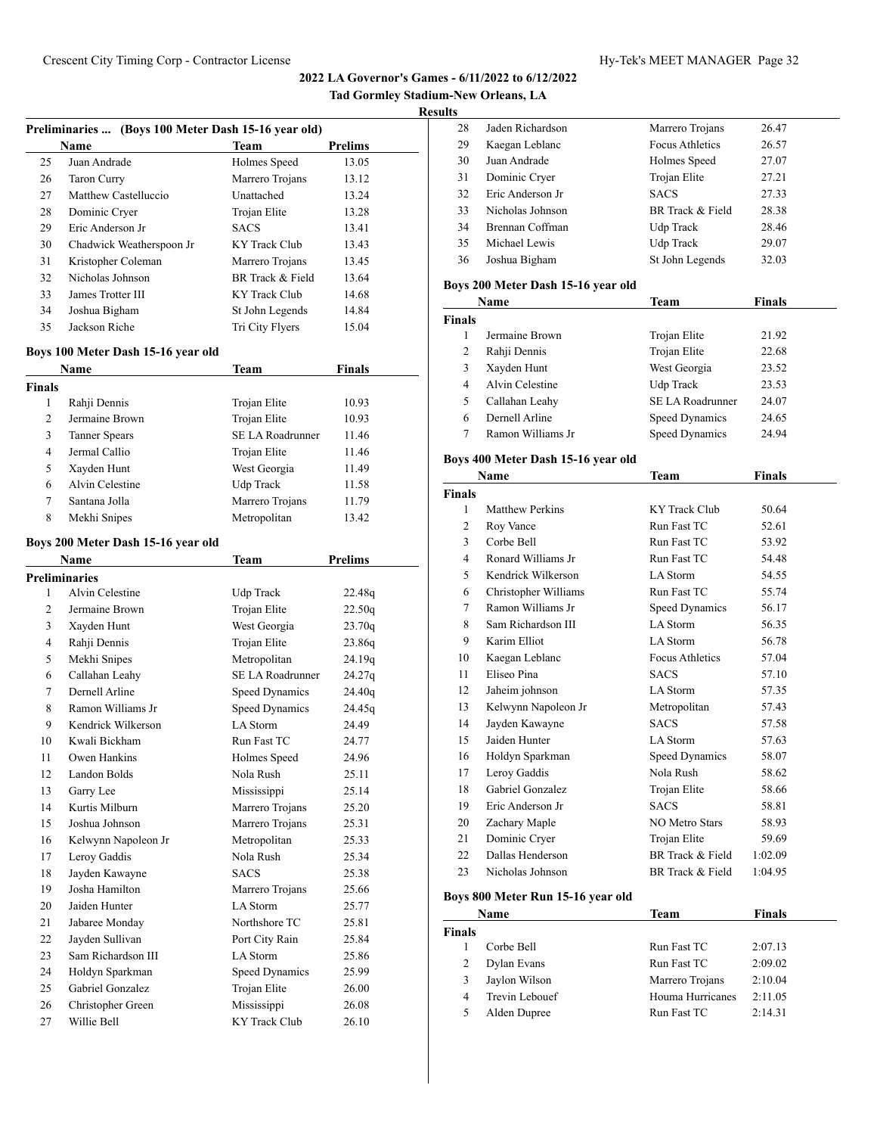|  | Tad Gormley Stadium-New Orleans, LA |  |  |
|--|-------------------------------------|--|--|
|--|-------------------------------------|--|--|

# **Results**

| Preliminaries  (Boys 100 Meter Dash 15-16 year old) |                                    |                         |                |  |
|-----------------------------------------------------|------------------------------------|-------------------------|----------------|--|
|                                                     | Name                               | Team                    | <b>Prelims</b> |  |
| 25                                                  | Juan Andrade                       | Holmes Speed            | 13.05          |  |
| 26                                                  | <b>Taron Curry</b>                 | Marrero Trojans         | 13.12          |  |
| 27                                                  | Matthew Castelluccio               | Unattached              | 13.24          |  |
| 28                                                  | Dominic Cryer                      | Trojan Elite            | 13.28          |  |
| 29                                                  | Eric Anderson Jr                   | <b>SACS</b>             | 13.41          |  |
| 30                                                  | Chadwick Weatherspoon Jr           | <b>KY Track Club</b>    | 13.43          |  |
| 31                                                  | Kristopher Coleman                 | Marrero Trojans         | 13.45          |  |
| 32                                                  | Nicholas Johnson                   | BR Track & Field        | 13.64          |  |
| 33                                                  | James Trotter III                  | <b>KY</b> Track Club    | 14.68          |  |
| 34                                                  | Joshua Bigham                      | St John Legends         | 14.84          |  |
| 35                                                  | Jackson Riche                      | Tri City Flyers         | 15.04          |  |
|                                                     | Boys 100 Meter Dash 15-16 year old |                         |                |  |
|                                                     | Name                               | <b>Team</b>             | <b>Finals</b>  |  |
| <b>Finals</b>                                       |                                    |                         |                |  |
| 1                                                   | Rahji Dennis                       | Trojan Elite            | 10.93          |  |
| 2                                                   | Jermaine Brown                     | Trojan Elite            | 10.93          |  |
| 3                                                   | <b>Tanner Spears</b>               | <b>SE LA Roadrunner</b> | 11.46          |  |
| 4                                                   | Jermal Callio                      | Trojan Elite            | 11.46          |  |
| 5                                                   | Xayden Hunt                        | West Georgia            | 11.49          |  |
| 6                                                   | Alvin Celestine                    | <b>Udp Track</b>        | 11.58          |  |
| 7                                                   | Santana Jolla                      | Marrero Trojans         |                |  |
| 8                                                   | Mekhi Snipes                       | Metropolitan            | 11.79<br>13.42 |  |
|                                                     |                                    |                         |                |  |
|                                                     | Boys 200 Meter Dash 15-16 year old |                         |                |  |
|                                                     | Name                               | <b>Team</b>             | <b>Prelims</b> |  |
| <b>Preliminaries</b>                                |                                    |                         |                |  |
| 1                                                   | Alvin Celestine                    | Udp Track               | 22.48q         |  |
| 2                                                   | Jermaine Brown                     | Trojan Elite            | 22.50q         |  |
| 3                                                   | Xayden Hunt                        | West Georgia            | 23.70q         |  |
| 4                                                   | Rahji Dennis                       | Trojan Elite            | 23.86q         |  |
| 5                                                   | Mekhi Snipes                       | Metropolitan            | 24.19q         |  |
| 6                                                   | Callahan Leahy                     | <b>SE LA Roadrunner</b> | 24.27q         |  |
| 7                                                   | Dernell Arline                     | Speed Dynamics          | 24.40q         |  |
| 8                                                   | Ramon Williams Jr                  | Speed Dynamics          | 24.45q         |  |
| 9                                                   | Kendrick Wilkerson                 | <b>LA</b> Storm         | 24.49          |  |
| 10                                                  | Kwali Bickham                      | Run Fast TC             | 24.77          |  |
| 11                                                  | Owen Hankins                       | Holmes Speed            | 24.96          |  |
| 12                                                  | Landon Bolds                       | Nola Rush               | 25.11          |  |
| 13                                                  | Garry Lee                          | Mississippi             | 25.14          |  |
| 14                                                  | Kurtis Milburn                     | Marrero Trojans         | 25.20          |  |
| 15                                                  | Joshua Johnson                     | Marrero Trojans         | 25.31          |  |
| 16                                                  | Kelwynn Napoleon Jr                | Metropolitan            | 25.33          |  |
| 17                                                  | Leroy Gaddis                       | Nola Rush               | 25.34          |  |
| 18                                                  | Jayden Kawayne                     | <b>SACS</b>             | 25.38          |  |
| 19                                                  | Josha Hamilton                     | Marrero Trojans         | 25.66          |  |
| 20                                                  | Jaiden Hunter                      | LA Storm                | 25.77          |  |
| 21                                                  | Jabaree Monday                     | Northshore TC           | 25.81          |  |
| 22                                                  | Jayden Sullivan                    | Port City Rain          | 25.84          |  |
| 23                                                  | Sam Richardson III                 | LA Storm                | 25.86          |  |
| 24                                                  | Holdyn Sparkman                    | Speed Dynamics          | 25.99          |  |
| 25                                                  | Gabriel Gonzalez                   | Trojan Elite            | 26.00          |  |
| 26                                                  | Christopher Green                  | Mississippi             | 26.08          |  |
| 27                                                  | Willie Bell                        | KY Track Club           | 26.10          |  |
|                                                     |                                    |                         |                |  |

| 28 | Jaden Richardson | Marrero Trojans        | 26.47 |
|----|------------------|------------------------|-------|
| 29 | Kaegan Leblanc   | <b>Focus Athletics</b> | 26.57 |
| 30 | Juan Andrade     | Holmes Speed           | 27.07 |
| 31 | Dominic Cryer    | Trojan Elite           | 27.21 |
| 32 | Eric Anderson Jr | <b>SACS</b>            | 27.33 |
| 33 | Nicholas Johnson | BR Track & Field       | 28.38 |
| 34 | Brennan Coffman  | Udp Track              | 28.46 |
| 35 | Michael Lewis    | Udp Track              | 29.07 |
| 36 | Joshua Bigham    | St John Legends        | 32.03 |
|    |                  |                        |       |

# **Boys 200 Meter Dash 15-16 year old**

| Name              | Team                  | <b>Finals</b> |  |
|-------------------|-----------------------|---------------|--|
|                   |                       |               |  |
| Jermaine Brown    | Trojan Elite          | 21.92         |  |
| Rahji Dennis      | Trojan Elite          | 22.68         |  |
| Xayden Hunt       | West Georgia          | 23.52         |  |
| Alvin Celestine   | Udp Track             | 23.53         |  |
| Callahan Leahy    | SE LA Roadrunner      | 24.07         |  |
| Dernell Arline    | Speed Dynamics        | 24.65         |  |
| Ramon Williams Jr | <b>Speed Dynamics</b> | 24.94         |  |
|                   |                       |               |  |

# **Boys 400 Meter Dash 15-16 year old**

|               | Name                              | Team                   | <b>Finals</b> |
|---------------|-----------------------------------|------------------------|---------------|
| <b>Finals</b> |                                   |                        |               |
| 1             | <b>Matthew Perkins</b>            | KY Track Club          | 50.64         |
| 2             | Roy Vance                         | Run Fast TC            | 52.61         |
| 3             | Corbe Bell                        | Run Fast TC            | 53.92         |
| 4             | Ronard Williams Jr                | Run Fast TC            | 54.48         |
| 5             | Kendrick Wilkerson                | LA Storm               | 54.55         |
| 6             | Christopher Williams              | Run Fast TC            | 55.74         |
| 7             | Ramon Williams Jr                 | <b>Speed Dynamics</b>  | 56.17         |
| 8             | Sam Richardson III                | LA Storm               | 56.35         |
| 9             | Karim Elliot                      | LA Storm               | 56.78         |
| 10            | Kaegan Leblanc                    | <b>Focus Athletics</b> | 57.04         |
| 11            | Eliseo Pina                       | <b>SACS</b>            | 57.10         |
| 12            | Jaheim johnson                    | LA Storm               | 57.35         |
| 13            | Kelwynn Napoleon Jr               | Metropolitan           | 57.43         |
| 14            | Jayden Kawayne                    | <b>SACS</b>            | 57.58         |
| 15            | Jaiden Hunter                     | LA Storm               | 57.63         |
| 16            | Holdyn Sparkman                   | Speed Dynamics         | 58.07         |
| 17            | Leroy Gaddis                      | Nola Rush              | 58.62         |
| 18            | Gabriel Gonzalez                  | Trojan Elite           | 58.66         |
| 19            | Eric Anderson Jr                  | <b>SACS</b>            | 58.81         |
| 20            | Zachary Maple                     | <b>NO Metro Stars</b>  | 58.93         |
| 21            | Dominic Cryer                     | Trojan Elite           | 59.69         |
| 22            | Dallas Henderson                  | BR Track & Field       | 1:02.09       |
| 23            | Nicholas Johnson                  | BR Track & Field       | 1:04.95       |
|               | Boys 800 Meter Run 15-16 year old |                        |               |

|               | Name           | <b>Team</b>      | <b>Finals</b> |  |
|---------------|----------------|------------------|---------------|--|
| <b>Finals</b> |                |                  |               |  |
|               | Corbe Bell     | Run Fast TC      | 2:07.13       |  |
| 2             | Dylan Evans    | Run Fast TC      | 2:09.02       |  |
| 3             | Jaylon Wilson  | Marrero Trojans  | 2:10.04       |  |
| 4             | Trevin Lebouef | Houma Hurricanes | 2:11.05       |  |
|               | Alden Dupree   | Run Fast TC      | 2:14.31       |  |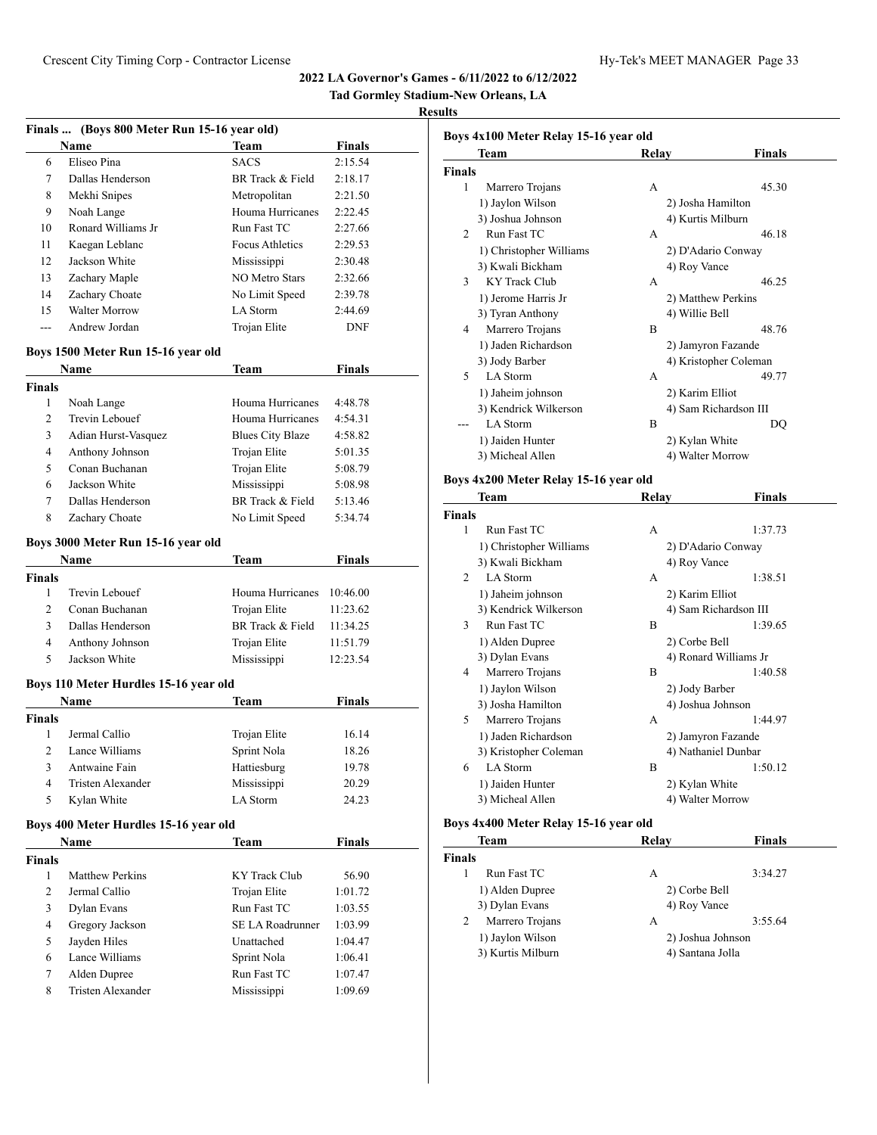**Tad Gormley Stadium-New Orleans, LA**

#### **Results**

|                | Finals  (Boys 800 Meter Run 15-16 year old) |                         |               |
|----------------|---------------------------------------------|-------------------------|---------------|
|                | Name                                        | <b>Team</b>             | <b>Finals</b> |
| 6              | Eliseo Pina                                 | <b>SACS</b>             | 2:15.54       |
| 7              | Dallas Henderson                            | BR Track & Field        | 2:18.17       |
| 8              | Mekhi Snipes                                | Metropolitan            | 2:21.50       |
| 9              | Noah Lange                                  | Houma Hurricanes        | 2:22.45       |
| 10             | Ronard Williams Jr                          | Run Fast TC             | 2:27.66       |
| 11             | Kaegan Leblanc                              | <b>Focus Athletics</b>  | 2:29.53       |
| 12             | Jackson White                               | Mississippi             | 2:30.48       |
| 13             | Zachary Maple                               | <b>NO Metro Stars</b>   | 2:32.66       |
| 14             | Zachary Choate                              | No Limit Speed          | 2:39.78       |
| 15             | <b>Walter Morrow</b>                        | LA Storm                | 2:44.69       |
| ---            | Andrew Jordan                               | Trojan Elite            | <b>DNF</b>    |
|                | Boys 1500 Meter Run 15-16 year old          |                         |               |
|                | Name                                        | Team                    | <b>Finals</b> |
| <b>Finals</b>  |                                             |                         |               |
| 1              | Noah Lange                                  | Houma Hurricanes        | 4:48.78       |
| 2              | Trevin Lebouef                              | Houma Hurricanes        | 4:54.31       |
| 3              | Adian Hurst-Vasquez                         | <b>Blues City Blaze</b> | 4:58.82       |
| 4              | Anthony Johnson                             | Trojan Elite            | 5:01.35       |
| 5              | Conan Buchanan                              | Trojan Elite            | 5:08.79       |
| 6              | Jackson White                               | Mississippi             | 5:08.98       |
| 7              | Dallas Henderson                            | BR Track & Field        | 5:13.46       |
| 8              | Zachary Choate                              | No Limit Speed          | 5:34.74       |
|                | Boys 3000 Meter Run 15-16 year old          |                         |               |
|                | Name                                        | Team                    | <b>Finals</b> |
| <b>Finals</b>  |                                             |                         |               |
| 1              | Trevin Lebouef                              | Houma Hurricanes        | 10:46.00      |
| 2              | Conan Buchanan                              | Trojan Elite            | 11:23.62      |
| 3              | Dallas Henderson                            | BR Track & Field        | 11:34.25      |
| $\overline{4}$ | Anthony Johnson                             | Trojan Elite            | 11:51.79      |
| 5              | Jackson White                               | Mississippi             | 12:23.54      |
|                | Boys 110 Meter Hurdles 15-16 year old       |                         |               |
|                | Name                                        | Team                    | Finals        |
| Finals         |                                             |                         |               |
| 1              | Jermal Callio                               | Trojan Elite            | 16.14         |
| 2              | Lance Williams                              | Sprint Nola             | 18.26         |
| $\mathfrak{Z}$ | Antwaine Fain                               | Hattiesburg             | 19.78         |
| $\overline{4}$ | Tristen Alexander                           | Mississippi             | 20.29         |
| 5              | Kylan White                                 | LA Storm                | 24.23         |
|                | Boys 400 Meter Hurdles 15-16 year old       |                         |               |
|                | Name                                        | Team                    | <b>Finals</b> |
| <b>Finals</b>  |                                             |                         |               |
| 1              | <b>Matthew Perkins</b>                      | KY Track Club           | 56.90         |
| 2              | Jermal Callio                               | Trojan Elite            | 1:01.72       |
| 3              | Dylan Evans                                 | Run Fast TC             | 1:03.55       |
| 4              | Gregory Jackson                             | SE LA Roadrunner        | 1:03.99       |
| 5              | Jayden Hiles                                | Unattached              | 1:04.47       |
| 6              | Lance Williams                              | Sprint Nola             | 1:06.41       |
| 7              | Alden Dupree                                | Run Fast TC             | 1:07.47       |
| 8              | Tristen Alexander                           | Mississippi             | 1:09.69       |

|                          | Team                    | Relay | <b>Finals</b>         |
|--------------------------|-------------------------|-------|-----------------------|
| <b>Finals</b>            |                         |       |                       |
| 1                        | Marrero Trojans         | A     | 45.30                 |
|                          | 1) Jaylon Wilson        |       | 2) Josha Hamilton     |
|                          | 3) Joshua Johnson       |       | 4) Kurtis Milburn     |
| $\mathfrak{D}$           | Run Fast TC             | A     | 46.18                 |
|                          | 1) Christopher Williams |       | 2) D'Adario Conway    |
|                          | 3) Kwali Bickham        |       | 4) Roy Vance          |
| 3                        | KY Track Club           | A     | 46.25                 |
|                          | 1) Jerome Harris Jr     |       | 2) Matthew Perkins    |
|                          | 3) Tyran Anthony        |       | 4) Willie Bell        |
| 4                        | Marrero Trojans         | B     | 48.76                 |
|                          | 1) Jaden Richardson     |       | 2) Jamyron Fazande    |
|                          | 3) Jody Barber          |       | 4) Kristopher Coleman |
| $\overline{\phantom{1}}$ | LA Storm                | A     | 49.77                 |
|                          | 1) Jaheim johnson       |       | 2) Karim Elliot       |
|                          | 3) Kendrick Wilkerson   |       | 4) Sam Richardson III |
| ---                      | LA Storm                | B     | DO                    |
|                          | 1) Jaiden Hunter        |       | 2) Kylan White        |
|                          | 3) Micheal Allen        |       | 4) Walter Morrow      |

# **Boys 4x200 Meter Relay 15-16 year old**

|                | Team                    | Relay           | Finals                |
|----------------|-------------------------|-----------------|-----------------------|
| <b>Finals</b>  |                         |                 |                       |
| 1              | Run Fast TC             | A               | 1:37.73               |
|                | 1) Christopher Williams |                 | 2) D'Adario Conway    |
|                | 3) Kwali Bickham        | 4) Roy Vance    |                       |
| $\mathfrak{D}$ | LA Storm                | A               | 1:38.51               |
|                | 1) Jaheim johnson       | 2) Karim Elliot |                       |
|                | 3) Kendrick Wilkerson   |                 | 4) Sam Richardson III |
| 3              | Run Fast TC             | R               | 1:39.65               |
|                | 1) Alden Dupree         | 2) Corbe Bell   |                       |
|                | 3) Dylan Evans          |                 | 4) Ronard Williams Jr |
| 4              | Marrero Trojans         | R               | 1:40.58               |
|                | 1) Jaylon Wilson        | 2) Jody Barber  |                       |
|                | 3) Josha Hamilton       |                 | 4) Joshua Johnson     |
| 5              | Marrero Trojans         | A               | 1:44.97               |
|                | 1) Jaden Richardson     |                 | 2) Jamyron Fazande    |
|                | 3) Kristopher Coleman   |                 | 4) Nathaniel Dunbar   |
| 6              | LA Storm                | B               | 1:50.12               |
|                | 1) Jaiden Hunter        | 2) Kylan White  |                       |
|                | 3) Micheal Allen        |                 | 4) Walter Morrow      |

# **Boys 4x400 Meter Relay 15-16 year old**

| Team              | Relay             | <b>Finals</b> |
|-------------------|-------------------|---------------|
| <b>Finals</b>     |                   |               |
| Run Fast TC       | А                 | 3:34.27       |
| 1) Alden Dupree   | 2) Corbe Bell     |               |
| 3) Dylan Evans    | 4) Roy Vance      |               |
| Marrero Trojans   | А                 | 3:55.64       |
| 1) Jaylon Wilson  | 2) Joshua Johnson |               |
| 3) Kurtis Milburn | 4) Santana Jolla  |               |
|                   |                   |               |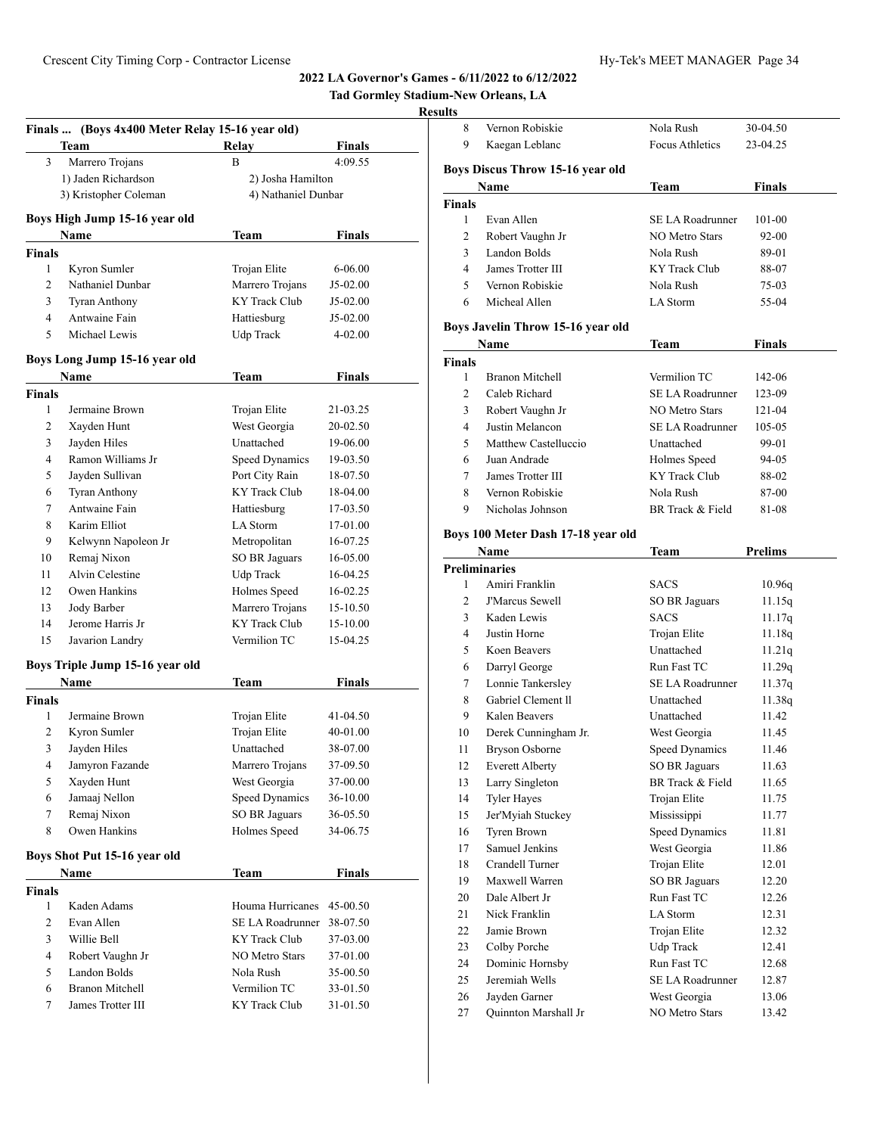**Tad Gormley Stadium-New Orleans, LA**

#### **Results**

|                | Finals  (Boys 4x400 Meter Relay 15-16 year old) |                       |               |
|----------------|-------------------------------------------------|-----------------------|---------------|
|                | <b>Team</b>                                     | Relay                 | <b>Finals</b> |
| 3              | Marrero Trojans                                 | B                     | 4:09.55       |
|                | 1) Jaden Richardson                             | 2) Josha Hamilton     |               |
|                | 3) Kristopher Coleman                           | 4) Nathaniel Dunbar   |               |
|                | Boys High Jump 15-16 year old                   |                       |               |
|                | Name                                            | Team                  | <b>Finals</b> |
| <b>Finals</b>  |                                                 |                       |               |
| 1              | Kyron Sumler                                    | Trojan Elite          | 6-06.00       |
| 2              | Nathaniel Dunbar                                | Marrero Trojans       | J5-02.00      |
| 3              | Tyran Anthony                                   | <b>KY Track Club</b>  | J5-02.00      |
| $\overline{4}$ | Antwaine Fain                                   | Hattiesburg           | J5-02.00      |
| 5              | Michael Lewis                                   | Udp Track             | 4-02.00       |
|                | Boys Long Jump 15-16 year old                   |                       |               |
|                | Name                                            | Team                  | Finals        |
| <b>Finals</b>  |                                                 |                       |               |
| 1              | Jermaine Brown                                  | Trojan Elite          | 21-03.25      |
| 2              | Xayden Hunt                                     | West Georgia          | 20-02.50      |
| 3              | Jayden Hiles                                    | Unattached            | 19-06.00      |
| 4              | Ramon Williams Jr                               | Speed Dynamics        | 19-03.50      |
| 5              | Jayden Sullivan                                 | Port City Rain        | 18-07.50      |
| 6              | <b>Tyran Anthony</b>                            | KY Track Club         | 18-04.00      |
| 7              | Antwaine Fain                                   | Hattiesburg           | 17-03.50      |
| 8              | Karim Elliot                                    | LA Storm              | 17-01.00      |
| 9              | Kelwynn Napoleon Jr                             | Metropolitan          | 16-07.25      |
| 10             | Remaj Nixon                                     | <b>SO BR Jaguars</b>  | 16-05.00      |
| 11             | Alvin Celestine                                 | Udp Track             | 16-04.25      |
| 12             | Owen Hankins                                    | Holmes Speed          | 16-02.25      |
| 13             | Jody Barber                                     | Marrero Trojans       | 15-10.50      |
| 14             | Jerome Harris Jr                                | KY Track Club         | 15-10.00      |
| 15             | Javarion Landry                                 | Vermilion TC          | 15-04.25      |
|                | Boys Triple Jump 15-16 year old                 |                       |               |
|                | <b>Name</b>                                     | Team                  | <b>Finals</b> |
| Finals         |                                                 |                       |               |
| 1              | Jermaine Brown                                  | Trojan Elite          | 41-04.50      |
| 2              | Kyron Sumler                                    | Trojan Elite          | 40-01.00      |
| 3              | Jayden Hiles                                    | Unattached            | 38-07.00      |
| 4              | Jamyron Fazande                                 | Marrero Trojans       | 37-09.50      |
| 5              | Xayden Hunt                                     | West Georgia          | 37-00.00      |
| 6              | Jamaaj Nellon                                   | Speed Dynamics        | 36-10.00      |
| 7              | Remaj Nixon                                     | SO BR Jaguars         | 36-05.50      |
| 8              | Owen Hankins                                    | Holmes Speed          | 34-06.75      |
|                | Boys Shot Put 15-16 year old                    |                       |               |
|                | Name                                            | <b>Team</b>           | Finals        |
| <b>Finals</b>  |                                                 |                       |               |
| 1              | Kaden Adams                                     | Houma Hurricanes      | 45-00.50      |
| 2              | Evan Allen                                      | SE LA Roadrunner      | 38-07.50      |
| 3              | Willie Bell                                     | <b>KY Track Club</b>  | 37-03.00      |
| $\overline{4}$ | Robert Vaughn Jr                                | <b>NO Metro Stars</b> | 37-01.00      |
| 5              | Landon Bolds                                    | Nola Rush             | 35-00.50      |
| 6              | <b>Branon Mitchell</b>                          | Vermilion TC          | 33-01.50      |
| 7              | James Trotter III                               | KY Track Club         | 31-01.50      |
|                |                                                 |                       |               |

| 8                    | Vernon Robiskie                         | Nola Rush               | 30-04.50       |
|----------------------|-----------------------------------------|-------------------------|----------------|
| 9                    | Kaegan Leblanc                          | Focus Athletics         | 23-04.25       |
|                      | <b>Boys Discus Throw 15-16 year old</b> |                         |                |
|                      | Name                                    | Team                    | Finals         |
| Finals               |                                         |                         |                |
| 1                    | Evan Allen                              | <b>SE LA Roadrunner</b> | 101-00         |
| $\overline{c}$       | Robert Vaughn Jr                        | <b>NO Metro Stars</b>   | 92-00          |
| 3                    | Landon Bolds                            | Nola Rush               | 89-01          |
| 4                    | James Trotter III                       | <b>KY</b> Track Club    | 88-07          |
| 5                    | Vernon Robiskie                         | Nola Rush               | 75-03          |
| 6                    | Micheal Allen                           | LA Storm                | 55-04          |
|                      | Boys Javelin Throw 15-16 year old       |                         |                |
|                      | Name                                    | Team                    | Finals         |
| <b>Finals</b>        |                                         |                         |                |
| 1                    | <b>Branon Mitchell</b>                  | Vermilion TC            | 142-06         |
| 2                    | Caleb Richard                           | SE LA Roadrunner        | 123-09         |
| 3                    | Robert Vaughn Jr                        | <b>NO Metro Stars</b>   |                |
|                      | Justin Melancon                         |                         | 121-04         |
| 4                    |                                         | SE LA Roadrunner        | 105-05         |
| 5                    | Matthew Castelluccio                    | Unattached              | 99-01          |
| 6                    | Juan Andrade                            | Holmes Speed            | 94-05          |
| 7                    | James Trotter III                       | <b>KY</b> Track Club    | 88-02          |
| 8                    | Vernon Robiskie                         | Nola Rush               | 87-00          |
| 9                    | Nicholas Johnson                        | BR Track & Field        | 81-08          |
|                      | Boys 100 Meter Dash 17-18 year old      |                         |                |
|                      |                                         |                         |                |
|                      | <b>Name</b>                             | Team                    | <b>Prelims</b> |
| <b>Preliminaries</b> |                                         |                         |                |
| 1                    | Amiri Franklin                          | <b>SACS</b>             | 10.96q         |
| 2                    | <b>J'Marcus Sewell</b>                  | SO BR Jaguars           | 11.15q         |
| 3                    | Kaden Lewis                             | <b>SACS</b>             | 11.17q         |
| 4                    | Justin Horne                            | Trojan Elite            | 11.18q         |
| 5                    | Koen Beavers                            | Unattached              | 11.21q         |
| 6                    | Darryl George                           | Run Fast TC             | 11.29q         |
| 7                    | Lonnie Tankersley                       | SE LA Roadrunner        | 11.37q         |
| 8                    | Gabriel Clement II                      | Unattached              | 11.38q         |
| 9                    | Kalen Beavers                           | Unattached              | 11.42          |
| 10                   | Derek Cunningham Jr.                    | West Georgia            | 11.45          |
| 11                   | <b>Bryson Osborne</b>                   | <b>Speed Dynamics</b>   | 11.46          |
| 12                   | Everett Alberty                         | SO BR Jaguars           | 11.63          |
| 13                   | Larry Singleton                         | BR Track & Field        | 11.65          |
| 14                   | <b>Tyler Hayes</b>                      | Trojan Elite            | 11.75          |
| 15                   | Jer'Myiah Stuckey                       | Mississippi             | 11.77          |
| 16                   | Tyren Brown                             | <b>Speed Dynamics</b>   | 11.81          |
| 17                   | Samuel Jenkins                          | West Georgia            | 11.86          |
| 18                   | Crandell Turner                         | Trojan Elite            | 12.01          |
| 19                   | Maxwell Warren                          | <b>SO BR Jaguars</b>    | 12.20          |
| 20                   | Dale Albert Jr                          | Run Fast TC             | 12.26          |
| 21                   | Nick Franklin                           | LA Storm                | 12.31          |
| 22                   | Jamie Brown                             | Trojan Elite            | 12.32          |
| 23                   | Colby Porche                            | <b>Udp Track</b>        | 12.41          |

 Jeremiah Wells SE LA Roadrunner 12.87 Jayden Garner West Georgia 13.06 27 Quinnton Marshall Jr NO Metro Stars 13.42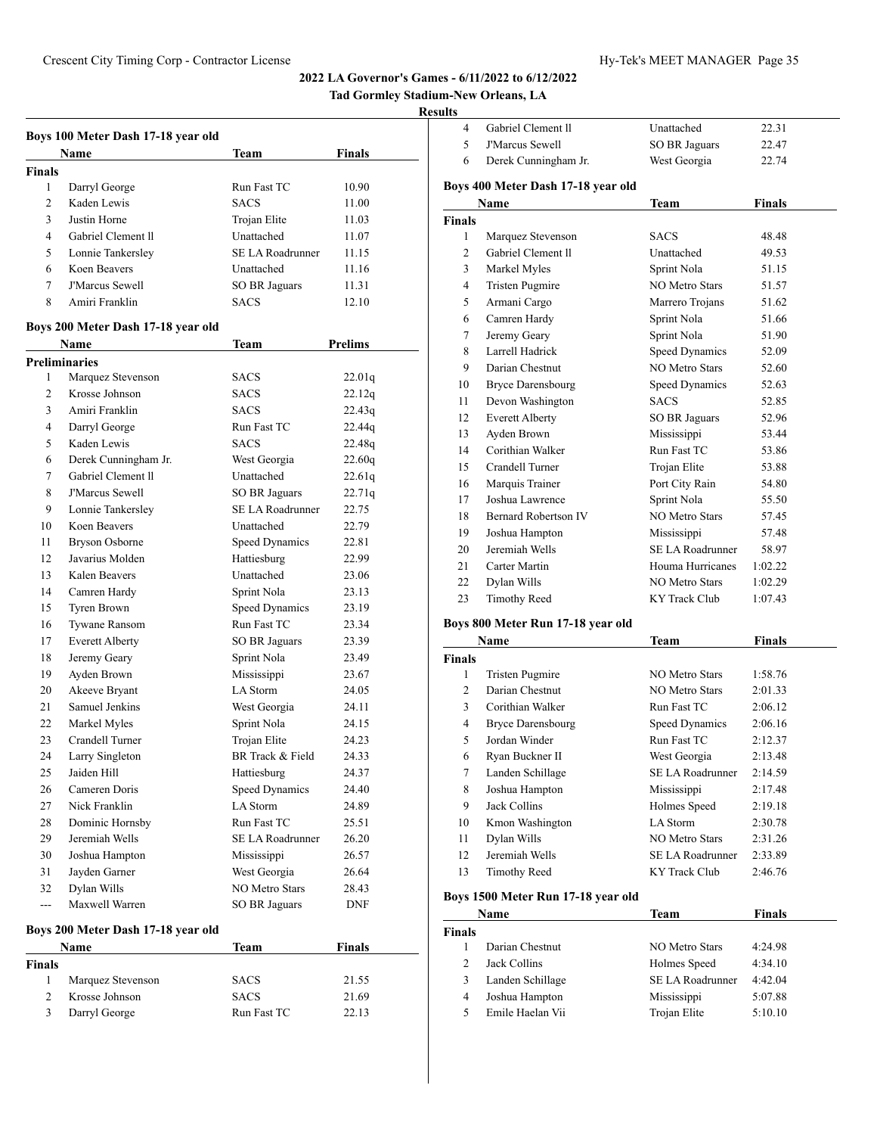**Tad Gormley Stadium-New Orleans, LA**

# **Results**

|                      | Boys 100 Meter Dash 17-18 year old |                              |                |
|----------------------|------------------------------------|------------------------------|----------------|
|                      | Name                               | Team                         | Finals         |
| <b>Finals</b><br>1   |                                    | Run Fast TC                  |                |
| 2                    | Darryl George<br>Kaden Lewis       | <b>SACS</b>                  | 10.90<br>11.00 |
| 3                    | Justin Horne                       |                              |                |
| 4                    | Gabriel Clement II                 | Trojan Elite<br>Unattached   | 11.03          |
|                      |                                    | <b>SE LA Roadrunner</b>      | 11.07          |
| 5<br>6               | Lonnie Tankersley<br>Koen Beavers  | Unattached                   | 11.15<br>11.16 |
| 7                    | <b>FMarcus Sewell</b>              |                              | 11.31          |
| 8                    | Amiri Franklin                     | SO BR Jaguars<br><b>SACS</b> | 12.10          |
|                      |                                    |                              |                |
|                      | Boys 200 Meter Dash 17-18 year old |                              |                |
|                      | Name                               | Team                         | Prelims        |
| <b>Preliminaries</b> |                                    |                              |                |
| 1                    | Marquez Stevenson                  | <b>SACS</b>                  | 22.01q         |
| $\overline{2}$       | Krosse Johnson                     | <b>SACS</b>                  | 22.12q         |
| 3                    | Amiri Franklin                     | <b>SACS</b>                  | 22.43q         |
| 4                    | Darryl George                      | Run Fast TC                  | 22.44q         |
| 5                    | Kaden Lewis                        | <b>SACS</b>                  | 22.48q         |
| 6                    | Derek Cunningham Jr.               | West Georgia                 | 22.60q         |
| 7                    | Gabriel Clement II                 | Unattached                   | 22.61q         |
| 8                    | J'Marcus Sewell                    | SO BR Jaguars                | 22.71q         |
| 9                    | Lonnie Tankersley                  | <b>SE LA Roadrunner</b>      | 22.75          |
| 10                   | Koen Beavers                       | Unattached                   | 22.79          |
| 11                   | Bryson Osborne                     | Speed Dynamics               | 22.81          |
| 12                   | Javarius Molden                    | Hattiesburg                  | 22.99          |
| 13                   | Kalen Beavers                      | Unattached                   | 23.06          |
| 14                   | Camren Hardy                       | Sprint Nola                  | 23.13          |
| 15                   | Tyren Brown                        | Speed Dynamics               | 23.19          |
| 16                   | Tywane Ransom                      | Run Fast TC                  | 23.34          |
| 17                   | <b>Everett Alberty</b>             | <b>SO BR Jaguars</b>         | 23.39          |
| 18                   | Jeremy Geary                       | Sprint Nola                  | 23.49          |
| 19                   | Ayden Brown                        | Mississippi                  | 23.67          |
| 20                   | Akeeve Bryant                      | LA Storm                     | 24.05          |
| 21                   | Samuel Jenkins                     | West Georgia                 | 24.11          |
| 22                   | Markel Myles                       | Sprint Nola                  | 24.15          |
| 23                   | Crandell Turner                    | Trojan Elite                 | 24.23          |
| 24                   | Larry Singleton                    | BR Track & Field             | 24.33          |
| 25                   | Jaiden Hill                        | Hattiesburg                  | 24.37          |
| 26                   | Cameren Doris                      | Speed Dynamics               | 24.40          |
| 27                   | Nick Franklin                      | LA Storm                     | 24.89          |
| 28                   | Dominic Hornsby                    | Run Fast TC                  | 25.51          |
| 29                   | Jeremiah Wells                     | SE LA Roadrunner             | 26.20          |
| 30                   | Joshua Hampton                     | Mississippi                  | 26.57          |
| 31                   | Jayden Garner                      | West Georgia                 | 26.64          |
| 32                   | Dylan Wills                        | <b>NO Metro Stars</b>        | 28.43          |
| ---                  | Maxwell Warren                     | SO BR Jaguars                | DNF            |
|                      | Boys 200 Meter Dash 17-18 year old |                              |                |
|                      | Name                               | Team                         | <b>Finals</b>  |
| <b>Finals</b>        |                                    |                              |                |
| 1                    | Marquez Stevenson                  | SACS                         | 21.55          |
| $\overline{2}$       | Krosse Johnson                     | SACS                         | 21.69          |
| 3                    | Darryl George                      | Run Fast TC                  | 22.13          |

| $\overline{4}$ | Gabriel Clement II                 | Unattached                                     | 22.31         |
|----------------|------------------------------------|------------------------------------------------|---------------|
| 5              | <b>J'Marcus Sewell</b>             | <b>SO BR Jaguars</b>                           | 22.47         |
| 6              | Derek Cunningham Jr.               | West Georgia                                   | 22.74         |
|                | Boys 400 Meter Dash 17-18 year old |                                                |               |
|                | Name                               | <b>Team</b>                                    | <b>Finals</b> |
| <b>Finals</b>  |                                    |                                                |               |
| 1              | Marquez Stevenson                  | <b>SACS</b>                                    | 48.48         |
| $\overline{c}$ | Gabriel Clement II                 | Unattached                                     | 49.53         |
| 3              | Markel Myles                       | Sprint Nola                                    | 51.15         |
| $\overline{4}$ | <b>Tristen Pugmire</b>             | <b>NO Metro Stars</b>                          | 51.57         |
| 5              | Armani Cargo                       | Marrero Trojans                                | 51.62         |
| 6              | Camren Hardy                       | Sprint Nola                                    | 51.66         |
| 7              | Jeremy Geary                       | Sprint Nola                                    | 51.90         |
|                | Larrell Hadrick                    |                                                |               |
| 8              |                                    | <b>Speed Dynamics</b><br><b>NO Metro Stars</b> | 52.09         |
| 9              | Darian Chestnut                    |                                                | 52.60         |
| 10             | <b>Bryce Darensbourg</b>           | <b>Speed Dynamics</b>                          | 52.63         |
| 11             | Devon Washington                   | <b>SACS</b>                                    | 52.85         |
| 12             | <b>Everett Alberty</b>             | <b>SO BR Jaguars</b>                           | 52.96         |
| 13             | Ayden Brown                        | Mississippi                                    | 53.44         |
| 14             | Corithian Walker                   | Run Fast TC                                    | 53.86         |
| 15             | Crandell Turner                    | Trojan Elite                                   | 53.88         |
| 16             | Marquis Trainer                    | Port City Rain                                 | 54.80         |
| 17             | Joshua Lawrence                    | Sprint Nola                                    | 55.50         |
| 18             | <b>Bernard Robertson IV</b>        | <b>NO Metro Stars</b>                          | 57.45         |
| 19             | Joshua Hampton                     | Mississippi                                    | 57.48         |
| 20             | Jeremiah Wells                     | <b>SE LA Roadrunner</b>                        | 58.97         |
| 21             | Carter Martin                      | Houma Hurricanes                               | 1:02.22       |
| 22             | Dylan Wills                        | <b>NO Metro Stars</b>                          | 1:02.29       |
| 23             | <b>Timothy Reed</b>                | KY Track Club                                  | 1:07.43       |
|                |                                    |                                                |               |

# **Boys 800 Meter Run 17-18 year old**

|               | Name                     | Team                  | Finals  |
|---------------|--------------------------|-----------------------|---------|
| <b>Finals</b> |                          |                       |         |
| 1             | <b>Tristen Pugmire</b>   | <b>NO Metro Stars</b> | 1:58.76 |
| 2             | Darian Chestnut          | NO Metro Stars        | 2:01.33 |
| 3             | Corithian Walker         | Run Fast TC           | 2:06.12 |
| 4             | <b>Bryce Darensbourg</b> | Speed Dynamics        | 2:06.16 |
| 5             | Jordan Winder            | Run Fast TC           | 2:12.37 |
| 6             | Ryan Buckner II          | West Georgia          | 2:13.48 |
| 7             | Landen Schillage         | SE LA Roadrunner      | 2:14.59 |
| 8             | Joshua Hampton           | Mississippi           | 2:17.48 |
| 9             | Jack Collins             | Holmes Speed          | 2:19.18 |
| 10            | Kmon Washington          | LA Storm              | 2:30.78 |
| 11            | Dylan Wills              | NO Metro Stars        | 2:31.26 |
| 12            | Jeremiah Wells           | SE LA Roadrunner      | 2:33.89 |
| 13            | Timothy Reed             | KY Track Club         | 2:46.76 |

# **Boys 1500 Meter Run 17-18 year old**

|               | Name             | Team                  | <b>Finals</b> |  |
|---------------|------------------|-----------------------|---------------|--|
| <b>Finals</b> |                  |                       |               |  |
|               | Darian Chestnut  | <b>NO Metro Stars</b> | 4:24.98       |  |
| 2             | Jack Collins     | Holmes Speed          | 4:34.10       |  |
| 3             | Landen Schillage | SE LA Roadrunner      | 4:42.04       |  |
| 4             | Joshua Hampton   | Mississippi           | 5:07.88       |  |
| 5             | Emile Haelan Vii | Trojan Elite          | 5:10.10       |  |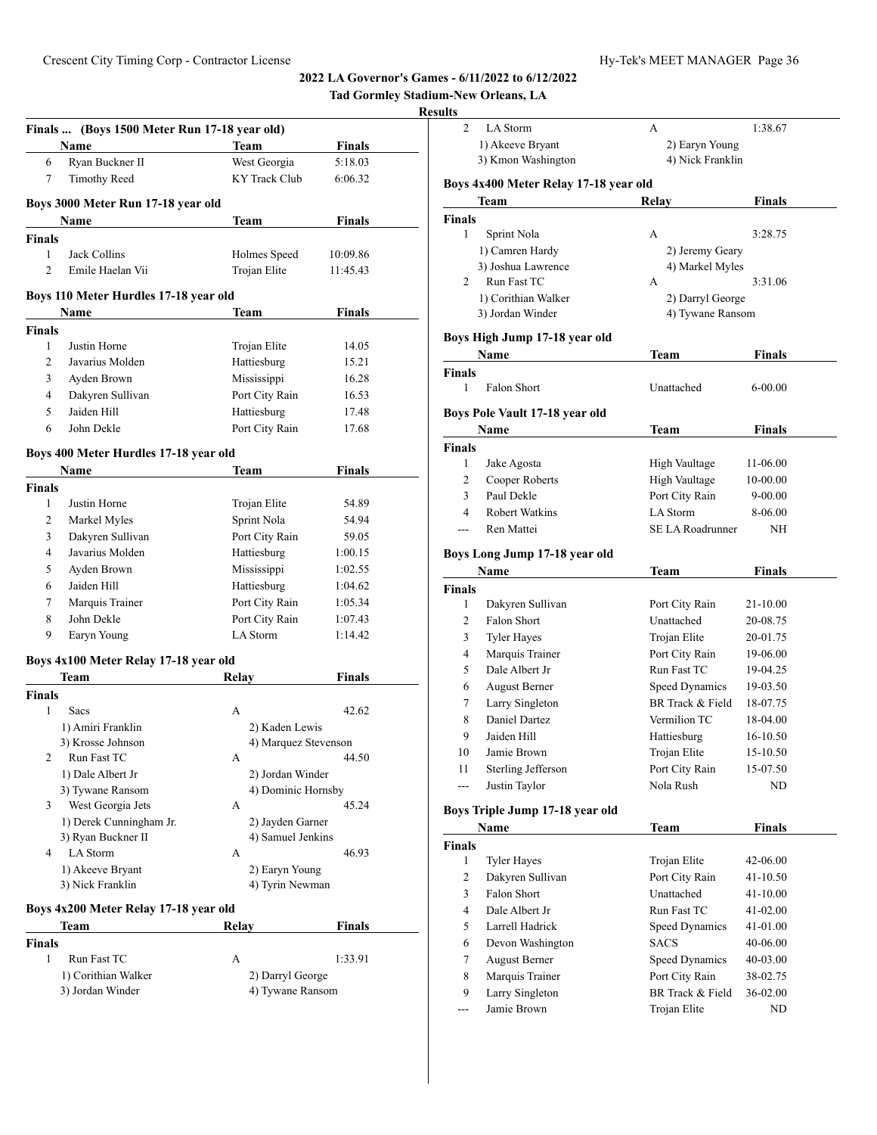# **2022 LA Governor's Games - 6/11/2022 to 6/12/2022 Tad Gormley Stadium-New Orleans, LA Resul Finals ... (Boys 1500 Meter Run 17-18 year old) Name Team Finals** 6 Ryan Buckner II West Georgia 5:18.03 7 Timothy Reed KY Track Club 6:06.32 **Boys 3000 Meter Run 17-18 year old Name Team Finals Finals** 1 Jack Collins Holmes Speed 10:09.86 2 Emile Haelan Vii Trojan Elite 11:45.43 **Boys 110 Meter Hurdles 17-18 year old Name Team Finals Finals** 1 Justin Horne Trojan Elite 14.05 2 Javarius Molden Hattiesburg 15.21 3 Ayden Brown Mississippi 16.28 4 Dakyren Sullivan Port City Rain 16.53 5 Jaiden Hill Hattiesburg 17.48 6 John Dekle Port City Rain 17.68 **Boys 400 Meter Hurdles 17-18 year old Name Team Finals Finals** 1 Justin Horne Trojan Elite 54.89 2 Markel Myles Sprint Nola 54.94 3 Dakyren Sullivan Port City Rain 59.05 4 Javarius Molden Hattiesburg 1:00.15 5 Ayden Brown Mississippi 1:02.55 6 Jaiden Hill Hattiesburg 1:04.62 7 Marquis Trainer Port City Rain 1:05.34 8 John Dekle Port City Rain 1:07.43 9 Earyn Young LA Storm 1:14.42 **Boys 4x100 Meter Relay 17-18 year old Team Relay Finals Finals** 1 Sacs A 42.62 1) Amiri Franklin 2) Kaden Lewis 3) Krosse Johnson 4) Marquez Stevenson 2 Run Fast TC A 44.50 1) Dale Albert Jr 2) Jordan Winder 3) Tywane Ransom 4) Dominic Hornsby 3 West Georgia Jets A 45.24 1) Derek Cunningham Jr. 2) Jayden Garner 3) Ryan Buckner II 4) Samuel Jenkins 4 LA Storm A 46.93 1) Akeeve Bryant 2) Earyn Young 3) Nick Franklin 4) Tyrin Newman **Boys 4x200 Meter Relay 17-18 year old Team Relay Finals Finals** 1 Run Fast TC A 1:33.91 1) Corithian Walker 2) Darryl George 3) Jordan Winder 4) Tywane Ransom

| lts                     |                                       |                         |               |  |
|-------------------------|---------------------------------------|-------------------------|---------------|--|
| 2                       | LA Storm                              | А                       | 1:38.67       |  |
|                         | 1) Akeeve Bryant                      | 2) Earyn Young          |               |  |
|                         | 3) Kmon Washington                    | 4) Nick Franklin        |               |  |
|                         | Boys 4x400 Meter Relay 17-18 year old |                         |               |  |
|                         | Team                                  | Relay                   | <b>Finals</b> |  |
| Finals                  |                                       |                         |               |  |
| 1                       | Sprint Nola                           | A                       | 3:28.75       |  |
|                         | 1) Camren Hardy                       | 2) Jeremy Geary         |               |  |
|                         | 3) Joshua Lawrence                    | 4) Markel Myles         |               |  |
| 2                       | Run Fast TC                           | А                       | 3:31.06       |  |
|                         | 1) Corithian Walker                   | 2) Darryl George        |               |  |
|                         | 3) Jordan Winder                      | 4) Tywane Ransom        |               |  |
|                         | Boys High Jump 17-18 year old         |                         |               |  |
|                         | Name                                  | Team                    | Finals        |  |
| Finals                  |                                       |                         |               |  |
| 1                       | <b>Falon Short</b>                    | Unattached              | $6 - 00.00$   |  |
|                         | Boys Pole Vault 17-18 year old        |                         |               |  |
|                         | Name                                  | Team                    | <b>Finals</b> |  |
| Finals                  |                                       |                         |               |  |
| 1                       | Jake Agosta                           | High Vaultage           | 11-06.00      |  |
| $\overline{c}$          | Cooper Roberts                        | <b>High Vaultage</b>    | 10-00.00      |  |
| 3                       | Paul Dekle                            | Port City Rain          | 9-00.00       |  |
| 4                       | <b>Robert Watkins</b>                 | LA Storm                | 8-06.00       |  |
| ---                     | Ren Mattei                            | <b>SE LA Roadrunner</b> | NH            |  |
|                         | Boys Long Jump 17-18 year old         |                         |               |  |
|                         | Name                                  | Team                    | Finals        |  |
| Finals                  |                                       |                         |               |  |
| 1                       | Dakyren Sullivan                      | Port City Rain          | 21-10.00      |  |
| 2                       | Falon Short                           | Unattached              | 20-08.75      |  |
| 3                       | Tyler Hayes                           | Trojan Elite            | 20-01.75      |  |
| 4                       | Marquis Trainer                       | Port City Rain          | 19-06.00      |  |
| 5                       | Dale Albert Jr                        | Run Fast TC             | 19-04.25      |  |
| 6                       | <b>August Berner</b>                  | <b>Speed Dynamics</b>   | 19-03.50      |  |
| 7                       | Larry Singleton                       | BR Track & Field        | 18-07.75      |  |
| 8                       | Daniel Dartez                         | Vermilion TC            | 18-04.00      |  |
| 9                       | Jaiden Hill                           | Hattiesburg             | 16-10.50      |  |
| 10                      | Jamie Brown                           | Trojan Elite            | 15-10.50      |  |
| 11                      | Sterling Jefferson                    | Port City Rain          | 15-07.50      |  |
| ---                     | Justin Taylor                         | Nola Rush               | ND            |  |
|                         | Boys Triple Jump 17-18 year old       |                         |               |  |
|                         | Name                                  | <b>Team</b>             | <b>Finals</b> |  |
| Finals                  |                                       |                         |               |  |
| 1                       | <b>Tyler Hayes</b>                    | Trojan Elite            | 42-06.00      |  |
| $\mathbf{2}$            | Dakyren Sullivan                      | Port City Rain          | 41-10.50      |  |
| 3                       | Falon Short                           | Unattached              | 41-10.00      |  |
| $\overline{\mathbf{4}}$ | Dale Albert Jr                        | Run Fast TC             | 41-02.00      |  |
| 5                       | Larrell Hadrick                       | Speed Dynamics          | 41-01.00      |  |
| 6                       | Devon Washington                      | <b>SACS</b>             | 40-06.00      |  |
| 7                       | <b>August Berner</b>                  | Speed Dynamics          | 40-03.00      |  |
| 8                       | Marquis Trainer                       | Port City Rain          | 38-02.75      |  |
| 9                       | Larry Singleton                       | BR Track & Field        | 36-02.00      |  |
| ---                     | Jamie Brown                           | Trojan Elite            | ND            |  |
|                         |                                       |                         |               |  |